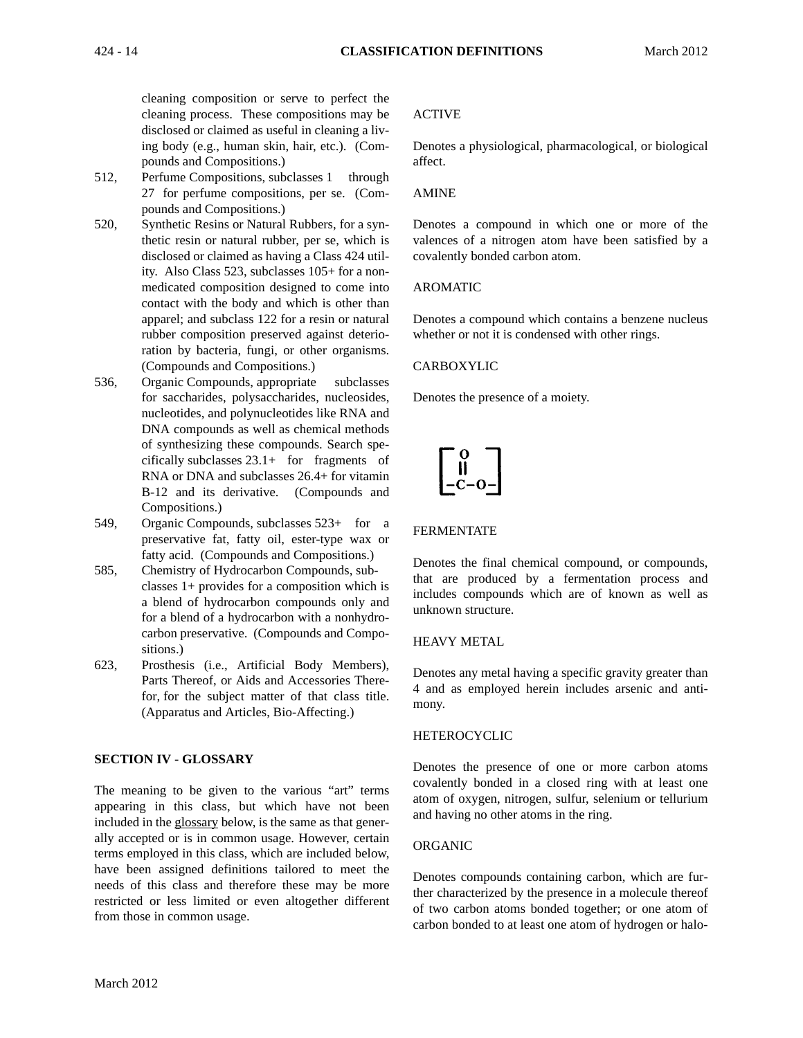cleaning composition or serve to perfect the cleaning process. These compositions may be disclosed or claimed as useful in cleaning a living body (e.g., human skin, hair, etc.). (Compounds and Compositions.)

- 512, Perfume Compositions, subclasses 1 through 27 for perfume compositions, per se. (Compounds and Compositions.)
- disclosed or claimed as having a Class 424 util-520, Synthetic Resins or Natural Rubbers, for a synthetic resin or natural rubber, per se, which is ity. Also Class 523, subclasses 105+ for a nonmedicated composition designed to come into contact with the body and which is other than apparel; and subclass 122 for a resin or natural rubber composition preserved against deterioration by bacteria, fungi, or other organisms. (Compounds and Compositions.)
- 536, Organic Compounds, appropriate subclasses for saccharides, polysaccharides, nucleosides, nucleotides, and polynucleotides like RNA and DNA compounds as well as chemical methods of synthesizing these compounds. Search specifically subclasses 23.1+ for fragments of RNA or DNA and subclasses 26.4+ for vitamin B-12 and its derivative. (Compounds and Compositions.)
- 549, Organic Compounds, subclasses 523+ for a preservative fat, fatty oil, ester-type wax or fatty acid. (Compounds and Compositions.)
- 585, Chemistry of Hydrocarbon Compounds, subclasses 1+ provides for a composition which is a blend of hydrocarbon compounds only and for a blend of a hydrocarbon with a nonhydrocarbon preservative. (Compounds and Compositions.)
- 623, Prosthesis (i.e., Artificial Body Members), Parts Thereof, or Aids and Accessories Therefor, for the subject matter of that class title. (Apparatus and Articles, Bio-Affecting.)

# **SECTION IV - GLOSSARY**

 The meaning to be given to the various "art" terms terms employed in this class, which are included below, appearing in this class, but which have not been included in the glossary below, is the same as that generally accepted or is in common usage. However, certain have been assigned definitions tailored to meet the needs of this class and therefore these may be more restricted or less limited or even altogether different from those in common usage.

# ACTIVE

Denotes a physiological, pharmacological, or biological affect.

# AMINE

Denotes a compound in which one or more of the valences of a nitrogen atom have been satisfied by a covalently bonded carbon atom.

#### AROMATIC

Denotes a compound which contains a benzene nucleus whether or not it is condensed with other rings.

#### CARBOXYLIC

Denotes the presence of a moiety.



# FERMENTATE

Denotes the final chemical compound, or compounds, that are produced by a fermentation process and includes compounds which are of known as well as unknown structure.

# HEAVY METAL

Denotes any metal having a specific gravity greater than 4 and as employed herein includes arsenic and antimony.

# HETEROCYCLIC

Denotes the presence of one or more carbon atoms covalently bonded in a closed ring with at least one atom of oxygen, nitrogen, sulfur, selenium or tellurium and having no other atoms in the ring.

# ORGANIC

Denotes compounds containing carbon, which are further characterized by the presence in a molecule thereof of two carbon atoms bonded together; or one atom of carbon bonded to at least one atom of hydrogen or halo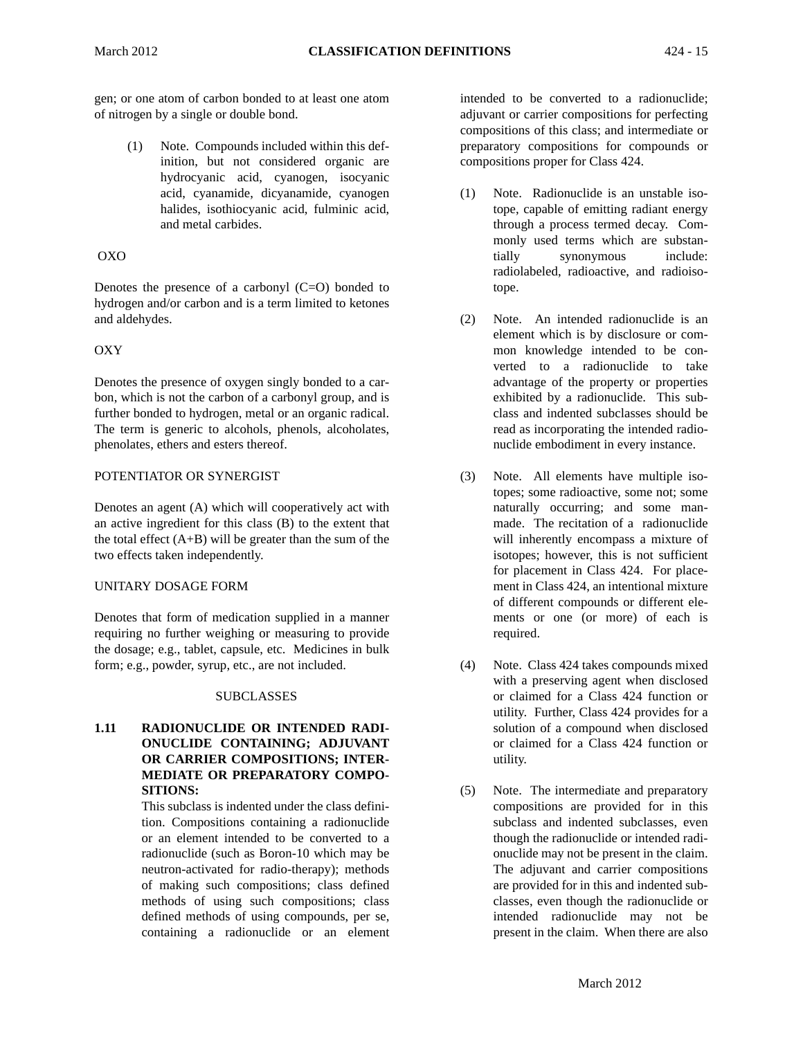gen; or one atom of carbon bonded to at least one atom of nitrogen by a single or double bond.

> (1) Note. Compounds included within this definition, but not considered organic are hydrocyanic acid, cyanogen, isocyanic acid, cyanamide, dicyanamide, cyanogen halides, isothiocyanic acid, fulminic acid, and metal carbides.

# OXO

Denotes the presence of a carbonyl (C=O) bonded to hydrogen and/or carbon and is a term limited to ketones and aldehydes.

# OXY

Denotes the presence of oxygen singly bonded to a carbon, which is not the carbon of a carbonyl group, and is further bonded to hydrogen, metal or an organic radical. The term is generic to alcohols, phenols, alcoholates, phenolates, ethers and esters thereof.

# POTENTIATOR OR SYNERGIST

Denotes an agent (A) which will cooperatively act with an active ingredient for this class (B) to the extent that the total effect  $(A+B)$  will be greater than the sum of the two effects taken independently.

# UNITARY DOSAGE FORM

Denotes that form of medication supplied in a manner requiring no further weighing or measuring to provide the dosage; e.g., tablet, capsule, etc. Medicines in bulk form; e.g., powder, syrup, etc., are not included.

# SUBCLASSES

**1.11 RADIONUCLIDE OR INTENDED RADI-ONUCLIDE CONTAINING; ADJUVANT OR CARRIER COMPOSITIONS; INTER-MEDIATE OR PREPARATORY COMPO-SITIONS:** 

This subclass is indented under the class definition. Compositions containing a radionuclide or an element intended to be converted to a radionuclide (such as Boron-10 which may be neutron-activated for radio-therapy); methods of making such compositions; class defined methods of using such compositions; class defined methods of using compounds, per se, containing a radionuclide or an element

intended to be converted to a radionuclide; adjuvant or carrier compositions for perfecting compositions of this class; and intermediate or preparatory compositions for compounds or compositions proper for Class 424.

- (1) Note. Radionuclide is an unstable isotope, capable of emitting radiant energy through a process termed decay. Commonly used terms which are substantially synonymous include: radiolabeled, radioactive, and radioisotope.
- (2) Note. An intended radionuclide is an element which is by disclosure or common knowledge intended to be converted to a radionuclide to take advantage of the property or properties exhibited by a radionuclide. This subclass and indented subclasses should be read as incorporating the intended radionuclide embodiment in every instance.
- (3) Note. All elements have multiple isotopes; some radioactive, some not; some naturally occurring; and some manmade. The recitation of a radionuclide will inherently encompass a mixture of isotopes; however, this is not sufficient for placement in Class 424. For placement in Class 424, an intentional mixture of different compounds or different elements or one (or more) of each is required.
- (4) Note. Class 424 takes compounds mixed with a preserving agent when disclosed or claimed for a Class 424 function or utility. Further, Class 424 provides for a solution of a compound when disclosed or claimed for a Class 424 function or utility.
- (5) Note. The intermediate and preparatory compositions are provided for in this subclass and indented subclasses, even though the radionuclide or intended radionuclide may not be present in the claim. The adjuvant and carrier compositions are provided for in this and indented subclasses, even though the radionuclide or intended radionuclide may not be present in the claim. When there are also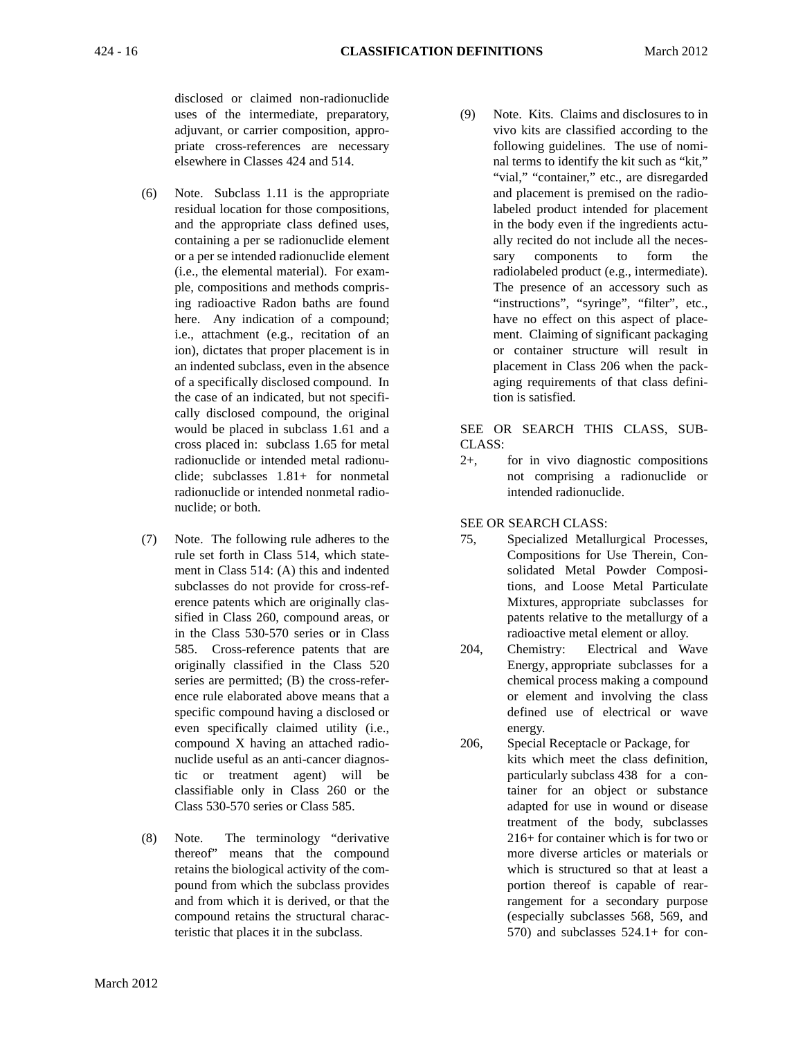disclosed or claimed non-radionuclide uses of the intermediate, preparatory, adjuvant, or carrier composition, appropriate cross-references are necessary elsewhere in Classes 424 and 514.

- (6) Note. Subclass 1.11 is the appropriate residual location for those compositions, and the appropriate class defined uses, containing a per se radionuclide element or a per se intended radionuclide element (i.e., the elemental material). For example, compositions and methods comprising radioactive Radon baths are found here. Any indication of a compound; i.e., attachment (e.g., recitation of an ion), dictates that proper placement is in an indented subclass, even in the absence of a specifically disclosed compound. In the case of an indicated, but not specifically disclosed compound, the original would be placed in subclass 1.61 and a cross placed in: subclass 1.65 for metal radionuclide or intended metal radionuclide; subclasses 1.81+ for nonmetal radionuclide or intended nonmetal radio nuclide; or both.
- in the Class 530-570 series or in Class (7) Note. The following rule adheres to the rule set forth in Class 514, which statement in Class 514: (A) this and indented subclasses do not provide for cross-reference patents which are originally classified in Class 260, compound areas, or 585. Cross-reference patents that are originally classified in the Class 520 series are permitted; (B) the cross-reference rule elaborated above means that a specific compound having a disclosed or even specifically claimed utility (i.e., compound X having an attached radionuclide useful as an anti-cancer diagnostic or treatment agent) will be classifiable only in Class 260 or the Class 530-570 series or Class 585.
- (8) Note. The terminology "derivative thereof" means that the compound retains the biological activity of the compound from which the subclass provides and from which it is derived, or that the compound retains the structural characteristic that places it in the subclass.

(9) Note. Kits. Claims and disclosures to in vivo kits are classified according to the following guidelines. The use of nominal terms to identify the kit such as "kit," "vial," "container," etc., are disregarded and placement is premised on the radiolabeled product intended for placement in the body even if the ingredients actually recited do not include all the necessary components to form the radiolabeled product (e.g., intermediate). The presence of an accessory such as "instructions", "syringe", "filter", etc., have no effect on this aspect of placement. Claiming of significant packaging or container structure will result in placement in Class 206 when the packaging requirements of that class definition is satisfied.

SEE OR SEARCH THIS CLASS, SUB-CLASS:

2+, for in vivo diagnostic compositions not comprising a radionuclide or intended radionuclide.

- 75, Specialized Metallurgical Processes, Compositions for Use Therein, Consolidated Metal Powder Compositions, and Loose Metal Particulate Mixtures, appropriate subclasses for patents relative to the metallurgy of a radioactive metal element or alloy.
- 204, Chemistry: Electrical and Wave Energy, appropriate subclasses for a chemical process making a compound or element and involving the class defined use of electrical or wave energy.
- 216+ for container which is for two or 206, Special Receptacle or Package, for kits which meet the class definition, particularly subclass 438 for a container for an object or substance adapted for use in wound or disease treatment of the body, subclasses more diverse articles or materials or which is structured so that at least a portion thereof is capable of rearrangement for a secondary purpose (especially subclasses 568, 569, and 570) and subclasses 524.1+ for con-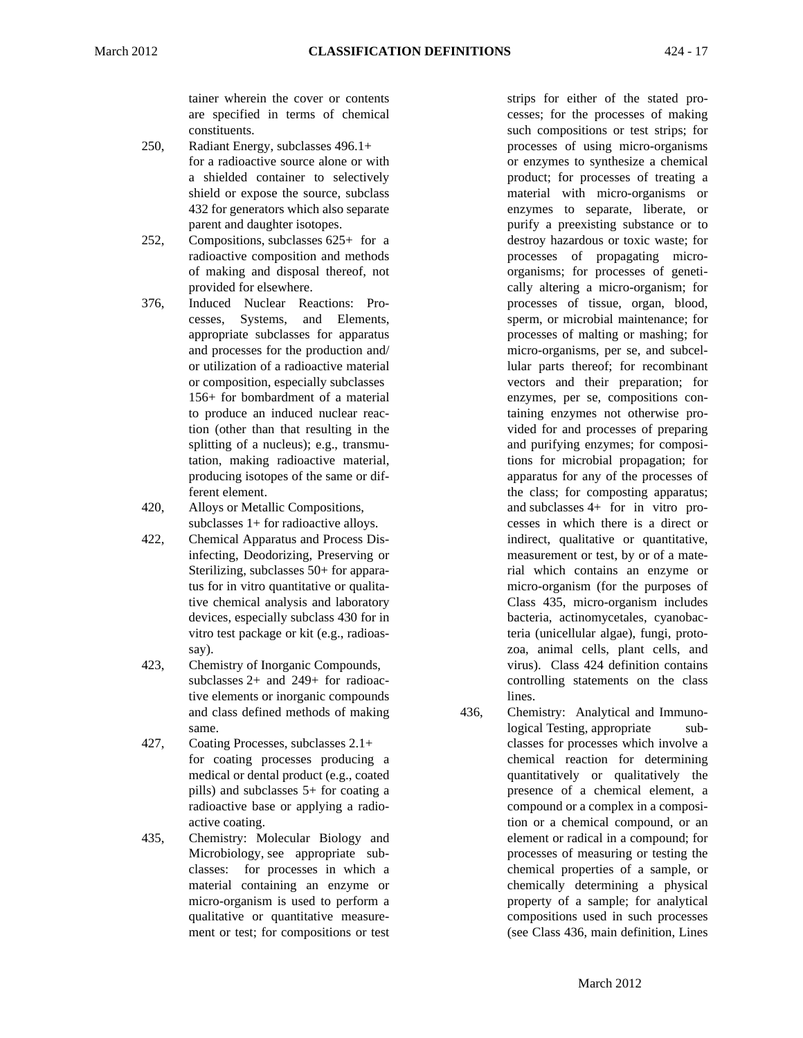- 250, Radiant Energy, subclasses 496.1+ processes of using micro-organisms for a radioactive source alone or with or enzymes to synthesize a chemical a shielded container to selectively product; for processes of treating a shield or expose the source, subclass material with micro-organisms or 432 for generators which also separate enzymes to separate, liberate, or parent and daughter isotopes. purify a preexisting substance or to
- 252, Compositions, subclasses 625+ for a destroy hazardous or toxic waste; for radioactive composition and methods processes of propagating microof making and disposal thereof, not organisms; for processes of genetiprovided for elsewhere. cally altering a micro-organism; for
- 376, Induced Nuclear Reactions: Pro- processes of tissue, organ, blood, cesses, Systems, and Elements, sperm, or microbial maintenance; for appropriate subclasses for apparatus processes of malting or mashing; for and processes for the production and/ micro-organisms, per se, and subcelor utilization of a radioactive material lular parts thereof; for recombinant or composition, especially subclasses vectors and their preparation; for 156+ for bombardment of a material enzymes, per se, compositions conto produce an induced nuclear reac- taining enzymes not otherwise protion (other than that resulting in the vided for and processes of preparing splitting of a nucleus); e.g., transmu- and purifying enzymes; for compositation, making radioactive material, tions for microbial propagation; for producing isotopes of the same or dif- apparatus for any of the processes of ferent element. the class; for composting apparatus;
- 420, Alloys or Metallic Compositions, and subclasses 4+ for in vitro pro-
- 422, Chemical Apparatus and Process Dis- indirect, qualitative or quantitative, infecting, Deodorizing, Preserving or measurement or test, by or of a mate-Sterilizing, subclasses 50+ for appara-<br>
rial which contains an enzyme or tus for in vitro quantitative or qualita- micro-organism (for the purposes of tive chemical analysis and laboratory Class 435, micro-organism includes devices, especially subclass 430 for in bacteria, actinomycetales, cyanobacvitro test package or kit (e.g., radioas- teria (unicellular algae), fungi, proto-
- 423, Chemistry of Inorganic Compounds, virus). Class 424 definition contains subclasses 2+ and 249+ for radioac- controlling statements on the class tive elements or inorganic compounds lines.
- 
- 

tainer wherein the cover or contents strips for either of the stated proare specified in terms of chemical cesses; for the processes of making constituents. such compositions or test strips; for subclasses 1+ for radioactive alloys. cesses in which there is a direct or say). **zoa**, animal cells, plant cells, and

and class defined methods of making 436, Chemistry: Analytical and Immunosame. In the logical Testing, appropriate sub-427, Coating Processes, subclasses 2.1+ classes for processes which involve a for coating processes producing a chemical reaction for determining medical or dental product (e.g., coated quantitatively or qualitatively the pills) and subclasses 5+ for coating a presence of a chemical element, a radioactive base or applying a radio-<br>
compound or a complex in a composiactive coating. The context of the context of the context of the context of the context of the context of the context of the context of the context of the context of the context of the context of the context of the context 435, Chemistry: Molecular Biology and element or radical in a compound; for Microbiology, see appropriate sub- processes of measuring or testing the classes: for processes in which a chemical properties of a sample, or material containing an enzyme or chemically determining a physical micro-organism is used to perform a property of a sample; for analytical qualitative or quantitative measure- compositions used in such processes ment or test; for compositions or test (see Class 436, main definition, Lines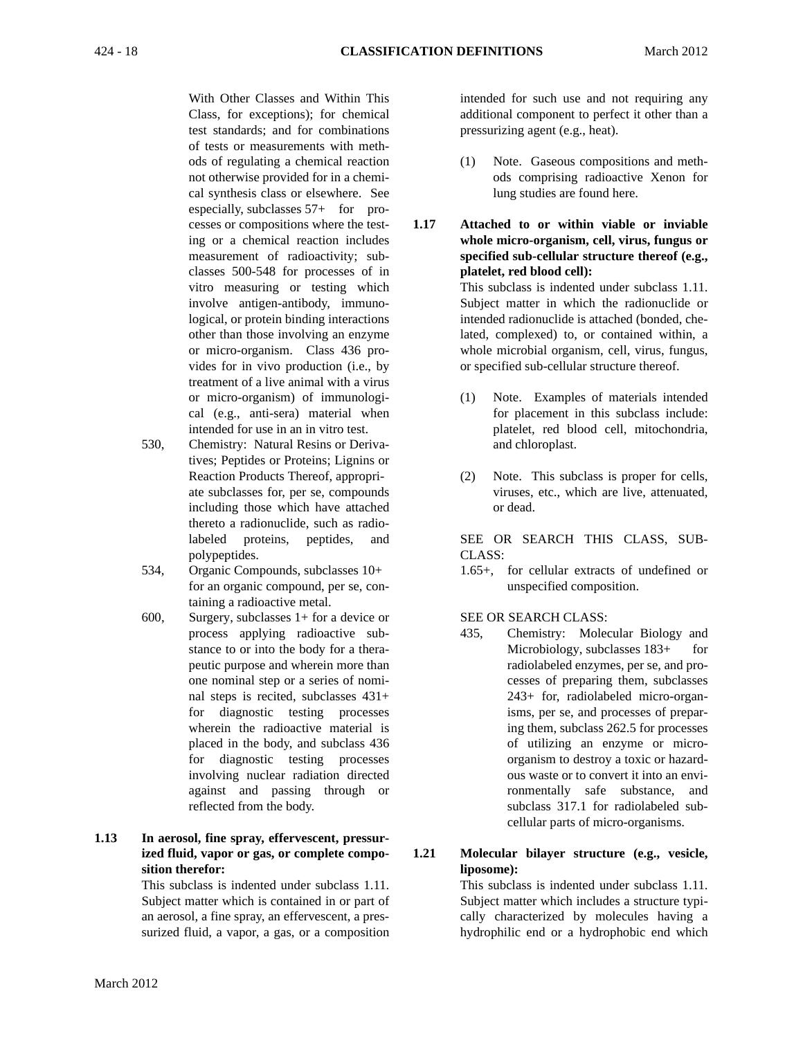With Other Classes and Within This Class, for exceptions); for chemical test standards; and for combinations of tests or measurements with methods of regulating a chemical reaction not otherwise provided for in a chemical synthesis class or elsewhere. See especially, subclasses 57+ for processes or compositions where the test- **1.17**  ing or a chemical reaction includes measurement of radioactivity; subclasses 500-548 for processes of in vitro measuring or testing which involve antigen-antibody, immunological, or protein binding interactions other than those involving an enzyme or micro-organism. Class 436 provides for in vivo production (i.e., by treatment of a live animal with a virus or micro-organism) of immunological (e.g., anti-sera) material when intended for use in an in vitro test.

- 530, Chemistry: Natural Resins or Derivatives; Peptides or Proteins; Lignins or Reaction Products Thereof, appropriate subclasses for, per se, compounds including those which have attached thereto a radionuclide, such as radiolabeled proteins, peptides, and polypeptides.
- 534, Organic Compounds, subclasses 10+ for an organic compound, per se, containing a radioactive metal.
- 600, Surgery, subclasses 1+ for a device or process applying radioactive substance to or into the body for a therapeutic purpose and wherein more than one nominal step or a series of nominal steps is recited, subclasses 431+ for diagnostic testing processes wherein the radioactive material is placed in the body, and subclass 436 for diagnostic testing processes involving nuclear radiation directed against and passing through or reflected from the body.

# **1.13 In aerosol, fine spray, effervescent, pressurized fluid, vapor or gas, or complete compo- 1.21 sition therefor:**

This subclass is indented under subclass 1.11. Subject matter which is contained in or part of an aerosol, a fine spray, an effervescent, a pressurized fluid, a vapor, a gas, or a composition

intended for such use and not requiring any additional component to perfect it other than a pressurizing agent (e.g., heat).

- (1) Note. Gaseous compositions and methods comprising radioactive Xenon for lung studies are found here.
- **Attached to or within viable or inviable whole micro-organism, cell, virus, fungus or specified sub-cellular structure thereof (e.g., platelet, red blood cell):**  This subclass is indented under subclass 1.11. Subject matter in which the radionuclide or intended radionuclide is attached (bonded, chelated, complexed) to, or contained within, a whole microbial organism, cell, virus, fungus, or specified sub-cellular structure thereof.
	- (1) Note. Examples of materials intended for placement in this subclass include: platelet, red blood cell, mitochondria, and chloroplast.
	- (2) Note. This subclass is proper for cells, viruses, etc., which are live, attenuated, or dead.

SEE OR SEARCH THIS CLASS, SUB-CLASS:

1.65+, for cellular extracts of undefined or unspecified composition.

SEE OR SEARCH CLASS:

- 435, Chemistry: Molecular Biology and Microbiology, subclasses 183+ for radiolabeled enzymes, per se, and processes of preparing them, subclasses 243+ for, radiolabeled micro-organisms, per se, and processes of preparing them, subclass 262.5 for processes of utilizing an enzyme or microorganism to destroy a toxic or hazardous waste or to convert it into an environmentally safe substance, and subclass 317.1 for radiolabeled subcellular parts of micro-organisms.
- **Molecular bilayer structure (e.g., vesicle, liposome):**

This subclass is indented under subclass 1.11. Subject matter which includes a structure typically characterized by molecules having a hydrophilic end or a hydrophobic end which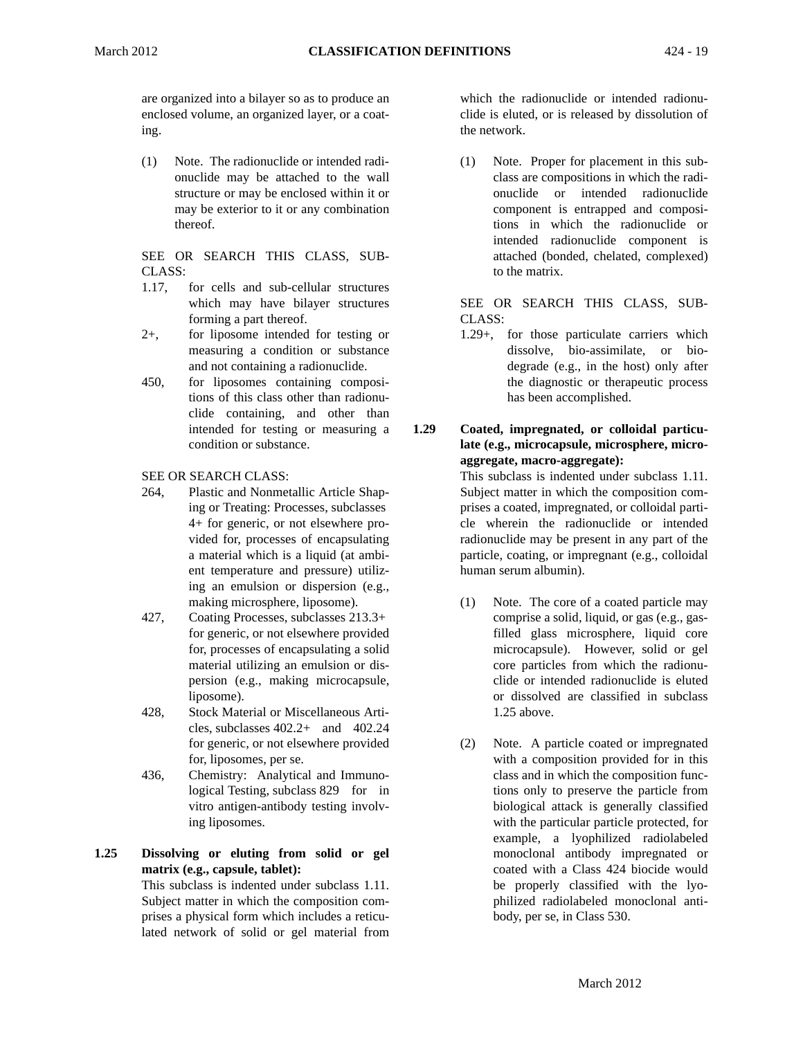are organized into a bilayer so as to produce an enclosed volume, an organized layer, or a coating.

(1) Note. The radionuclide or intended radionuclide may be attached to the wall structure or may be enclosed within it or may be exterior to it or any combination thereof.

SEE OR SEARCH THIS CLASS, SUB-CLASS:

- 1.17, for cells and sub-cellular structures which may have bilayer structures forming a part thereof.
- 2+, for liposome intended for testing or measuring a condition or substance and not containing a radionuclide.
- 450, for liposomes containing compositions of this class other than radionuclide containing, and other than intended for testing or measuring a **1.29**  condition or substance.
- SEE OR SEARCH CLASS:
- 264, Plastic and Nonmetallic Article Shaping or Treating: Processes, subclasses 4+ for generic, or not elsewhere provided for, processes of encapsulating a material which is a liquid (at ambient temperature and pressure) utilizing an emulsion or dispersion (e.g., making microsphere, liposome).
- 427, Coating Processes, subclasses 213.3+ for generic, or not elsewhere provided for, processes of encapsulating a solid material utilizing an emulsion or dispersion (e.g., making microcapsule, liposome).
- 428, Stock Material or Miscellaneous Articles, subclasses 402.2+ and 402.24 for generic, or not elsewhere provided for, liposomes, per se.
- 436, Chemistry: Analytical and Immunological Testing, subclass 829 for in vitro antigen-antibody testing involving liposomes.
- **1.25 Dissolving or eluting from solid or gel matrix (e.g., capsule, tablet):**

This subclass is indented under subclass 1.11. Subject matter in which the composition comprises a physical form which includes a reticulated network of solid or gel material from which the radionuclide or intended radionuclide is eluted, or is released by dissolution of the network.

(1) Note. Proper for placement in this subclass are compositions in which the radionuclide or intended radionuclide component is entrapped and compositions in which the radionuclide or intended radionuclide component is attached (bonded, chelated, complexed) to the matrix.

SEE OR SEARCH THIS CLASS, SUB-CLASS:

- 1.29+, for those particulate carriers which dissolve, bio-assimilate, or biodegrade (e.g., in the host) only after the diagnostic or therapeutic process has been accomplished.
- **Coated, impregnated, or colloidal particulate (e.g., microcapsule, microsphere, microaggregate, macro-aggregate):**

This subclass is indented under subclass 1.11. Subject matter in which the composition comprises a coated, impregnated, or colloidal particle wherein the radionuclide or intended radionuclide may be present in any part of the particle, coating, or impregnant (e.g., colloidal human serum albumin).

- (1) Note. The core of a coated particle may comprise a solid, liquid, or gas (e.g., gasfilled glass microsphere, liquid core microcapsule). However, solid or gel core particles from which the radionuclide or intended radionuclide is eluted or dissolved are classified in subclass 1.25 above.
- (2) Note. A particle coated or impregnated tions only to preserve the particle from with a composition provided for in this class and in which the composition funcbiological attack is generally classified with the particular particle protected, for example, a lyophilized radiolabeled monoclonal antibody impregnated or coated with a Class 424 biocide would be properly classified with the lyophilized radiolabeled monoclonal antibody, per se, in Class 530.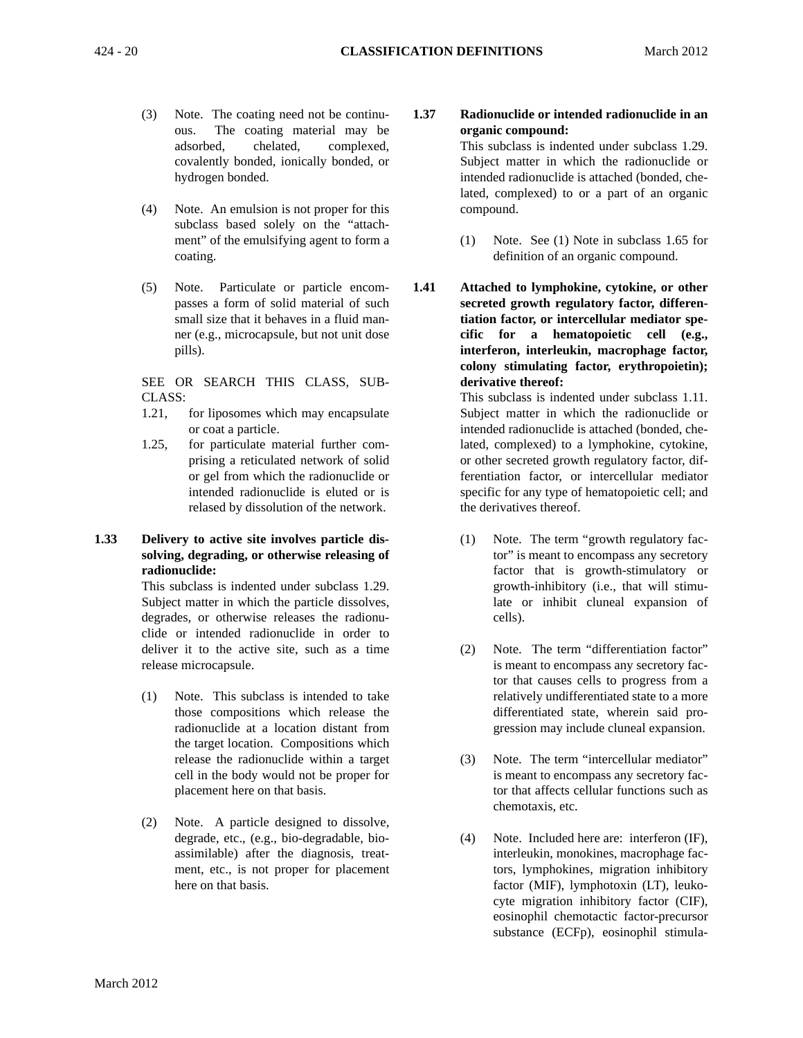- (3) Note. The coating need not be continu- **1.37**  ous. The coating material may be adsorbed, chelated, complexed, covalently bonded, ionically bonded, or hydrogen bonded.
- (4) Note. An emulsion is not proper for this subclass based solely on the "attachment" of the emulsifying agent to form a coating.
- (5) Note. Particulate or particle encom- **1.41**  passes a form of solid material of such small size that it behaves in a fluid manner (e.g., microcapsule, but not unit dose pills).

SEE OR SEARCH THIS CLASS, SUB-CLASS:

- 1.21, for liposomes which may encapsulate or coat a particle.
- 1.25, for particulate material further comprising a reticulated network of solid or gel from which the radionuclide or intended radionuclide is eluted or is relased by dissolution of the network.
- **1.33 Delivery to active site involves particle dissolving, degrading, or otherwise releasing of radionuclide:**

This subclass is indented under subclass 1.29. Subject matter in which the particle dissolves, degrades, or otherwise releases the radionuclide or intended radionuclide in order to deliver it to the active site, such as a time release microcapsule.

- (1) Note. This subclass is intended to take those compositions which release the radionuclide at a location distant from the target location. Compositions which release the radionuclide within a target cell in the body would not be proper for placement here on that basis.
- (2) Note. A particle designed to dissolve, degrade, etc., (e.g., bio-degradable, bioassimilable) after the diagnosis, treatment, etc., is not proper for placement here on that basis.

**Radionuclide or intended radionuclide in an organic compound:** 

This subclass is indented under subclass 1.29. Subject matter in which the radionuclide or intended radionuclide is attached (bonded, chelated, complexed) to or a part of an organic compound.

- $(1)$  Note. See  $(1)$  Note in subclass 1.65 for definition of an organic compound.
- **Attached to lymphokine, cytokine, or other secreted growth regulatory factor, differentiation factor, or intercellular mediator specific for a hematopoietic cell (e.g., interferon, interleukin, macrophage factor, colony stimulating factor, erythropoietin); derivative thereof:**

This subclass is indented under subclass 1.11. Subject matter in which the radionuclide or intended radionuclide is attached (bonded, chelated, complexed) to a lymphokine, cytokine, or other secreted growth regulatory factor, differentiation factor, or intercellular mediator specific for any type of hematopoietic cell; and the derivatives thereof.

- (1) Note. The term "growth regulatory factor" is meant to encompass any secretory factor that is growth-stimulatory or growth-inhibitory (i.e., that will stimulate or inhibit cluneal expansion of cells).
- (2) Note. The term "differentiation factor" is meant to encompass any secretory factor that causes cells to progress from a relatively undifferentiated state to a more differentiated state, wherein said progression may include cluneal expansion.
- (3) Note. The term "intercellular mediator" is meant to encompass any secretory factor that affects cellular functions such as chemotaxis, etc.
- (4) Note. Included here are: interferon (IF), interleukin, monokines, macrophage factors, lymphokines, migration inhibitory factor (MIF), lymphotoxin (LT), leukocyte migration inhibitory factor (CIF), eosinophil chemotactic factor-precursor substance (ECFp), eosinophil stimula-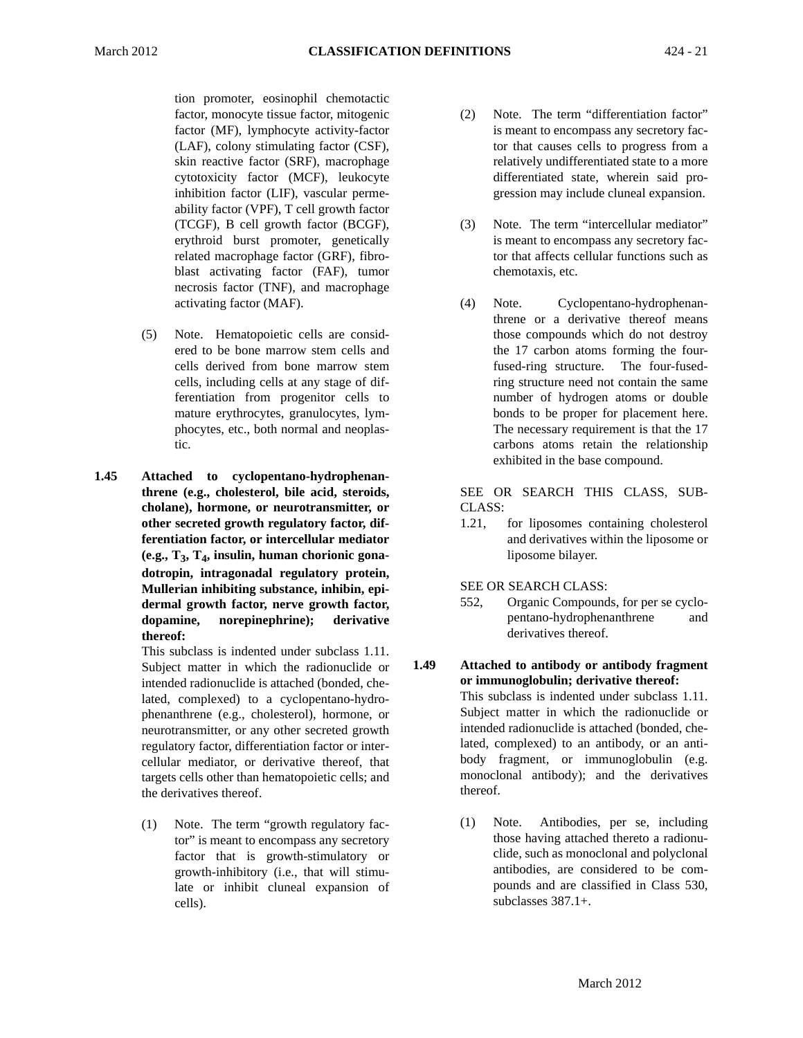tion promoter, eosinophil chemotactic factor, monocyte tissue factor, mitogenic factor (MF), lymphocyte activity-factor (LAF), colony stimulating factor (CSF), skin reactive factor (SRF), macrophage cytotoxicity factor (MCF), leukocyte inhibition factor (LIF), vascular permeability factor (VPF), T cell growth factor (TCGF), B cell growth factor (BCGF), erythroid burst promoter, genetically related macrophage factor (GRF), fibroblast activating factor (FAF), tumor necrosis factor (TNF), and macrophage activating factor (MAF).

- (5) Note. Hematopoietic cells are considered to be bone marrow stem cells and cells derived from bone marrow stem cells, including cells at any stage of differentiation from progenitor cells to mature erythrocytes, granulocytes, lymphocytes, etc., both normal and neoplastic.
- **1.45 Attached to cyclopentano-hydrophenanthrene (e.g., cholesterol, bile acid, steroids, cholane), hormone, or neurotransmitter, or other secreted growth regulatory factor, differentiation factor, or intercellular mediator (e.g., T3, T4, insulin, human chorionic gonadotropin, intragonadal regulatory protein, Mullerian inhibiting substance, inhibin, epidermal growth factor, nerve growth factor, dopamine, norepinephrine); derivative thereof:**

This subclass is indented under subclass 1.11. Subject matter in which the radionuclide or **1.49**  intended radionuclide is attached (bonded, chelated, complexed) to a cyclopentano-hydrophenanthrene (e.g., cholesterol), hormone, or neurotransmitter, or any other secreted growth regulatory factor, differentiation factor or intercellular mediator, or derivative thereof, that targets cells other than hematopoietic cells; and the derivatives thereof.

(1) Note. The term "growth regulatory factor" is meant to encompass any secretory factor that is growth-stimulatory or growth-inhibitory (i.e., that will stimulate or inhibit cluneal expansion of cells).

- (2) Note. The term "differentiation factor" is meant to encompass any secretory factor that causes cells to progress from a relatively undifferentiated state to a more differentiated state, wherein said progression may include cluneal expansion.
- (3) Note. The term "intercellular mediator" is meant to encompass any secretory factor that affects cellular functions such as chemotaxis, etc.
- (4) Note. Cyclopentano-hydrophenanthrene or a derivative thereof means those compounds which do not destroy the 17 carbon atoms forming the fourfused-ring structure. The four-fusedring structure need not contain the same number of hydrogen atoms or double bonds to be proper for placement here. The necessary requirement is that the 17 carbons atoms retain the relationship exhibited in the base compound.

SEE OR SEARCH THIS CLASS, SUB-CLASS:

1.21, for liposomes containing cholesterol and derivatives within the liposome or liposome bilayer.

- 552, Organic Compounds, for per se cyclopentano-hydrophenanthrene and derivatives thereof.
- **Attached to antibody or antibody fragment or immunoglobulin; derivative thereof:**  This subclass is indented under subclass 1.11. Subject matter in which the radionuclide or intended radionuclide is attached (bonded, chelated, complexed) to an antibody, or an antibody fragment, or immunoglobulin (e.g. monoclonal antibody); and the derivatives thereof.
	- (1) Note. Antibodies, per se, including those having attached thereto a radionuclide, such as monoclonal and polyclonal antibodies, are considered to be compounds and are classified in Class 530, subclasses 387.1+.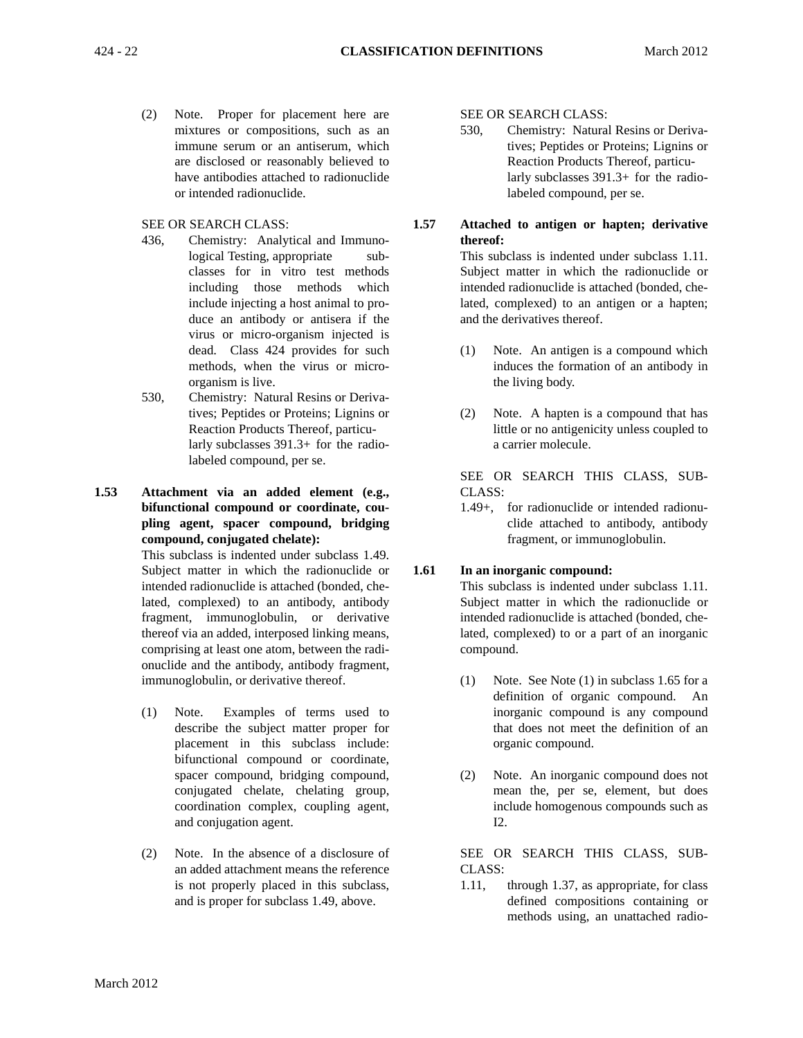(2) Note. Proper for placement here are mixtures or compositions, such as an immune serum or an antiserum, which are disclosed or reasonably believed to have antibodies attached to radionuclide or intended radionuclide.

# SEE OR SEARCH CLASS: **1.57**

- 436, Chemistry: Analytical and Immunological Testing, appropriate subclasses for in vitro test methods including those methods which include injecting a host animal to produce an antibody or antisera if the virus or micro-organism injected is dead. Class 424 provides for such methods, when the virus or microorganism is live.
- 530, Chemistry: Natural Resins or Derivatives; Peptides or Proteins; Lignins or Reaction Products Thereof, particularly subclasses 391.3+ for the radiolabeled compound, per se.
- **1.53 Attachment via an added element (e.g., bifunctional compound or coordinate, coupling agent, spacer compound, bridging compound, conjugated chelate):**

This subclass is indented under subclass 1.49. Subject matter in which the radionuclide or **1.61**  intended radionuclide is attached (bonded, chelated, complexed) to an antibody, antibody fragment, immunoglobulin, or derivative thereof via an added, interposed linking means, comprising at least one atom, between the radionuclide and the antibody, antibody fragment, immunoglobulin, or derivative thereof.

- (1) Note. Examples of terms used to describe the subject matter proper for placement in this subclass include: bifunctional compound or coordinate, spacer compound, bridging compound, conjugated chelate, chelating group, coordination complex, coupling agent, and conjugation agent.
- (2) Note. In the absence of a disclosure of an added attachment means the reference is not properly placed in this subclass, and is proper for subclass 1.49, above.

SEE OR SEARCH CLASS:

- 530, Chemistry: Natural Resins or Derivatives; Peptides or Proteins; Lignins or Reaction Products Thereof, particularly subclasses 391.3+ for the radiolabeled compound, per se.
- **Attached to antigen or hapten; derivative thereof:**

This subclass is indented under subclass 1.11. Subject matter in which the radionuclide or intended radionuclide is attached (bonded, chelated, complexed) to an antigen or a hapten; and the derivatives thereof.

- (1) Note. An antigen is a compound which induces the formation of an antibody in the living body.
- (2) Note. A hapten is a compound that has little or no antigenicity unless coupled to a carrier molecule.

SEE OR SEARCH THIS CLASS, SUB-CLASS:

1.49+, for radionuclide or intended radionuclide attached to antibody, antibody fragment, or immunoglobulin.

# **In an inorganic compound:**

 lated, complexed) to or a part of an inorganic This subclass is indented under subclass 1.11. Subject matter in which the radionuclide or intended radionuclide is attached (bonded, checompound.

- (1) Note. See Note  $(1)$  in subclass 1.65 for a definition of organic compound. An inorganic compound is any compound that does not meet the definition of an organic compound.
- (2) Note. An inorganic compound does not mean the, per se, element, but does include homogenous compounds such as I2.

SEE OR SEARCH THIS CLASS, SUB-CLASS:

1.11, through 1.37, as appropriate, for class defined compositions containing or methods using, an unattached radio-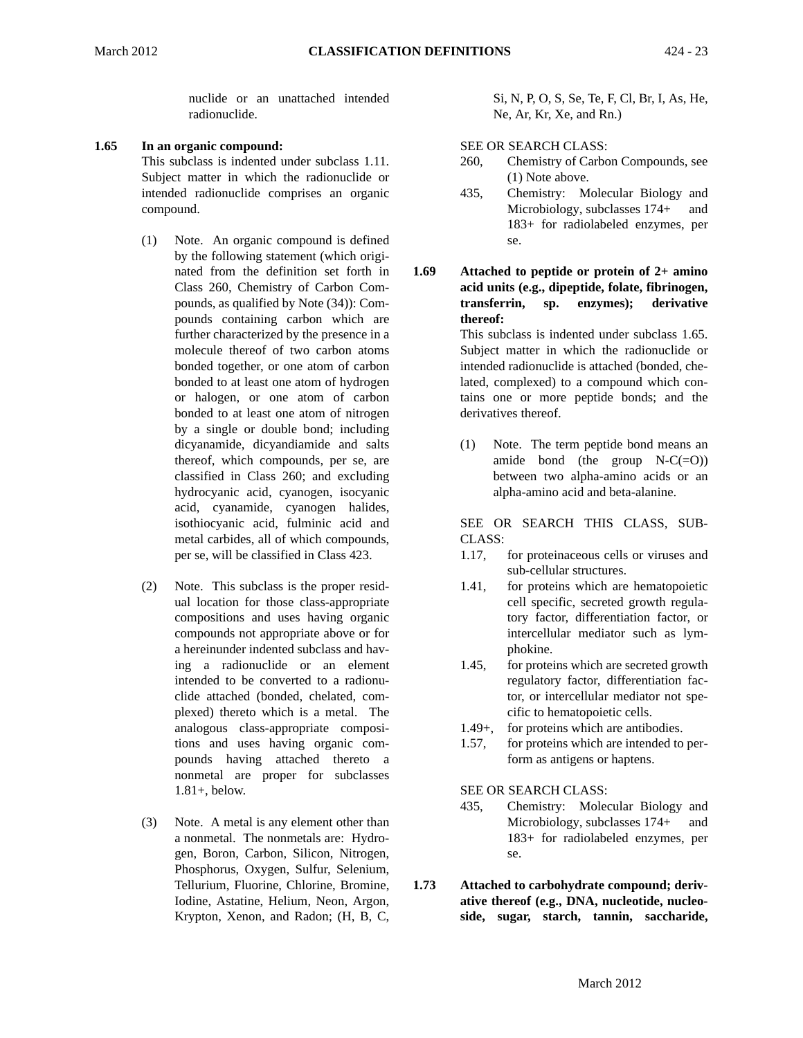nuclide or an unattached intended radionuclide.

**1.65 In an organic compound:** 

This subclass is indented under subclass 1.11. Subject matter in which the radionuclide or intended radionuclide comprises an organic compound.

- nated from the definition set forth in **1.69**  (1) Note. An organic compound is defined by the following statement (which origi-Class 260, Chemistry of Carbon Compounds, as qualified by Note (34)): Compounds containing carbon which are further characterized by the presence in a molecule thereof of two carbon atoms bonded together, or one atom of carbon bonded to at least one atom of hydrogen or halogen, or one atom of carbon bonded to at least one atom of nitrogen by a single or double bond; including dicyanamide, dicyandiamide and salts thereof, which compounds, per se, are classified in Class 260; and excluding hydrocyanic acid, cyanogen, isocyanic acid, cyanamide, cyanogen halides, isothiocyanic acid, fulminic acid and metal carbides, all of which compounds, per se, will be classified in Class 423.
- (2) Note. This subclass is the proper residual location for those class-appropriate compositions and uses having organic compounds not appropriate above or for a hereinunder indented subclass and having a radionuclide or an element intended to be converted to a radionuclide attached (bonded, chelated, complexed) thereto which is a metal. The analogous class-appropriate compositions and uses having organic compounds having attached thereto a nonmetal are proper for subclasses 1.81+, below.
- (3) Note. A metal is any element other than a nonmetal. The nonmetals are: Hydrogen, Boron, Carbon, Silicon, Nitrogen, Phosphorus, Oxygen, Sulfur, Selenium, Tellurium, Fluorine, Chlorine, Bromine, **1.73**  Iodine, Astatine, Helium, Neon, Argon, Krypton, Xenon, and Radon; (H, B, C,

Si, N, P, O, S, Se, Te, F, Cl, Br, I, As, He, Ne, Ar, Kr, Xe, and Rn.)

- SEE OR SEARCH CLASS:
- 260, Chemistry of Carbon Compounds, see (1) Note above.
- 435, Chemistry: Molecular Biology and Microbiology, subclasses  $174+$  and 183+ for radiolabeled enzymes, per se.
- **Attached to peptide or protein of 2+ amino acid units (e.g., dipeptide, folate, fibrinogen, transferrin, sp. enzymes); derivative thereof:**

This subclass is indented under subclass 1.65. Subject matter in which the radionuclide or intended radionuclide is attached (bonded, chelated, complexed) to a compound which contains one or more peptide bonds; and the derivatives thereof.

(1) Note. The term peptide bond means an amide bond (the group  $N-C(=O)$ ) between two alpha-amino acids or an alpha-amino acid and beta-alanine.

SEE OR SEARCH THIS CLASS, SUB-CLASS:

- 1.17, for proteinaceous cells or viruses and sub-cellular structures.
- 1.41, for proteins which are hematopoietic cell specific, secreted growth regulatory factor, differentiation factor, or intercellular mediator such as lymphokine.
- 1.45, for proteins which are secreted growth regulatory factor, differentiation factor, or intercellular mediator not specific to hematopoietic cells.
- 1.49+, for proteins which are antibodies.
- 1.57, for proteins which are intended to perform as antigens or haptens.

- 435, Chemistry: Molecular Biology and Microbiology, subclasses  $174+$  and 183+ for radiolabeled enzymes, per se.
- **Attached to carbohydrate compound; derivative thereof (e.g., DNA, nucleotide, nucleoside, sugar, starch, tannin, saccharide,**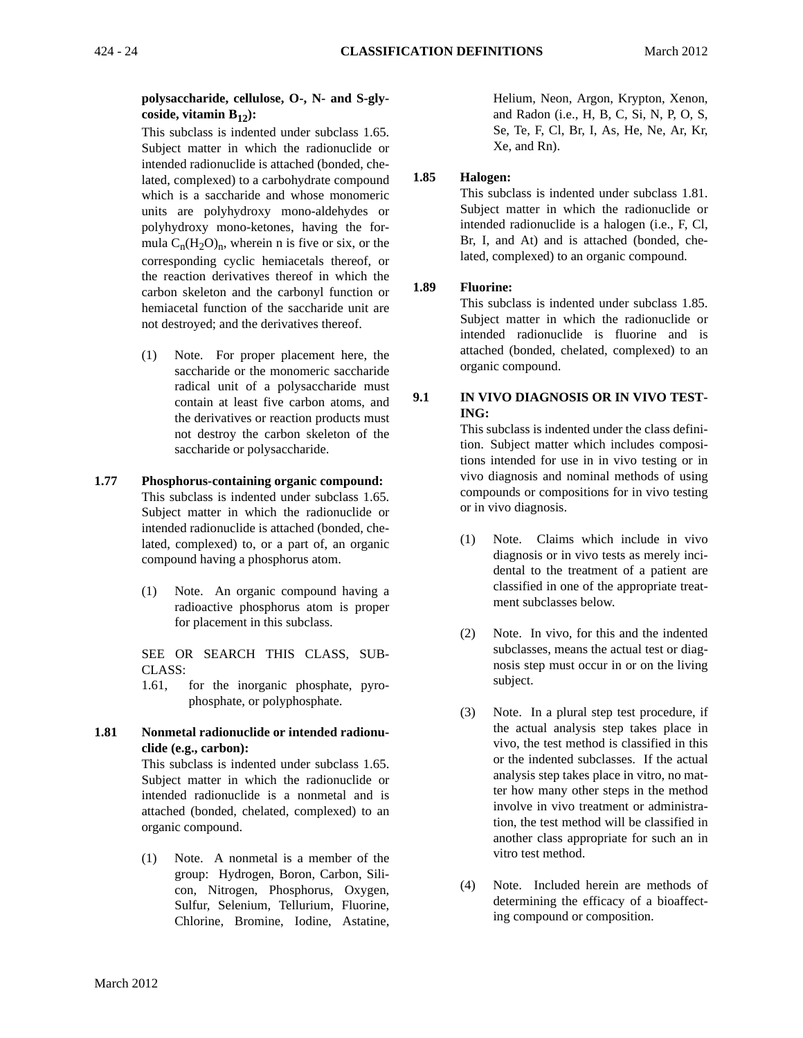# **polysaccharide, cellulose, O-, N- and S-glycoside, vitamin B12):**

 lated, complexed) to a carbohydrate compound the reaction derivatives thereof in which the This subclass is indented under subclass 1.65. Subject matter in which the radionuclide or intended radionuclide is attached (bonded, chewhich is a saccharide and whose monomeric units are polyhydroxy mono-aldehydes or polyhydroxy mono-ketones, having the formula  $C_n(H_2O)_n$ , wherein n is five or six, or the corresponding cyclic hemiacetals thereof, or carbon skeleton and the carbonyl function or hemiacetal function of the saccharide unit are not destroyed; and the derivatives thereof.

(1) Note. For proper placement here, the saccharide or the monomeric saccharide radical unit of a polysaccharide must contain at least five carbon atoms, and the derivatives or reaction products must not destroy the carbon skeleton of the saccharide or polysaccharide.

#### **1.77 Phosphorus-containing organic compound:**

This subclass is indented under subclass 1.65. Subject matter in which the radionuclide or intended radionuclide is attached (bonded, chelated, complexed) to, or a part of, an organic compound having a phosphorus atom.

(1) Note. An organic compound having a radioactive phosphorus atom is proper for placement in this subclass.

SEE OR SEARCH THIS CLASS, SUB-CLASS:

1.61, for the inorganic phosphate, pyrophosphate, or polyphosphate.

#### **1.81 Nonmetal radionuclide or intended radionuclide (e.g., carbon):**

This subclass is indented under subclass 1.65. Subject matter in which the radionuclide or intended radionuclide is a nonmetal and is attached (bonded, chelated, complexed) to an organic compound.

(1) Note. A nonmetal is a member of the group: Hydrogen, Boron, Carbon, Silicon, Nitrogen, Phosphorus, Oxygen, Sulfur, Selenium, Tellurium, Fluorine, Chlorine, Bromine, Iodine, Astatine,

Helium, Neon, Argon, Krypton, Xenon, and Radon (i.e., H, B, C, Si, N, P, O, S, Se, Te, F, Cl, Br, I, As, He, Ne, Ar, Kr, Xe, and Rn).

# **1.85 Halogen:**

This subclass is indented under subclass 1.81. Subject matter in which the radionuclide or intended radionuclide is a halogen (i.e., F, Cl, Br, I, and At) and is attached (bonded, chelated, complexed) to an organic compound.

# **1.89 Fluorine:**

This subclass is indented under subclass 1.85. Subject matter in which the radionuclide or intended radionuclide is fluorine and is attached (bonded, chelated, complexed) to an organic compound.

# **9.1 IN VIVO DIAGNOSIS OR IN VIVO TEST-ING:**

This subclass is indented under the class definition. Subject matter which includes compositions intended for use in in vivo testing or in vivo diagnosis and nominal methods of using compounds or compositions for in vivo testing or in vivo diagnosis.

- (1) Note. Claims which include in vivo diagnosis or in vivo tests as merely incidental to the treatment of a patient are classified in one of the appropriate treatment subclasses below.
- (2) Note. In vivo, for this and the indented subclasses, means the actual test or diagnosis step must occur in or on the living subject.
- (3) Note. In a plural step test procedure, if the actual analysis step takes place in vivo, the test method is classified in this or the indented subclasses. If the actual analysis step takes place in vitro, no matter how many other steps in the method involve in vivo treatment or administration, the test method will be classified in another class appropriate for such an in vitro test method.
- (4) Note. Included herein are methods of determining the efficacy of a bioaffecting compound or composition.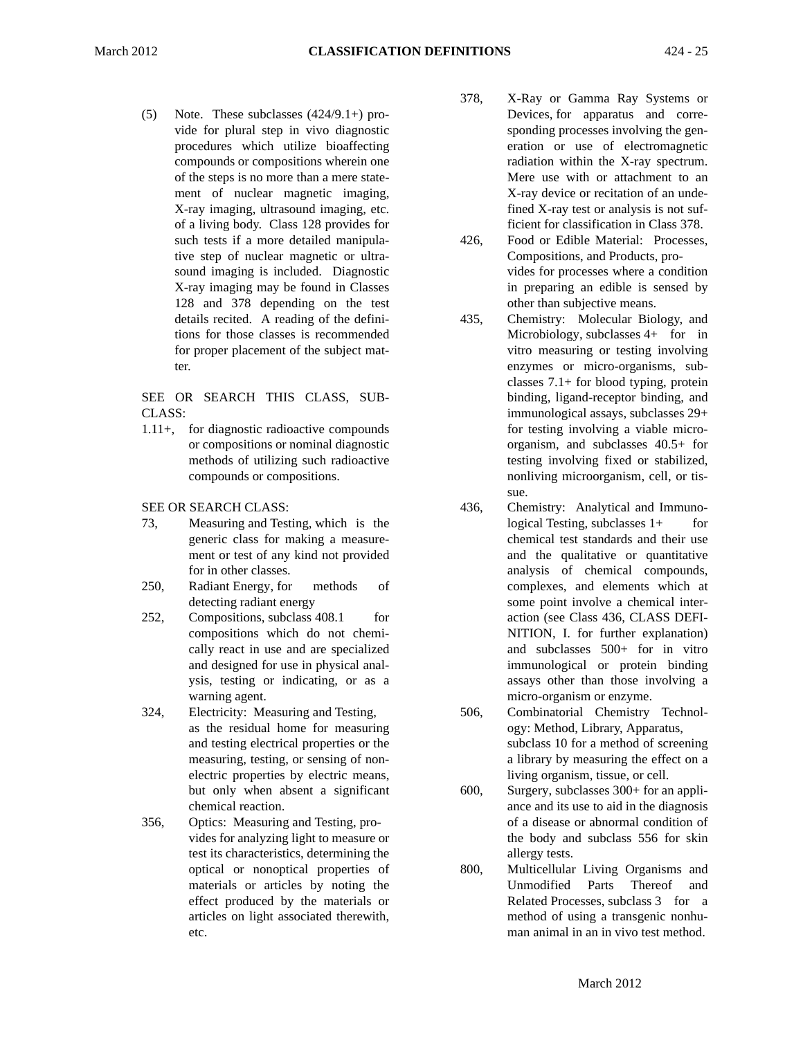(5) Note. These subclasses  $(424/9.1+)$  pro- Devices, for apparatus and corretive step of nuclear magnetic or ultra- Compositions, and Products, pro-128 and 378 depending on the test other than subjective means.

SEE OR SEARCH THIS CLASS, SUB-<br>binding, ligand-receptor binding, and CLASS: immunological assays, subclasses 29+

1.11+, for diagnostic radioactive compounds for testing involving a viable micro-

- 73, Measuring and Testing, which is the logical Testing, subclasses 1+ for
- 
- 252, Compositions, subclass 408.1 for action (see Class 436, CLASS DEFIwarning agent. The micro-organism or enzyme.
- electric properties by electric means, living organism, tissue, or cell.
- test its characteristics, determining the allergy tests.
- 378, X-Ray or Gamma Ray Systems or vide for plural step in vivo diagnostic sponding processes involving the genprocedures which utilize bioaffecting eration or use of electromagnetic compounds or compositions wherein one radiation within the X-ray spectrum. of the steps is no more than a mere state- Mere use with or attachment to an ment of nuclear magnetic imaging,  $X$ -ray device or recitation of an unde-X-ray imaging, ultrasound imaging, etc. fined X-ray test or analysis is not sufof a living body. Class 128 provides for ficient for classification in Class 378.
- such tests if a more detailed manipula- 426, Food or Edible Material: Processes, sound imaging is included. Diagnostic vides for processes where a condition X-ray imaging may be found in Classes in preparing an edible is sensed by
- details recited. A reading of the defini- 435, Chemistry: Molecular Biology, and tions for those classes is recommended Microbiology, subclasses 4+ for in for proper placement of the subject mat- vitro measuring or testing involving ter. enzymes or micro-organisms, subclasses 7.1+ for blood typing, protein or compositions or nominal diagnostic organism, and subclasses 40.5+ for methods of utilizing such radioactive testing involving fixed or stabilized, compounds or compositions. nonliving microorganism, cell, or tissue.
- SEE OR SEARCH CLASS: 436, Chemistry: Analytical and Immunogeneric class for making a measure- chemical test standards and their use ment or test of any kind not provided and the qualitative or quantitative for in other classes. analysis of chemical compounds, 250, Radiant Energy, for methods of complexes, and elements which at detecting radiant energy some point involve a chemical intercompositions which do not chemi- NITION, I. for further explanation) cally react in use and are specialized and subclasses 500+ for in vitro and designed for use in physical anal- immunological or protein binding ysis, testing or indicating, or as a assays other than those involving a
- 324, Electricity: Measuring and Testing, 506, Combinatorial Chemistry Technolas the residual home for measuring ogy: Method, Library, Apparatus, and testing electrical properties or the subclass 10 for a method of screening measuring, testing, or sensing of non-<br>a library by measuring the effect on a
- but only when absent a significant 600, Surgery, subclasses 300+ for an applichemical reaction. ance and its use to aid in the diagnosis 356, Optics: Measuring and Testing, pro- of a disease or abnormal condition of vides for analyzing light to measure or the body and subclass 556 for skin
	- optical or nonoptical properties of 800, Multicellular Living Organisms and materials or articles by noting the Unmodified Parts Thereof and effect produced by the materials or Related Processes, subclass 3 for a articles on light associated therewith, method of using a transgenic nonhuetc. man animal in an in vivo test method.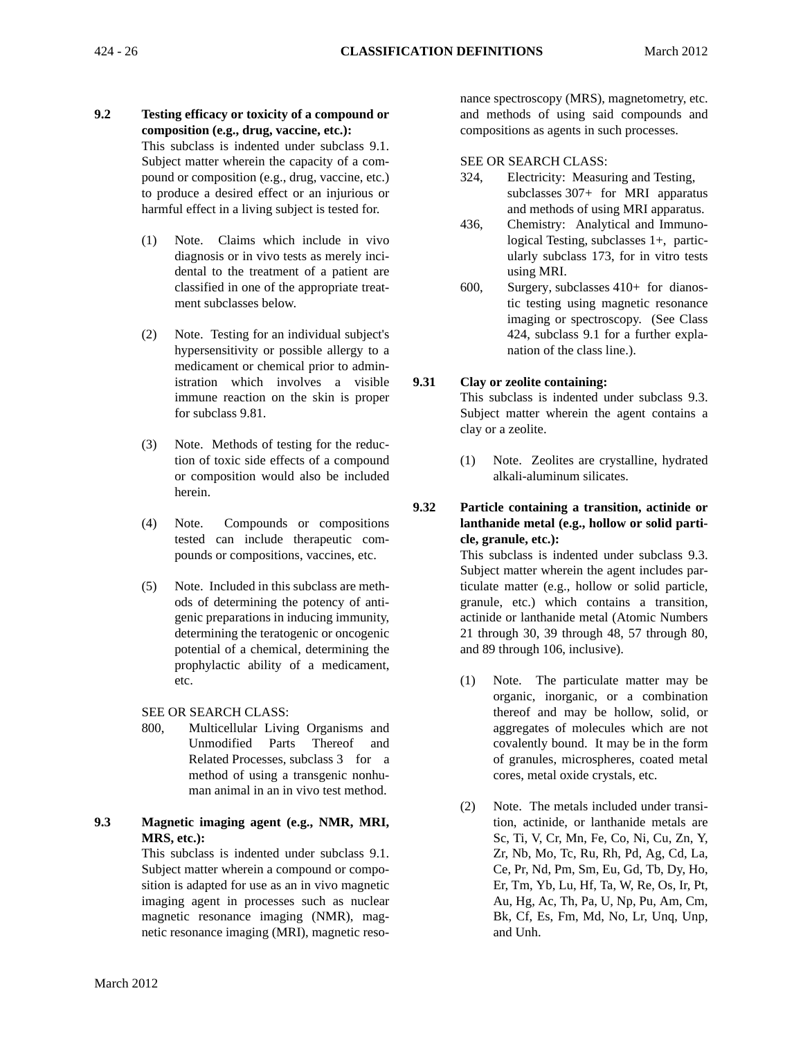# $424 - 26$

# **9.2 Testing efficacy or toxicity of a compound or composition (e.g., drug, vaccine, etc.):**

This subclass is indented under subclass 9.1. Subject matter wherein the capacity of a compound or composition (e.g., drug, vaccine, etc.) to produce a desired effect or an injurious or harmful effect in a living subject is tested for.

- (1) Note. Claims which include in vivo diagnosis or in vivo tests as merely incidental to the treatment of a patient are classified in one of the appropriate treatment subclasses below.
- (2) Note. Testing for an individual subject's hypersensitivity or possible allergy to a medicament or chemical prior to administration which involves a visible **9.31**  immune reaction on the skin is proper for subclass 9.81.
- tion of toxic side effects of a compound (3) Note. Methods of testing for the reducor composition would also be included herein.
- (4) Note. Compounds or compositions tested can include therapeutic compounds or compositions, vaccines, etc.
- (5) Note. Included in this subclass are methods of determining the potency of antigenic preparations in inducing immunity, determining the teratogenic or oncogenic potential of a chemical, determining the prophylactic ability of a medicament, etc.

SEE OR SEARCH CLASS:

 man animal in an in vivo test method. 800, Multicellular Living Organisms and Unmodified Parts Thereof and Related Processes, subclass 3 for a method of using a transgenic nonhu-

# **9.3 Magnetic imaging agent (e.g., NMR, MRI, MRS, etc.):**

This subclass is indented under subclass 9.1. Subject matter wherein a compound or composition is adapted for use as an in vivo magnetic imaging agent in processes such as nuclear magnetic resonance imaging (NMR), magnetic resonance imaging (MRI), magnetic resonance spectroscopy (MRS), magnetometry, etc. and methods of using said compounds and compositions as agents in such processes.

SEE OR SEARCH CLASS:

- and methods of using MRI apparatus. 324, Electricity: Measuring and Testing, subclasses 307+ for MRI apparatus
- 436, Chemistry: Analytical and Immunological Testing, subclasses 1+, particularly subclass 173, for in vitro tests using MRI.
- $600$ , Surgery, subclasses  $410+$  for dianostic testing using magnetic resonance imaging or spectroscopy. (See Class 424, subclass 9.1 for a further explanation of the class line.).

# **Clay or zeolite containing:**

This subclass is indented under subclass 9.3. Subject matter wherein the agent contains a clay or a zeolite.

- (1) Note. Zeolites are crystalline, hydrated alkali-aluminum silicates.
- **9.32 Particle containing a transition, actinide or lanthanide metal (e.g., hollow or solid particle, granule, etc.):**

This subclass is indented under subclass 9.3. Subject matter wherein the agent includes particulate matter (e.g., hollow or solid particle, granule, etc.) which contains a transition, actinide or lanthanide metal (Atomic Numbers 21 through 30, 39 through 48, 57 through 80, and 89 through 106, inclusive).

- (1) Note. The particulate matter may be organic, inorganic, or a combination thereof and may be hollow, solid, or aggregates of molecules which are not covalently bound. It may be in the form of granules, microspheres, coated metal cores, metal oxide crystals, etc.
- (2) Note. The metals included under transition, actinide, or lanthanide metals are Sc, Ti, V, Cr, Mn, Fe, Co, Ni, Cu, Zn, Y, Zr, Nb, Mo, Tc, Ru, Rh, Pd, Ag, Cd, La, Ce, Pr, Nd, Pm, Sm, Eu, Gd, Tb, Dy, Ho, Er, Tm, Yb, Lu, Hf, Ta, W, Re, Os, Ir, Pt, Au, Hg, Ac, Th, Pa, U, Np, Pu, Am, Cm, Bk, Cf, Es, Fm, Md, No, Lr, Unq, Unp, and Unh.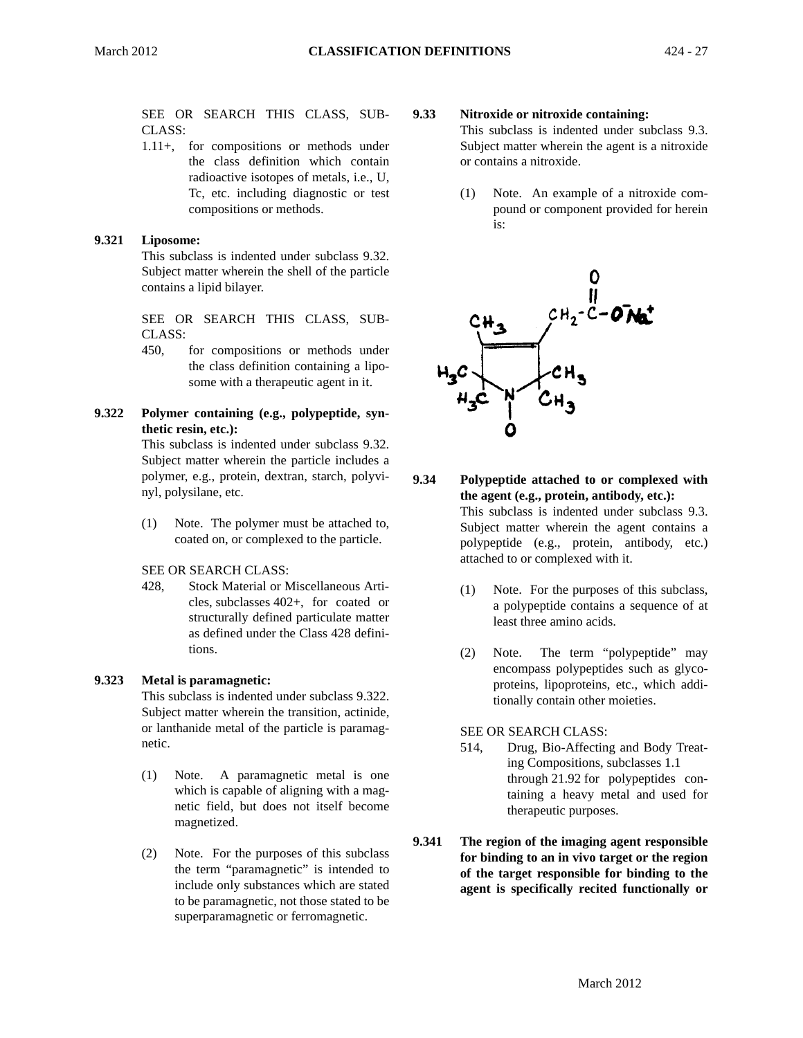SEE OR SEARCH THIS CLASS, SUB-CLASS:

1.11+, for compositions or methods under the class definition which contain radioactive isotopes of metals, i.e., U, Tc, etc. including diagnostic or test compositions or methods.

# **9.321 Liposome:**

This subclass is indented under subclass 9.32. Subject matter wherein the shell of the particle contains a lipid bilayer.

SEE OR SEARCH THIS CLASS, SUB-CLASS:

- 450, for compositions or methods under the class definition containing a liposome with a therapeutic agent in it.
- **9.322 Polymer containing (e.g., polypeptide, synthetic resin, etc.):**

This subclass is indented under subclass 9.32. Subject matter wherein the particle includes a polymer, e.g., protein, dextran, starch, polyvinyl, polysilane, etc.

(1) Note. The polymer must be attached to, coated on, or complexed to the particle.

SEE OR SEARCH CLASS:

428, Stock Material or Miscellaneous Articles, subclasses 402+, for coated or structurally defined particulate matter as defined under the Class 428 definitions.

# **9.323 Metal is paramagnetic:**

This subclass is indented under subclass 9.322. Subject matter wherein the transition, actinide, or lanthanide metal of the particle is paramagnetic.

- (1) Note. A paramagnetic metal is one which is capable of aligning with a magnetic field, but does not itself become magnetized.
- (2) Note. For the purposes of this subclass the term "paramagnetic" is intended to include only substances which are stated to be paramagnetic, not those stated to be superparamagnetic or ferromagnetic.

#### **9.33 Nitroxide or nitroxide containing:**

This subclass is indented under subclass 9.3. Subject matter wherein the agent is a nitroxide or contains a nitroxide.

(1) Note. An example of a nitroxide compound or component provided for herein is:



**9.34 Polypeptide attached to or complexed with the agent (e.g., protein, antibody, etc.):**  This subclass is indented under subclass 9.3. Subject matter wherein the agent contains a polypeptide (e.g., protein, antibody, etc.) attached to or complexed with it.

- (1) Note. For the purposes of this subclass, a polypeptide contains a sequence of at least three amino acids.
- (2) Note. The term "polypeptide" may encompass polypeptides such as glycoproteins, lipoproteins, etc., which additionally contain other moieties.

- 514, Drug, Bio-Affecting and Body Treating Compositions, subclasses 1.1 through 21.92 for polypeptides containing a heavy metal and used for therapeutic purposes.
- **9.341 The region of the imaging agent responsible for binding to an in vivo target or the region of the target responsible for binding to the agent is specifically recited functionally or**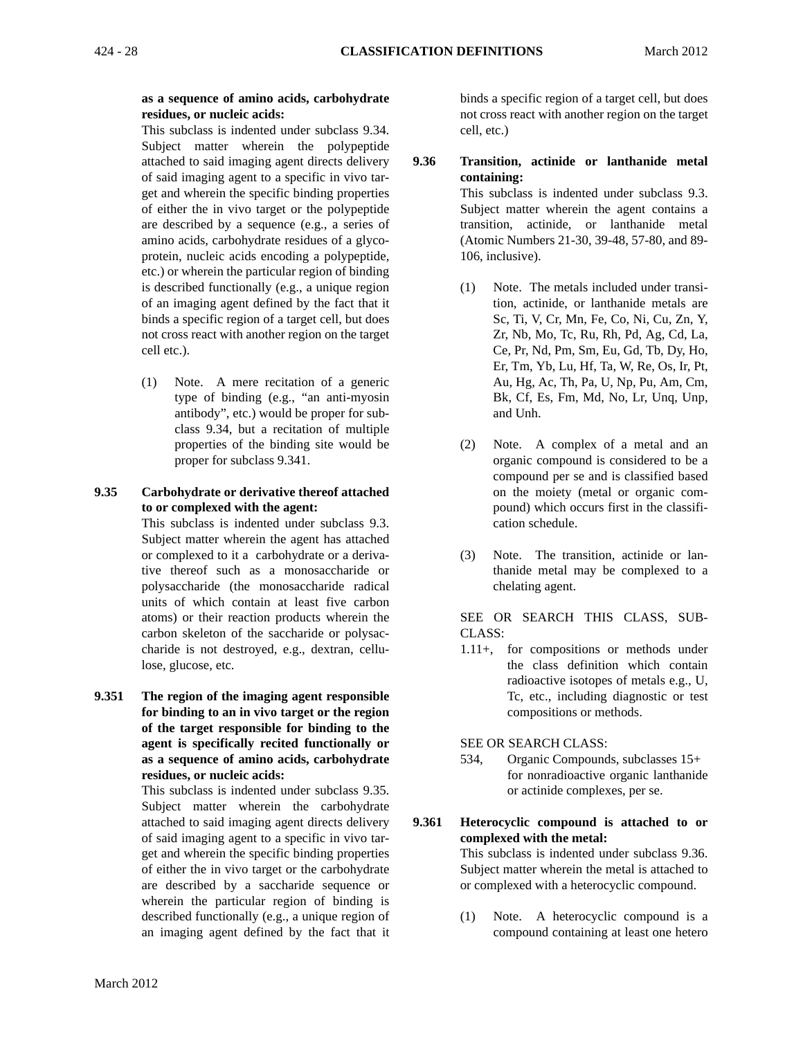#### **as a sequence of amino acids, carbohydrate residues, or nucleic acids:**

This subclass is indented under subclass 9.34. Subject matter wherein the polypeptide attached to said imaging agent directs delivery of said imaging agent to a specific in vivo target and wherein the specific binding properties of either the in vivo target or the polypeptide are described by a sequence (e.g., a series of amino acids, carbohydrate residues of a glycoprotein, nucleic acids encoding a polypeptide, etc.) or wherein the particular region of binding is described functionally (e.g., a unique region of an imaging agent defined by the fact that it binds a specific region of a target cell, but does not cross react with another region on the target cell etc.).

(1) Note. A mere recitation of a generic type of binding (e.g., "an anti-myosin antibody", etc.) would be proper for subclass 9.34, but a recitation of multiple properties of the binding site would be proper for subclass 9.341.

# **9.35 Carbohydrate or derivative thereof attached to or complexed with the agent:**

This subclass is indented under subclass 9.3. Subject matter wherein the agent has attached or complexed to it a carbohydrate or a derivative thereof such as a monosaccharide or polysaccharide (the monosaccharide radical units of which contain at least five carbon atoms) or their reaction products wherein the carbon skeleton of the saccharide or polysaccharide is not destroyed, e.g., dextran, cellulose, glucose, etc.

**9.351 The region of the imaging agent responsible for binding to an in vivo target or the region of the target responsible for binding to the agent is specifically recited functionally or as a sequence of amino acids, carbohydrate residues, or nucleic acids:** 

> This subclass is indented under subclass 9.35. Subject matter wherein the carbohydrate attached to said imaging agent directs delivery of said imaging agent to a specific in vivo target and wherein the specific binding properties of either the in vivo target or the carbohydrate are described by a saccharide sequence or wherein the particular region of binding is described functionally (e.g., a unique region of an imaging agent defined by the fact that it

binds a specific region of a target cell, but does not cross react with another region on the target cell, etc.)

#### **9.36 Transition, actinide or lanthanide metal containing:**

This subclass is indented under subclass 9.3. Subject matter wherein the agent contains a transition, actinide, or lanthanide metal (Atomic Numbers 21-30, 39-48, 57-80, and 89- 106, inclusive).

- (1) Note. The metals included under transition, actinide, or lanthanide metals are Sc, Ti, V, Cr, Mn, Fe, Co, Ni, Cu, Zn, Y, Zr, Nb, Mo, Tc, Ru, Rh, Pd, Ag, Cd, La, Ce, Pr, Nd, Pm, Sm, Eu, Gd, Tb, Dy, Ho, Er, Tm, Yb, Lu, Hf, Ta, W, Re, Os, Ir, Pt, Au, Hg, Ac, Th, Pa, U, Np, Pu, Am, Cm, Bk, Cf, Es, Fm, Md, No, Lr, Unq, Unp, and Unh.
- (2) Note. A complex of a metal and an organic compound is considered to be a compound per se and is classified based on the moiety (metal or organic compound) which occurs first in the classification schedule.
- (3) Note. The transition, actinide or lanthanide metal may be complexed to a chelating agent.

SEE OR SEARCH THIS CLASS, SUB-CLASS:

- 1.11+, for compositions or methods under the class definition which contain radioactive isotopes of metals e.g., U, Tc, etc., including diagnostic or test compositions or methods.
- SEE OR SEARCH CLASS:
- 534, Organic Compounds, subclasses 15+ for nonradioactive organic lanthanide or actinide complexes, per se.
- **9.361 Heterocyclic compound is attached to or complexed with the metal:**  This subclass is indented under subclass 9.36. Subject matter wherein the metal is attached to
	- (1) Note. A heterocyclic compound is a compound containing at least one hetero

or complexed with a heterocyclic compound.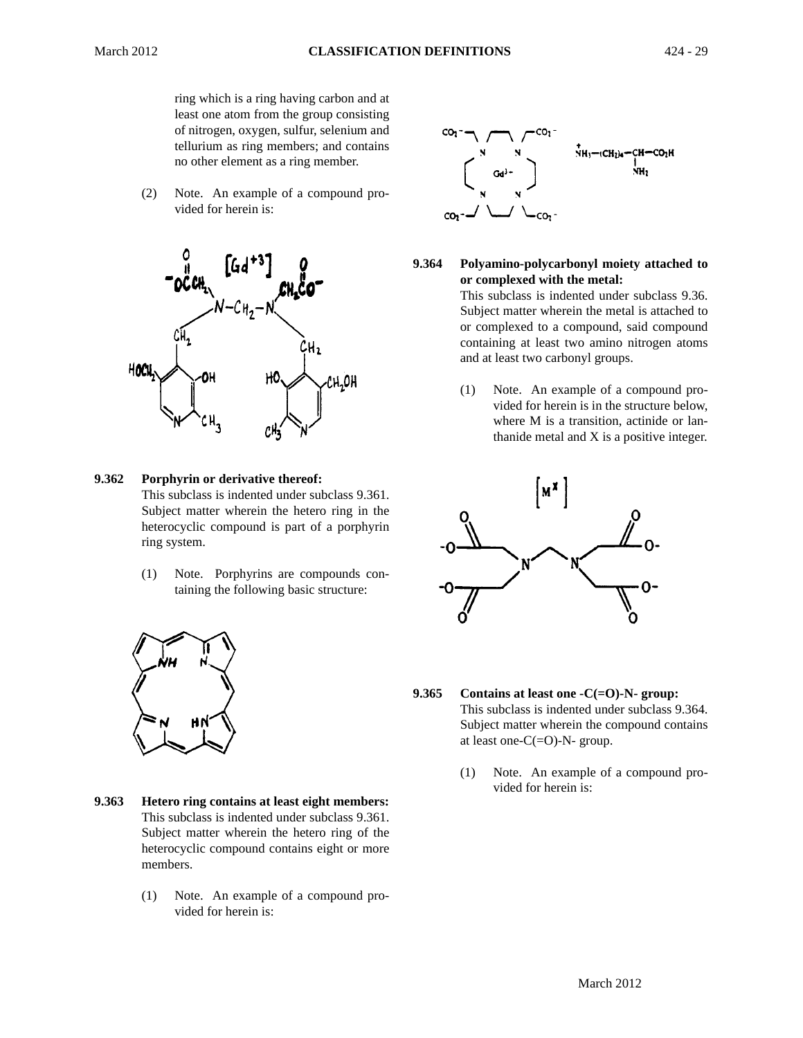ring which is a ring having carbon and at least one atom from the group consisting of nitrogen, oxygen, sulfur, selenium and tellurium as ring members; and contains no other element as a ring member.

(2) Note. An example of a compound provided for herein is:



#### **9.362 Porphyrin or derivative thereof:**

This subclass is indented under subclass 9.361. Subject matter wherein the hetero ring in the heterocyclic compound is part of a porphyrin ring system.

(1) Note. Porphyrins are compounds containing the following basic structure:



- **9.363 Hetero ring contains at least eight members:**  This subclass is indented under subclass 9.361. Subject matter wherein the hetero ring of the heterocyclic compound contains eight or more members.
	- (1) Note. An example of a compound provided for herein is:



**9.364 Polyamino-polycarbonyl moiety attached to or complexed with the metal:** 

This subclass is indented under subclass 9.36. Subject matter wherein the metal is attached to or complexed to a compound, said compound containing at least two amino nitrogen atoms and at least two carbonyl groups.

(1) Note. An example of a compound provided for herein is in the structure below, where M is a transition, actinide or lanthanide metal and X is a positive integer.



- **9.365 Contains at least one -C(=O)-N- group:**  This subclass is indented under subclass 9.364. Subject matter wherein the compound contains at least one- $C(=O)$ -N- group.
	- (1) Note. An example of a compound provided for herein is: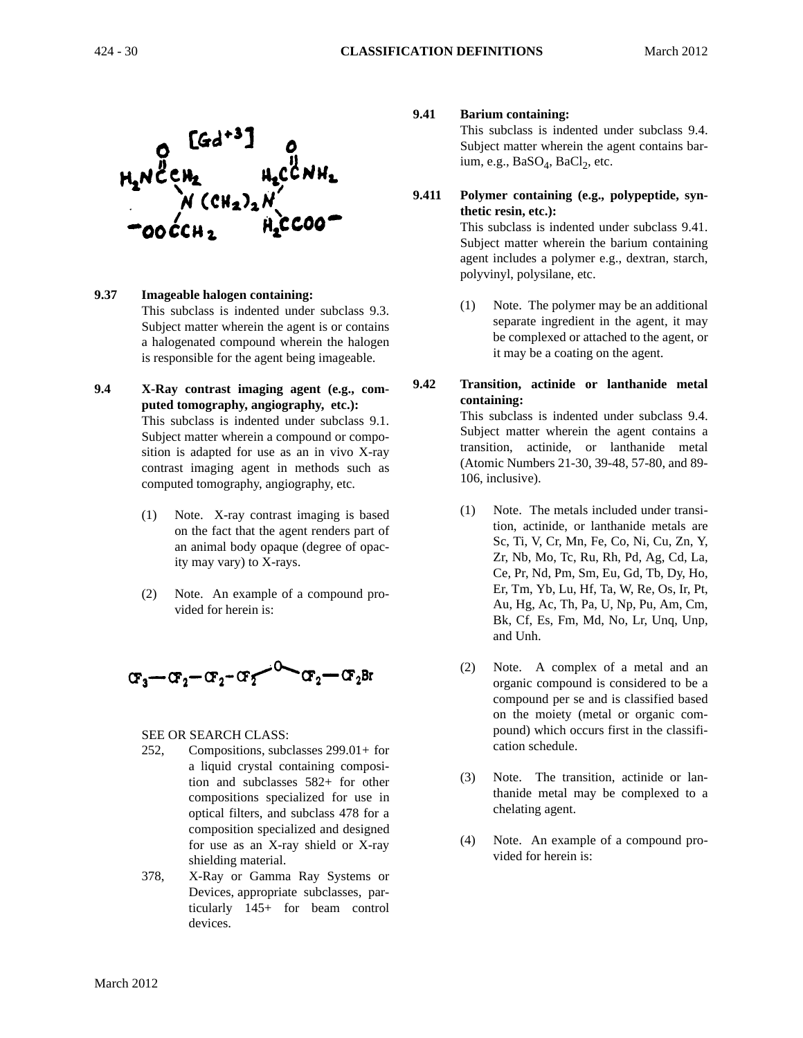



# **9.37 Imageable halogen containing:**

- This subclass is indented under subclass 9.3. Subject matter wherein the agent is or contains a halogenated compound wherein the halogen is responsible for the agent being imageable.
- **puted tomography, angiography, etc.): 9.4 X-Ray contrast imaging agent (e.g., com-**This subclass is indented under subclass 9.1. Subject matter wherein a compound or composition is adapted for use as an in vivo X-ray contrast imaging agent in methods such as computed tomography, angiography, etc.
	- (1) Note. X-ray contrast imaging is based on the fact that the agent renders part of an animal body opaque (degree of opacity may vary) to X-rays.
	- (2) Note. An example of a compound provided for herein is:

$$
\sigma_3-\sigma_2-\sigma_2-\sigma_2-\sigma_2-\sigma_2
$$

# SEE OR SEARCH CLASS:

- 252, Compositions, subclasses 299.01+ for a liquid crystal containing composition and subclasses 582+ for other compositions specialized for use in optical filters, and subclass 478 for a composition specialized and designed for use as an X-ray shield or X-ray shielding material.
- 378, X-Ray or Gamma Ray Systems or Devices, appropriate subclasses, particularly 145+ for beam control devices.

# **9.41 Barium containing:**

This subclass is indented under subclass 9.4. Subject matter wherein the agent contains barium, e.g.,  $BaSO<sub>4</sub>$ ,  $BaCl<sub>2</sub>$ , etc.

**9.411 Polymer containing (e.g., polypeptide, synthetic resin, etc.):** 

This subclass is indented under subclass 9.41. Subject matter wherein the barium containing agent includes a polymer e.g., dextran, starch, polyvinyl, polysilane, etc.

(1) Note. The polymer may be an additional separate ingredient in the agent, it may be complexed or attached to the agent, or it may be a coating on the agent.

# **9.42 Transition, actinide or lanthanide metal containing:**

This subclass is indented under subclass 9.4. Subject matter wherein the agent contains a transition, actinide, or lanthanide metal (Atomic Numbers 21-30, 39-48, 57-80, and 89- 106, inclusive).

- (1) Note. The metals included under transition, actinide, or lanthanide metals are Sc, Ti, V, Cr, Mn, Fe, Co, Ni, Cu, Zn, Y, Zr, Nb, Mo, Tc, Ru, Rh, Pd, Ag, Cd, La, Ce, Pr, Nd, Pm, Sm, Eu, Gd, Tb, Dy, Ho, Er, Tm, Yb, Lu, Hf, Ta, W, Re, Os, Ir, Pt, Au, Hg, Ac, Th, Pa, U, Np, Pu, Am, Cm, Bk, Cf, Es, Fm, Md, No, Lr, Unq, Unp, and Unh.
- (2) Note. A complex of a metal and an organic compound is considered to be a compound per se and is classified based on the moiety (metal or organic compound) which occurs first in the classification schedule.
- (3) Note. The transition, actinide or lanthanide metal may be complexed to a chelating agent.
- (4) Note. An example of a compound provided for herein is: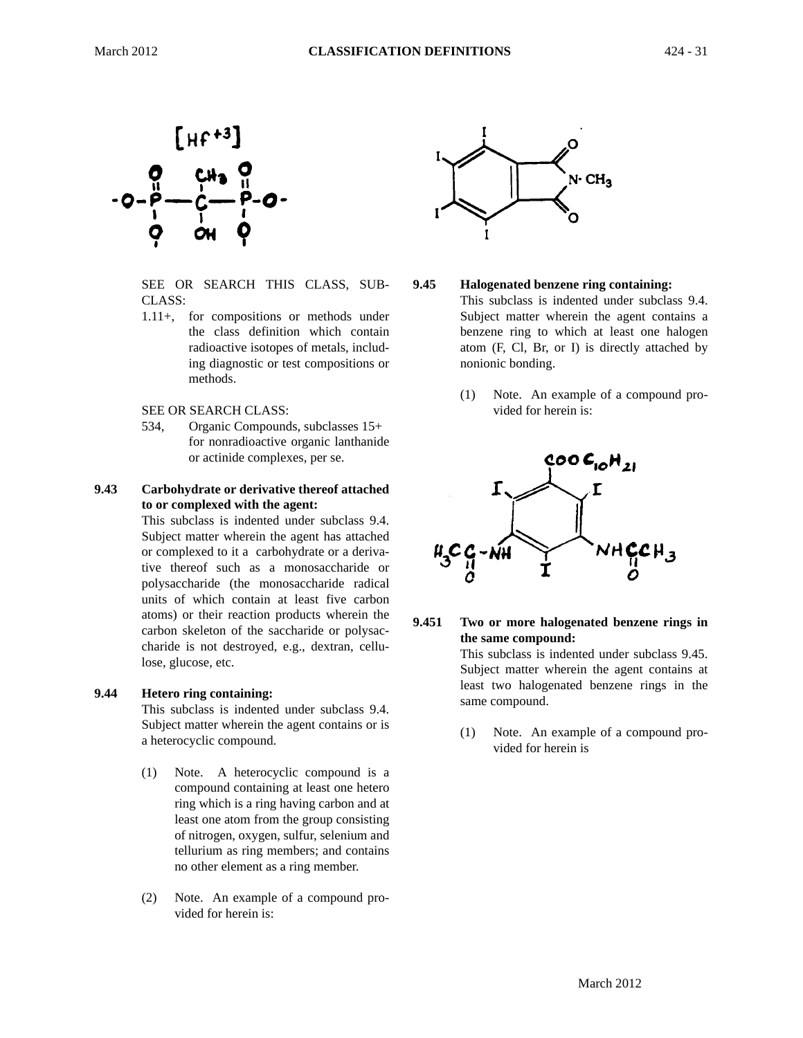

SEE OR SEARCH THIS CLASS, SUB-CLASS:

1.11+, for compositions or methods under the class definition which contain radioactive isotopes of metals, including diagnostic or test compositions or methods.

### SEE OR SEARCH CLASS:

534, Organic Compounds, subclasses 15+ for nonradioactive organic lanthanide or actinide complexes, per se.

# **9.43 Carbohydrate or derivative thereof attached to or complexed with the agent:**

This subclass is indented under subclass 9.4. Subject matter wherein the agent has attached or complexed to it a carbohydrate or a derivative thereof such as a monosaccharide or polysaccharide (the monosaccharide radical units of which contain at least five carbon atoms) or their reaction products wherein the carbon skeleton of the saccharide or polysaccharide is not destroyed, e.g., dextran, cellulose, glucose, etc.

# **9.44 Hetero ring containing:**

This subclass is indented under subclass 9.4. Subject matter wherein the agent contains or is a heterocyclic compound.

- (1) Note. A heterocyclic compound is a compound containing at least one hetero ring which is a ring having carbon and at least one atom from the group consisting of nitrogen, oxygen, sulfur, selenium and tellurium as ring members; and contains no other element as a ring member.
- (2) Note. An example of a compound provided for herein is:



### **9.45 Halogenated benzene ring containing:**

 benzene ring to which at least one halogen This subclass is indented under subclass 9.4. Subject matter wherein the agent contains a atom (F, Cl, Br, or I) is directly attached by nonionic bonding.

(1) Note. An example of a compound provided for herein is:



# **9.451 Two or more halogenated benzene rings in the same compound:**

This subclass is indented under subclass 9.45. Subject matter wherein the agent contains at least two halogenated benzene rings in the same compound.

(1) Note. An example of a compound provided for herein is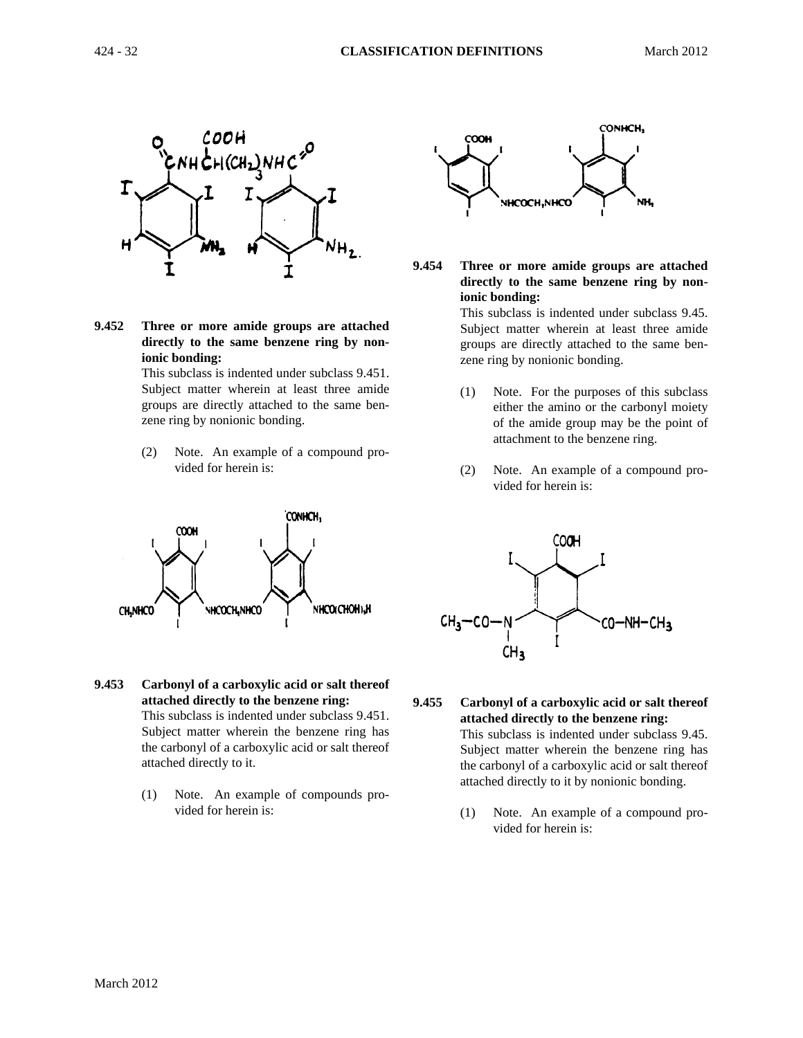

**9.452 Three or more amide groups are attached directly to the same benzene ring by nonionic bonding:** 

> This subclass is indented under subclass 9.451. Subject matter wherein at least three amide groups are directly attached to the same benzene ring by nonionic bonding.

> (2) Note. An example of a compound provided for herein is:



- **9.453 Carbonyl of a carboxylic acid or salt thereof attached directly to the benzene ring:**  This subclass is indented under subclass 9.451. Subject matter wherein the benzene ring has the carbonyl of a carboxylic acid or salt thereof attached directly to it.
	- (1) Note. An example of compounds provided for herein is:



**9.454 Three or more amide groups are attached directly to the same benzene ring by nonionic bonding:** 

> This subclass is indented under subclass 9.45. Subject matter wherein at least three amide groups are directly attached to the same benzene ring by nonionic bonding.

- (1) Note. For the purposes of this subclass either the amino or the carbonyl moiety of the amide group may be the point of attachment to the benzene ring.
- (2) Note. An example of a compound provided for herein is:



**9.455 Carbonyl of a carboxylic acid or salt thereof attached directly to the benzene ring:** 

 attached directly to it by nonionic bonding. This subclass is indented under subclass 9.45. Subject matter wherein the benzene ring has the carbonyl of a carboxylic acid or salt thereof

(1) Note. An example of a compound provided for herein is: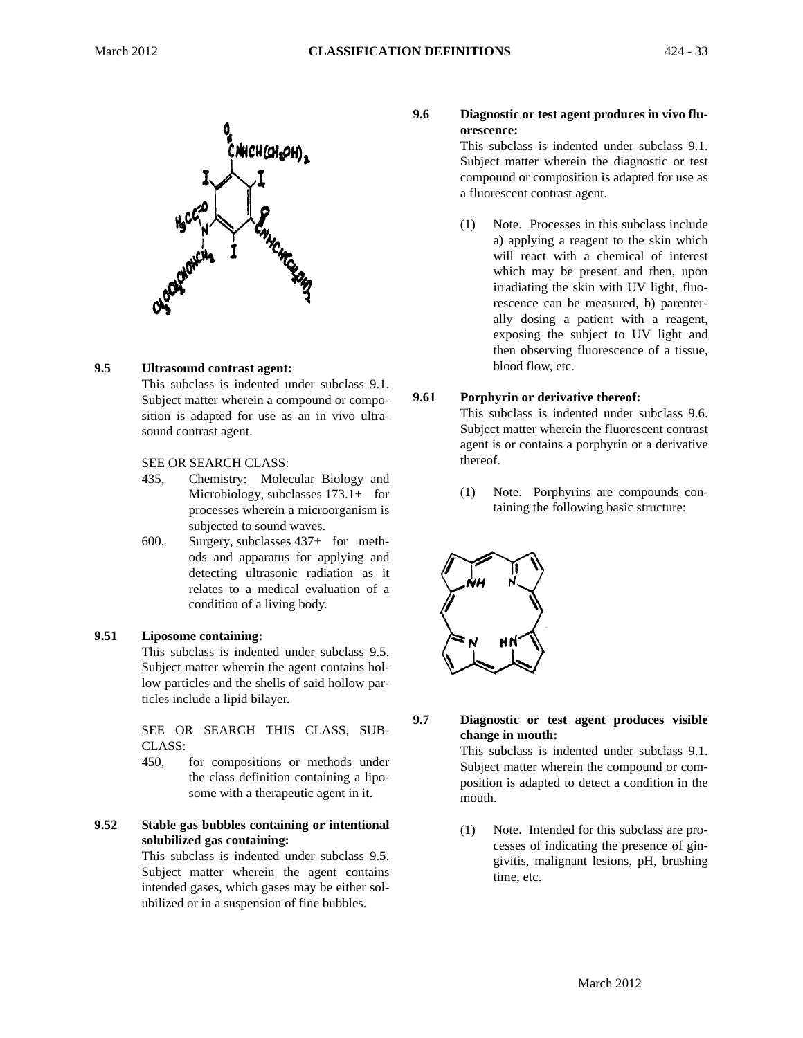

# **9.5 Ultrasound contrast agent:**

This subclass is indented under subclass 9.1. Subject matter wherein a compound or compo- **9.61**  sition is adapted for use as an in vivo ultrasound contrast agent.

SEE OR SEARCH CLASS:

- 435, Chemistry: Molecular Biology and Microbiology, subclasses  $173.1+$  for processes wherein a microorganism is subjected to sound waves.
- 600, Surgery, subclasses 437+ for methods and apparatus for applying and detecting ultrasonic radiation as it relates to a medical evaluation of a condition of a living body.

# **9.51 Liposome containing:**

This subclass is indented under subclass 9.5. Subject matter wherein the agent contains hollow particles and the shells of said hollow particles include a lipid bilayer.

SEE OR SEARCH THIS CLASS, SUB- $CLASS<sup>2</sup>$ 

450, for compositions or methods under the class definition containing a liposome with a therapeutic agent in it.

# **9.52 Stable gas bubbles containing or intentional solubilized gas containing:**

This subclass is indented under subclass 9.5. Subject matter wherein the agent contains intended gases, which gases may be either solubilized or in a suspension of fine bubbles.

#### **9.6 Diagnostic or test agent produces in vivo fluorescence:**

 compound or composition is adapted for use as This subclass is indented under subclass 9.1. Subject matter wherein the diagnostic or test a fluorescent contrast agent.

 (1) Note. Processes in this subclass include a) applying a reagent to the skin which will react with a chemical of interest which may be present and then, upon irradiating the skin with UV light, fluorescence can be measured, b) parenterally dosing a patient with a reagent, exposing the subject to UV light and then observing fluorescence of a tissue, blood flow, etc.

# **Porphyrin or derivative thereof:**

This subclass is indented under subclass 9.6. Subject matter wherein the fluorescent contrast agent is or contains a porphyrin or a derivative thereof.

(1) Note. Porphyrins are compounds containing the following basic structure:



**9.7 Diagnostic or test agent produces visible change in mouth:** 

> This subclass is indented under subclass 9.1. Subject matter wherein the compound or composition is adapted to detect a condition in the mouth.

> (1) Note. Intended for this subclass are processes of indicating the presence of gingivitis, malignant lesions, pH, brushing time, etc.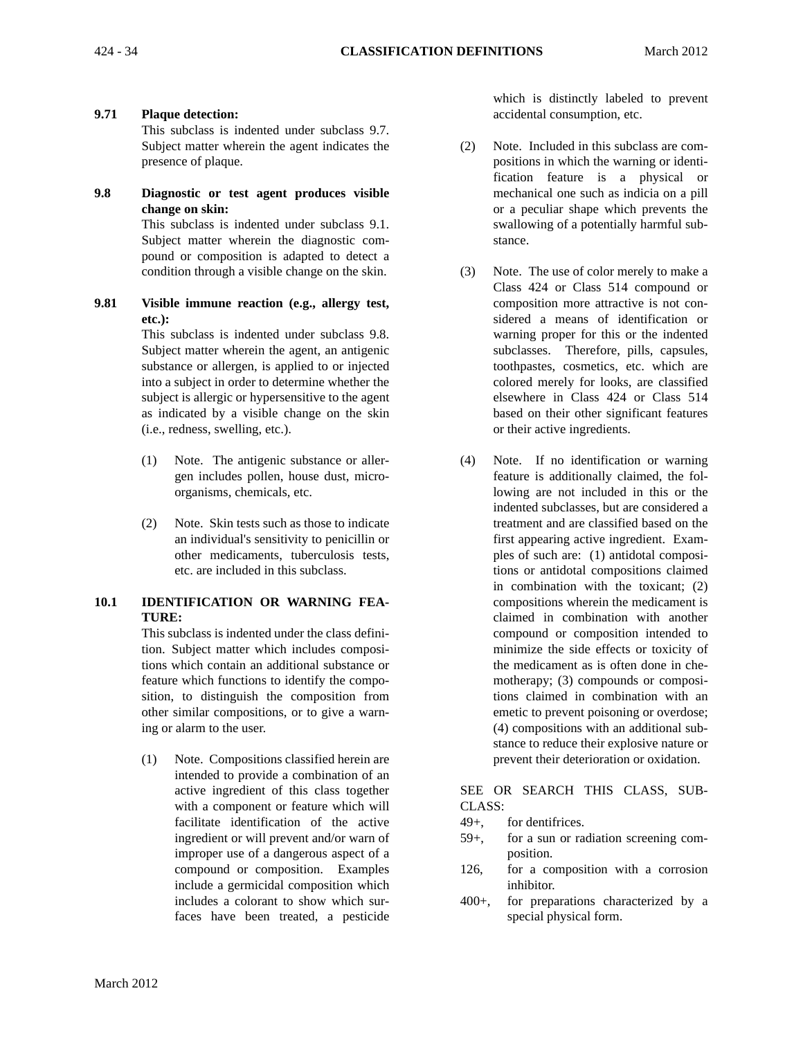# **9.71 Plaque detection:**

This subclass is indented under subclass 9.7. Subject matter wherein the agent indicates the presence of plaque.

**9.8 Diagnostic or test agent produces visible change on skin:** 

This subclass is indented under subclass 9.1. Subject matter wherein the diagnostic compound or composition is adapted to detect a condition through a visible change on the skin.

**9.81 Visible immune reaction (e.g., allergy test, etc.):** 

This subclass is indented under subclass 9.8. Subject matter wherein the agent, an antigenic substance or allergen, is applied to or injected into a subject in order to determine whether the subject is allergic or hypersensitive to the agent as indicated by a visible change on the skin (i.e., redness, swelling, etc.).

- (1) Note. The antigenic substance or allergen includes pollen, house dust, microorganisms, chemicals, etc.
- (2) Note. Skin tests such as those to indicate an individual's sensitivity to penicillin or other medicaments, tuberculosis tests, etc. are included in this subclass.

# **10.1 IDENTIFICATION OR WARNING FEA-TURE:**

This subclass is indented under the class definition. Subject matter which includes compositions which contain an additional substance or feature which functions to identify the composition, to distinguish the composition from other similar compositions, or to give a warning or alarm to the user.

(1) Note. Compositions classified herein are intended to provide a combination of an active ingredient of this class together with a component or feature which will facilitate identification of the active ingredient or will prevent and/or warn of improper use of a dangerous aspect of a compound or composition. Examples include a germicidal composition which includes a colorant to show which surfaces have been treated, a pesticide

which is distinctly labeled to prevent accidental consumption, etc.

- (2) Note. Included in this subclass are compositions in which the warning or identification feature is a physical or mechanical one such as indicia on a pill or a peculiar shape which prevents the swallowing of a potentially harmful substance.
- (3) Note. The use of color merely to make a Class 424 or Class 514 compound or composition more attractive is not considered a means of identification or warning proper for this or the indented subclasses. Therefore, pills, capsules, toothpastes, cosmetics, etc. which are colored merely for looks, are classified elsewhere in Class 424 or Class 514 based on their other significant features or their active ingredients.
- (4) Note. If no identification or warning feature is additionally claimed, the following are not included in this or the indented subclasses, but are considered a treatment and are classified based on the first appearing active ingredient. Examples of such are: (1) antidotal compositions or antidotal compositions claimed in combination with the toxicant; (2) compositions wherein the medicament is claimed in combination with another compound or composition intended to minimize the side effects or toxicity of the medicament as is often done in chemotherapy; (3) compounds or compositions claimed in combination with an emetic to prevent poisoning or overdose; (4) compositions with an additional substance to reduce their explosive nature or prevent their deterioration or oxidation.

SEE OR SEARCH THIS CLASS, SUB-CLASS:

- 49+, for dentifrices.
- 59+, for a sun or radiation screening composition.
- 126, for a composition with a corrosion inhibitor.
- 400+, for preparations characterized by a special physical form.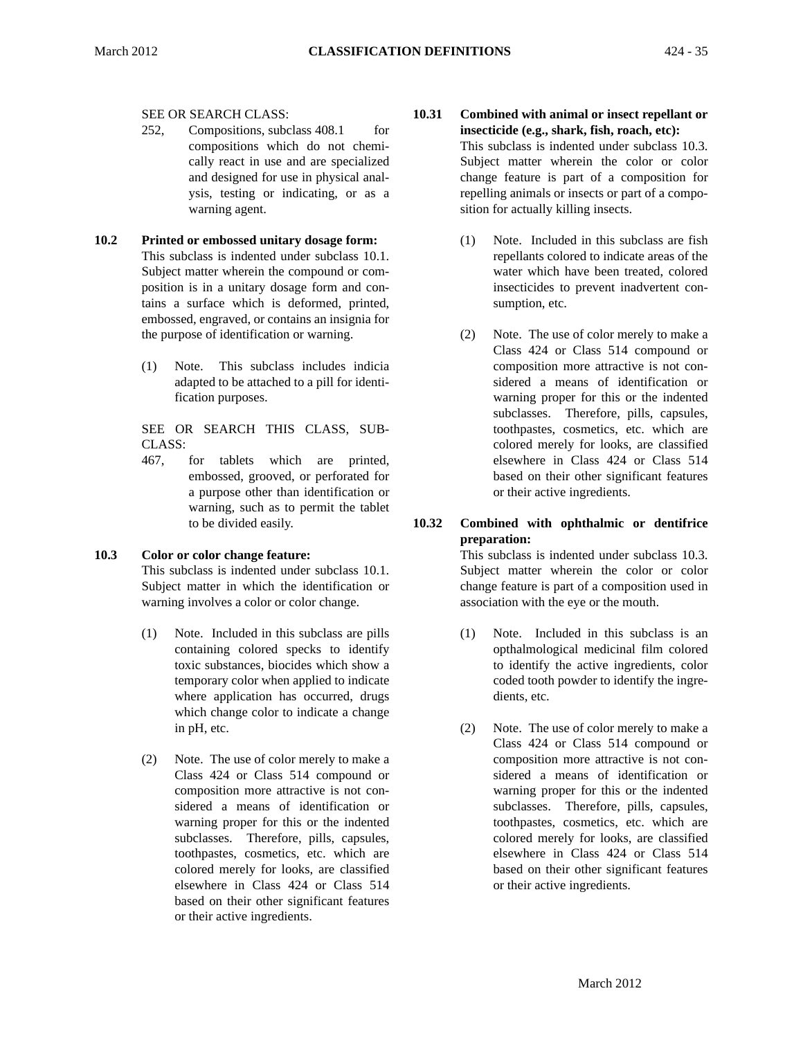# SEE OR SEARCH CLASS:

- 252, Compositions, subclass 408.1 for compositions which do not chemically react in use and are specialized and designed for use in physical analysis, testing or indicating, or as a warning agent.
- **10.2 Printed or embossed unitary dosage form:**  This subclass is indented under subclass 10.1. Subject matter wherein the compound or composition is in a unitary dosage form and contains a surface which is deformed, printed, embossed, engraved, or contains an insignia for the purpose of identification or warning.
	- (1) Note. This subclass includes indicia adapted to be attached to a pill for identification purposes.

SEE OR SEARCH THIS CLASS, SUB-CLASS:

467, for tablets which are printed, embossed, grooved, or perforated for a purpose other than identification or warning, such as to permit the tablet to be divided easily.

# **10.3 Color or color change feature:**

This subclass is indented under subclass 10.1. Subject matter in which the identification or warning involves a color or color change.

- (1) Note. Included in this subclass are pills containing colored specks to identify toxic substances, biocides which show a temporary color when applied to indicate where application has occurred, drugs which change color to indicate a change in pH, etc.
- (2) Note. The use of color merely to make a Class 424 or Class 514 compound or composition more attractive is not considered a means of identification or warning proper for this or the indented subclasses. Therefore, pills, capsules, toothpastes, cosmetics, etc. which are colored merely for looks, are classified elsewhere in Class 424 or Class 514 based on their other significant features or their active ingredients.
- **10.31 Combined with animal or insect repellant or insecticide (e.g., shark, fish, roach, etc):**  This subclass is indented under subclass 10.3. Subject matter wherein the color or color change feature is part of a composition for repelling animals or insects or part of a composition for actually killing insects.
	- (1) Note. Included in this subclass are fish repellants colored to indicate areas of the water which have been treated, colored insecticides to prevent inadvertent consumption, etc.
	- (2) Note. The use of color merely to make a Class 424 or Class 514 compound or composition more attractive is not considered a means of identification or warning proper for this or the indented subclasses. Therefore, pills, capsules, toothpastes, cosmetics, etc. which are colored merely for looks, are classified elsewhere in Class 424 or Class 514 based on their other significant features or their active ingredients.

# **10.32 Combined with ophthalmic or dentifrice preparation:**

This subclass is indented under subclass 10.3. Subject matter wherein the color or color change feature is part of a composition used in association with the eye or the mouth.

- (1) Note. Included in this subclass is an opthalmological medicinal film colored to identify the active ingredients, color coded tooth powder to identify the ingredients, etc.
- (2) Note. The use of color merely to make a Class 424 or Class 514 compound or composition more attractive is not considered a means of identification or warning proper for this or the indented subclasses. Therefore, pills, capsules, toothpastes, cosmetics, etc. which are colored merely for looks, are classified elsewhere in Class 424 or Class 514 based on their other significant features or their active ingredients.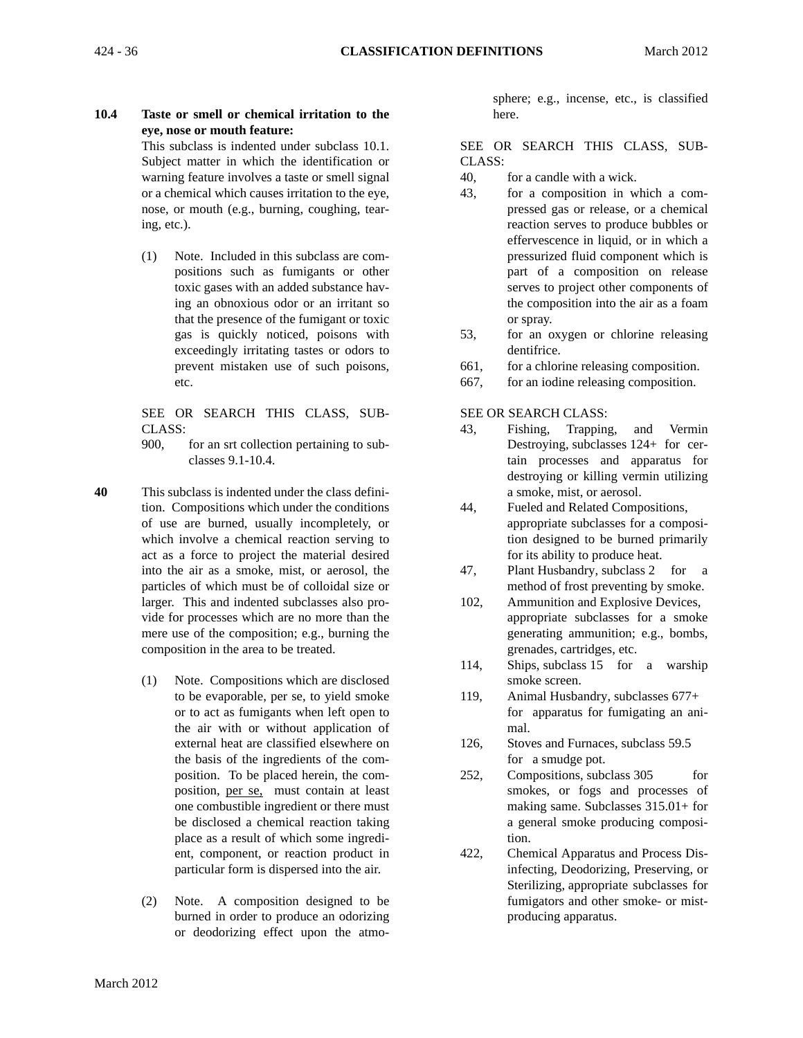# **10.4 Taste or smell or chemical irritation to the eye, nose or mouth feature:**

This subclass is indented under subclass 10.1. Subject matter in which the identification or warning feature involves a taste or smell signal or a chemical which causes irritation to the eye, nose, or mouth (e.g., burning, coughing, tearing, etc.).

(1) Note. Included in this subclass are compositions such as fumigants or other toxic gases with an added substance having an obnoxious odor or an irritant so that the presence of the fumigant or toxic gas is quickly noticed, poisons with exceedingly irritating tastes or odors to prevent mistaken use of such poisons, etc.

SEE OR SEARCH THIS CLASS, SUB-CLASS:

- 900, for an srt collection pertaining to subclasses 9.1-10.4.
- **40** This subclass is indented under the class definition. Compositions which under the conditions of use are burned, usually incompletely, or which involve a chemical reaction serving to act as a force to project the material desired into the air as a smoke, mist, or aerosol, the particles of which must be of colloidal size or larger. This and indented subclasses also provide for processes which are no more than the mere use of the composition; e.g., burning the composition in the area to be treated.
	- (1) Note. Compositions which are disclosed to be evaporable, per se, to yield smoke or to act as fumigants when left open to the air with or without application of external heat are classified elsewhere on the basis of the ingredients of the composition. To be placed herein, the composition, per se, must contain at least one combustible ingredient or there must be disclosed a chemical reaction taking place as a result of which some ingredient, component, or reaction product in particular form is dispersed into the air.
	- (2) Note. A composition designed to be burned in order to produce an odorizing or deodorizing effect upon the atmo-

sphere; e.g., incense, etc., is classified here.

SEE OR SEARCH THIS CLASS, SUB-CLASS:

- 40, for a candle with a wick.
- 43, for a composition in which a compressed gas or release, or a chemical reaction serves to produce bubbles or effervescence in liquid, or in which a pressurized fluid component which is part of a composition on release serves to project other components of the composition into the air as a foam or spray.
- 53, for an oxygen or chlorine releasing dentifrice.
- 661, for a chlorine releasing composition.
- 667, for an iodine releasing composition.

- 43, Fishing, Trapping, and Vermin Destroying, subclasses 124+ for certain processes and apparatus for destroying or killing vermin utilizing a smoke, mist, or aerosol.
- 44, Fueled and Related Compositions, appropriate subclasses for a composition designed to be burned primarily for its ability to produce heat.
- 47, Plant Husbandry, subclass 2 for a method of frost preventing by smoke.
- 102, Ammunition and Explosive Devices, appropriate subclasses for a smoke generating ammunition; e.g., bombs, grenades, cartridges, etc.
- 114, Ships, subclass 15 for a warship smoke screen.
- 119, Animal Husbandry, subclasses 677+ for apparatus for fumigating an animal.
- 126, Stoves and Furnaces, subclass 59.5 for a smudge pot.
- 252, Compositions, subclass 305 for smokes, or fogs and processes of making same. Subclasses 315.01+ for a general smoke producing composition.
- 422, Chemical Apparatus and Process Disinfecting, Deodorizing, Preserving, or Sterilizing, appropriate subclasses for fumigators and other smoke- or mistproducing apparatus.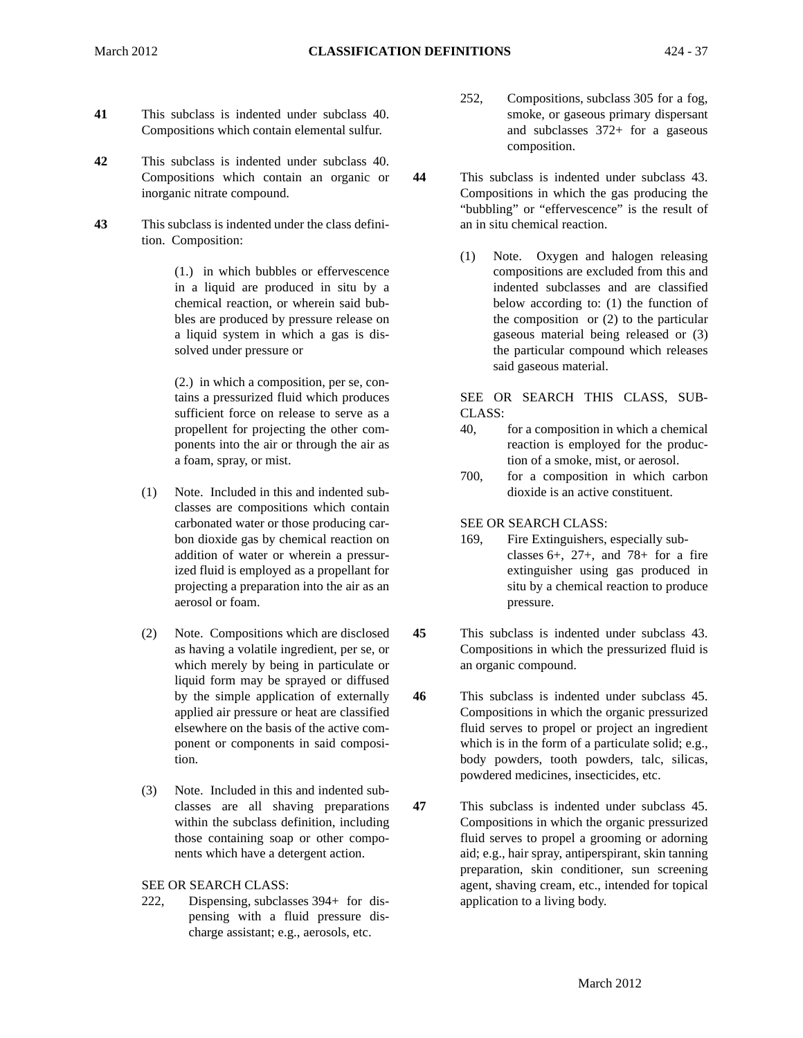- **41** This subclass is indented under subclass 40. Compositions which contain elemental sulfur.
- Compositions which contain an organic or **44 42** This subclass is indented under subclass 40. inorganic nitrate compound.
- **43** This subclass is indented under the class definition. Composition:

(1.) in which bubbles or effervescence in a liquid are produced in situ by a chemical reaction, or wherein said bubbles are produced by pressure release on a liquid system in which a gas is dissolved under pressure or

(2.) in which a composition, per se, contains a pressurized fluid which produces sufficient force on release to serve as a propellent for projecting the other components into the air or through the air as a foam, spray, or mist.

- (1) Note. Included in this and indented subclasses are compositions which contain carbonated water or those producing carbon dioxide gas by chemical reaction on addition of water or wherein a pressurized fluid is employed as a propellant for projecting a preparation into the air as an aerosol or foam.
- which merely by being in particulate or (2) Note. Compositions which are disclosed as having a volatile ingredient, per se, or liquid form may be sprayed or diffused by the simple application of externally applied air pressure or heat are classified elsewhere on the basis of the active component or components in said composition.
- (3) Note. Included in this and indented subclasses are all shaving preparations within the subclass definition, including those containing soap or other components which have a detergent action.

SEE OR SEARCH CLASS:

222, Dispensing, subclasses 394+ for dispensing with a fluid pressure discharge assistant; e.g., aerosols, etc.

- 252, Compositions, subclass 305 for a fog, smoke, or gaseous primary dispersant and subclasses 372+ for a gaseous composition.
- This subclass is indented under subclass 43. Compositions in which the gas producing the "bubbling" or "effervescence" is the result of an in situ chemical reaction.
	- (1) Note. Oxygen and halogen releasing compositions are excluded from this and indented subclasses and are classified below according to: (1) the function of the composition or (2) to the particular gaseous material being released or (3) the particular compound which releases said gaseous material.

SEE OR SEARCH THIS CLASS, SUB-CLASS:

- 40, for a composition in which a chemical reaction is employed for the production of a smoke, mist, or aerosol.
- 700, for a composition in which carbon dioxide is an active constituent.

- 169, Fire Extinguishers, especially subclasses  $6+$ ,  $27+$ , and  $78+$  for a fire extinguisher using gas produced in situ by a chemical reaction to produce pressure.
- **45**  This subclass is indented under subclass 43. Compositions in which the pressurized fluid is an organic compound.
- **46**  This subclass is indented under subclass 45. Compositions in which the organic pressurized fluid serves to propel or project an ingredient which is in the form of a particulate solid; e.g., body powders, tooth powders, talc, silicas, powdered medicines, insecticides, etc.
- application to a living body. **47**  This subclass is indented under subclass 45. Compositions in which the organic pressurized fluid serves to propel a grooming or adorning aid; e.g., hair spray, antiperspirant, skin tanning preparation, skin conditioner, sun screening agent, shaving cream, etc., intended for topical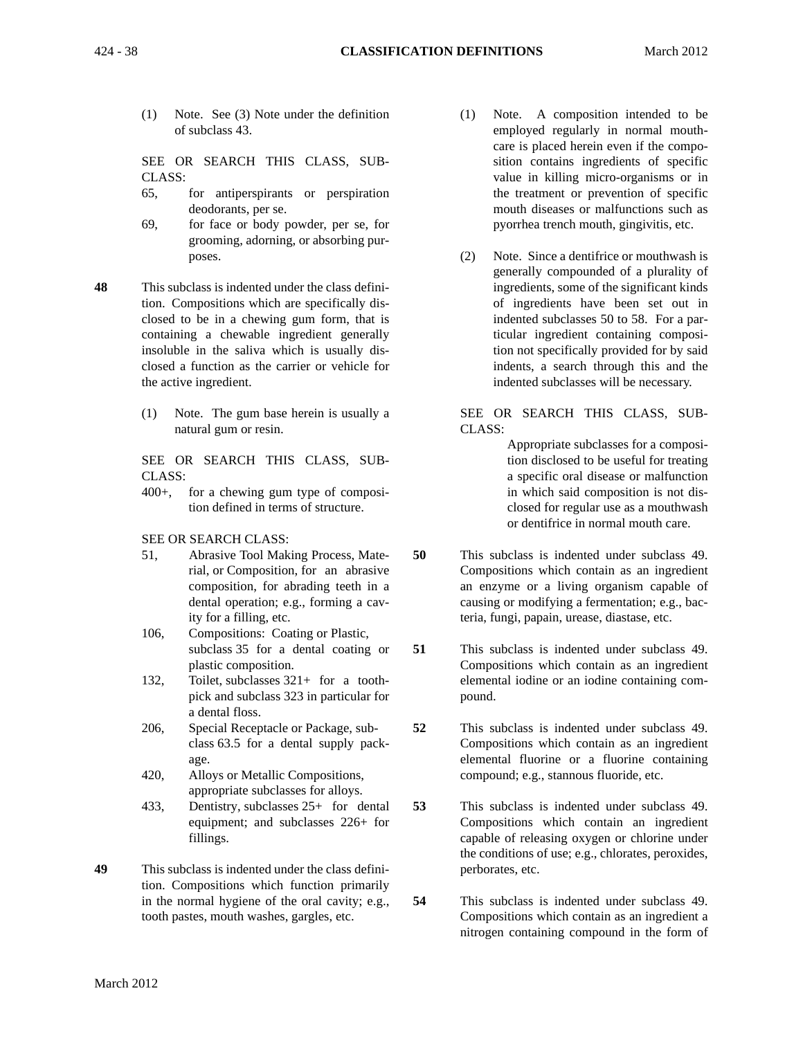of subclass 43. (1) Note. See (3) Note under the definition

SEE OR SEARCH THIS CLASS, SUB-CLASS:

- 65, for antiperspirants or perspiration deodorants, per se.
- 69, for face or body powder, per se, for grooming, adorning, or absorbing purposes.
- **48** This subclass is indented under the class definition. Compositions which are specifically disclosed to be in a chewing gum form, that is containing a chewable ingredient generally insoluble in the saliva which is usually disclosed a function as the carrier or vehicle for the active ingredient.
	- (1) Note. The gum base herein is usually a natural gum or resin.

SEE OR SEARCH THIS CLASS, SUB-CLASS:

400+, for a chewing gum type of composition defined in terms of structure.

SEE OR SEARCH CLASS:

- 51, Abrasive Tool Making Process, Mate- **50**  rial, or Composition, for an abrasive composition, for abrading teeth in a dental operation; e.g., forming a cavity for a filling, etc.
- 106, Compositions: Coating or Plastic, subclass 35 for a dental coating or **51**  plastic composition.
- 132, Toilet, subclasses  $321+$  for a toothpick and subclass 323 in particular for a dental floss.
- 206, Special Receptacle or Package, sub- **52**  class 63.5 for a dental supply package.
- 420, Alloys or Metallic Compositions, appropriate subclasses for alloys.
- 433, Dentistry, subclasses 25+ for dental **53**  equipment; and subclasses 226+ for fillings.
- **49** This subclass is indented under the class definition. Compositions which function primarily in the normal hygiene of the oral cavity; e.g., **54**  tooth pastes, mouth washes, gargles, etc.
- (1) Note. A composition intended to be employed regularly in normal mouthcare is placed herein even if the composition contains ingredients of specific value in killing micro-organisms or in the treatment or prevention of specific mouth diseases or malfunctions such as pyorrhea trench mouth, gingivitis, etc.
- (2) Note. Since a dentifrice or mouthwash is generally compounded of a plurality of ingredients, some of the significant kinds of ingredients have been set out in indented subclasses 50 to 58. For a particular ingredient containing composition not specifically provided for by said indents, a search through this and the indented subclasses will be necessary.

#### SEE OR SEARCH THIS CLASS, SUB-CLASS:

 in which said composition is not dis-Appropriate subclasses for a composition disclosed to be useful for treating a specific oral disease or malfunction closed for regular use as a mouthwash or dentifrice in normal mouth care.

- This subclass is indented under subclass 49. Compositions which contain as an ingredient an enzyme or a living organism capable of causing or modifying a fermentation; e.g., bacteria, fungi, papain, urease, diastase, etc.
- This subclass is indented under subclass 49. Compositions which contain as an ingredient elemental iodine or an iodine containing compound.
- This subclass is indented under subclass 49. Compositions which contain as an ingredient elemental fluorine or a fluorine containing compound; e.g., stannous fluoride, etc.
- This subclass is indented under subclass 49. Compositions which contain an ingredient capable of releasing oxygen or chlorine under the conditions of use; e.g., chlorates, peroxides, perborates, etc.
- This subclass is indented under subclass 49. Compositions which contain as an ingredient a nitrogen containing compound in the form of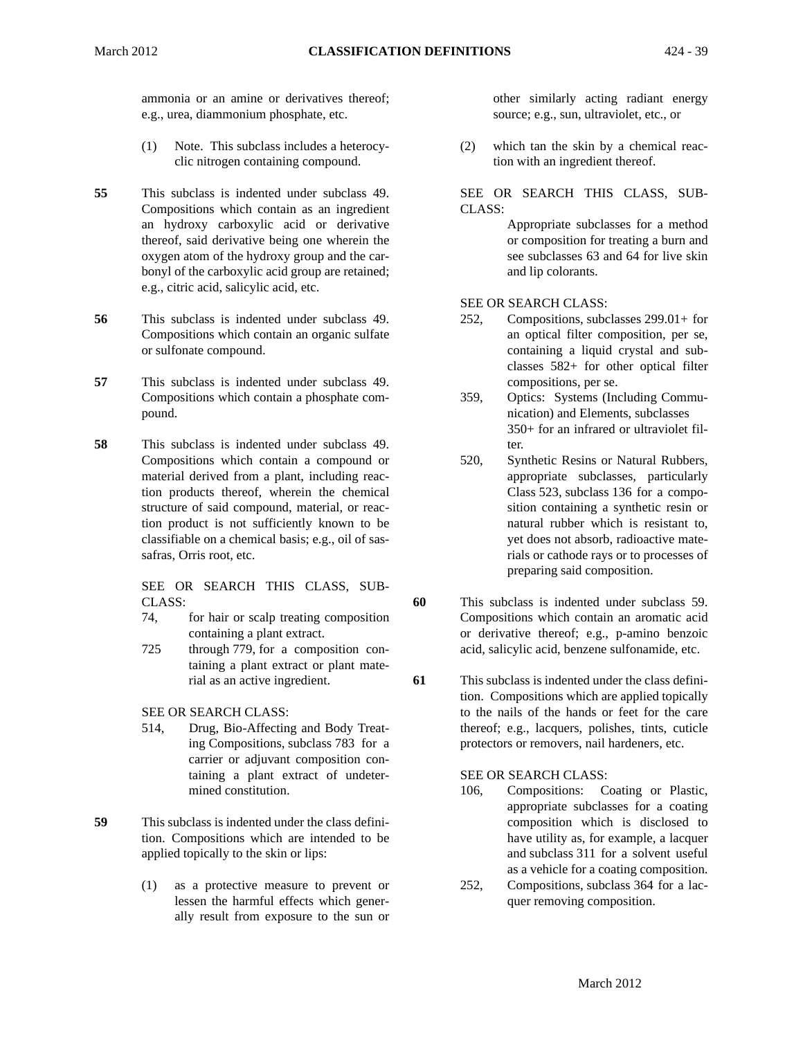ammonia or an amine or derivatives thereof; e.g., urea, diammonium phosphate, etc.

- (1) Note. This subclass includes a heterocyclic nitrogen containing compound.
- **55** This subclass is indented under subclass 49. Compositions which contain as an ingredient an hydroxy carboxylic acid or derivative thereof, said derivative being one wherein the oxygen atom of the hydroxy group and the carbonyl of the carboxylic acid group are retained; e.g., citric acid, salicylic acid, etc.
- **56** This subclass is indented under subclass 49. Compositions which contain an organic sulfate or sulfonate compound.
- **57** This subclass is indented under subclass 49. Compositions which contain a phosphate compound.
- **58** This subclass is indented under subclass 49. Compositions which contain a compound or material derived from a plant, including reaction products thereof, wherein the chemical structure of said compound, material, or reaction product is not sufficiently known to be classifiable on a chemical basis; e.g., oil of sassafras, Orris root, etc.

SEE OR SEARCH THIS CLASS, SUB-CLASS:

- 74, for hair or scalp treating composition containing a plant extract.
- 725 through 779, for a composition containing a plant extract or plant material as an active ingredient.

SEE OR SEARCH CLASS:

- 514, Drug, Bio-Affecting and Body Treating Compositions, subclass 783 for a carrier or adjuvant composition containing a plant extract of undetermined constitution.
- **59** This subclass is indented under the class definition. Compositions which are intended to be applied topically to the skin or lips:
	- (1) as a protective measure to prevent or lessen the harmful effects which generally result from exposure to the sun or

other similarly acting radiant energy source; e.g., sun, ultraviolet, etc., or

(2) which tan the skin by a chemical reaction with an ingredient thereof.

SEE OR SEARCH THIS CLASS, SUB-CLASS:

> Appropriate subclasses for a method or composition for treating a burn and see subclasses 63 and 64 for live skin and lip colorants.

SEE OR SEARCH CLASS:

- 252, Compositions, subclasses 299.01+ for an optical filter composition, per se, containing a liquid crystal and subclasses 582+ for other optical filter compositions, per se.
- 359, Optics: Systems (Including Communication) and Elements, subclasses 350+ for an infrared or ultraviolet filter.
- 520. Synthetic Resins or Natural Rubbers, appropriate subclasses, particularly Class 523, subclass 136 for a composition containing a synthetic resin or natural rubber which is resistant to, yet does not absorb, radioactive materials or cathode rays or to processes of preparing said composition.
- **60**  This subclass is indented under subclass 59. Compositions which contain an aromatic acid or derivative thereof; e.g., p-amino benzoic acid, salicylic acid, benzene sulfonamide, etc.
- **61**  This subclass is indented under the class definition. Compositions which are applied topically to the nails of the hands or feet for the care thereof; e.g., lacquers, polishes, tints, cuticle protectors or removers, nail hardeners, etc.

- 106, Compositions: Coating or Plastic, appropriate subclasses for a coating composition which is disclosed to have utility as, for example, a lacquer and subclass 311 for a solvent useful as a vehicle for a coating composition.
- 252, Compositions, subclass 364 for a lacquer removing composition.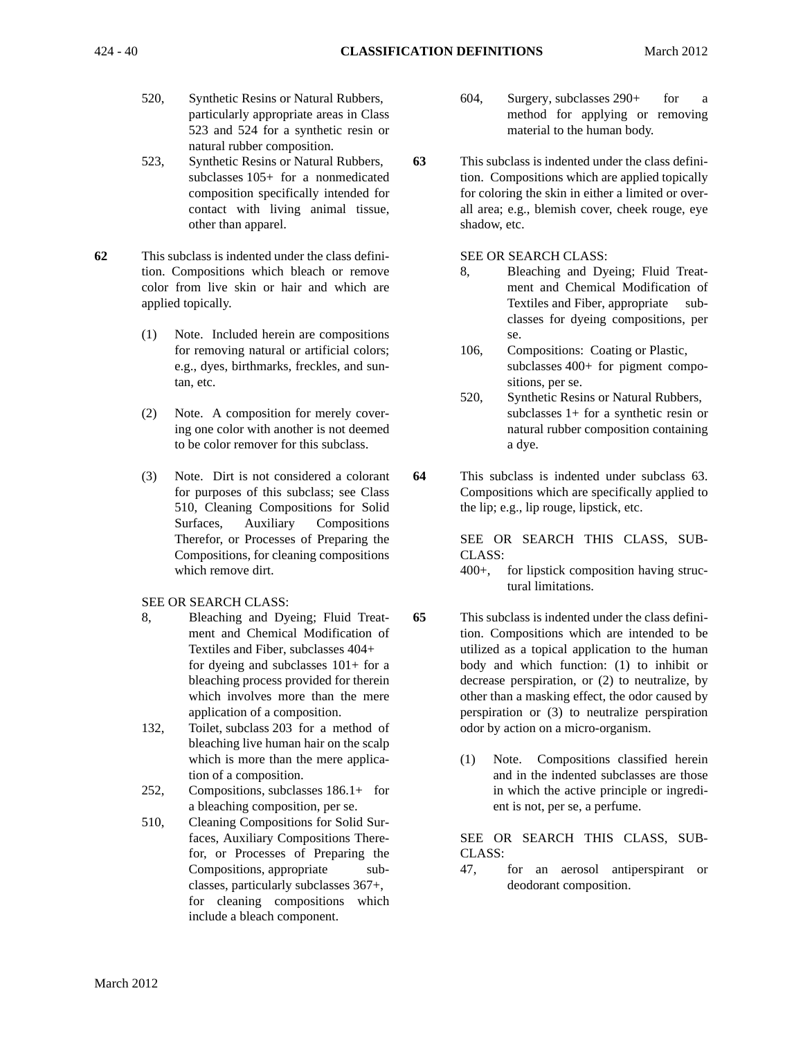- 520, Synthetic Resins or Natural Rubbers, particularly appropriate areas in Class 523 and 524 for a synthetic resin or natural rubber composition.
- 523, Synthetic Resins or Natural Rubbers, **63**  subclasses 105+ for a nonmedicated composition specifically intended for contact with living animal tissue, other than apparel.
- **62** This subclass is indented under the class definition. Compositions which bleach or remove color from live skin or hair and which are applied topically.
	- (1) Note. Included herein are compositions for removing natural or artificial colors; e.g., dyes, birthmarks, freckles, and suntan, etc.
	- (2) Note. A composition for merely covering one color with another is not deemed to be color remover for this subclass.
	- (3) Note. Dirt is not considered a colorant **64**  for purposes of this subclass; see Class 510, Cleaning Compositions for Solid Surfaces, Auxiliary Compositions Therefor, or Processes of Preparing the Compositions, for cleaning compositions which remove dirt.

#### SEE OR SEARCH CLASS:

- 8, Bleaching and Dyeing; Fluid Treat- **65**  ment and Chemical Modification of Textiles and Fiber, subclasses 404+ for dyeing and subclasses 101+ for a bleaching process provided for therein which involves more than the mere application of a composition.
- 132, Toilet, subclass 203 for a method of bleaching live human hair on the scalp which is more than the mere application of a composition.
- 252, Compositions, subclasses 186.1+ for a bleaching composition, per se.
- 510, Cleaning Compositions for Solid Surfaces, Auxiliary Compositions Therefor, or Processes of Preparing the Compositions, appropriate subclasses, particularly subclasses 367+, for cleaning compositions which include a bleach component.
- 604, Surgery, subclasses 290+ for a method for applying or removing material to the human body.
- This subclass is indented under the class definition. Compositions which are applied topically for coloring the skin in either a limited or overall area; e.g., blemish cover, cheek rouge, eye shadow, etc.

SEE OR SEARCH CLASS:

- 8, Bleaching and Dyeing; Fluid Treatment and Chemical Modification of Textiles and Fiber, appropriate subclasses for dyeing compositions, per se.
- 106, Compositions: Coating or Plastic, subclasses 400+ for pigment compositions, per se.
- 520, Synthetic Resins or Natural Rubbers, subclasses 1+ for a synthetic resin or natural rubber composition containing a dye.
- This subclass is indented under subclass 63. Compositions which are specifically applied to the lip; e.g., lip rouge, lipstick, etc.

SEE OR SEARCH THIS CLASS, SUB-CLASS:

- 400+, for lipstick composition having structural limitations.
- odor by action on a micro-organism. This subclass is indented under the class definition. Compositions which are intended to be utilized as a topical application to the human body and which function: (1) to inhibit or decrease perspiration, or (2) to neutralize, by other than a masking effect, the odor caused by perspiration or (3) to neutralize perspiration
	- (1) Note. Compositions classified herein and in the indented subclasses are those in which the active principle or ingredient is not, per se, a perfume.

SEE OR SEARCH THIS CLASS, SUB-CLASS:

47, for an aerosol antiperspirant or deodorant composition.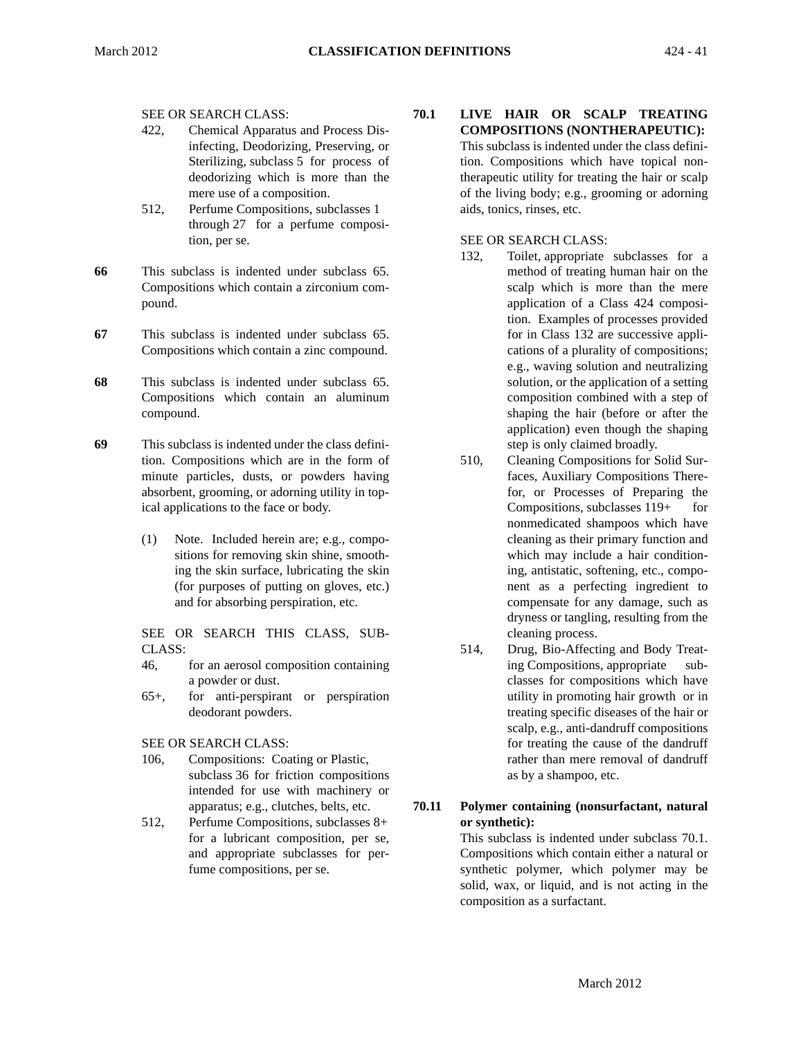#### SEE OR SEARCH CLASS:

- 422, Chemical Apparatus and Process Disinfecting, Deodorizing, Preserving, or Sterilizing, subclass 5 for process of deodorizing which is more than the mere use of a composition.
- 512, Perfume Compositions, subclasses 1 through 27 for a perfume composition, per se.
- **66** This subclass is indented under subclass 65. Compositions which contain a zirconium compound.
- **67** This subclass is indented under subclass 65. Compositions which contain a zinc compound.
- **68** This subclass is indented under subclass 65. Compositions which contain an aluminum compound.
- absorbent, grooming, or adorning utility in top-**69** This subclass is indented under the class definition. Compositions which are in the form of minute particles, dusts, or powders having ical applications to the face or body.
	- (1) Note. Included herein are; e.g., compositions for removing skin shine, smoothing the skin surface, lubricating the skin (for purposes of putting on gloves, etc.) and for absorbing perspiration, etc.

SEE OR SEARCH THIS CLASS, SUB-CLASS:

- 46, for an aerosol composition containing a powder or dust.
- 65+, for anti-perspirant or perspiration deodorant powders.
- SEE OR SEARCH CLASS:
- 106, Compositions: Coating or Plastic, subclass 36 for friction compositions intended for use with machinery or apparatus; e.g., clutches, belts, etc.
- 512, Perfume Compositions, subclasses 8+ for a lubricant composition, per se, and appropriate subclasses for perfume compositions, per se.

**70.1 LIVE HAIR OR SCALP TREATING COMPOSITIONS (NONTHERAPEUTIC):**  This subclass is indented under the class definition. Compositions which have topical nontherapeutic utility for treating the hair or scalp of the living body; e.g., grooming or adorning aids, tonics, rinses, etc.

#### SEE OR SEARCH CLASS:

- 132, Toilet, appropriate subclasses for a method of treating human hair on the scalp which is more than the mere application of a Class 424 composition. Examples of processes provided for in Class 132 are successive applications of a plurality of compositions; e.g., waving solution and neutralizing solution, or the application of a setting composition combined with a step of shaping the hair (before or after the application) even though the shaping step is only claimed broadly.
- 510, Cleaning Compositions for Solid Surfaces, Auxiliary Compositions Therefor, or Processes of Preparing the Compositions, subclasses 119+ for nonmedicated shampoos which have cleaning as their primary function and which may include a hair conditioning, antistatic, softening, etc., component as a perfecting ingredient to compensate for any damage, such as dryness or tangling, resulting from the cleaning process.
- 514, Drug, Bio-Affecting and Body Treating Compositions, appropriate subclasses for compositions which have utility in promoting hair growth or in treating specific diseases of the hair or scalp, e.g., anti-dandruff compositions for treating the cause of the dandruff rather than mere removal of dandruff as by a shampoo, etc.
- **70.11 Polymer containing (nonsurfactant, natural or synthetic):**

 solid, wax, or liquid, and is not acting in the This subclass is indented under subclass 70.1. Compositions which contain either a natural or synthetic polymer, which polymer may be composition as a surfactant.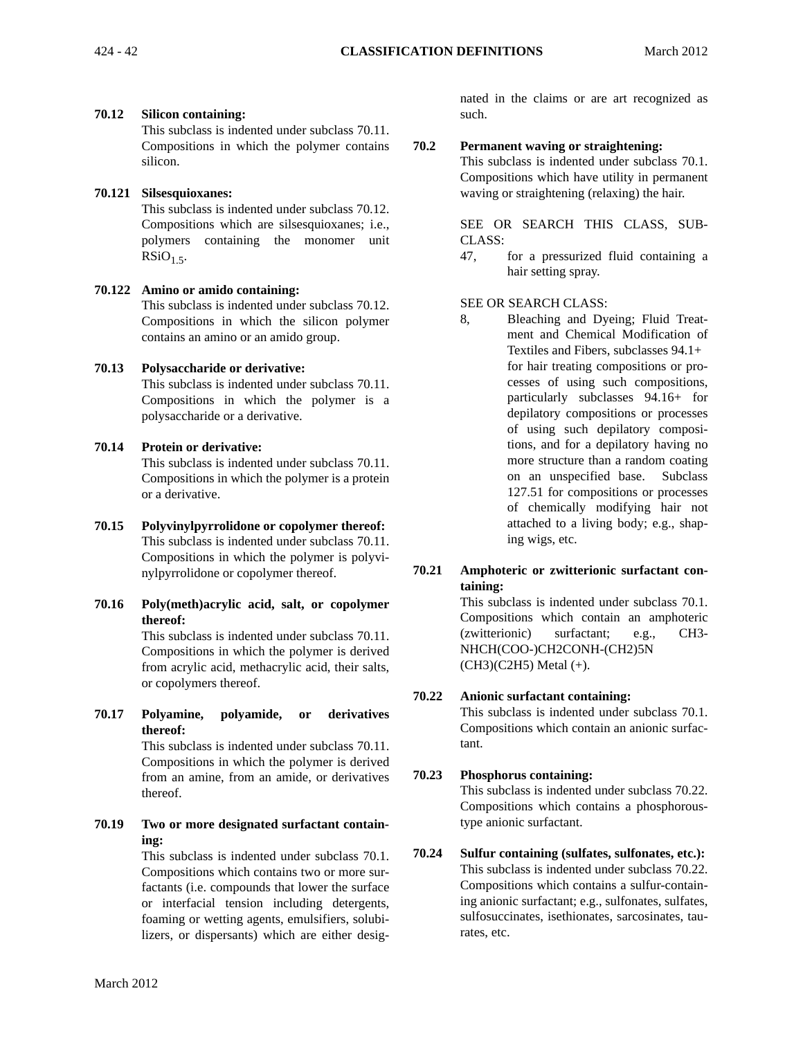# **70.12 Silicon containing:**

 Compositions in which the polymer contains This subclass is indented under subclass 70.11. silicon.

# **70.121 Silsesquioxanes:**

This subclass is indented under subclass 70.12. Compositions which are silsesquioxanes; i.e., polymers containing the monomer unit  $RSiO<sub>1.5</sub>$ .

# **70.122 Amino or amido containing:**

This subclass is indented under subclass 70.12. Compositions in which the silicon polymer contains an amino or an amido group.

# **70.13 Polysaccharide or derivative:**

This subclass is indented under subclass 70.11. Compositions in which the polymer is a polysaccharide or a derivative.

# **70.14 Protein or derivative:**

This subclass is indented under subclass 70.11. Compositions in which the polymer is a protein or a derivative.

- **70.15 Polyvinylpyrrolidone or copolymer thereof:**  This subclass is indented under subclass 70.11. Compositions in which the polymer is polyvinylpyrrolidone or copolymer thereof.
- **70.16 Poly(meth)acrylic acid, salt, or copolymer thereof:**  This subclass is indented under subclass 70.11. Compositions in which the polymer is derived from acrylic acid, methacrylic acid, their salts,

or copolymers thereof.

**70.17 Polyamine, polyamide, or derivatives thereof:** 

This subclass is indented under subclass 70.11. Compositions in which the polymer is derived from an amine, from an amide, or derivatives thereof.

**70.19 Two or more designated surfactant containing:** 

This subclass is indented under subclass 70.1. Compositions which contains two or more surfactants (i.e. compounds that lower the surface or interfacial tension including detergents, foaming or wetting agents, emulsifiers, solubilizers, or dispersants) which are either designated in the claims or are art recognized as such.

#### **70.2 Permanent waving or straightening:**

This subclass is indented under subclass 70.1. Compositions which have utility in permanent waving or straightening (relaxing) the hair.

SEE OR SEARCH THIS CLASS, SUB-CLASS:

47, for a pressurized fluid containing a hair setting spray.

#### SEE OR SEARCH CLASS:

8, Bleaching and Dyeing; Fluid Treatment and Chemical Modification of Textiles and Fibers, subclasses 94.1+ for hair treating compositions or processes of using such compositions, particularly subclasses 94.16+ for depilatory compositions or processes of using such depilatory compositions, and for a depilatory having no more structure than a random coating on an unspecified base. Subclass 127.51 for compositions or processes of chemically modifying hair not attached to a living body; e.g., shaping wigs, etc.

# **70.21 Amphoteric or zwitterionic surfactant containing:**

This subclass is indented under subclass 70.1. Compositions which contain an amphoteric (zwitterionic) surfactant; e.g., CH3- NHCH(COO-)CH2CONH-(CH2)5N  $(CH3)(C2H5)$  Metal  $(+)$ .

#### **70.22 Anionic surfactant containing:**

This subclass is indented under subclass 70.1. Compositions which contain an anionic surfactant.

#### **70.23 Phosphorus containing:**

This subclass is indented under subclass 70.22. Compositions which contains a phosphoroustype anionic surfactant.

#### **70.24 Sulfur containing (sulfates, sulfonates, etc.):**  This subclass is indented under subclass 70.22. Compositions which contains a sulfur-containing anionic surfactant; e.g., sulfonates, sulfates, sulfosuccinates, isethionates, sarcosinates, taurates, etc.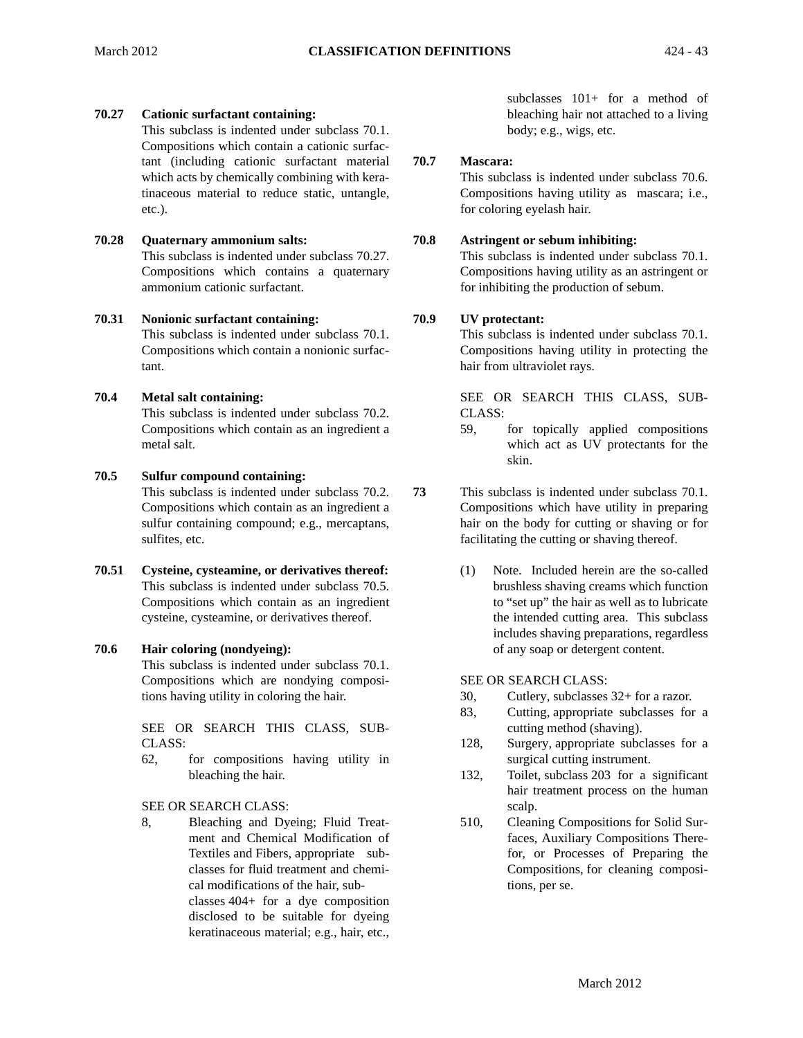#### **70.27 Cationic surfactant containing:**

This subclass is indented under subclass 70.1. Compositions which contain a cationic surfactant (including cationic surfactant material which acts by chemically combining with keratinaceous material to reduce static, untangle, etc.).

#### **70.28 Quaternary ammonium salts:**

This subclass is indented under subclass 70.27. Compositions which contains a quaternary ammonium cationic surfactant.

# **70.31 Nonionic surfactant containing:**

This subclass is indented under subclass 70.1. Compositions which contain a nonionic surfactant.

#### **70.4 Metal salt containing:**

 Compositions which contain as an ingredient a This subclass is indented under subclass 70.2. metal salt.

## **70.5 Sulfur compound containing:**

 Compositions which contain as an ingredient a This subclass is indented under subclass 70.2. sulfur containing compound; e.g., mercaptans, sulfites, etc.

**70.51 Cysteine, cysteamine, or derivatives thereof:**  This subclass is indented under subclass 70.5. Compositions which contain as an ingredient cysteine, cysteamine, or derivatives thereof.

#### **70.6 Hair coloring (nondyeing):**

 tions having utility in coloring the hair. This subclass is indented under subclass 70.1. Compositions which are nondying composi-

SEE OR SEARCH THIS CLASS, SUB-CLASS:

62, for compositions having utility in bleaching the hair.

SEE OR SEARCH CLASS:

8, Bleaching and Dyeing; Fluid Treatment and Chemical Modification of Textiles and Fibers, appropriate subclasses for fluid treatment and chemical modifications of the hair, subclasses 404+ for a dye composition disclosed to be suitable for dyeing keratinaceous material; e.g., hair, etc.,

subclasses 101+ for a method of bleaching hair not attached to a living body; e.g., wigs, etc.

#### **70.7 Mascara:**

This subclass is indented under subclass 70.6. Compositions having utility as mascara; i.e., for coloring eyelash hair.

#### **70.8 Astringent or sebum inhibiting:**

This subclass is indented under subclass 70.1. Compositions having utility as an astringent or for inhibiting the production of sebum.

#### **70.9 UV protectant:**

This subclass is indented under subclass 70.1. Compositions having utility in protecting the hair from ultraviolet rays.

SEE OR SEARCH THIS CLASS, SUB-CLASS:

- 59, for topically applied compositions which act as UV protectants for the skin.
- **73**  This subclass is indented under subclass 70.1. Compositions which have utility in preparing hair on the body for cutting or shaving or for facilitating the cutting or shaving thereof.
	- (1) Note. Included herein are the so-called brushless shaving creams which function to "set up" the hair as well as to lubricate the intended cutting area. This subclass includes shaving preparations, regardless of any soap or detergent content.

- 30, Cutlery, subclasses 32+ for a razor.
- 83, Cutting, appropriate subclasses for a cutting method (shaving).
- 128, Surgery, appropriate subclasses for a surgical cutting instrument.
- 132, Toilet, subclass 203 for a significant hair treatment process on the human scalp.
- 510, Cleaning Compositions for Solid Surfaces, Auxiliary Compositions Therefor, or Processes of Preparing the Compositions, for cleaning compositions, per se.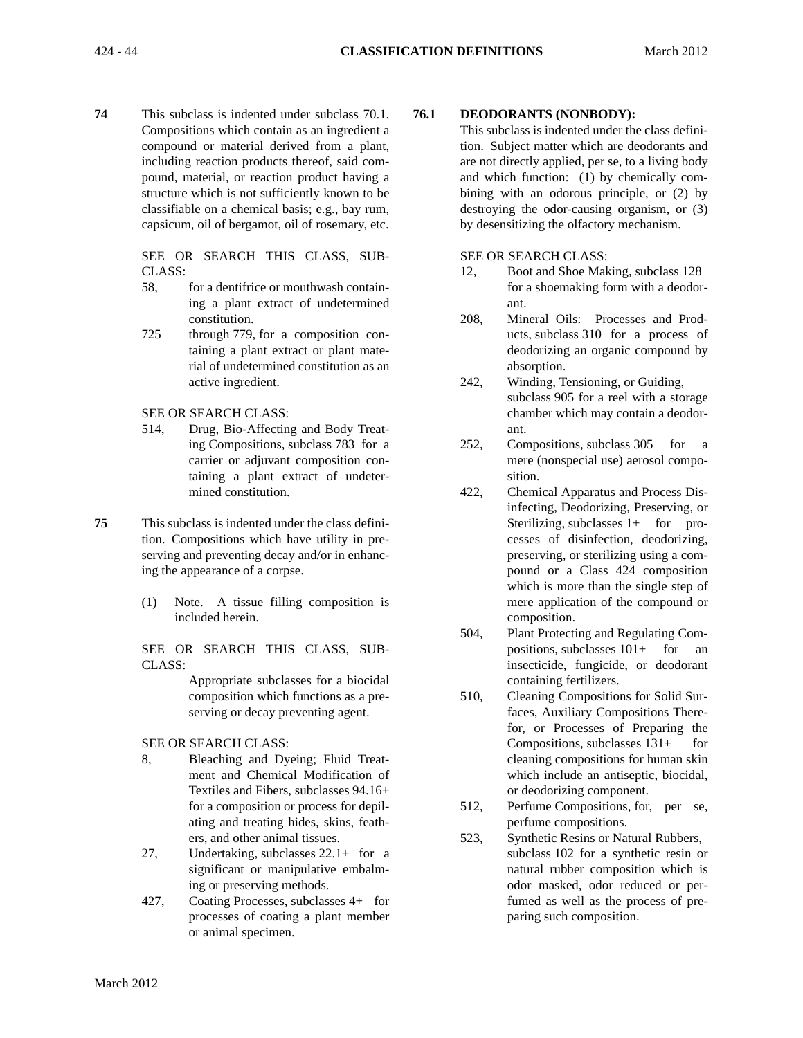Compositions which contain as an ingredient a **74** This subclass is indented under subclass 70.1. **76.1**  compound or material derived from a plant, including reaction products thereof, said compound, material, or reaction product having a structure which is not sufficiently known to be classifiable on a chemical basis; e.g., bay rum, capsicum, oil of bergamot, oil of rosemary, etc.

> SEE OR SEARCH THIS CLASS, SUB-CLASS:

- 58, for a dentifrice or mouthwash containing a plant extract of undetermined constitution.
- 725 through 779, for a composition containing a plant extract or plant material of undetermined constitution as an active ingredient.

SEE OR SEARCH CLASS:

- 514, Drug, Bio-Affecting and Body Treating Compositions, subclass 783 for a carrier or adjuvant composition containing a plant extract of undetermined constitution.
- **75** This subclass is indented under the class definition. Compositions which have utility in preserving and preventing decay and/or in enhancing the appearance of a corpse.
	- (1) Note. A tissue filling composition is included herein.

SEE OR SEARCH THIS CLASS, SUB-CLASS:

> Appropriate subclasses for a biocidal composition which functions as a preserving or decay preventing agent.

- SEE OR SEARCH CLASS:
- 8, Bleaching and Dyeing; Fluid Treatment and Chemical Modification of Textiles and Fibers, subclasses 94.16+ for a composition or process for depilating and treating hides, skins, feathers, and other animal tissues.
- 27, Undertaking, subclasses  $22.1+$  for a significant or manipulative embalming or preserving methods.
- 427, Coating Processes, subclasses 4+ for processes of coating a plant member or animal specimen.

#### **DEODORANTS (NONBODY):**

This subclass is indented under the class definition. Subject matter which are deodorants and are not directly applied, per se, to a living body and which function: (1) by chemically combining with an odorous principle, or (2) by destroying the odor-causing organism, or (3) by desensitizing the olfactory mechanism.

- 12, Boot and Shoe Making, subclass 128 for a shoemaking form with a deodorant.
- 208, Mineral Oils: Processes and Products, subclass 310 for a process of deodorizing an organic compound by absorption.
- 242, Winding, Tensioning, or Guiding, subclass 905 for a reel with a storage chamber which may contain a deodorant.
- 252, Compositions, subclass 305 for a mere (nonspecial use) aerosol composition.
- 422, Chemical Apparatus and Process Disinfecting, Deodorizing, Preserving, or Sterilizing, subclasses 1+ for processes of disinfection, deodorizing, preserving, or sterilizing using a compound or a Class 424 composition which is more than the single step of mere application of the compound or composition.
- 504, Plant Protecting and Regulating Compositions, subclasses 101+ for an insecticide, fungicide, or deodorant containing fertilizers.
- 510, Cleaning Compositions for Solid Surfaces, Auxiliary Compositions Therefor, or Processes of Preparing the Compositions, subclasses 131+ for cleaning compositions for human skin which include an antiseptic, biocidal, or deodorizing component.
- 512, Perfume Compositions, for, per se, perfume compositions.
- 523, Synthetic Resins or Natural Rubbers, subclass 102 for a synthetic resin or natural rubber composition which is odor masked, odor reduced or perfumed as well as the process of preparing such composition.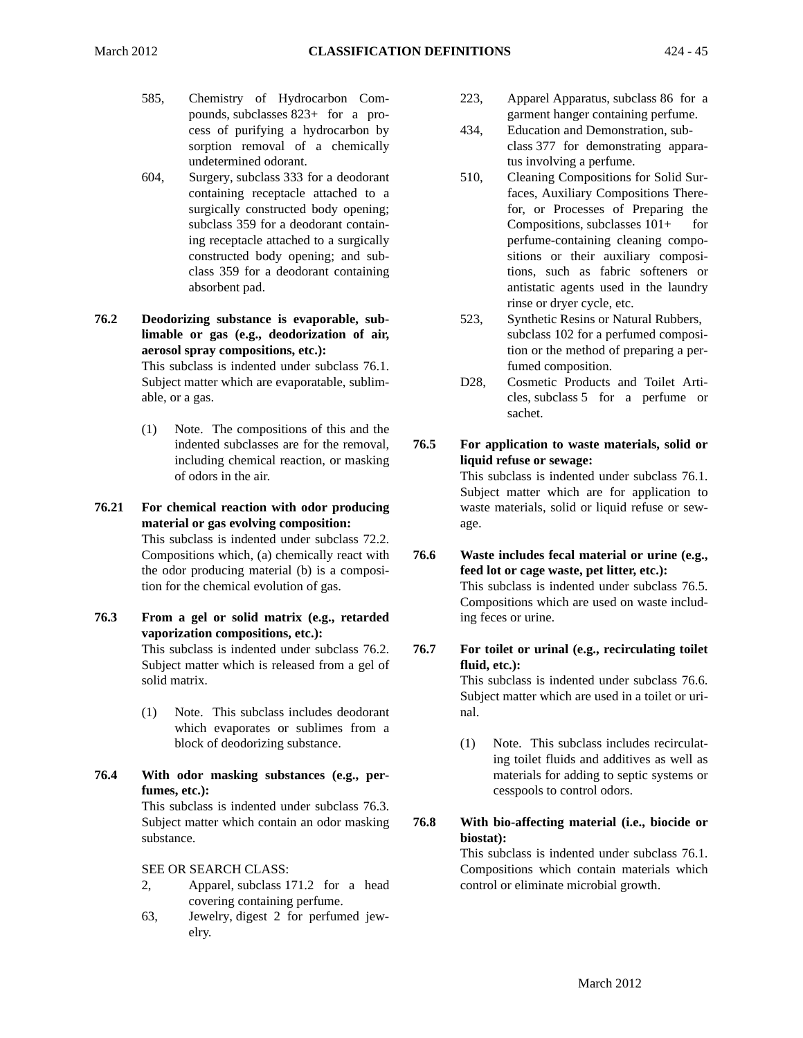- 585, Chemistry of Hydrocarbon Compounds, subclasses 823+ for a process of purifying a hydrocarbon by sorption removal of a chemically undetermined odorant.
- 604, Surgery, subclass 333 for a deodorant containing receptacle attached to a surgically constructed body opening; subclass 359 for a deodorant containing receptacle attached to a surgically constructed body opening; and subclass 359 for a deodorant containing absorbent pad.
- **76.2 Deodorizing substance is evaporable, sublimable or gas (e.g., deodorization of air, aerosol spray compositions, etc.):**

This subclass is indented under subclass 76.1. Subject matter which are evaporatable, sublimable, or a gas.

- (1) Note. The compositions of this and the indented subclasses are for the removal, including chemical reaction, or masking of odors in the air.
- **76.21 For chemical reaction with odor producing material or gas evolving composition:**

This subclass is indented under subclass 72.2. Compositions which, (a) chemically react with the odor producing material (b) is a composition for the chemical evolution of gas.

**76.3 From a gel or solid matrix (e.g., retarded vaporization compositions, etc.):** 

> Subject matter which is released from a gel of This subclass is indented under subclass 76.2. **76.7**  solid matrix.

- (1) Note. This subclass includes deodorant which evaporates or sublimes from a block of deodorizing substance.
- **76.4 With odor masking substances (e.g., perfumes, etc.):**

This subclass is indented under subclass 76.3. Subject matter which contain an odor masking substance.

#### SEE OR SEARCH CLASS:

- 2, Apparel, subclass 171.2 for a head covering containing perfume.
- 63, Jewelry, digest 2 for perfumed jewelry.
- 223, Apparel Apparatus, subclass 86 for a garment hanger containing perfume.
- 434, Education and Demonstration, subclass 377 for demonstrating apparatus involving a perfume.
- 510, Cleaning Compositions for Solid Surfaces, Auxiliary Compositions Therefor, or Processes of Preparing the Compositions, subclasses 101+ for perfume-containing cleaning compositions or their auxiliary compositions, such as fabric softeners or antistatic agents used in the laundry rinse or dryer cycle, etc.
- 523, Synthetic Resins or Natural Rubbers, subclass 102 for a perfumed composition or the method of preparing a perfumed composition.
- D28, Cosmetic Products and Toilet Articles, subclass 5 for a perfume or sachet.
- **76.5 For application to waste materials, solid or liquid refuse or sewage:**

This subclass is indented under subclass 76.1. Subject matter which are for application to waste materials, solid or liquid refuse or sewage.

**76.6 Waste includes fecal material or urine (e.g., feed lot or cage waste, pet litter, etc.):**  This subclass is indented under subclass 76.5. Compositions which are used on waste including feces or urine.

- **For toilet or urinal (e.g., recirculating toilet fluid, etc.):**  This subclass is indented under subclass 76.6. Subject matter which are used in a toilet or urinal.
	- (1) Note. This subclass includes recirculating toilet fluids and additives as well as materials for adding to septic systems or cesspools to control odors.
- **76.8 With bio-affecting material (i.e., biocide or biostat):**

This subclass is indented under subclass 76.1. Compositions which contain materials which control or eliminate microbial growth.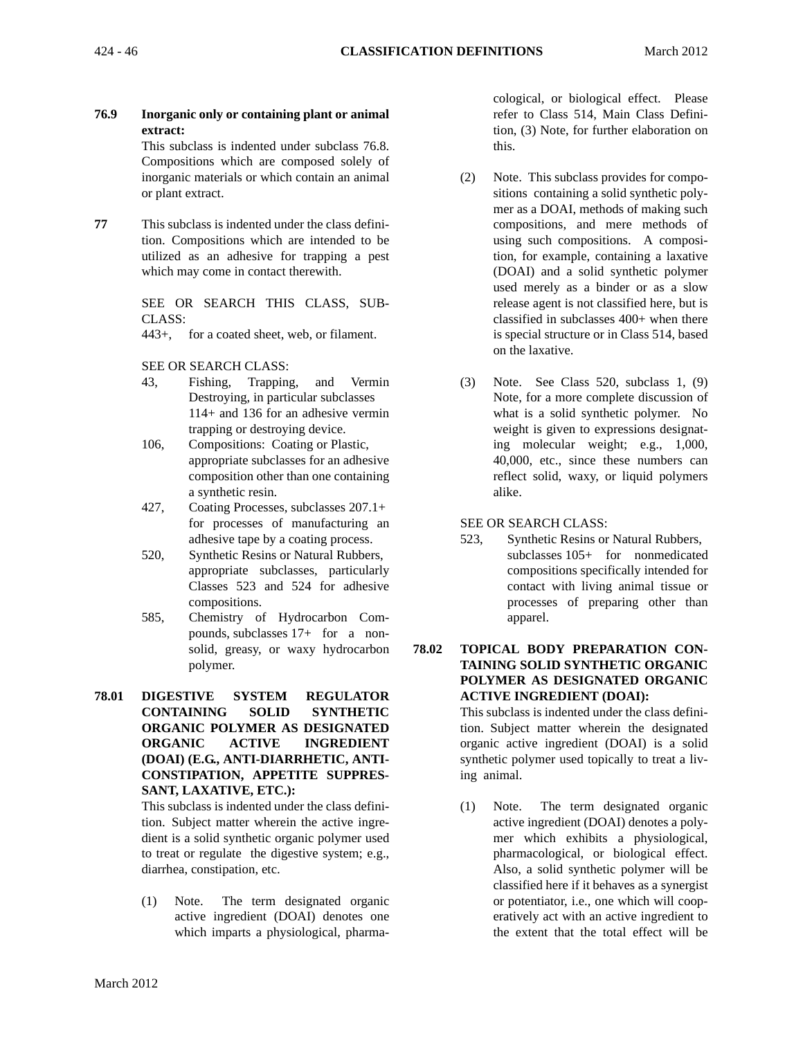**76.9 Inorganic only or containing plant or animal extract:** 

This subclass is indented under subclass 76.8. Compositions which are composed solely of inorganic materials or which contain an animal or plant extract.

**77** This subclass is indented under the class definition. Compositions which are intended to be utilized as an adhesive for trapping a pest which may come in contact therewith.

> SEE OR SEARCH THIS CLASS, SUB-CLASS:

443+, for a coated sheet, web, or filament.

SEE OR SEARCH CLASS:

- 114+ and 136 for an adhesive vermin 43, Fishing, Trapping, and Vermin Destroying, in particular subclasses trapping or destroying device.
- 106, Compositions: Coating or Plastic, appropriate subclasses for an adhesive composition other than one containing a synthetic resin.
- 427, Coating Processes, subclasses 207.1+ for processes of manufacturing an adhesive tape by a coating process.
- 520, Synthetic Resins or Natural Rubbers, appropriate subclasses, particularly Classes 523 and 524 for adhesive compositions.
- 585, Chemistry of Hydrocarbon Compounds, subclasses 17+ for a nonsolid, greasy, or waxy hydrocarbon polymer.
- **78.01 DIGESTIVE SYSTEM REGULATOR CONTAINING SOLID SYNTHETIC ORGANIC POLYMER AS DESIGNATED ORGANIC ACTIVE INGREDIENT (DOAI) (E.G., ANTI-DIARRHETIC, ANTI-CONSTIPATION, APPETITE SUPPRES-SANT, LAXATIVE, ETC.):**

This subclass is indented under the class definition. Subject matter wherein the active ingredient is a solid synthetic organic polymer used to treat or regulate the digestive system; e.g., diarrhea, constipation, etc.

(1) Note. The term designated organic active ingredient (DOAI) denotes one which imparts a physiological, pharmacological, or biological effect. Please refer to Class 514, Main Class Definition, (3) Note, for further elaboration on this.

- (2) Note. This subclass provides for compositions containing a solid synthetic polymer as a DOAI, methods of making such compositions, and mere methods of using such compositions. A composition, for example, containing a laxative (DOAI) and a solid synthetic polymer used merely as a binder or as a slow release agent is not classified here, but is classified in subclasses 400+ when there is special structure or in Class 514, based on the laxative.
- (3) Note. See Class 520, subclass 1, (9) Note, for a more complete discussion of what is a solid synthetic polymer. No weight is given to expressions designating molecular weight; e.g., 1,000, 40,000, etc., since these numbers can reflect solid, waxy, or liquid polymers alike.

SEE OR SEARCH CLASS:

- 523, Synthetic Resins or Natural Rubbers, subclasses 105+ for nonmedicated compositions specifically intended for contact with living animal tissue or processes of preparing other than apparel.
- **78.02 TOPICAL BODY PREPARATION CON-TAINING SOLID SYNTHETIC ORGANIC POLYMER AS DESIGNATED ORGANIC ACTIVE INGREDIENT (DOAI):**

This subclass is indented under the class definition. Subject matter wherein the designated organic active ingredient (DOAI) is a solid synthetic polymer used topically to treat a living animal.

(1) Note. The term designated organic active ingredient (DOAI) denotes a polymer which exhibits a physiological, pharmacological, or biological effect. Also, a solid synthetic polymer will be classified here if it behaves as a synergist or potentiator, i.e., one which will cooperatively act with an active ingredient to the extent that the total effect will be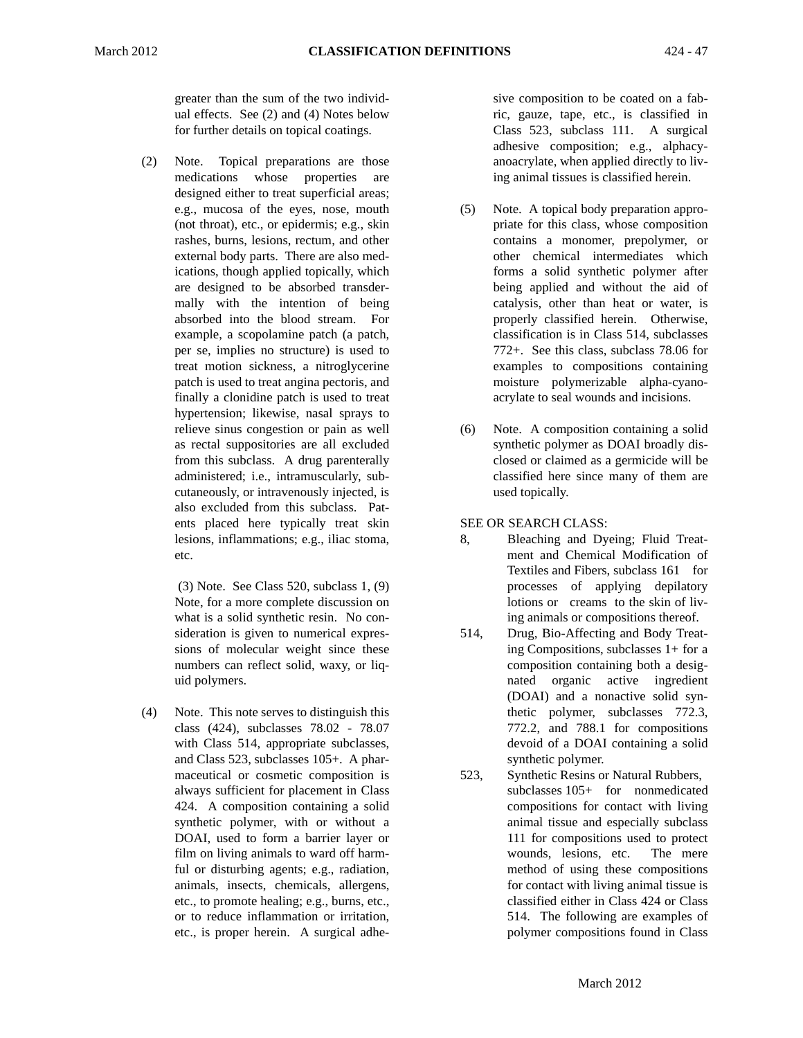greater than the sum of the two individual effects. See (2) and (4) Notes below for further details on topical coatings.

(2) Note. Topical preparations are those medications whose properties are designed either to treat superficial areas; e.g., mucosa of the eyes, nose, mouth (not throat), etc., or epidermis; e.g., skin rashes, burns, lesions, rectum, and other external body parts. There are also medications, though applied topically, which are designed to be absorbed transdermally with the intention of being absorbed into the blood stream. For example, a scopolamine patch (a patch, per se, implies no structure) is used to treat motion sickness, a nitroglycerine patch is used to treat angina pectoris, and finally a clonidine patch is used to treat hypertension; likewise, nasal sprays to relieve sinus congestion or pain as well as rectal suppositories are all excluded from this subclass. A drug parenterally administered; i.e., intramuscularly, subcutaneously, or intravenously injected, is also excluded from this subclass. Patents placed here typically treat skin lesions, inflammations; e.g., iliac stoma, etc.

> (3) Note. See Class 520, subclass 1, (9) Note, for a more complete discussion on what is a solid synthetic resin. No consideration is given to numerical expressions of molecular weight since these numbers can reflect solid, waxy, or liquid polymers.

 Note. This note serves to distinguish this (4) class (424), subclasses 78.02 - 78.07 with Class 514, appropriate subclasses, and Class 523, subclasses 105+. A pharmaceutical or cosmetic composition is always sufficient for placement in Class 424. A composition containing a solid synthetic polymer, with or without a DOAI, used to form a barrier layer or film on living animals to ward off harmful or disturbing agents; e.g., radiation, animals, insects, chemicals, allergens, etc., to promote healing; e.g., burns, etc., or to reduce inflammation or irritation, etc., is proper herein. A surgical adhesive composition to be coated on a fabric, gauze, tape, etc., is classified in Class 523, subclass 111. A surgical adhesive composition; e.g., alphacyanoacrylate, when applied directly to living animal tissues is classified herein.

- (5) Note. A topical body preparation appropriate for this class, whose composition contains a monomer, prepolymer, or other chemical intermediates which forms a solid synthetic polymer after being applied and without the aid of catalysis, other than heat or water, is properly classified herein. Otherwise, classification is in Class 514, subclasses 772+. See this class, subclass 78.06 for examples to compositions containing moisture polymerizable alpha-cyanoacrylate to seal wounds and incisions.
- (6) Note. A composition containing a solid synthetic polymer as DOAI broadly disclosed or claimed as a germicide will be classified here since many of them are used topically.

- 8, Bleaching and Dyeing; Fluid Treatment and Chemical Modification of Textiles and Fibers, subclass 161 for processes of applying depilatory lotions or creams to the skin of living animals or compositions thereof.
- 514, Drug, Bio-Affecting and Body Treating Compositions, subclasses 1+ for a composition containing both a designated organic active ingredient (DOAI) and a nonactive solid synthetic polymer, subclasses 772.3, 772.2, and 788.1 for compositions devoid of a DOAI containing a solid synthetic polymer.
- 523, Synthetic Resins or Natural Rubbers, subclasses 105+ for nonmedicated compositions for contact with living animal tissue and especially subclass 111 for compositions used to protect wounds, lesions, etc. The mere method of using these compositions for contact with living animal tissue is classified either in Class 424 or Class 514. The following are examples of polymer compositions found in Class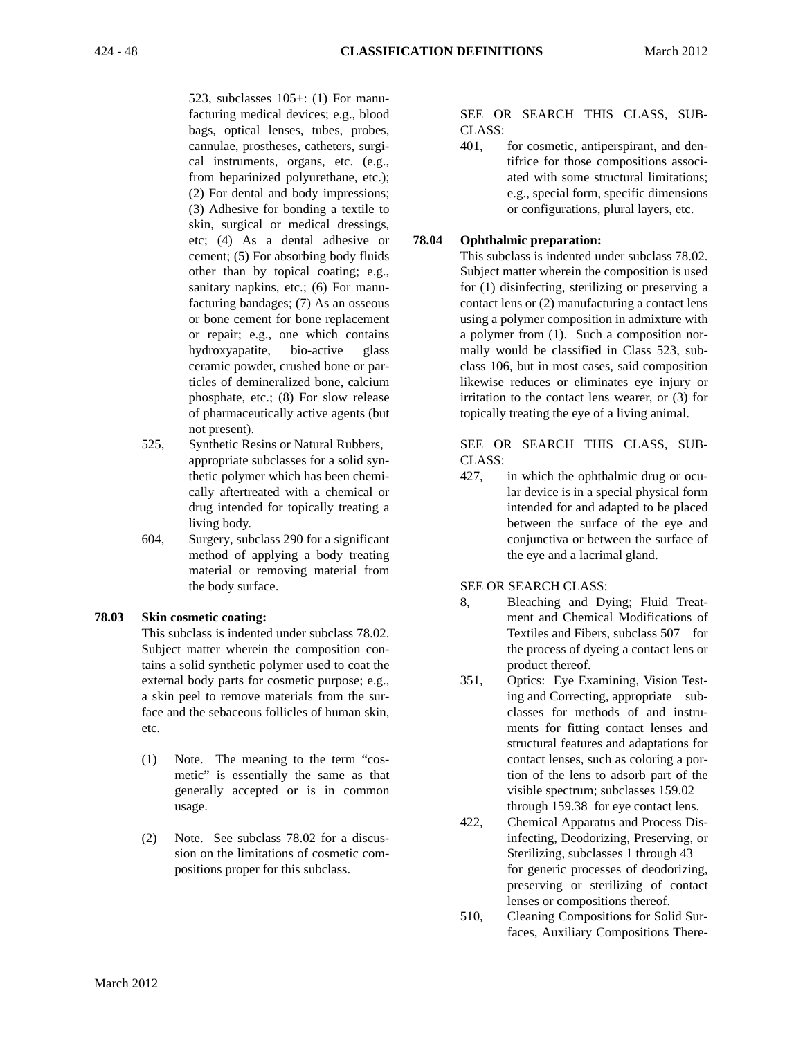523, subclasses 105+: (1) For manufacturing medical devices; e.g., blood bags, optical lenses, tubes, probes, cannulae, prostheses, catheters, surgical instruments, organs, etc. (e.g., from heparinized polyurethane, etc.); (2) For dental and body impressions; (3) Adhesive for bonding a textile to skin, surgical or medical dressings, etc; (4) As a dental adhesive or cement; (5) For absorbing body fluids other than by topical coating; e.g., sanitary napkins, etc.; (6) For manufacturing bandages; (7) As an osseous or bone cement for bone replacement or repair; e.g., one which contains hydroxyapatite, bio-active glass ceramic powder, crushed bone or particles of demineralized bone, calcium phosphate, etc.; (8) For slow release of pharmaceutically active agents (but not present).

- 525, Synthetic Resins or Natural Rubbers, appropriate subclasses for a solid synthetic polymer which has been chemically aftertreated with a chemical or drug intended for topically treating a living body.
- 604, Surgery, subclass 290 for a significant method of applying a body treating material or removing material from the body surface.

# **78.03 Skin cosmetic coating:**

This subclass is indented under subclass 78.02. Subject matter wherein the composition contains a solid synthetic polymer used to coat the external body parts for cosmetic purpose; e.g., a skin peel to remove materials from the surface and the sebaceous follicles of human skin, etc.

- (1) Note. The meaning to the term "cosmetic" is essentially the same as that generally accepted or is in common usage.
- (2) Note. See subclass 78.02 for a discussion on the limitations of cosmetic compositions proper for this subclass.

SEE OR SEARCH THIS CLASS, SUB-CLASS:

401, for cosmetic, antiperspirant, and dentifrice for those compositions associated with some structural limitations; e.g., special form, specific dimensions or configurations, plural layers, etc.

#### **78.04 Ophthalmic preparation:**

This subclass is indented under subclass 78.02. Subject matter wherein the composition is used for (1) disinfecting, sterilizing or preserving a contact lens or (2) manufacturing a contact lens using a polymer composition in admixture with a polymer from (1). Such a composition normally would be classified in Class 523, subclass 106, but in most cases, said composition likewise reduces or eliminates eye injury or irritation to the contact lens wearer, or (3) for topically treating the eye of a living animal.

SEE OR SEARCH THIS CLASS, SUB-CLASS:

427, in which the ophthalmic drug or ocular device is in a special physical form intended for and adapted to be placed between the surface of the eye and conjunctiva or between the surface of the eye and a lacrimal gland.

- 8, Bleaching and Dying; Fluid Treatment and Chemical Modifications of Textiles and Fibers, subclass 507 for the process of dyeing a contact lens or product thereof.
- 351, Optics: Eye Examining, Vision Testing and Correcting, appropriate subclasses for methods of and instruments for fitting contact lenses and structural features and adaptations for contact lenses, such as coloring a portion of the lens to adsorb part of the visible spectrum; subclasses 159.02 through 159.38 for eye contact lens.
- 422, Chemical Apparatus and Process Disinfecting, Deodorizing, Preserving, or Sterilizing, subclasses 1 through 43 for generic processes of deodorizing, preserving or sterilizing of contact lenses or compositions thereof.
- 510, Cleaning Compositions for Solid Surfaces, Auxiliary Compositions There-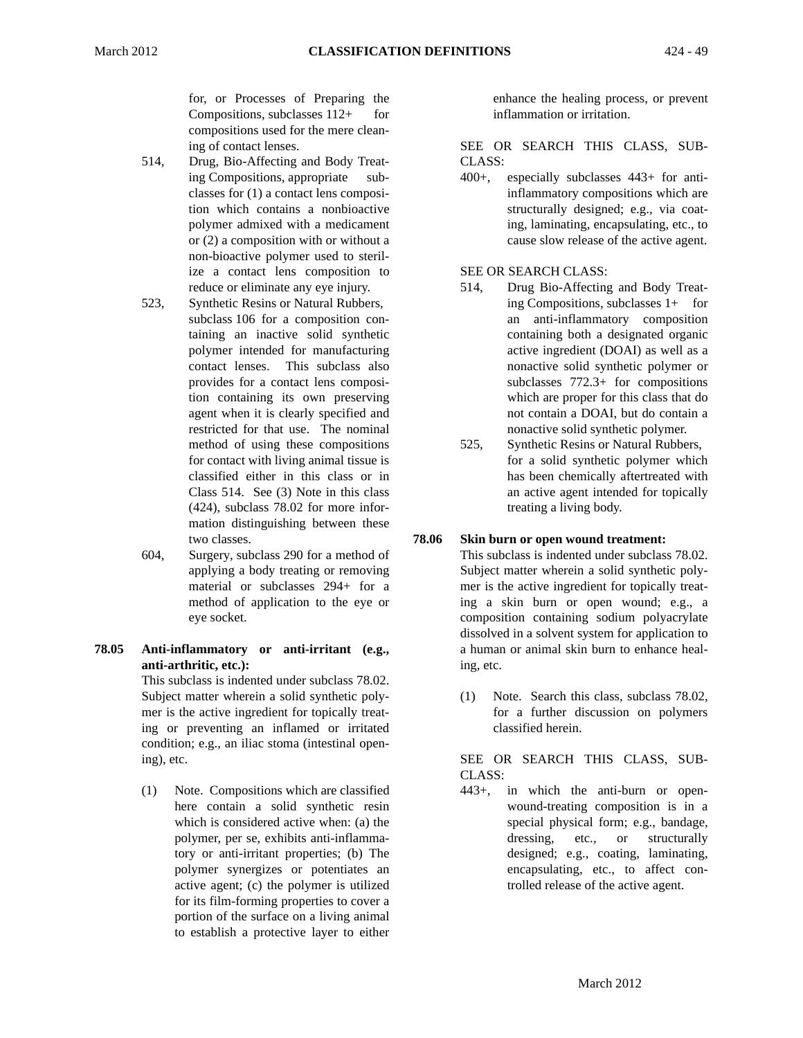for, or Processes of Preparing the Compositions, subclasses  $112+$  for compositions used for the mere cleaning of contact lenses.

- 514, Drug, Bio-Affecting and Body Treating Compositions, appropriate subclasses for (1) a contact lens composition which contains a nonbioactive polymer admixed with a medicament or (2) a composition with or without a non-bioactive polymer used to sterilize a contact lens composition to reduce or eliminate any eye injury.
- 523, Synthetic Resins or Natural Rubbers, subclass 106 for a composition containing an inactive solid synthetic polymer intended for manufacturing contact lenses. This subclass also provides for a contact lens composition containing its own preserving agent when it is clearly specified and restricted for that use. The nominal method of using these compositions for contact with living animal tissue is classified either in this class or in Class 514. See (3) Note in this class (424), subclass 78.02 for more information distinguishing between these two classes.
- 604, Surgery, subclass 290 for a method of applying a body treating or removing material or subclasses 294+ for a method of application to the eye or eye socket.
- **78.05 Anti-inflammatory or anti-irritant (e.g., anti-arthritic, etc.):**

This subclass is indented under subclass 78.02. Subject matter wherein a solid synthetic polymer is the active ingredient for topically treating or preventing an inflamed or irritated condition; e.g., an iliac stoma (intestinal opening), etc.

(1) Note. Compositions which are classified here contain a solid synthetic resin which is considered active when: (a) the polymer, per se, exhibits anti-inflammatory or anti-irritant properties; (b) The polymer synergizes or potentiates an active agent; (c) the polymer is utilized for its film-forming properties to cover a portion of the surface on a living animal to establish a protective layer to either

enhance the healing process, or prevent inflammation or irritation.

SEE OR SEARCH THIS CLASS, SUB-CLASS:

400+, especially subclasses 443+ for antiinflammatory compositions which are structurally designed; e.g., via coating, laminating, encapsulating, etc., to cause slow release of the active agent.

SEE OR SEARCH CLASS:

- 514, Drug Bio-Affecting and Body Treating Compositions, subclasses 1+ for an anti-inflammatory composition containing both a designated organic active ingredient (DOAI) as well as a nonactive solid synthetic polymer or subclasses 772.3+ for compositions which are proper for this class that do not contain a DOAI, but do contain a nonactive solid synthetic polymer.
- 525, Synthetic Resins or Natural Rubbers, for a solid synthetic polymer which has been chemically aftertreated with an active agent intended for topically treating a living body.

#### **78.06 Skin burn or open wound treatment:**

This subclass is indented under subclass 78.02. Subject matter wherein a solid synthetic polymer is the active ingredient for topically treating a skin burn or open wound; e.g., a composition containing sodium polyacrylate dissolved in a solvent system for application to a human or animal skin burn to enhance healing, etc.

(1) Note. Search this class, subclass 78.02, for a further discussion on polymers classified herein.

SEE OR SEARCH THIS CLASS, SUB-CLASS:

443+, in which the anti-burn or openwound-treating composition is in a special physical form; e.g., bandage, dressing, etc., or structurally designed; e.g., coating, laminating, encapsulating, etc., to affect controlled release of the active agent.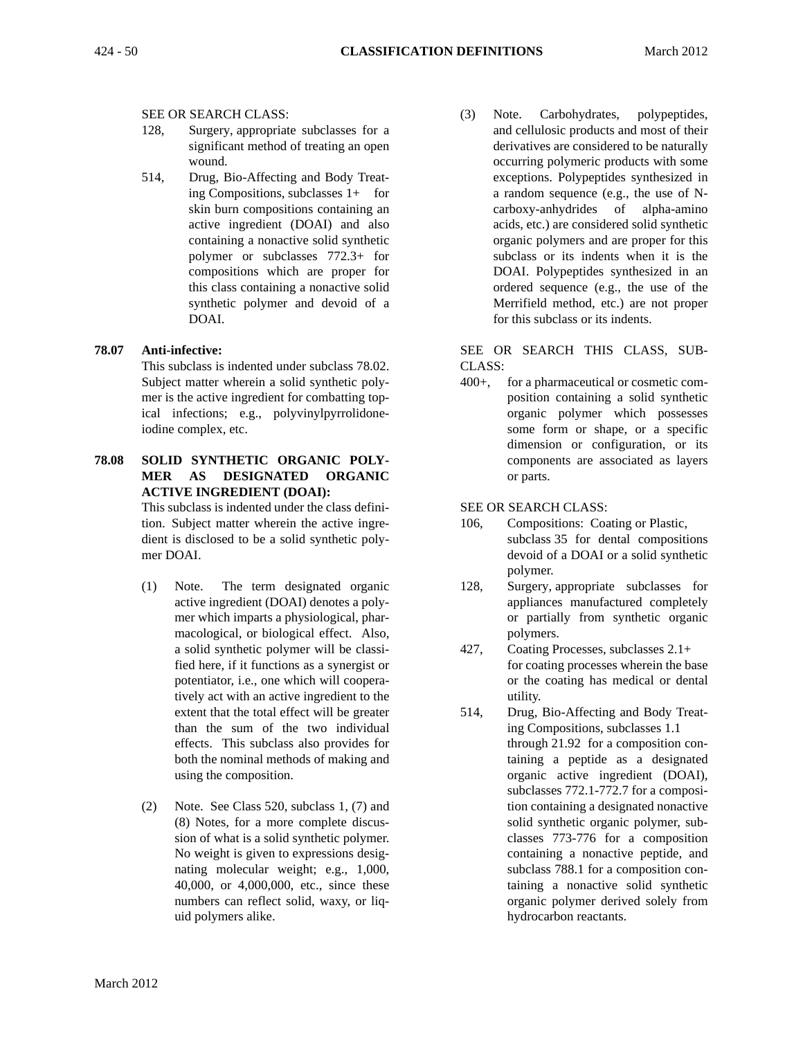#### SEE OR SEARCH CLASS:

- significant method of treating an open 128, Surgery, appropriate subclasses for a wound.
- 514, Drug, Bio-Affecting and Body Treating Compositions, subclasses 1+ for skin burn compositions containing an active ingredient (DOAI) and also containing a nonactive solid synthetic polymer or subclasses 772.3+ for compositions which are proper for this class containing a nonactive solid synthetic polymer and devoid of a DOAI.

This subclass is indented under subclass 78.02. CLASS: Subject matter wherein a solid synthetic polymer is the active ingredient for combatting topical infections; e.g., polyvinylpyrrolidoneiodine complex, etc.

**78.08 SOLID SYNTHETIC ORGANIC POLY-MER AS DESIGNATED ORGANIC ACTIVE INGREDIENT (DOAI):** 

This subclass is indented under the class definition. Subject matter wherein the active ingredient is disclosed to be a solid synthetic polymer DOAI.

- (1) Note. The term designated organic active ingredient (DOAI) denotes a polymer which imparts a physiological, pharmacological, or biological effect. Also, a solid synthetic polymer will be classified here, if it functions as a synergist or potentiator, i.e., one which will cooperatively act with an active ingredient to the extent that the total effect will be greater than the sum of the two individual effects. This subclass also provides for both the nominal methods of making and using the composition.
- (2) Note. See Class 520, subclass 1, (7) and (8) Notes, for a more complete discussion of what is a solid synthetic polymer. No weight is given to expressions designating molecular weight; e.g., 1,000, 40,000, or 4,000,000, etc., since these numbers can reflect solid, waxy, or liquid polymers alike.

(3) Note. Carbohydrates, polypeptides, and cellulosic products and most of their derivatives are considered to be naturally occurring polymeric products with some exceptions. Polypeptides synthesized in a random sequence (e.g., the use of Ncarboxy-anhydrides of alpha-amino acids, etc.) are considered solid synthetic organic polymers and are proper for this subclass or its indents when it is the DOAI. Polypeptides synthesized in an ordered sequence (e.g., the use of the Merrifield method, etc.) are not proper for this subclass or its indents.

# **78.07 Anti-infective:** SEE OR SEARCH THIS CLASS, SUB-

400+, for a pharmaceutical or cosmetic composition containing a solid synthetic organic polymer which possesses some form or shape, or a specific dimension or configuration, or its components are associated as layers or parts.

- 106, Compositions: Coating or Plastic, subclass 35 for dental compositions devoid of a DOAI or a solid synthetic polymer.
- 128, Surgery, appropriate subclasses for appliances manufactured completely or partially from synthetic organic polymers.
- 427, Coating Processes, subclasses 2.1+ for coating processes wherein the base or the coating has medical or dental utility.
- 514, Drug, Bio-Affecting and Body Treating Compositions, subclasses 1.1 through 21.92 for a composition containing a peptide as a designated organic active ingredient (DOAI), subclasses 772.1-772.7 for a composition containing a designated nonactive solid synthetic organic polymer, subclasses 773-776 for a composition containing a nonactive peptide, and subclass 788.1 for a composition containing a nonactive solid synthetic organic polymer derived solely from hydrocarbon reactants.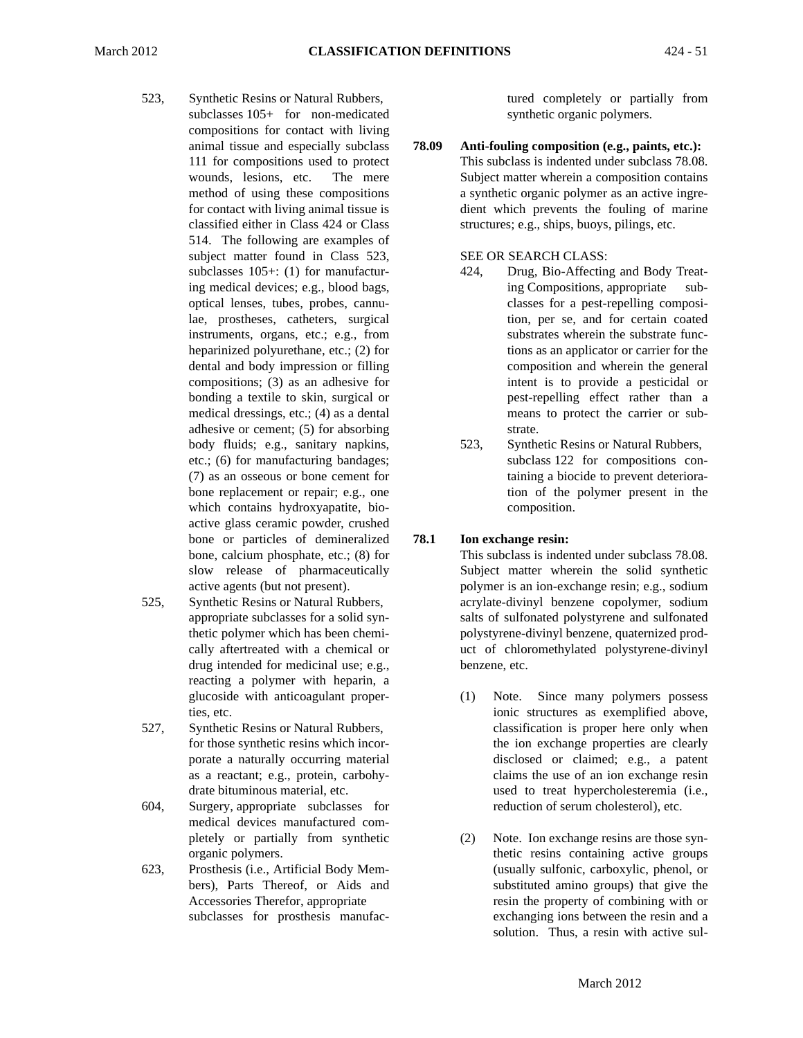#### **CLASSIFICATION DEFINITIONS** 424 - 51

- 523, Synthetic Resins or Natural Rubbers, tured completely or partially from subclasses 105+ for non-medicated synthetic organic polymers. compositions for contact with living 514. The following are examples of subject matter found in Class 523, SEE OR SEARCH CLASS: adhesive or cement; (5) for absorbing strate. which contains hydroxyapatite, bio- composition. active glass ceramic powder, crushed bone or particles of demineralized **78.1 Ion exchange resin:**
- 525, Synthetic Resins or Natural Rubbers, acrylate-divinyl benzene copolymer, sodium drug intended for medicinal use; e.g., benzene, etc. reacting a polymer with heparin, a
- 527, Synthetic Resins or Natural Rubbers, classification is proper here only when
- 604, Surgery, appropriate subclasses for reduction of serum cholesterol), etc. medical devices manufactured com-
- 623, Prosthesis (i.e., Artificial Body Mem- (usually sulfonic, carboxylic, phenol, or

animal tissue and especially subclass **78.09 Anti-fouling composition (e.g., paints, etc.):**  111 for compositions used to protect This subclass is indented under subclass 78.08. wounds, lesions, etc. The mere Subject matter wherein a composition contains method of using these compositions a synthetic organic polymer as an active ingrefor contact with living animal tissue is dient which prevents the fouling of marine classified either in Class 424 or Class structures; e.g., ships, buoys, pilings, etc.

- subclasses 105+: (1) for manufactur-<br>424, Drug, Bio-Affecting and Body Treating medical devices; e.g., blood bags, ing Compositions, appropriate suboptical lenses, tubes, probes, cannu- classes for a pest-repelling composilae, prostheses, catheters, surgical tion, per se, and for certain coated instruments, organs, etc.; e.g., from substrates wherein the substrate funcheparinized polyurethane, etc.; (2) for tions as an applicator or carrier for the dental and body impression or filling composition and wherein the general compositions; (3) as an adhesive for intent is to provide a pesticidal or bonding a textile to skin, surgical or pest-repelling effect rather than a medical dressings, etc.; (4) as a dental means to protect the carrier or sub-
- body fluids; e.g., sanitary napkins, 523, Synthetic Resins or Natural Rubbers, etc.; (6) for manufacturing bandages; subclass 122 for compositions con- (7) as an osseous or bone cement for taining a biocide to prevent deteriorabone replacement or repair; e.g., one tion of the polymer present in the

bone, calcium phosphate, etc.; (8) for This subclass is indented under subclass 78.08. slow release of pharmaceutically Subject matter wherein the solid synthetic active agents (but not present). polymer is an ion-exchange resin; e.g., sodium appropriate subclasses for a solid syn- salts of sulfonated polystyrene and sulfonated thetic polymer which has been chemi- polystyrene-divinyl benzene, quaternized prodcally aftertreated with a chemical or uct of chloromethylated polystyrene-divinyl

- glucoside with anticoagulant proper- (1) Note. Since many polymers possess ties, etc. ionic structures as exemplified above, for those synthetic resins which incor- the ion exchange properties are clearly porate a naturally occurring material disclosed or claimed; e.g., a patent as a reactant; e.g., protein, carbohy- claims the use of an ion exchange resin drate bituminous material, etc. The used to treat hypercholesteremia (i.e.,
- pletely or partially from synthetic (2) Note. Ion exchange resins are those synorganic polymers. thetic resins containing active groups bers), Parts Thereof, or Aids and substituted amino groups) that give the Accessories Therefor, appropriate resin the property of combining with or subclasses for prosthesis manufac- exchanging ions between the resin and a solution. Thus, a resin with active sul-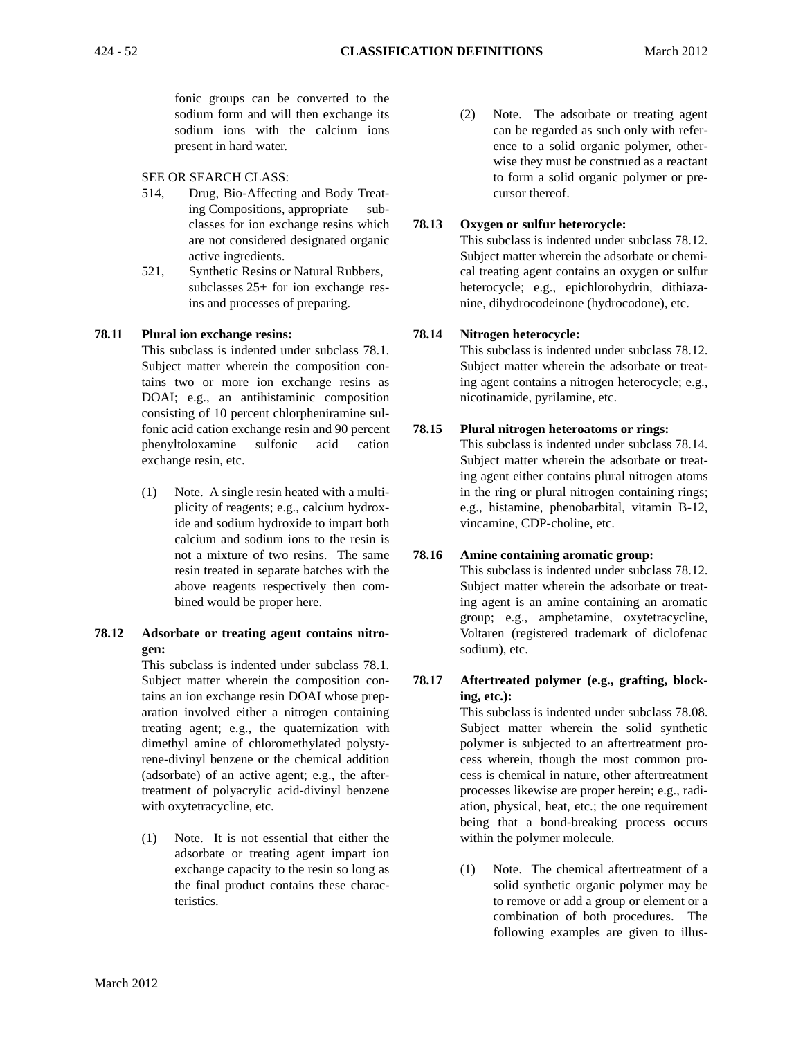fonic groups can be converted to the sodium form and will then exchange its sodium ions with the calcium ions present in hard water.

SEE OR SEARCH CLASS:

- 514, Drug, Bio-Affecting and Body Treating Compositions, appropriate subclasses for ion exchange resins which are not considered designated organic active ingredients.
- 521, Synthetic Resins or Natural Rubbers, subclasses 25+ for ion exchange resins and processes of preparing.

#### **78.11 Plural ion exchange resins:**

This subclass is indented under subclass 78.1. Subject matter wherein the composition contains two or more ion exchange resins as DOAI; e.g., an antihistaminic composition consisting of 10 percent chlorpheniramine sulfonic acid cation exchange resin and 90 percent phenyltoloxamine sulfonic acid cation exchange resin, etc.

 $(1)$  Note. A single resin heated with a multiplicity of reagents; e.g., calcium hydroxide and sodium hydroxide to impart both calcium and sodium ions to the resin is not a mixture of two resins. The same resin treated in separate batches with the above reagents respectively then combined would be proper here.

# **78.12 Adsorbate or treating agent contains nitrogen:**

This subclass is indented under subclass 78.1. Subject matter wherein the composition contains an ion exchange resin DOAI whose preparation involved either a nitrogen containing treating agent; e.g., the quaternization with dimethyl amine of chloromethylated polystyrene-divinyl benzene or the chemical addition (adsorbate) of an active agent; e.g., the aftertreatment of polyacrylic acid-divinyl benzene with oxytetracycline, etc.

 exchange capacity to the resin so long as (1) Note. It is not essential that either the adsorbate or treating agent impart ion the final product contains these characteristics.

(2) Note. The adsorbate or treating agent can be regarded as such only with reference to a solid organic polymer, otherwise they must be construed as a reactant to form a solid organic polymer or precursor thereof.

#### **78.13 Oxygen or sulfur heterocycle:**

This subclass is indented under subclass 78.12. Subject matter wherein the adsorbate or chemical treating agent contains an oxygen or sulfur heterocycle; e.g., epichlorohydrin, dithiazanine, dihydrocodeinone (hydrocodone), etc.

#### **78.14 Nitrogen heterocycle:**

This subclass is indented under subclass 78.12. Subject matter wherein the adsorbate or treating agent contains a nitrogen heterocycle; e.g., nicotinamide, pyrilamine, etc.

#### **78.15 Plural nitrogen heteroatoms or rings:**

This subclass is indented under subclass 78.14. Subject matter wherein the adsorbate or treating agent either contains plural nitrogen atoms in the ring or plural nitrogen containing rings; e.g., histamine, phenobarbital, vitamin B-12, vincamine, CDP-choline, etc.

## **78.16 Amine containing aromatic group:**

This subclass is indented under subclass 78.12. Subject matter wherein the adsorbate or treating agent is an amine containing an aromatic group; e.g., amphetamine, oxytetracycline, Voltaren (registered trademark of diclofenac sodium), etc.

#### **78.17 Aftertreated polymer (e.g., grafting, blocking, etc.):**

This subclass is indented under subclass 78.08. Subject matter wherein the solid synthetic polymer is subjected to an aftertreatment process wherein, though the most common process is chemical in nature, other aftertreatment processes likewise are proper herein; e.g., radiation, physical, heat, etc.; the one requirement being that a bond-breaking process occurs within the polymer molecule.

(1) Note. The chemical aftertreatment of a solid synthetic organic polymer may be to remove or add a group or element or a combination of both procedures. The following examples are given to illus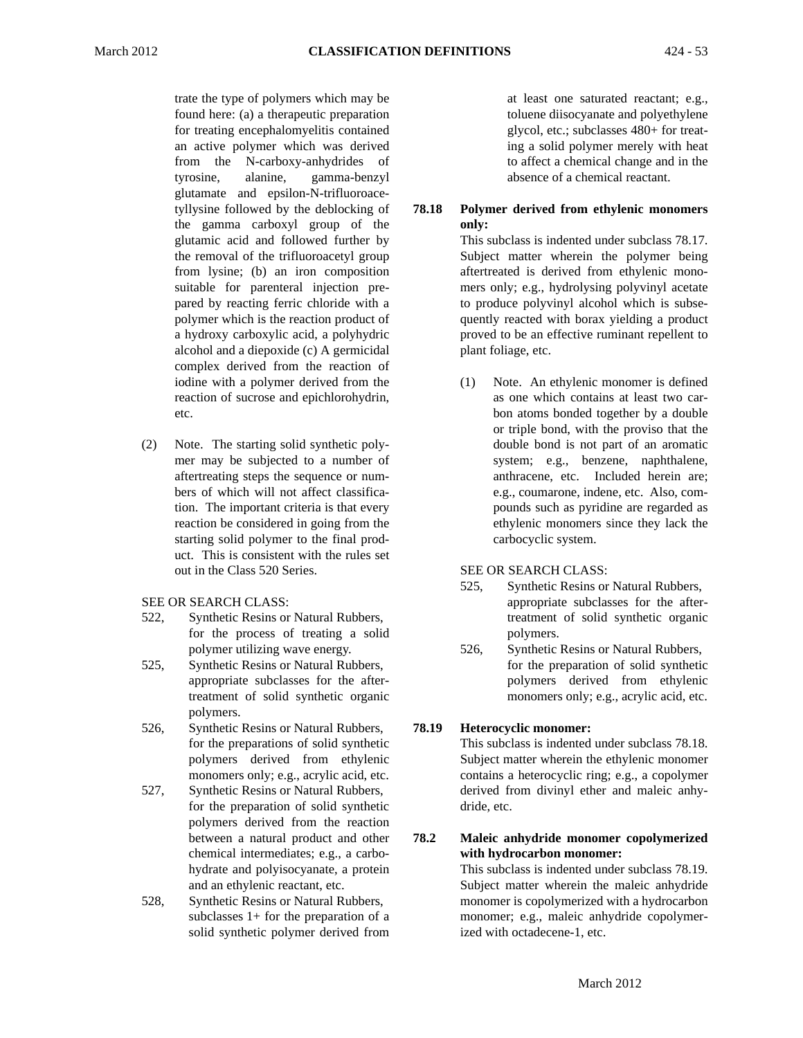trate the type of polymers which may be at least one saturated reactant; e.g., found here: (a) a therapeutic preparation toluene diisocyanate and polyethylene for treating encephalomyelitis contained glycol, etc.; subclasses 480+ for treatan active polymer which was derived ing a solid polymer merely with heat from the N-carboxy-anhydrides of to affect a chemical change and in the tyrosine, alanine, gamma-benzyl absence of a chemical reactant. glutamate and epsilon-N-trifluoroacethe gamma carboxyl group of the **only:**  alcohol and a diepoxide (c) A germicidal plant foliage, etc. complex derived from the reaction of

(2) Note. The starting solid synthetic poly- double bond is not part of an aromatic starting solid polymer to the final prod- carbocyclic system. uct. This is consistent with the rules set out in the Class 520 Series. SEE OR SEARCH CLASS:

- 522, Synthetic Resins or Natural Rubbers, treatment of solid synthetic organic for the process of treating a solid polymers.
- polymers.
- 526, Synthetic Resins or Natural Rubbers, **78.19 Heterocyclic monomer:**
- 527, Synthetic Resins or Natural Rubbers, derived from divinyl ether and maleic anhyfor the preparation of solid synthetic dride, etc. polymers derived from the reaction
- solid synthetic polymer derived from ized with octadecene-1, etc.

# tyllysine followed by the deblocking of **78.18 Polymer derived from ethylenic monomers**

glutamic acid and followed further by This subclass is indented under subclass 78.17. the removal of the trifluoroacetyl group Subject matter wherein the polymer being from lysine; (b) an iron composition aftertreated is derived from ethylenic monosuitable for parenteral injection pre- mers only; e.g., hydrolysing polyvinyl acetate pared by reacting ferric chloride with a to produce polyvinyl alcohol which is subsepolymer which is the reaction product of quently reacted with borax yielding a product a hydroxy carboxylic acid, a polyhydric proved to be an effective ruminant repellent to

iodine with a polymer derived from the  $(1)$  Note. An ethylenic monomer is defined reaction of sucrose and epichlorohydrin, as one which contains at least two caretc. bon atoms bonded together by a double or triple bond, with the proviso that the mer may be subjected to a number of system; e.g., benzene, naphthalene, aftertreating steps the sequence or num- anthracene, etc. Included herein are; bers of which will not affect classifica- e.g., coumarone, indene, etc. Also, comtion. The important criteria is that every pounds such as pyridine are regarded as reaction be considered in going from the ethylenic monomers since they lack the

- 525, Synthetic Resins or Natural Rubbers, SEE OR SEARCH CLASS: appropriate subclasses for the after-
- polymer utilizing wave energy. 526, Synthetic Resins or Natural Rubbers, 525, Synthetic Resins or Natural Rubbers, for the preparation of solid synthetic appropriate subclasses for the after- polymers derived from ethylenic treatment of solid synthetic organic monomers only; e.g., acrylic acid, etc.

for the preparations of solid synthetic This subclass is indented under subclass 78.18. polymers derived from ethylenic Subject matter wherein the ethylenic monomer monomers only; e.g., acrylic acid, etc. contains a heterocyclic ring; e.g., a copolymer

#### between a natural product and other **78.2 Maleic anhydride monomer copolymerized**  chemical intermediates; e.g., a carbo- **with hydrocarbon monomer:**

hydrate and polyisocyanate, a protein This subclass is indented under subclass 78.19. and an ethylenic reactant, etc. Subject matter wherein the maleic anhydride 528, Synthetic Resins or Natural Rubbers, monomer is copolymerized with a hydrocarbon subclasses 1+ for the preparation of a monomer; e.g., maleic anhydride copolymer-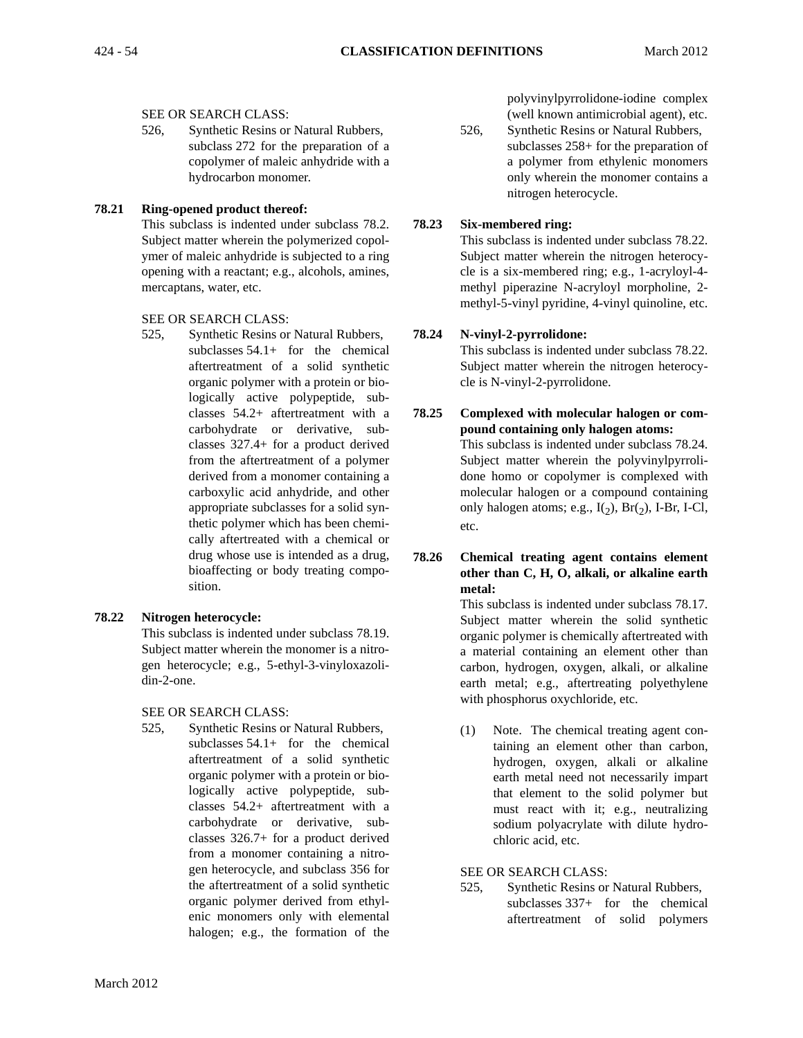#### SEE OR SEARCH CLASS:

526, Synthetic Resins or Natural Rubbers, subclass 272 for the preparation of a copolymer of maleic anhydride with a hydrocarbon monomer.

#### **78.21 Ring-opened product thereof:**

This subclass is indented under subclass 78.2. Subject matter wherein the polymerized copolymer of maleic anhydride is subjected to a ring opening with a reactant; e.g., alcohols, amines, mercaptans, water, etc.

#### SEE OR SEARCH CLASS:

 organic polymer with a protein or bio- classes 54.2+ aftertreatment with a 525, Synthetic Resins or Natural Rubbers, subclasses 54.1+ for the chemical aftertreatment of a solid synthetic logically active polypeptide, subcarbohydrate or derivative, subclasses 327.4+ for a product derived from the aftertreatment of a polymer derived from a monomer containing a carboxylic acid anhydride, and other appropriate subclasses for a solid synthetic polymer which has been chemically aftertreated with a chemical or drug whose use is intended as a drug, bioaffecting or body treating composition.

# **78.22 Nitrogen heterocycle:**

This subclass is indented under subclass 78.19. Subject matter wherein the monomer is a nitrogen heterocycle; e.g., 5-ethyl-3-vinyloxazolidin-2-one.

#### SEE OR SEARCH CLASS:

 organic polymer with a protein or bio- classes 54.2+ aftertreatment with a 525, Synthetic Resins or Natural Rubbers, subclasses 54.1+ for the chemical aftertreatment of a solid synthetic logically active polypeptide, subcarbohydrate or derivative, subclasses 326.7+ for a product derived from a monomer containing a nitrogen heterocycle, and subclass 356 for the aftertreatment of a solid synthetic organic polymer derived from ethylenic monomers only with elemental halogen; e.g., the formation of the

polyvinylpyrrolidone-iodine complex (well known antimicrobial agent), etc.

526, Synthetic Resins or Natural Rubbers, subclasses 258+ for the preparation of a polymer from ethylenic monomers only wherein the monomer contains a nitrogen heterocycle.

# **78.23 Six-membered ring:**

This subclass is indented under subclass 78.22. Subject matter wherein the nitrogen heterocycle is a six-membered ring; e.g., 1-acryloyl-4 methyl piperazine N-acryloyl morpholine, 2 methyl-5-vinyl pyridine, 4-vinyl quinoline, etc.

#### **78.24 N-vinyl-2-pyrrolidone:**

This subclass is indented under subclass 78.22. Subject matter wherein the nitrogen heterocycle is N-vinyl-2-pyrrolidone.

- **78.25 Complexed with molecular halogen or compound containing only halogen atoms:**  This subclass is indented under subclass 78.24. Subject matter wherein the polyvinylpyrrolidone homo or copolymer is complexed with molecular halogen or a compound containing only halogen atoms; e.g.,  $I(2)$ ,  $Br(2)$ , I-Br, I-Cl, etc.
- **78.26 Chemical treating agent contains element other than C, H, O, alkali, or alkaline earth metal:**

This subclass is indented under subclass 78.17. Subject matter wherein the solid synthetic organic polymer is chemically aftertreated with a material containing an element other than carbon, hydrogen, oxygen, alkali, or alkaline earth metal; e.g., aftertreating polyethylene with phosphorus oxychloride, etc.

 taining an element other than carbon, (1) Note. The chemical treating agent conhydrogen, oxygen, alkali or alkaline earth metal need not necessarily impart that element to the solid polymer but must react with it; e.g., neutralizing sodium polyacrylate with dilute hydrochloric acid, etc.

# SEE OR SEARCH CLASS:

525, Synthetic Resins or Natural Rubbers, subclasses 337+ for the chemical aftertreatment of solid polymers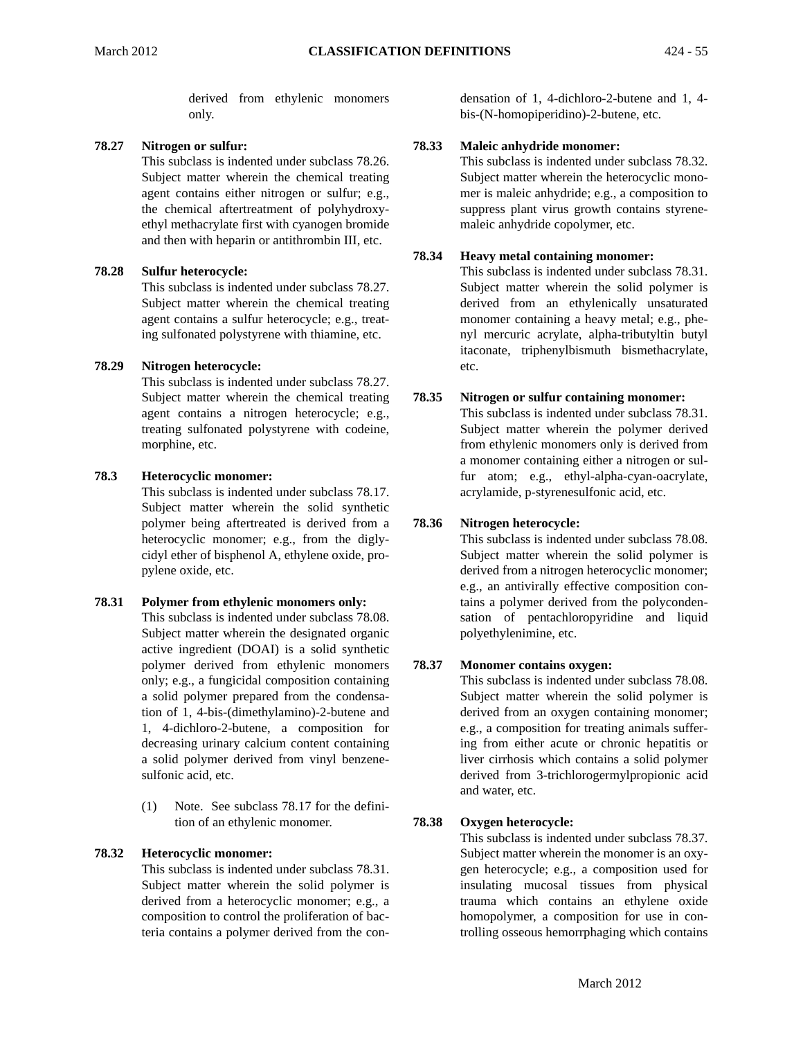derived from ethylenic monomers only.

# **78.27 Nitrogen or sulfur:**

This subclass is indented under subclass 78.26. Subject matter wherein the chemical treating agent contains either nitrogen or sulfur; e.g., the chemical aftertreatment of polyhydroxyethyl methacrylate first with cyanogen bromide and then with heparin or antithrombin III, etc.

#### **78.28 Sulfur heterocycle:**

This subclass is indented under subclass 78.27. Subject matter wherein the chemical treating agent contains a sulfur heterocycle; e.g., treating sulfonated polystyrene with thiamine, etc.

# **78.29 Nitrogen heterocycle:**

This subclass is indented under subclass 78.27. Subject matter wherein the chemical treating agent contains a nitrogen heterocycle; e.g., treating sulfonated polystyrene with codeine, morphine, etc.

#### **78.3 Heterocyclic monomer:**

This subclass is indented under subclass 78.17. Subject matter wherein the solid synthetic polymer being aftertreated is derived from a heterocyclic monomer; e.g., from the diglycidyl ether of bisphenol A, ethylene oxide, propylene oxide, etc.

# **78.31 Polymer from ethylenic monomers only:**

This subclass is indented under subclass 78.08. Subject matter wherein the designated organic active ingredient (DOAI) is a solid synthetic polymer derived from ethylenic monomers only; e.g., a fungicidal composition containing a solid polymer prepared from the condensation of 1, 4-bis-(dimethylamino)-2-butene and 1, 4-dichloro-2-butene, a composition for decreasing urinary calcium content containing a solid polymer derived from vinyl benzenesulfonic acid, etc.

(1) Note. See subclass 78.17 for the definition of an ethylenic monomer.

#### **78.32 Heterocyclic monomer:**

This subclass is indented under subclass 78.31. Subject matter wherein the solid polymer is derived from a heterocyclic monomer; e.g., a composition to control the proliferation of bacteria contains a polymer derived from the condensation of 1, 4-dichloro-2-butene and 1, 4 bis-(N-homopiperidino)-2-butene, etc.

#### **78.33 Maleic anhydride monomer:**

This subclass is indented under subclass 78.32. Subject matter wherein the heterocyclic monomer is maleic anhydride; e.g., a composition to suppress plant virus growth contains styrenemaleic anhydride copolymer, etc.

#### **78.34 Heavy metal containing monomer:**

This subclass is indented under subclass 78.31. Subject matter wherein the solid polymer is derived from an ethylenically unsaturated monomer containing a heavy metal; e.g., phenyl mercuric acrylate, alpha-tributyltin butyl itaconate, triphenylbismuth bismethacrylate, etc.

#### **78.35 Nitrogen or sulfur containing monomer:**

This subclass is indented under subclass 78.31. Subject matter wherein the polymer derived from ethylenic monomers only is derived from a monomer containing either a nitrogen or sulfur atom; e.g., ethyl-alpha-cyan-oacrylate, acrylamide, p-styrenesulfonic acid, etc.

#### **78.36 Nitrogen heterocycle:**

 sation of pentachloropyridine and liquid This subclass is indented under subclass 78.08. Subject matter wherein the solid polymer is derived from a nitrogen heterocyclic monomer; e.g., an antivirally effective composition contains a polymer derived from the polycondenpolyethylenimine, etc.

#### **78.37 Monomer contains oxygen:**

This subclass is indented under subclass 78.08. Subject matter wherein the solid polymer is derived from an oxygen containing monomer; e.g., a composition for treating animals suffering from either acute or chronic hepatitis or liver cirrhosis which contains a solid polymer derived from 3-trichlorogermylpropionic acid and water, etc.

# **78.38 Oxygen heterocycle:**

This subclass is indented under subclass 78.37. Subject matter wherein the monomer is an oxygen heterocycle; e.g., a composition used for insulating mucosal tissues from physical trauma which contains an ethylene oxide homopolymer, a composition for use in controlling osseous hemorrphaging which contains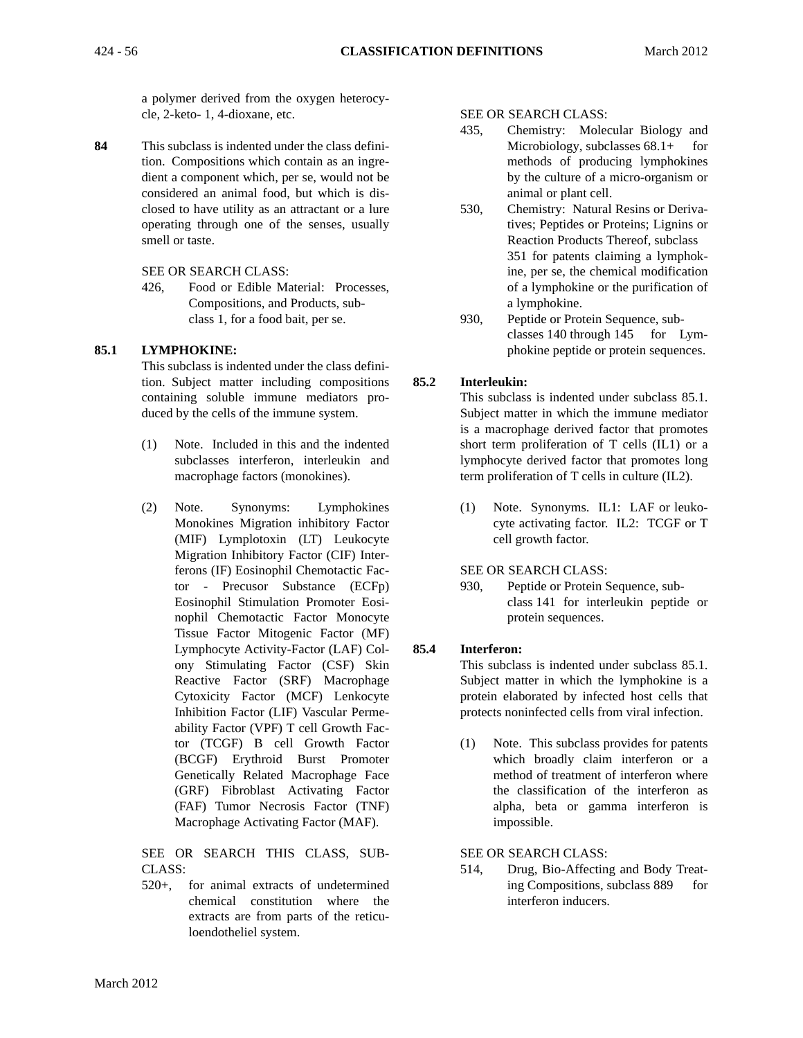a polymer derived from the oxygen heterocycle, 2-keto- 1, 4-dioxane, etc.

**84** This subclass is indented under the class definition. Compositions which contain as an ingredient a component which, per se, would not be considered an animal food, but which is disclosed to have utility as an attractant or a lure operating through one of the senses, usually smell or taste.

SEE OR SEARCH CLASS:

426, Food or Edible Material: Processes, Compositions, and Products, subclass 1, for a food bait, per se.

#### **85.1 LYMPHOKINE:**

This subclass is indented under the class definition. Subject matter including compositions **85.2**  containing soluble immune mediators produced by the cells of the immune system.

- (1) Note. Included in this and the indented subclasses interferon, interleukin and macrophage factors (monokines).
- (2) Note. Synonyms: Lymphokines Monokines Migration inhibitory Factor (MIF) Lymplotoxin (LT) Leukocyte Migration Inhibitory Factor (CIF) Interferons (IF) Eosinophil Chemotactic Factor - Precusor Substance (ECFp) Eosinophil Stimulation Promoter Eosinophil Chemotactic Factor Monocyte Tissue Factor Mitogenic Factor (MF) Lymphocyte Activity-Factor (LAF) Col- **85.4**  ony Stimulating Factor (CSF) Skin Reactive Factor (SRF) Macrophage Cytoxicity Factor (MCF) Lenkocyte Inhibition Factor (LIF) Vascular Permeability Factor (VPF) T cell Growth Factor (TCGF) B cell Growth Factor (BCGF) Erythroid Burst Promoter Genetically Related Macrophage Face (GRF) Fibroblast Activating Factor (FAF) Tumor Necrosis Factor (TNF) Macrophage Activating Factor (MAF).

SEE OR SEARCH THIS CLASS, SUB-CLASS:

520+, for animal extracts of undetermined chemical constitution where the extracts are from parts of the reticuloendotheliel system.

SEE OR SEARCH CLASS:

- 435, Chemistry: Molecular Biology and Microbiology, subclasses  $68.1+$  for methods of producing lymphokines by the culture of a micro-organism or animal or plant cell.
- 530, Chemistry: Natural Resins or Derivatives; Peptides or Proteins; Lignins or Reaction Products Thereof, subclass 351 for patents claiming a lymphokine, per se, the chemical modification of a lymphokine or the purification of a lymphokine.
- classes 140 through 145 for Lym-930, Peptide or Protein Sequence, subphokine peptide or protein sequences.

#### **Interleukin:**

This subclass is indented under subclass 85.1. Subject matter in which the immune mediator is a macrophage derived factor that promotes short term proliferation of T cells (IL1) or a lymphocyte derived factor that promotes long term proliferation of T cells in culture (IL2).

 cyte activating factor. IL2: TCGF or T (1) Note. Synonyms. IL1: LAF or leukocell growth factor.

SEE OR SEARCH CLASS:

930, Peptide or Protein Sequence, subclass 141 for interleukin peptide or protein sequences.

#### **Interferon:**

This subclass is indented under subclass 85.1. Subject matter in which the lymphokine is a protein elaborated by infected host cells that protects noninfected cells from viral infection.

(1) Note. This subclass provides for patents which broadly claim interferon or a method of treatment of interferon where the classification of the interferon as alpha, beta or gamma interferon is impossible.

#### SEE OR SEARCH CLASS:

514, Drug, Bio-Affecting and Body Treating Compositions, subclass 889 for interferon inducers.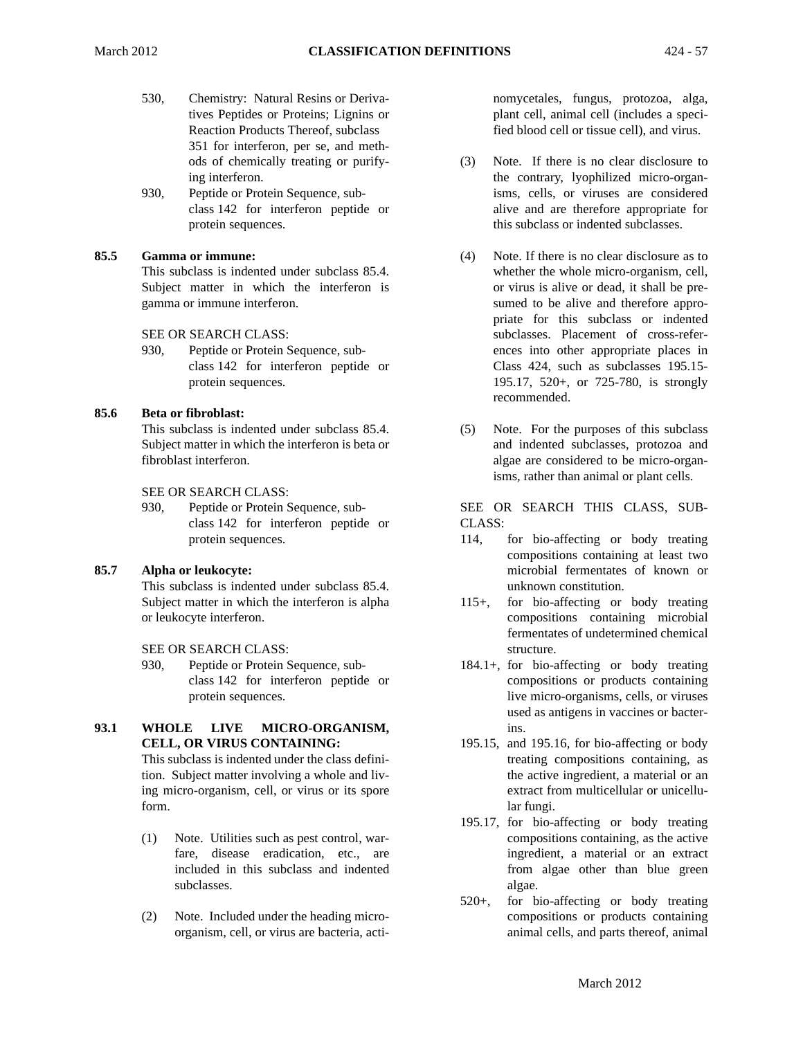- 530, Chemistry: Natural Resins or Derivatives Peptides or Proteins; Lignins or Reaction Products Thereof, subclass 351 for interferon, per se, and methods of chemically treating or purifying interferon.
- 930, Peptide or Protein Sequence, subclass 142 for interferon peptide or protein sequences.

#### **85.5 Gamma or immune:**

This subclass is indented under subclass 85.4. Subject matter in which the interferon is gamma or immune interferon.

SEE OR SEARCH CLASS:

930, Peptide or Protein Sequence, subclass 142 for interferon peptide or protein sequences.

#### **85.6 Beta or fibroblast:**

This subclass is indented under subclass 85.4. Subject matter in which the interferon is beta or fibroblast interferon.

SEE OR SEARCH CLASS:

930, Peptide or Protein Sequence, subclass 142 for interferon peptide or protein sequences.

#### **85.7 Alpha or leukocyte:**

This subclass is indented under subclass 85.4. Subject matter in which the interferon is alpha or leukocyte interferon.

#### SEE OR SEARCH CLASS:

930, Peptide or Protein Sequence, subclass 142 for interferon peptide or protein sequences.

#### **93.1 WHOLE LIVE MICRO-ORGANISM, CELL, OR VIRUS CONTAINING:**

This subclass is indented under the class definition. Subject matter involving a whole and living micro-organism, cell, or virus or its spore form.

- (1) Note. Utilities such as pest control, warfare, disease eradication, etc., are included in this subclass and indented subclasses.
- (2) Note. Included under the heading microorganism, cell, or virus are bacteria, acti-

nomycetales, fungus, protozoa, alga, plant cell, animal cell (includes a specified blood cell or tissue cell), and virus.

- (3) Note. If there is no clear disclosure to the contrary, lyophilized micro-organisms, cells, or viruses are considered alive and are therefore appropriate for this subclass or indented subclasses.
- (4) Note. If there is no clear disclosure as to whether the whole micro-organism, cell, or virus is alive or dead, it shall be presumed to be alive and therefore appropriate for this subclass or indented subclasses. Placement of cross-references into other appropriate places in Class 424, such as subclasses 195.15- 195.17, 520+, or 725-780, is strongly recommended.
- (5) Note. For the purposes of this subclass and indented subclasses, protozoa and algae are considered to be micro-organisms, rather than animal or plant cells.

#### SEE OR SEARCH THIS CLASS, SUB-CLASS:

- microbial fermentates of known or 114, for bio-affecting or body treating compositions containing at least two unknown constitution.
- 115+, for bio-affecting or body treating compositions containing microbial fermentates of undetermined chemical structure.
- 184.1+, for bio-affecting or body treating compositions or products containing live micro-organisms, cells, or viruses used as antigens in vaccines or bacterins.
- 195.15, and 195.16, for bio-affecting or body treating compositions containing, as the active ingredient, a material or an extract from multicellular or unicellular fungi.
- 195.17, for bio-affecting or body treating compositions containing, as the active ingredient, a material or an extract from algae other than blue green algae.
- 520+, for bio-affecting or body treating compositions or products containing animal cells, and parts thereof, animal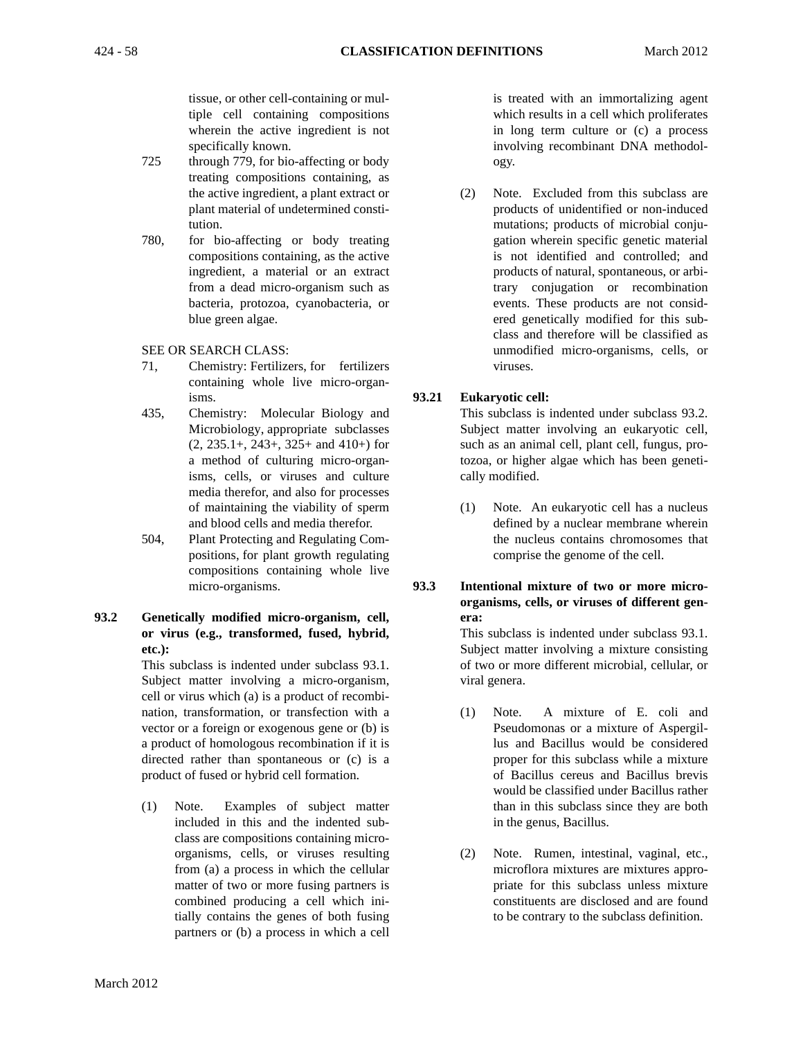tissue, or other cell-containing or multiple cell containing compositions wherein the active ingredient is not specifically known.

- 725 through 779, for bio-affecting or body treating compositions containing, as the active ingredient, a plant extract or plant material of undetermined constitution.
- 780, for bio-affecting or body treating compositions containing, as the active ingredient, a material or an extract from a dead micro-organism such as bacteria, protozoa, cyanobacteria, or blue green algae.

SEE OR SEARCH CLASS:

- 71, Chemistry: Fertilizers, for fertilizers containing whole live micro-organisms.
- 435, Chemistry: Molecular Biology and Microbiology, appropriate subclasses (2, 235.1+, 243+, 325+ and 410+) for a method of culturing micro-organisms, cells, or viruses and culture media therefor, and also for processes of maintaining the viability of sperm and blood cells and media therefor.
- 504, Plant Protecting and Regulating Compositions, for plant growth regulating compositions containing whole live micro-organisms.
- **93.2 Genetically modified micro-organism, cell, or virus (e.g., transformed, fused, hybrid, etc.):**

 product of fused or hybrid cell formation. This subclass is indented under subclass 93.1. Subject matter involving a micro-organism, cell or virus which (a) is a product of recombination, transformation, or transfection with a vector or a foreign or exogenous gene or (b) is a product of homologous recombination if it is directed rather than spontaneous or (c) is a

(1) Note. Examples of subject matter included in this and the indented subclass are compositions containing microorganisms, cells, or viruses resulting from (a) a process in which the cellular matter of two or more fusing partners is combined producing a cell which initially contains the genes of both fusing partners or (b) a process in which a cell

is treated with an immortalizing agent which results in a cell which proliferates in long term culture or (c) a process involving recombinant DNA methodology.

(2) Note. Excluded from this subclass are products of unidentified or non-induced mutations; products of microbial conjugation wherein specific genetic material is not identified and controlled; and products of natural, spontaneous, or arbitrary conjugation or recombination events. These products are not considered genetically modified for this subclass and therefore will be classified as unmodified micro-organisms, cells, or viruses.

#### **93.21 Eukaryotic cell:**

This subclass is indented under subclass 93.2. Subject matter involving an eukaryotic cell. such as an animal cell, plant cell, fungus, protozoa, or higher algae which has been genetically modified.

(1) Note. An eukaryotic cell has a nucleus defined by a nuclear membrane wherein the nucleus contains chromosomes that comprise the genome of the cell.

#### **93.3 Intentional mixture of two or more microorganisms, cells, or viruses of different genera:**

This subclass is indented under subclass 93.1. Subject matter involving a mixture consisting of two or more different microbial, cellular, or viral genera.

- (1) Note. A mixture of E. coli and Pseudomonas or a mixture of Aspergillus and Bacillus would be considered proper for this subclass while a mixture of Bacillus cereus and Bacillus brevis would be classified under Bacillus rather than in this subclass since they are both in the genus, Bacillus.
- (2) Note. Rumen, intestinal, vaginal, etc., microflora mixtures are mixtures appropriate for this subclass unless mixture constituents are disclosed and are found to be contrary to the subclass definition.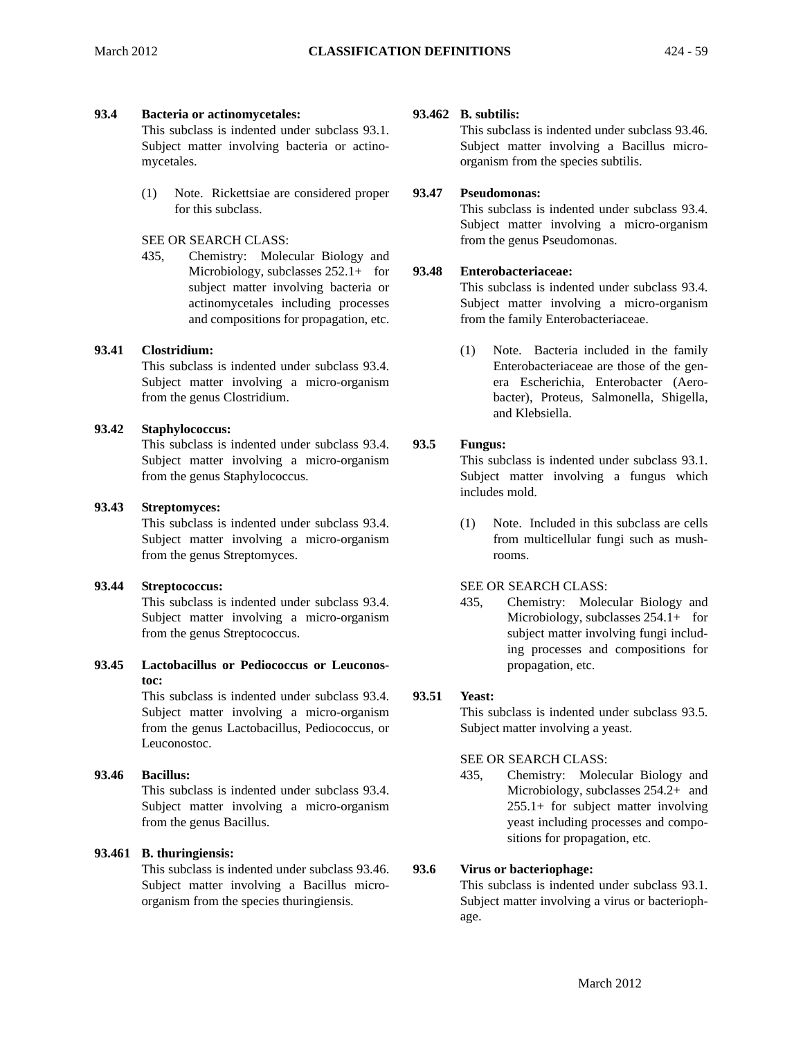#### **93.4 Bacteria or actinomycetales:**

This subclass is indented under subclass 93.1. Subject matter involving bacteria or actinomycetales.

(1) Note. Rickettsiae are considered proper for this subclass.

#### SEE OR SEARCH CLASS:

435, Chemistry: Molecular Biology and Microbiology, subclasses 252.1+ for subject matter involving bacteria or actinomycetales including processes and compositions for propagation, etc.

#### **93.41 Clostridium:**

This subclass is indented under subclass 93.4. Subject matter involving a micro-organism from the genus Clostridium.

#### **93.42 Staphylococcus:**

This subclass is indented under subclass 93.4. **93.5**  Subject matter involving a micro-organism from the genus Staphylococcus.

#### **93.43 Streptomyces:**

This subclass is indented under subclass 93.4. Subject matter involving a micro-organism from the genus Streptomyces.

#### **93.44 Streptococcus:**

This subclass is indented under subclass 93.4. Subject matter involving a micro-organism from the genus Streptococcus.

**93.45 Lactobacillus or Pediococcus or Leuconostoc:** 

> This subclass is indented under subclass 93.4. **93.51**  Subject matter involving a micro-organism from the genus Lactobacillus, Pediococcus, or Leuconostoc.

**93.46 Bacillus:**  This subclass is indented under subclass 93.4. Subject matter involving a micro-organism from the genus Bacillus.

#### **93.461 B. thuringiensis:**

This subclass is indented under subclass 93.46. **93.6**  Subject matter involving a Bacillus microorganism from the species thuringiensis.

#### **93.462 B. subtilis:**

This subclass is indented under subclass 93.46. Subject matter involving a Bacillus microorganism from the species subtilis.

#### **93.47 Pseudomonas:**

This subclass is indented under subclass 93.4. Subject matter involving a micro-organism from the genus Pseudomonas.

#### **93.48 Enterobacteriaceae:**

This subclass is indented under subclass 93.4. Subject matter involving a micro-organism from the family Enterobacteriaceae.

(1) Note. Bacteria included in the family Enterobacteriaceae are those of the genera Escherichia, Enterobacter (Aerobacter), Proteus, Salmonella, Shigella, and Klebsiella.

#### **Fungus:**

This subclass is indented under subclass 93.1. Subject matter involving a fungus which includes mold.

(1) Note. Included in this subclass are cells from multicellular fungi such as mushrooms.

SEE OR SEARCH CLASS:

435, Chemistry: Molecular Biology and Microbiology, subclasses 254.1+ for subject matter involving fungi including processes and compositions for propagation, etc.

#### **Yeast:**

This subclass is indented under subclass 93.5. Subject matter involving a yeast.

#### SEE OR SEARCH CLASS:

435, Chemistry: Molecular Biology and Microbiology, subclasses 254.2+ and 255.1+ for subject matter involving yeast including processes and compositions for propagation, etc.

#### **Virus or bacteriophage:**

This subclass is indented under subclass 93.1. Subject matter involving a virus or bacteriophage.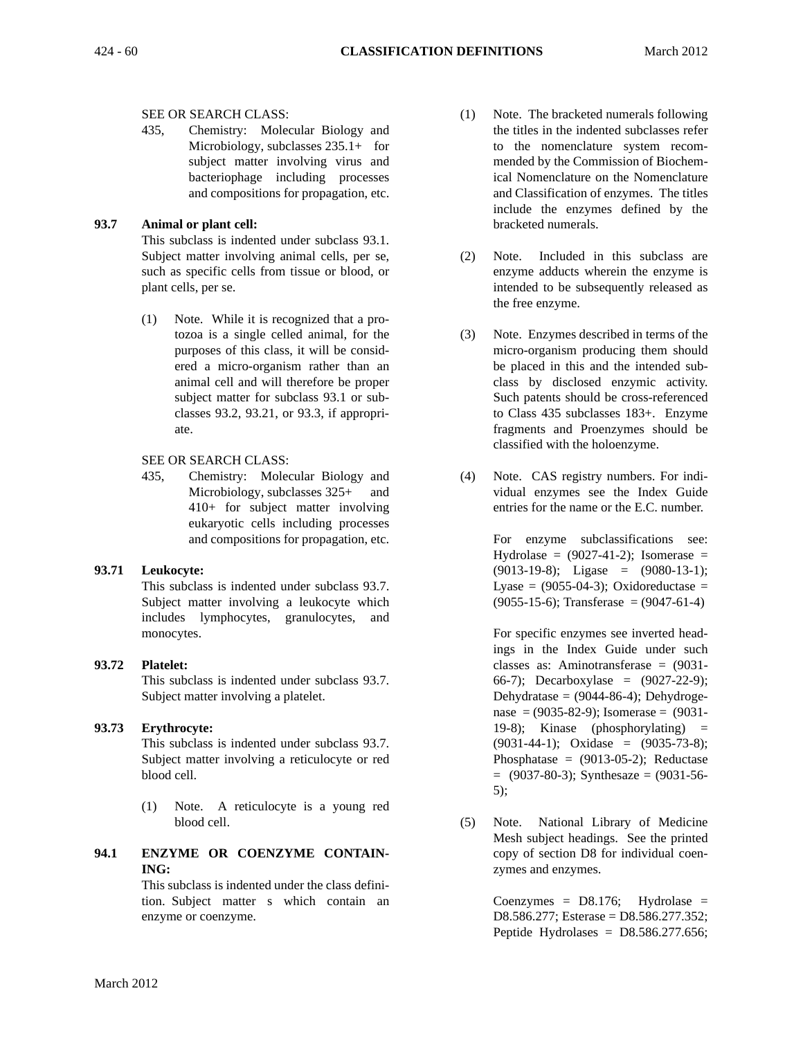#### SEE OR SEARCH CLASS:

435, Chemistry: Molecular Biology and Microbiology, subclasses 235.1+ for subject matter involving virus and bacteriophage including processes and compositions for propagation, etc.

#### **93.7 Animal or plant cell:**

This subclass is indented under subclass 93.1. Subject matter involving animal cells, per se, such as specific cells from tissue or blood, or plant cells, per se.

(1) Note. While it is recognized that a protozoa is a single celled animal, for the purposes of this class, it will be considered a micro-organism rather than an animal cell and will therefore be proper subject matter for subclass 93.1 or subclasses 93.2, 93.21, or 93.3, if appropriate.

#### SEE OR SEARCH CLASS:

435, Chemistry: Molecular Biology and Microbiology, subclasses  $325+$  and 410+ for subject matter involving eukaryotic cells including processes and compositions for propagation, etc.

#### **93.71 Leukocyte:**

This subclass is indented under subclass 93.7. Subject matter involving a leukocyte which includes lymphocytes, granulocytes, and monocytes.

#### **93.72 Platelet:**  This subclass is indented under subclass 93.7. Subject matter involving a platelet.

#### **93.73 Erythrocyte:**

This subclass is indented under subclass 93.7. Subject matter involving a reticulocyte or red blood cell.

(1) Note. A reticulocyte is a young red blood cell.

#### **94.1 ENZYME OR COENZYME CONTAIN-ING:**

This subclass is indented under the class defini tion. Subject matter s which contain an enzyme or coenzyme.

- (1) Note. The bracketed numerals following the titles in the indented subclasses refer to the nomenclature system recommended by the Commission of Biochemical Nomenclature on the Nomenclature and Classification of enzymes. The titles include the enzymes defined by the bracketed numerals.
- (2) Note. Included in this subclass are enzyme adducts wherein the enzyme is intended to be subsequently released as the free enzyme.
- (3) Note. Enzymes described in terms of the micro-organism producing them should be placed in this and the intended subclass by disclosed enzymic activity. Such patents should be cross-referenced to Class 435 subclasses 183+. Enzyme fragments and Proenzymes should be classified with the holoenzyme.
- (4) Note. CAS registry numbers. For individual enzymes see the Index Guide entries for the name or the E.C. number.

For enzyme subclassifications see: Hydrolase =  $(9027-41-2)$ ; Isomerase =  $(9013-19-8)$ ; Ligase =  $(9080-13-1)$ ; Lyase =  $(9055-04-3)$ ; Oxidoreductase =  $(9055-15-6)$ ; Transferase =  $(9047-61-4)$ 

For specific enzymes see inverted headings in the Index Guide under such classes as: Aminotransferase = (9031- 66-7); Decarboxylase =  $(9027-22-9)$ ; Dehydratase = (9044-86-4); Dehydrogenase =  $(9035-82-9)$ ; Isomerase =  $(9031-$ 19-8); Kinase (phosphorylating) =  $(9031-44-1);$  Oxidase =  $(9035-73-8);$ Phosphatase =  $(9013-05-2)$ ; Reductase  $= (9037-80-3)$ ; Synthesaze  $= (9031-56-$ 5);

(5) Note. National Library of Medicine Mesh subject headings. See the printed copy of section D8 for individual coenzymes and enzymes.

> Coenzymes =  $D8.176$ ; Hydrolase = D8.586.277; Esterase = D8.586.277.352; Peptide Hydrolases =  $D8.586.277.656$ ;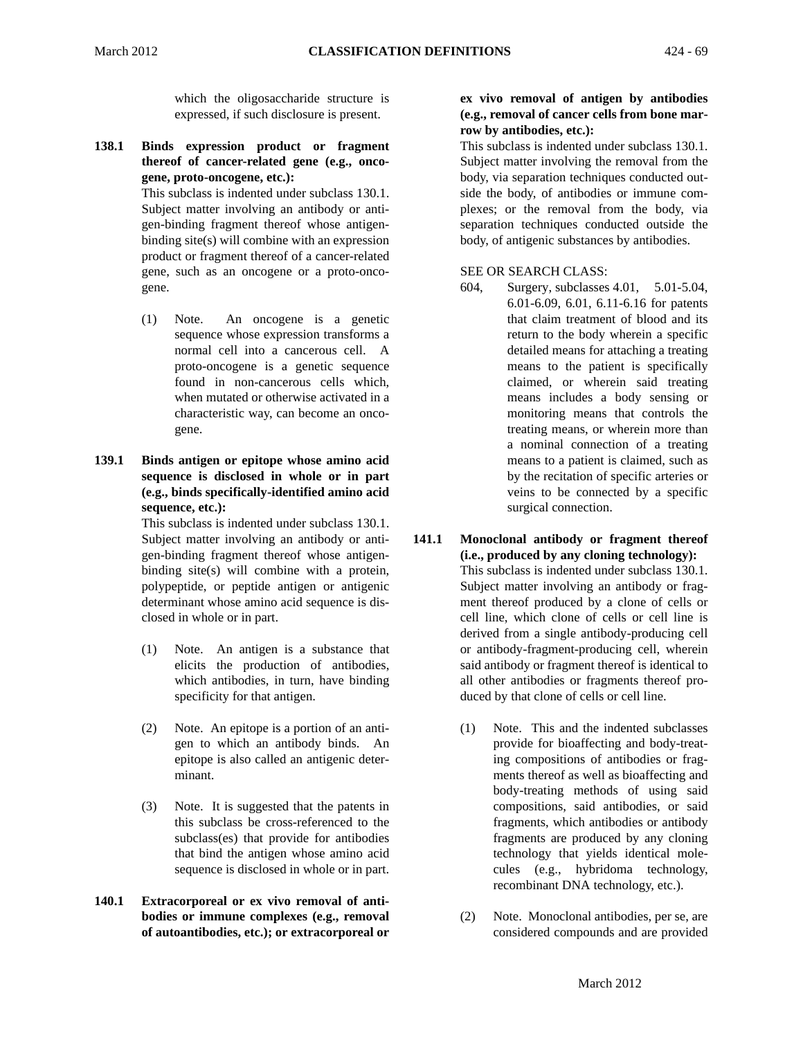which the oligosaccharide structure is expressed, if such disclosure is present.

**138.1 Binds expression product or fragment thereof of cancer-related gene (e.g., oncogene, proto-oncogene, etc.):** 

> This subclass is indented under subclass 130.1. Subject matter involving an antibody or antigen-binding fragment thereof whose antigenbinding site(s) will combine with an expression product or fragment thereof of a cancer-related gene, such as an oncogene or a proto-oncogene.

- (1) Note. An oncogene is a genetic sequence whose expression transforms a normal cell into a cancerous cell. A proto-oncogene is a genetic sequence found in non-cancerous cells which, when mutated or otherwise activated in a characteristic way, can become an oncogene.
- **139.1 Binds antigen or epitope whose amino acid sequence is disclosed in whole or in part (e.g., binds specifically-identified amino acid sequence, etc.):**

This subclass is indented under subclass 130.1. Subject matter involving an antibody or antigen-binding fragment thereof whose antigenbinding site(s) will combine with a protein, polypeptide, or peptide antigen or antigenic determinant whose amino acid sequence is disclosed in whole or in part.

- (1) Note. An antigen is a substance that elicits the production of antibodies, which antibodies, in turn, have binding specificity for that antigen.
- (2) Note. An epitope is a portion of an antigen to which an antibody binds. An epitope is also called an antigenic determinant.
- (3) Note. It is suggested that the patents in this subclass be cross-referenced to the subclass(es) that provide for antibodies that bind the antigen whose amino acid sequence is disclosed in whole or in part.
- 140.1 Extracorporeal or ex vivo removal of anti**bodies or immune complexes (e.g., removal of autoantibodies, etc.); or extracorporeal or**

#### **ex vivo removal of antigen by antibodies (e.g., removal of cancer cells from bone marrow by antibodies, etc.):**

This subclass is indented under subclass 130.1. Subject matter involving the removal from the body, via separation techniques conducted outside the body, of antibodies or immune complexes; or the removal from the body, via separation techniques conducted outside the body, of antigenic substances by antibodies.

#### SEE OR SEARCH CLASS:

604, Surgery, subclasses 4.01, 5.01-5.04, 6.01-6.09, 6.01, 6.11-6.16 for patents that claim treatment of blood and its return to the body wherein a specific detailed means for attaching a treating means to the patient is specifically claimed, or wherein said treating means includes a body sensing or monitoring means that controls the treating means, or wherein more than a nominal connection of a treating means to a patient is claimed, such as by the recitation of specific arteries or veins to be connected by a specific surgical connection.

#### **141.1 Monoclonal antibody or fragment thereof (i.e., produced by any cloning technology):**

This subclass is indented under subclass 130.1. Subject matter involving an antibody or fragment thereof produced by a clone of cells or cell line, which clone of cells or cell line is derived from a single antibody-producing cell or antibody-fragment-producing cell, wherein said antibody or fragment thereof is identical to all other antibodies or fragments thereof produced by that clone of cells or cell line.

- (1) Note. This and the indented subclasses provide for bioaffecting and body-treating compositions of antibodies or fragments thereof as well as bioaffecting and body-treating methods of using said compositions, said antibodies, or said fragments, which antibodies or antibody fragments are produced by any cloning technology that yields identical molecules (e.g., hybridoma technology, recombinant DNA technology, etc.).
- (2) Note. Monoclonal antibodies, per se, are considered compounds and are provided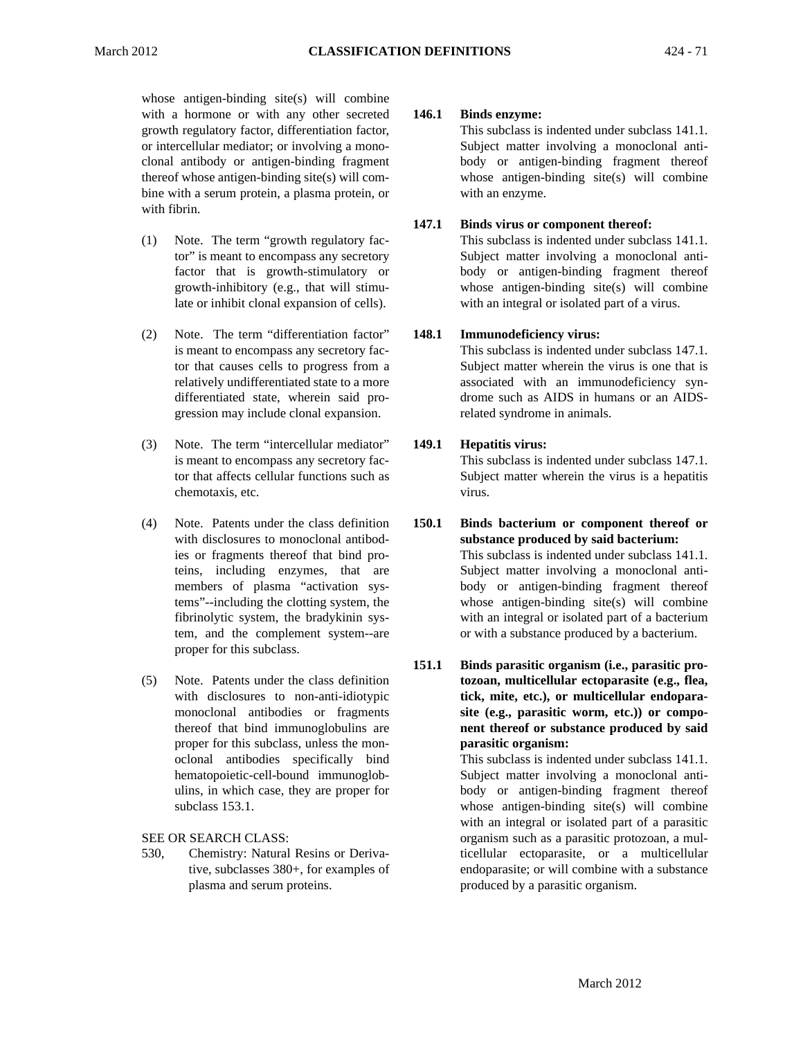bine with a serum protein, a plasma protein, or with an enzyme. whose antigen-binding site(s) will combine with a hormone or with any other secreted **146.1 Binds enzyme:** growth regulatory factor, differentiation factor, This subclass is indented under subclass 141.1. or intercellular mediator; or involving a mono- Subject matter involving a monoclonal anticlonal antibody or antigen-binding fragment body or antigen-binding fragment thereof thereof whose antigen-binding site(s) will com- whose antigen-binding site(s) will combine with fibrin.

- (1) Note. The term "growth regulatory fac- This subclass is indented under subclass 141.1.
- (2) Note. The term "differentiation factor" **148.1 Immunodeficiency virus:**  gression may include clonal expansion. The related syndrome in animals.
- (3) Note. The term "intercellular mediator" **149.1 Hepatitis virus:**  chemotaxis, etc. virus.
- proper for this subclass.
- proper for this subclass, unless the mon- **parasitic organism:**

530, Chemistry: Natural Resins or Deriva- ticellular ectoparasite, or a multicellular plasma and serum proteins. produced by a parasitic organism.

#### **147.1 Binds virus or component thereof:**

tor" is meant to encompass any secretory Subject matter involving a monoclonal antifactor that is growth-stimulatory or body or antigen-binding fragment thereof growth-inhibitory (e.g., that will stimu- whose antigen-binding site(s) will combine late or inhibit clonal expansion of cells). with an integral or isolated part of a virus.

is meant to encompass any secretory fac- This subclass is indented under subclass 147.1. tor that causes cells to progress from a Subject matter wherein the virus is one that is relatively undifferentiated state to a more associated with an immunodeficiency syndifferentiated state, wherein said pro- drome such as AIDS in humans or an AIDS-

is meant to encompass any secretory fac- This subclass is indented under subclass 147.1. tor that affects cellular functions such as Subject matter wherein the virus is a hepatitis

- (4) Note. Patents under the class definition **150.1 Binds bacterium or component thereof or**  with disclosures to monoclonal antibod-<br>**substance produced by said bacterium:** ies or fragments thereof that bind pro- This subclass is indented under subclass 141.1. teins, including enzymes, that are Subject matter involving a monoclonal antimembers of plasma "activation sys- body or antigen-binding fragment thereof tems"--including the clotting system, the whose antigen-binding site(s) will combine fibrinolytic system, the bradykinin sys- with an integral or isolated part of a bacterium tem, and the complement system--are or with a substance produced by a bacterium.
- **151.1 Binds parasitic organism (i.e., parasitic pro-** (5) Note. Patents under the class definition **tozoan, multicellular ectoparasite (e.g., flea,**  with disclosures to non-anti-idiotypic **tick, mite, etc.), or multicellular endopara**monoclonal antibodies or fragments **site (e.g., parasitic worm, etc.)) or compo**thereof that bind immunoglobulins are **nent thereof or substance produced by said**

oclonal antibodies specifically bind This subclass is indented under subclass 141.1. hematopoietic-cell-bound immunoglob- Subject matter involving a monoclonal antiulins, in which case, they are proper for body or antigen-binding fragment thereof subclass 153.1. whose antigen-binding site(s) will combine with an integral or isolated part of a parasitic SEE OR SEARCH CLASS: organism such as a parasitic protozoan, a multive, subclasses 380+, for examples of endoparasite; or will combine with a substance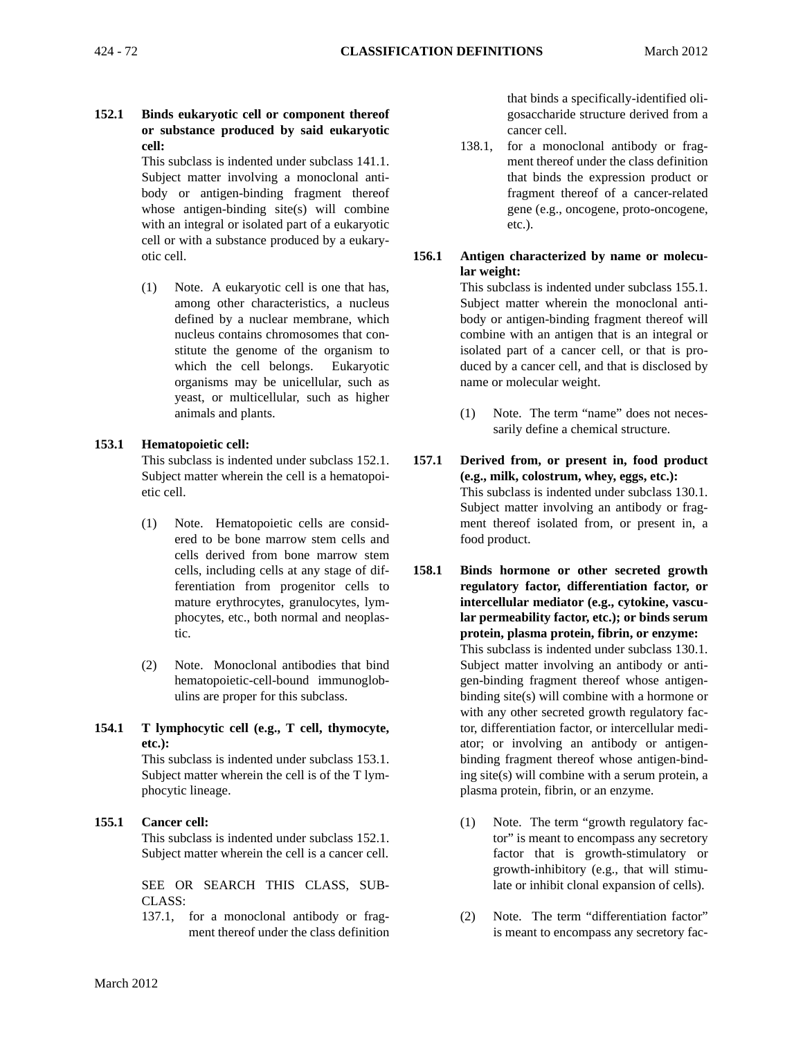#### **152.1 Binds eukaryotic cell or component thereof or substance produced by said eukaryotic cell:**

 body or antigen-binding fragment thereof This subclass is indented under subclass 141.1. Subject matter involving a monoclonal antiwhose antigen-binding site(s) will combine with an integral or isolated part of a eukaryotic cell or with a substance produced by a eukaryotic cell.

 $(1)$  Note. A eukaryotic cell is one that has, among other characteristics, a nucleus defined by a nuclear membrane, which nucleus contains chromosomes that constitute the genome of the organism to which the cell belongs. Eukaryotic organisms may be unicellular, such as yeast, or multicellular, such as higher animals and plants.

#### **153.1 Hematopoietic cell:**

This subclass is indented under subclass 152.1. Subject matter wherein the cell is a hematopoietic cell.

- (1) Note. Hematopoietic cells are considered to be bone marrow stem cells and cells derived from bone marrow stem cells, including cells at any stage of differentiation from progenitor cells to mature erythrocytes, granulocytes, lymphocytes, etc., both normal and neoplastic.
- (2) Note. Monoclonal antibodies that bind hematopoietic-cell-bound immunoglobulins are proper for this subclass.
- **154.1 T lymphocytic cell (e.g., T cell, thymocyte, etc.):**

This subclass is indented under subclass 153.1. Subject matter wherein the cell is of the T lymphocytic lineage.

# **155.1 Cancer cell:**

This subclass is indented under subclass 152.1. Subject matter wherein the cell is a cancer cell.

SEE OR SEARCH THIS CLASS, SUB-CLASS:

137.1, for a monoclonal antibody or fragment thereof under the class definition that binds a specifically-identified oligosaccharide structure derived from a cancer cell.

138.1, for a monoclonal antibody or fragment thereof under the class definition that binds the expression product or fragment thereof of a cancer-related gene (e.g., oncogene, proto-oncogene, etc.).

# **156.1 Antigen characterized by name or molecular weight:**

This subclass is indented under subclass 155.1. Subject matter wherein the monoclonal antibody or antigen-binding fragment thereof will combine with an antigen that is an integral or isolated part of a cancer cell, or that is produced by a cancer cell, and that is disclosed by name or molecular weight.

- (1) Note. The term "name" does not necessarily define a chemical structure.
- **157.1 Derived from, or present in, food product (e.g., milk, colostrum, whey, eggs, etc.):**  This subclass is indented under subclass 130.1. Subject matter involving an antibody or fragment thereof isolated from, or present in, a food product.
- **158.1 Binds hormone or other secreted growth regulatory factor, differentiation factor, or intercellular mediator (e.g., cytokine, vascular permeability factor, etc.); or binds serum protein, plasma protein, fibrin, or enzyme:**  This subclass is indented under subclass 130.1. Subject matter involving an antibody or antigen-binding fragment thereof whose antigenbinding site(s) will combine with a hormone or with any other secreted growth regulatory factor, differentiation factor, or intercellular mediator; or involving an antibody or antigenbinding fragment thereof whose antigen-binding site(s) will combine with a serum protein, a plasma protein, fibrin, or an enzyme.
	- (1) Note. The term "growth regulatory factor" is meant to encompass any secretory factor that is growth-stimulatory or growth-inhibitory (e.g., that will stimulate or inhibit clonal expansion of cells).
	- (2) Note. The term "differentiation factor" is meant to encompass any secretory fac-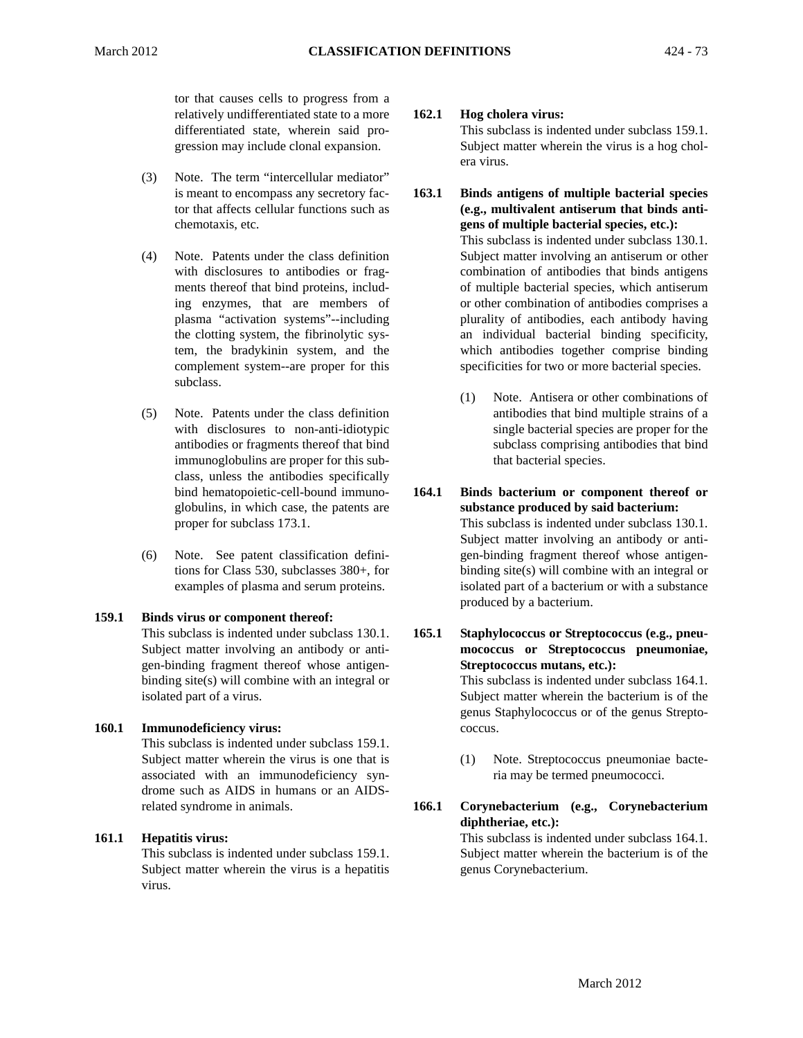tor that causes cells to progress from a relatively undifferentiated state to a more differentiated state, wherein said progression may include clonal expansion.

- (3) Note. The term "intercellular mediator" is meant to encompass any secretory factor that affects cellular functions such as chemotaxis, etc.
- (4) Note. Patents under the class definition with disclosures to antibodies or fragments thereof that bind proteins, including enzymes, that are members of plasma "activation systems"--including the clotting system, the fibrinolytic system, the bradykinin system, and the complement system--are proper for this subclass.
- (5) Note. Patents under the class definition with disclosures to non-anti-idiotypic antibodies or fragments thereof that bind immunoglobulins are proper for this subclass, unless the antibodies specifically bind hematopoietic-cell-bound immunoglobulins, in which case, the patents are proper for subclass 173.1.
- (6) Note. See patent classification definitions for Class 530, subclasses 380+, for examples of plasma and serum proteins.

# **159.1 Binds virus or component thereof:**

This subclass is indented under subclass 130.1. Subject matter involving an antibody or antigen-binding fragment thereof whose antigenbinding site(s) will combine with an integral or isolated part of a virus.

#### **160.1 Immunodeficiency virus:**

This subclass is indented under subclass 159.1. Subject matter wherein the virus is one that is associated with an immunodeficiency syndrome such as AIDS in humans or an AIDSrelated syndrome in animals.

# **161.1 Hepatitis virus:**

This subclass is indented under subclass 159.1. Subject matter wherein the virus is a hepatitis virus.

# **162.1 Hog cholera virus:**

This subclass is indented under subclass 159.1. Subject matter wherein the virus is a hog cholera virus.

 **(e.g., multivalent antiserum that binds anti-163.1 Binds antigens of multiple bacterial species gens of multiple bacterial species, etc.):**  This subclass is indented under subclass 130.1. Subject matter involving an antiserum or other combination of antibodies that binds antigens of multiple bacterial species, which antiserum or other combination of antibodies comprises a plurality of antibodies, each antibody having an individual bacterial binding specificity, which antibodies together comprise binding specificities for two or more bacterial species.

- (1) Note. Antisera or other combinations of antibodies that bind multiple strains of a single bacterial species are proper for the subclass comprising antibodies that bind that bacterial species.
- binding site(s) will combine with an integral or **164.1 Binds bacterium or component thereof or substance produced by said bacterium:**  This subclass is indented under subclass 130.1. Subject matter involving an antibody or antigen-binding fragment thereof whose antigenisolated part of a bacterium or with a substance produced by a bacterium.

 genus Staphylococcus or of the genus Strepto-**165.1 Staphylococcus or Streptococcus (e.g., pneumococcus or Streptococcus pneumoniae, Streptococcus mutans, etc.):**  This subclass is indented under subclass 164.1. Subject matter wherein the bacterium is of the coccus.

- (1) Note. Streptococcus pneumoniae bacteria may be termed pneumococci.
- **166.1 Corynebacterium (e.g., Corynebacterium diphtheriae, etc.):**

This subclass is indented under subclass 164.1. Subject matter wherein the bacterium is of the genus Corynebacterium.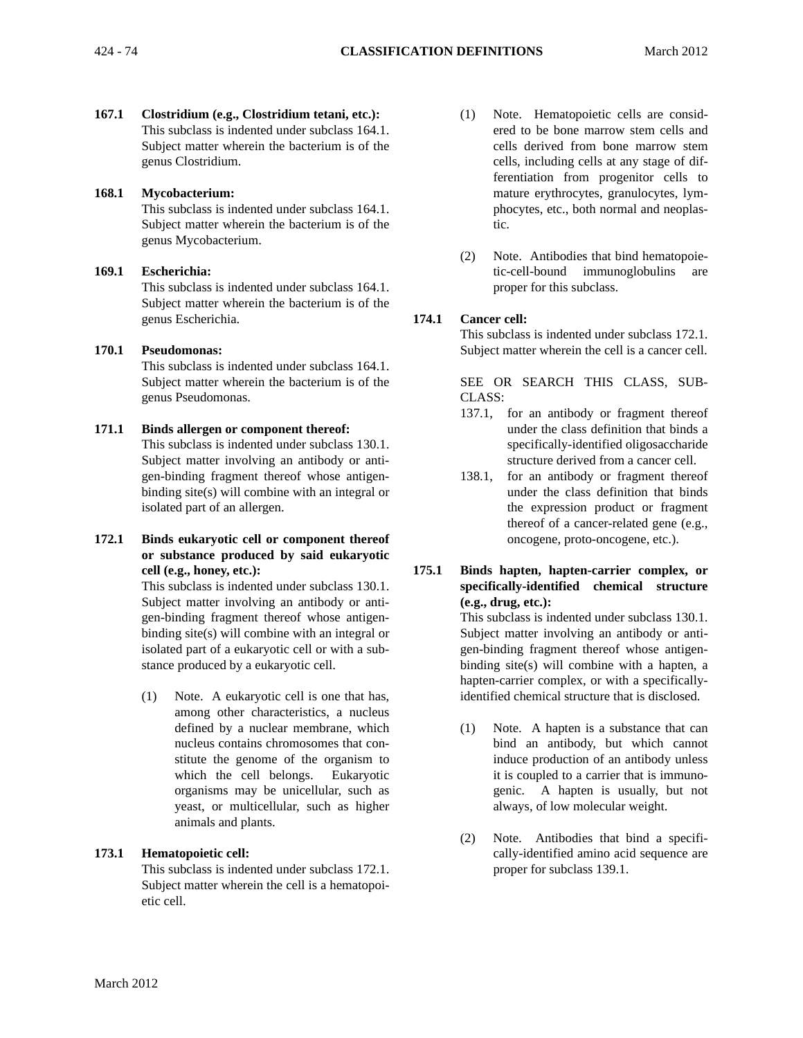**167.1 Clostridium (e.g., Clostridium tetani, etc.):**  This subclass is indented under subclass 164.1. Subject matter wherein the bacterium is of the genus Clostridium.

# **168.1 Mycobacterium:**

This subclass is indented under subclass 164.1. Subject matter wherein the bacterium is of the genus Mycobacterium.

# **169.1 Escherichia:**

This subclass is indented under subclass 164.1. Subject matter wherein the bacterium is of the genus Escherichia.

# **170.1 Pseudomonas:**

This subclass is indented under subclass 164.1. Subject matter wherein the bacterium is of the genus Pseudomonas.

# **171.1 Binds allergen or component thereof:**

This subclass is indented under subclass 130.1. Subject matter involving an antibody or antigen-binding fragment thereof whose antigenbinding site(s) will combine with an integral or isolated part of an allergen.

**172.1 Binds eukaryotic cell or component thereof or substance produced by said eukaryotic cell (e.g., honey, etc.):** 

> This subclass is indented under subclass 130.1. Subject matter involving an antibody or antigen-binding fragment thereof whose antigenbinding site(s) will combine with an integral or isolated part of a eukaryotic cell or with a substance produced by a eukaryotic cell.

> (1) Note. A eukaryotic cell is one that has, among other characteristics, a nucleus defined by a nuclear membrane, which nucleus contains chromosomes that constitute the genome of the organism to which the cell belongs. Eukaryotic organisms may be unicellular, such as yeast, or multicellular, such as higher animals and plants.

# **173.1 Hematopoietic cell:**

This subclass is indented under subclass 172.1. Subject matter wherein the cell is a hematopoietic cell.

- (1) Note. Hematopoietic cells are considered to be bone marrow stem cells and cells derived from bone marrow stem cells, including cells at any stage of differentiation from progenitor cells to mature erythrocytes, granulocytes, lymphocytes, etc., both normal and neoplastic.
- (2) Note. Antibodies that bind hematopoietic-cell-bound immunoglobulins are proper for this subclass.

# **174.1 Cancer cell:**

This subclass is indented under subclass 172.1. Subject matter wherein the cell is a cancer cell.

SEE OR SEARCH THIS CLASS, SUB-CLASS:

- 137.1, for an antibody or fragment thereof under the class definition that binds a specifically-identified oligosaccharide structure derived from a cancer cell.
- 138.1, for an antibody or fragment thereof under the class definition that binds the expression product or fragment thereof of a cancer-related gene (e.g., oncogene, proto-oncogene, etc.).
- **175.1 Binds hapten, hapten-carrier complex, or specifically-identified chemical structure (e.g., drug, etc.):**

This subclass is indented under subclass 130.1. Subject matter involving an antibody or antigen-binding fragment thereof whose antigenbinding site(s) will combine with a hapten, a hapten-carrier complex, or with a specificallyidentified chemical structure that is disclosed.

- (1) Note. A hapten is a substance that can bind an antibody, but which cannot induce production of an antibody unless it is coupled to a carrier that is immunogenic. A hapten is usually, but not always, of low molecular weight.
- (2) Note. Antibodies that bind a specifically-identified amino acid sequence are proper for subclass 139.1.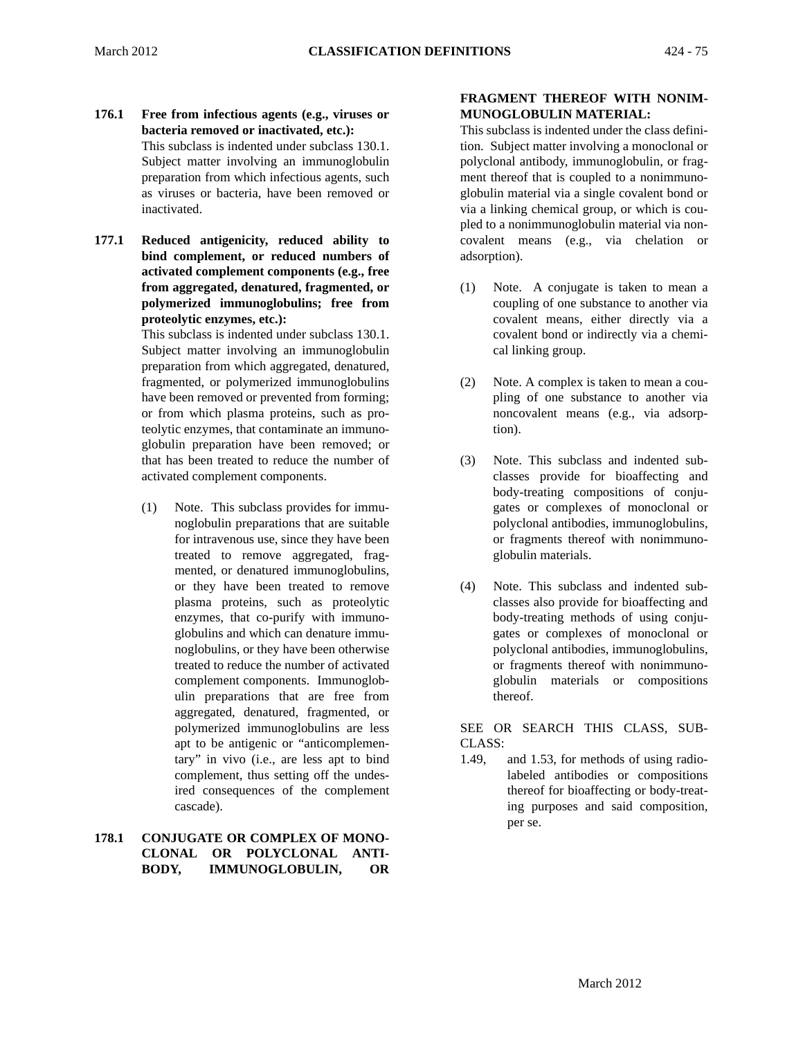- **176.1 Free from infectious agents (e.g., viruses or bacteria removed or inactivated, etc.):**  This subclass is indented under subclass 130.1. Subject matter involving an immunoglobulin preparation from which infectious agents, such as viruses or bacteria, have been removed or inactivated.
- **177.1 Reduced antigenicity, reduced ability to bind complement, or reduced numbers of activated complement components (e.g., free from aggregated, denatured, fragmented, or polymerized immunoglobulins; free from proteolytic enzymes, etc.):**

This subclass is indented under subclass 130.1. Subject matter involving an immunoglobulin preparation from which aggregated, denatured, fragmented, or polymerized immunoglobulins have been removed or prevented from forming; or from which plasma proteins, such as proteolytic enzymes, that contaminate an immunoglobulin preparation have been removed; or that has been treated to reduce the number of activated complement components.

(1) Note. This subclass provides for immunoglobulin preparations that are suitable for intravenous use, since they have been treated to remove aggregated, fragmented, or denatured immunoglobulins, or they have been treated to remove plasma proteins, such as proteolytic enzymes, that co-purify with immunoglobulins and which can denature immunoglobulins, or they have been otherwise treated to reduce the number of activated complement components. Immunoglobulin preparations that are free from aggregated, denatured, fragmented, or polymerized immunoglobulins are less apt to be antigenic or "anticomplementary" in vivo (i.e., are less apt to bind complement, thus setting off the undesired consequences of the complement cascade).

# **178.1 CONJUGATE OR COMPLEX OF MONO-CLONAL OR POLYCLONAL ANTI-BODY, IMMUNOGLOBULIN, OR**

# **FRAGMENT THEREOF WITH NONIM-MUNOGLOBULIN MATERIAL:**

This subclass is indented under the class definition. Subject matter involving a monoclonal or polyclonal antibody, immunoglobulin, or fragment thereof that is coupled to a nonimmunoglobulin material via a single covalent bond or via a linking chemical group, or which is coupled to a nonimmunoglobulin material via noncovalent means (e.g., via chelation or adsorption).

- (1) Note. A conjugate is taken to mean a coupling of one substance to another via covalent means, either directly via a covalent bond or indirectly via a chemical linking group.
- (2) Note. A complex is taken to mean a coupling of one substance to another via noncovalent means (e.g., via adsorption).
- (3) Note. This subclass and indented subclasses provide for bioaffecting and body-treating compositions of conjugates or complexes of monoclonal or polyclonal antibodies, immunoglobulins, or fragments thereof with nonimmunoglobulin materials.
- (4) Note. This subclass and indented subclasses also provide for bioaffecting and body-treating methods of using conjugates or complexes of monoclonal or polyclonal antibodies, immunoglobulins, or fragments thereof with nonimmunoglobulin materials or compositions thereof.

SEE OR SEARCH THIS CLASS, SUB-CLASS:

1.49, and 1.53, for methods of using radiolabeled antibodies or compositions thereof for bioaffecting or body-treating purposes and said composition, per se.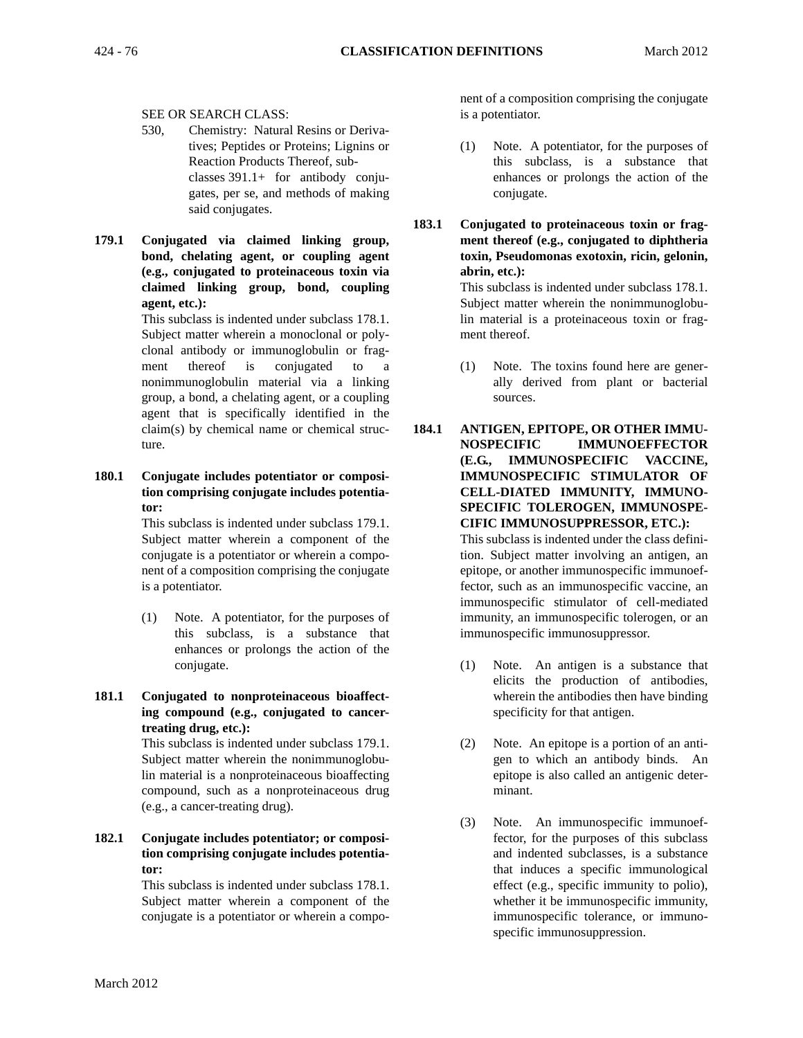SEE OR SEARCH CLASS:

- 530, Chemistry: Natural Resins or Derivatives; Peptides or Proteins; Lignins or Reaction Products Thereof, subclasses 391.1+ for antibody conjugates, per se, and methods of making said conjugates.
- **(e.g., conjugated to proteinaceous toxin via 179.1 Conjugated via claimed linking group, bond, chelating agent, or coupling agent claimed linking group, bond, coupling agent, etc.):**  This subclass is indented under subclass 178.1.

 Subject matter wherein a monoclonal or polyclonal antibody or immunoglobulin or fragment thereof is conjugated to a nonimmunoglobulin material via a linking group, a bond, a chelating agent, or a coupling agent that is specifically identified in the claim(s) by chemical name or chemical structure.

**180.1 Conjugate includes potentiator or composition comprising conjugate includes potentiator:** 

> This subclass is indented under subclass 179.1. Subject matter wherein a component of the conjugate is a potentiator or wherein a component of a composition comprising the conjugate is a potentiator.

- (1) Note. A potentiator, for the purposes of this subclass, is a substance that enhances or prolongs the action of the conjugate.
- **181.1 Conjugated to nonproteinaceous bioaffecting compound (e.g., conjugated to cancertreating drug, etc.):**

This subclass is indented under subclass 179.1. Subject matter wherein the nonimmunoglobulin material is a nonproteinaceous bioaffecting compound, such as a nonproteinaceous drug (e.g., a cancer-treating drug).

**182.1 Conjugate includes potentiator; or composition comprising conjugate includes potentiator:** 

This subclass is indented under subclass 178.1. Subject matter wherein a component of the conjugate is a potentiator or wherein a compo-

nent of a composition comprising the conjugate is a potentiator.

- (1) Note. A potentiator, for the purposes of this subclass, is a substance that enhances or prolongs the action of the conjugate.
- **183.1 Conjugated to proteinaceous toxin or fragment thereof (e.g., conjugated to diphtheria toxin, Pseudomonas exotoxin, ricin, gelonin, abrin, etc.):**  This subclass is indented under subclass 178.1.

Subject matter wherein the nonimmunoglobulin material is a proteinaceous toxin or fragment thereof.

- (1) Note. The toxins found here are generally derived from plant or bacterial sources.
- **184.1 ANTIGEN, EPITOPE, OR OTHER IMMU-NOSPECIFIC IMMUNOEFFECTOR (E.G., IMMUNOSPECIFIC VACCINE, IMMUNOSPECIFIC STIMULATOR OF CELL-DIATED IMMUNITY, IMMUNO-SPECIFIC TOLEROGEN, IMMUNOSPE-CIFIC IMMUNOSUPPRESSOR, ETC.):**  This subclass is indented under the class definition. Subject matter involving an antigen, an epitope, or another immunospecific immunoeffector, such as an immunospecific vaccine, an immunospecific stimulator of cell-mediated immunity, an immunospecific tolerogen, or an immunospecific immunosuppressor.
	- (1) Note. An antigen is a substance that elicits the production of antibodies, wherein the antibodies then have binding specificity for that antigen.
	- gen to which an antibody binds. An (2) Note. An epitope is a portion of an antiepitope is also called an antigenic determinant.
	- (3) Note. An immunospecific immunoeffector, for the purposes of this subclass and indented subclasses, is a substance that induces a specific immunological effect (e.g., specific immunity to polio), whether it be immunospecific immunity, immunospecific tolerance, or immunospecific immunosuppression.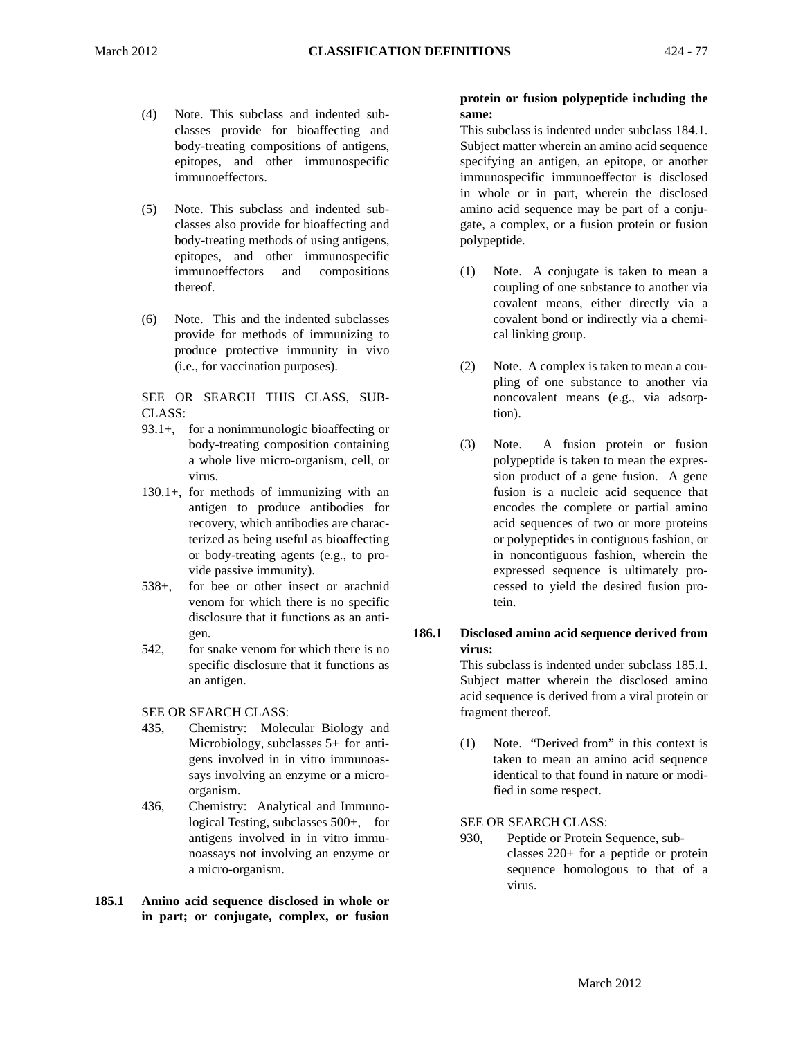- (4) Note. This subclass and indented subclasses provide for bioaffecting and body-treating compositions of antigens, epitopes, and other immunospecific immunoeffectors.
- (5) Note. This subclass and indented subclasses also provide for bioaffecting and body-treating methods of using antigens, epitopes, and other immunospecific immunoeffectors and compositions thereof.
- (6) Note. This and the indented subclasses provide for methods of immunizing to produce protective immunity in vivo (i.e., for vaccination purposes).

SEE OR SEARCH THIS CLASS, SUB-CLASS:

- 93.1+, for a nonimmunologic bioaffecting or body-treating composition containing a whole live micro-organism, cell, or virus.
- 130.1+, for methods of immunizing with an antigen to produce antibodies for recovery, which antibodies are characterized as being useful as bioaffecting or body-treating agents (e.g., to provide passive immunity).
- 538+, for bee or other insect or arachnid venom for which there is no specific disclosure that it functions as an antigen.
- 542, for snake venom for which there is no specific disclosure that it functions as an antigen.

SEE OR SEARCH CLASS:

- 435, Chemistry: Molecular Biology and Microbiology, subclasses 5+ for antigens involved in in vitro immunoassays involving an enzyme or a microorganism.
- 436, Chemistry: Analytical and Immunological Testing, subclasses 500+, for antigens involved in in vitro immunoassays not involving an enzyme or a micro-organism.
- **185.1 Amino acid sequence disclosed in whole or in part; or conjugate, complex, or fusion**

#### **protein or fusion polypeptide including the same:**

This subclass is indented under subclass 184.1. Subject matter wherein an amino acid sequence specifying an antigen, an epitope, or another immunospecific immunoeffector is disclosed in whole or in part, wherein the disclosed amino acid sequence may be part of a conjugate, a complex, or a fusion protein or fusion polypeptide.

- (1) Note. A conjugate is taken to mean a coupling of one substance to another via covalent means, either directly via a covalent bond or indirectly via a chemical linking group.
- (2) Note. A complex is taken to mean a coupling of one substance to another via noncovalent means (e.g., via adsorption).
- (3) Note. A fusion protein or fusion polypeptide is taken to mean the expression product of a gene fusion. A gene fusion is a nucleic acid sequence that encodes the complete or partial amino acid sequences of two or more proteins or polypeptides in contiguous fashion, or in noncontiguous fashion, wherein the expressed sequence is ultimately processed to yield the desired fusion protein.

# **186.1 Disclosed amino acid sequence derived from virus:**

This subclass is indented under subclass 185.1. Subject matter wherein the disclosed amino acid sequence is derived from a viral protein or fragment thereof.

 identical to that found in nature or modi-(1) Note. "Derived from" in this context is taken to mean an amino acid sequence fied in some respect.

SEE OR SEARCH CLASS:

930, Peptide or Protein Sequence, subclasses 220+ for a peptide or protein sequence homologous to that of a virus.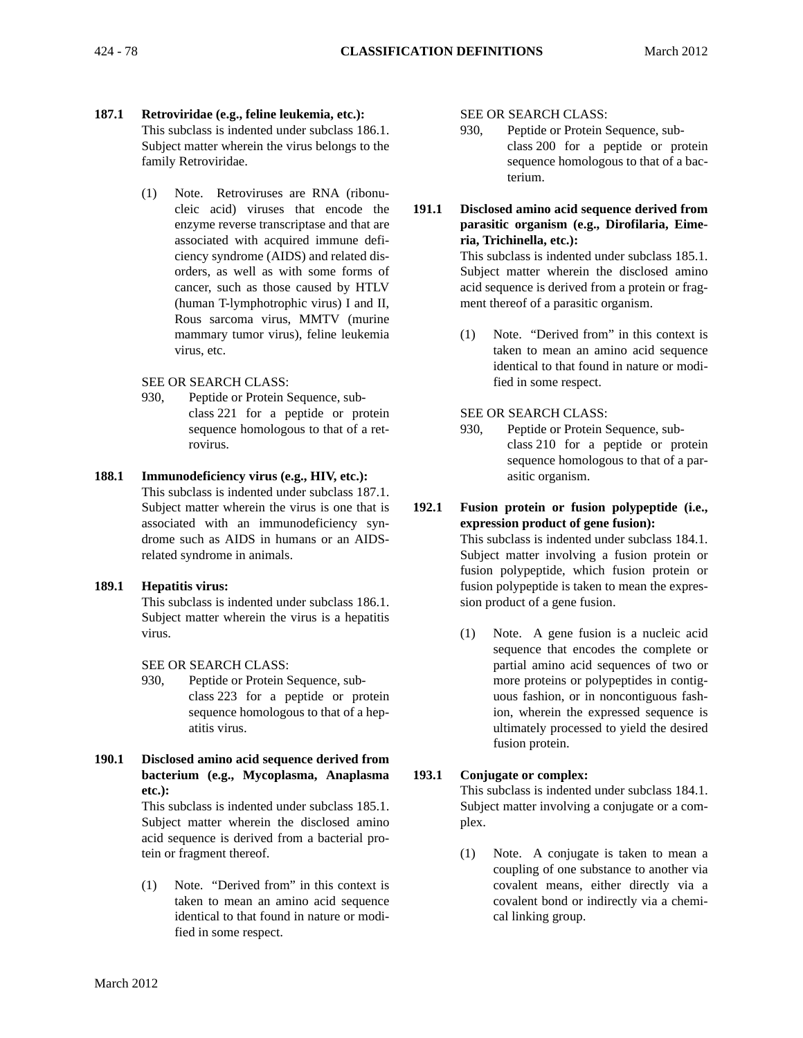#### **187.1 Retroviridae (e.g., feline leukemia, etc.):**  This subclass is indented under subclass 186.1. Subject matter wherein the virus belongs to the family Retroviridae.

(1) Note. Retroviruses are RNA (ribonucleic acid) viruses that encode the enzyme reverse transcriptase and that are associated with acquired immune deficiency syndrome (AIDS) and related disorders, as well as with some forms of cancer, such as those caused by HTLV (human T-lymphotrophic virus) I and II, Rous sarcoma virus, MMTV (murine mammary tumor virus), feline leukemia virus, etc.

# SEE OR SEARCH CLASS:

930, Peptide or Protein Sequence, subclass 221 for a peptide or protein sequence homologous to that of a retrovirus.

# **188.1 Immunodeficiency virus (e.g., HIV, etc.):**

This subclass is indented under subclass 187.1. Subject matter wherein the virus is one that is associated with an immunodeficiency syndrome such as AIDS in humans or an AIDSrelated syndrome in animals.

# **189.1 Hepatitis virus:**

This subclass is indented under subclass 186.1. Subject matter wherein the virus is a hepatitis virus.

# SEE OR SEARCH CLASS:

- 930, Peptide or Protein Sequence, subclass 223 for a peptide or protein sequence homologous to that of a hepatitis virus.
- **190.1 Disclosed amino acid sequence derived from bacterium (e.g., Mycoplasma, Anaplasma etc.):**

This subclass is indented under subclass 185.1. Subject matter wherein the disclosed amino acid sequence is derived from a bacterial protein or fragment thereof.

 identical to that found in nature or modi-(1) Note. "Derived from" in this context is taken to mean an amino acid sequence fied in some respect.

SEE OR SEARCH CLASS:

- 930, Peptide or Protein Sequence, subclass 200 for a peptide or protein sequence homologous to that of a bacterium.
- **191.1 Disclosed amino acid sequence derived from parasitic organism (e.g., Dirofilaria, Eimeria, Trichinella, etc.):**

This subclass is indented under subclass 185.1. Subject matter wherein the disclosed amino acid sequence is derived from a protein or fragment thereof of a parasitic organism.

 identical to that found in nature or modi-(1) Note. "Derived from" in this context is taken to mean an amino acid sequence fied in some respect.

# SEE OR SEARCH CLASS:

930, Peptide or Protein Sequence, subclass 210 for a peptide or protein sequence homologous to that of a parasitic organism.

# **192.1 Fusion protein or fusion polypeptide (i.e., expression product of gene fusion):**

 fusion polypeptide is taken to mean the expres-This subclass is indented under subclass 184.1. Subject matter involving a fusion protein or fusion polypeptide, which fusion protein or sion product of a gene fusion.

(1) Note. A gene fusion is a nucleic acid sequence that encodes the complete or partial amino acid sequences of two or more proteins or polypeptides in contiguous fashion, or in noncontiguous fashion, wherein the expressed sequence is ultimately processed to yield the desired fusion protein.

# **193.1 Conjugate or complex:**

This subclass is indented under subclass 184.1. Subject matter involving a conjugate or a complex.

(1) Note. A conjugate is taken to mean a coupling of one substance to another via covalent means, either directly via a covalent bond or indirectly via a chemical linking group.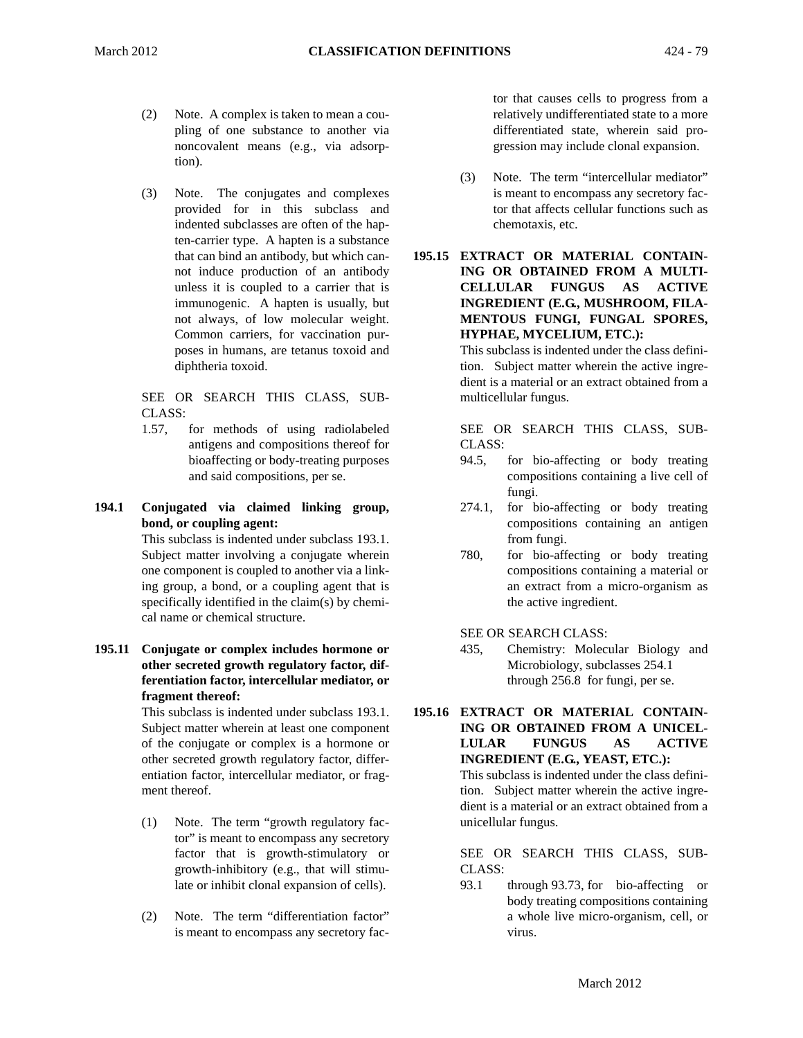- (2) Note. A complex is taken to mean a coupling of one substance to another via noncovalent means (e.g., via adsorption).
- (3) Note. The conjugates and complexes provided for in this subclass and indented subclasses are often of the hapten-carrier type. A hapten is a substance that can bind an antibody, but which cannot induce production of an antibody unless it is coupled to a carrier that is immunogenic. A hapten is usually, but not always, of low molecular weight. Common carriers, for vaccination purposes in humans, are tetanus toxoid and diphtheria toxoid.

SEE OR SEARCH THIS CLASS, SUB-CLASS:

- 1.57, for methods of using radiolabeled antigens and compositions thereof for bioaffecting or body-treating purposes and said compositions, per se.
- **194.1 Conjugated via claimed linking group, bond, or coupling agent:**

This subclass is indented under subclass 193.1. Subject matter involving a conjugate wherein one component is coupled to another via a linking group, a bond, or a coupling agent that is specifically identified in the claim(s) by chemical name or chemical structure.

**195.11 Conjugate or complex includes hormone or other secreted growth regulatory factor, differentiation factor, intercellular mediator, or fragment thereof:** 

> This subclass is indented under subclass 193.1. Subject matter wherein at least one component of the conjugate or complex is a hormone or other secreted growth regulatory factor, differentiation factor, intercellular mediator, or fragment thereof.

- (1) Note. The term "growth regulatory factor" is meant to encompass any secretory factor that is growth-stimulatory or growth-inhibitory (e.g., that will stimulate or inhibit clonal expansion of cells).
- (2) Note. The term "differentiation factor" is meant to encompass any secretory fac-

tor that causes cells to progress from a relatively undifferentiated state to a more differentiated state, wherein said progression may include clonal expansion.

- (3) Note. The term "intercellular mediator" is meant to encompass any secretory factor that affects cellular functions such as chemotaxis, etc.
- **195.15 EXTRACT OR MATERIAL CONTAIN-ING OR OBTAINED FROM A MULTI-CELLULAR FUNGUS AS ACTIVE INGREDIENT (E.G., MUSHROOM, FILA-MENTOUS FUNGI, FUNGAL SPORES, HYPHAE, MYCELIUM, ETC.):**

This subclass is indented under the class definition. Subject matter wherein the active ingredient is a material or an extract obtained from a multicellular fungus.

SEE OR SEARCH THIS CLASS, SUB-CLASS:

- 94.5, for bio-affecting or body treating compositions containing a live cell of fungi.
- 274.1, for bio-affecting or body treating compositions containing an antigen from fungi.
- 780, for bio-affecting or body treating compositions containing a material or an extract from a micro-organism as the active ingredient.

SEE OR SEARCH CLASS:

435, Chemistry: Molecular Biology and Microbiology, subclasses 254.1 through 256.8 for fungi, per se.

# **195.16 EXTRACT OR MATERIAL CONTAIN-ING OR OBTAINED FROM A UNICEL-LULAR FUNGUS AS ACTIVE INGREDIENT (E.G., YEAST, ETC.):**

This subclass is indented under the class definition. Subject matter wherein the active ingredient is a material or an extract obtained from a unicellular fungus.

SEE OR SEARCH THIS CLASS, SUB-CLASS:

93.1 through 93.73, for bio-affecting or body treating compositions containing a whole live micro-organism, cell, or virus.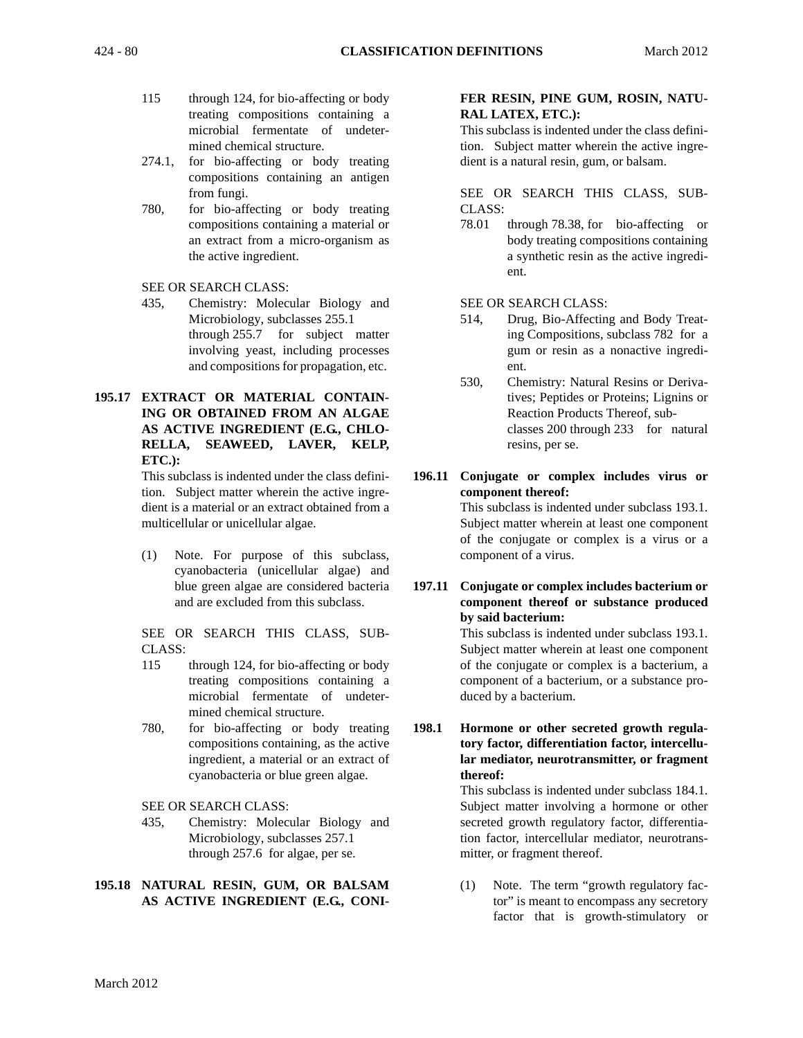- 115 through 124, for bio-affecting or body treating compositions containing a microbial fermentate of undetermined chemical structure.
- 274.1, for bio-affecting or body treating compositions containing an antigen from fungi.
- 780, for bio-affecting or body treating compositions containing a material or an extract from a micro-organism as the active ingredient.

SEE OR SEARCH CLASS:

- 435, Chemistry: Molecular Biology and Microbiology, subclasses 255.1 through 255.7 for subject matter involving yeast, including processes and compositions for propagation, etc.
- **195.17 EXTRACT OR MATERIAL CONTAIN-ING OR OBTAINED FROM AN ALGAE AS ACTIVE INGREDIENT (E.G., CHLO-RELLA, SEAWEED, LAVER, KELP, ETC.):**

 tion. Subject matter wherein the active ingre-This subclass is indented under the class definidient is a material or an extract obtained from a multicellular or unicellular algae.

(1) Note. For purpose of this subclass, cyanobacteria (unicellular algae) and blue green algae are considered bacteria and are excluded from this subclass.

SEE OR SEARCH THIS CLASS, SUB-CLASS:

- 115 through 124, for bio-affecting or body treating compositions containing a microbial fermentate of undetermined chemical structure.
- 780, for bio-affecting or body treating compositions containing, as the active ingredient, a material or an extract of cyanobacteria or blue green algae.
- SEE OR SEARCH CLASS:
- 435, Chemistry: Molecular Biology and Microbiology, subclasses 257.1 through 257.6 for algae, per se.

# **195.18 NATURAL RESIN, GUM, OR BALSAM AS ACTIVE INGREDIENT (E.G., CONI-**

# **FER RESIN, PINE GUM, ROSIN, NATU-RAL LATEX, ETC.):**

This subclass is indented under the class definition. Subject matter wherein the active ingredient is a natural resin, gum, or balsam.

SEE OR SEARCH THIS CLASS, SUB-CLASS:

78.01 through 78.38, for bio-affecting or body treating compositions containing a synthetic resin as the active ingredient.

SEE OR SEARCH CLASS:

- 514, Drug, Bio-Affecting and Body Treating Compositions, subclass 782 for a gum or resin as a nonactive ingredient.
- classes 200 through 233 for natural 530, Chemistry: Natural Resins or Derivatives; Peptides or Proteins; Lignins or Reaction Products Thereof, subresins, per se.
- **196.11 Conjugate or complex includes virus or component thereof:**  This subclass is indented under subclass 193.1.

Subject matter wherein at least one component of the conjugate or complex is a virus or a component of a virus.

**197.11 Conjugate or complex includes bacterium or component thereof or substance produced by said bacterium:** 

This subclass is indented under subclass 193.1. Subject matter wherein at least one component of the conjugate or complex is a bacterium, a component of a bacterium, or a substance produced by a bacterium.

**198.1 Hormone or other secreted growth regulatory factor, differentiation factor, intercellular mediator, neurotransmitter, or fragment thereof:** 

> This subclass is indented under subclass 184.1. Subject matter involving a hormone or other secreted growth regulatory factor, differentiation factor, intercellular mediator, neurotransmitter, or fragment thereof.

> (1) Note. The term "growth regulatory factor" is meant to encompass any secretory factor that is growth-stimulatory or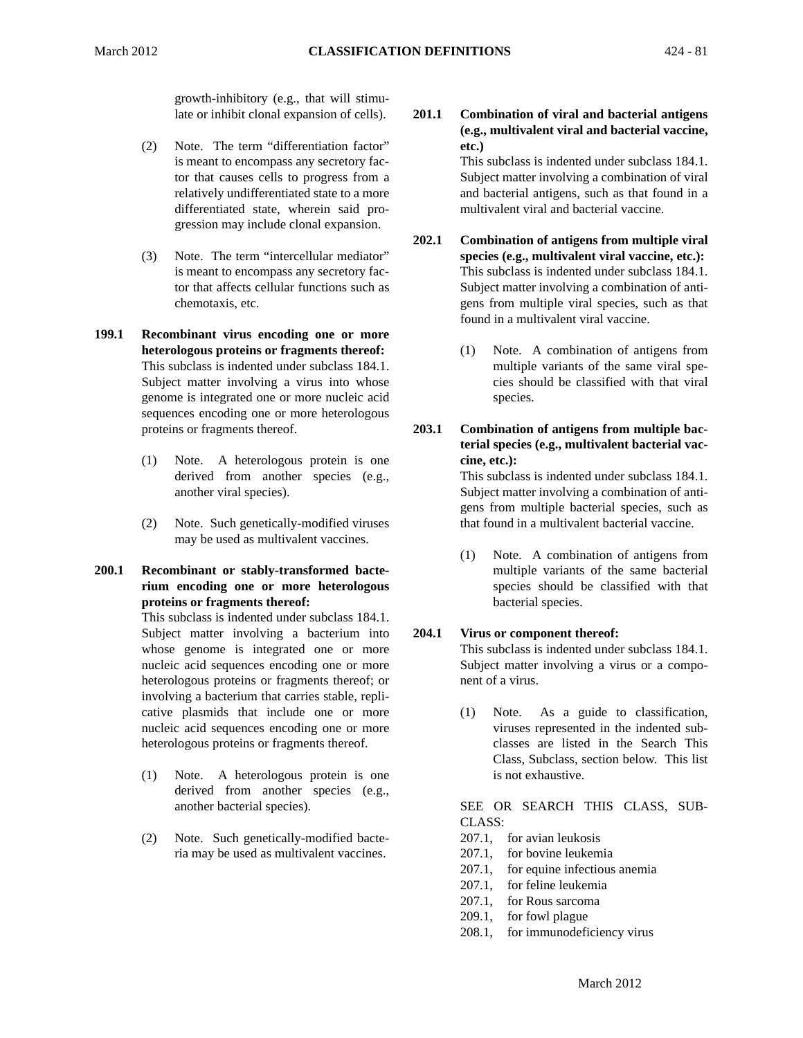growth-inhibitory (e.g., that will stimulate or inhibit clonal expansion of cells).

- (2) Note. The term "differentiation factor" is meant to encompass any secretory factor that causes cells to progress from a relatively undifferentiated state to a more differentiated state, wherein said progression may include clonal expansion.
- (3) Note. The term "intercellular mediator" is meant to encompass any secretory factor that affects cellular functions such as chemotaxis, etc.
- **199.1 Recombinant virus encoding one or more heterologous proteins or fragments thereof:**  This subclass is indented under subclass 184.1. Subject matter involving a virus into whose genome is integrated one or more nucleic acid sequences encoding one or more heterologous proteins or fragments thereof.
	- (1) Note. A heterologous protein is one derived from another species (e.g., another viral species).
	- (2) Note. Such genetically-modified viruses may be used as multivalent vaccines.
- **200.1 Recombinant or stably-transformed bacterium encoding one or more heterologous proteins or fragments thereof:**

This subclass is indented under subclass 184.1. Subject matter involving a bacterium into whose genome is integrated one or more nucleic acid sequences encoding one or more heterologous proteins or fragments thereof; or involving a bacterium that carries stable, replicative plasmids that include one or more nucleic acid sequences encoding one or more heterologous proteins or fragments thereof.

- (1) Note. A heterologous protein is one derived from another species (e.g., another bacterial species).
- (2) Note. Such genetically-modified bacteria may be used as multivalent vaccines.

**201.1 Combination of viral and bacterial antigens (e.g., multivalent viral and bacterial vaccine, etc.)** 

> This subclass is indented under subclass 184.1. Subject matter involving a combination of viral and bacterial antigens, such as that found in a multivalent viral and bacterial vaccine.

- **202.1 Combination of antigens from multiple viral species (e.g., multivalent viral vaccine, etc.):**  This subclass is indented under subclass 184.1. Subject matter involving a combination of antigens from multiple viral species, such as that found in a multivalent viral vaccine.
	- (1) Note. A combination of antigens from multiple variants of the same viral species should be classified with that viral species.
- **203.1 Combination of antigens from multiple bacterial species (e.g., multivalent bacterial vaccine, etc.):**

This subclass is indented under subclass 184.1. Subject matter involving a combination of antigens from multiple bacterial species, such as that found in a multivalent bacterial vaccine.

(1) Note. A combination of antigens from multiple variants of the same bacterial species should be classified with that bacterial species.

#### **204.1 Virus or component thereof:**

This subclass is indented under subclass 184.1. Subject matter involving a virus or a component of a virus.

 Class, Subclass, section below. This list (1) Note. As a guide to classification, viruses represented in the indented subclasses are listed in the Search This is not exhaustive.

SEE OR SEARCH THIS CLASS, SUB-CLASS:

- 207.1, for avian leukosis
- 207.1, for bovine leukemia
- 207.1, for equine infectious anemia
- 207.1, for feline leukemia
- 207.1, for Rous sarcoma
- 209.1, for fowl plague
- 208.1, for immunodeficiency virus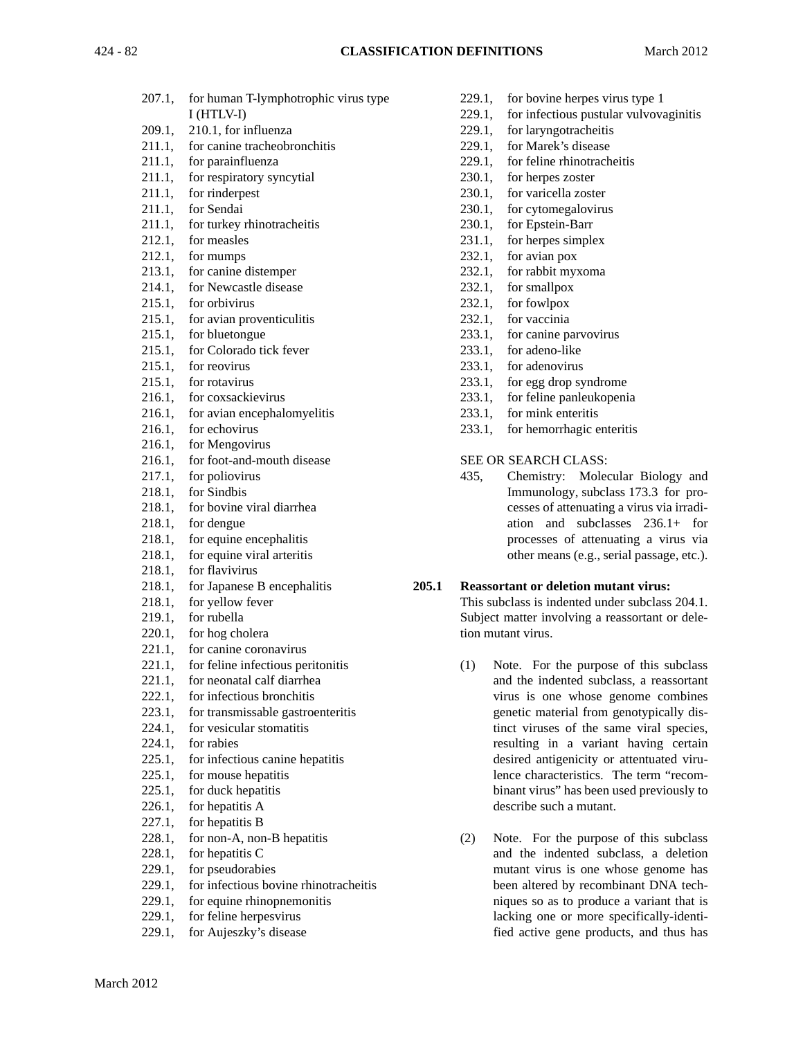| 207.1, | for human T-lymphotrophic virus<br>I (HTLV-I) |
|--------|-----------------------------------------------|
| 209.1, | 210.1, for influenza                          |
| 211.1, | for canine tracheobronchitis                  |
|        | for parainfluenza                             |
| 211.1, |                                               |
| 211.1, | for respiratory syncytial                     |
| 211.1, | for rinderpest                                |
| 211.1, | for Sendai                                    |
| 211.1, | for turkey rhinotracheitis                    |
| 212.1, | for measles                                   |
| 212.1, | for mumps                                     |
| 213.1, | for canine distemper                          |
| 214.1, | for Newcastle disease                         |
| 215.1, | for orbivirus                                 |
| 215.1, | for avian proventiculitis                     |
| 215.1, | for bluetongue                                |
| 215.1, | for Colorado tick fever                       |
| 215.1, | for reovirus                                  |
| 215.1, | for rotavirus                                 |
| 216.1, | for coxsackievirus                            |
| 216.1, | for avian encephalomyelitis                   |
| 216.1, | for echovirus                                 |
| 216.1, | for Mengovirus                                |
| 216.1, | for foot-and-mouth disease                    |
| 217.1, | for poliovirus                                |
| 218.1, | for Sindbis                                   |
| 218.1, | for bovine viral diarrhea                     |
| 218.1, | for dengue                                    |
| 218.1, | for equine encephalitis                       |
| 218.1, | for equine viral arteritis                    |
| 218.1, | for flavivirus                                |
|        |                                               |
| 218.1, | for Japanese B encephalitis                   |
| 218.1, | for yellow fever                              |
| 219.1, | for rubella                                   |
| 220.1, | for hog cholera                               |
| 221.1, | for canine coronavirus                        |
| 221.1, | for feline infectious peritonitis             |
| 221.1, | for neonatal calf diarrhea                    |
| 222.1, | for infectious bronchitis                     |
| 223.1, | for transmissable gastroenteritis             |
| 224.1, | for vesicular stomatitis                      |
| 224.1, | for rabies                                    |
| 225.1, | for infectious canine hepatitis               |
| 225.1, | for mouse hepatitis                           |
| 225.1, | for duck hepatitis                            |
| 226.1, | for hepatitis A                               |
| 227.1, | for hepatitis B                               |
| 228.1, | for non-A, non-B hepatitis                    |
| 228.1, | for hepatitis C                               |
| 229.1, | for pseudorabies                              |
| 229.1, | for infectious bovine rhinotrache             |
| 229.1, | for equine rhinopnemonitis                    |
| 229.1, | for feline herpesvirus                        |
|        |                                               |

- s type 229.1, for bovine herpes virus type 1
	- 229.1, for infectious pustular vulvovaginitis
	- 229.1, for laryngotracheitis
	- 229.1. for Marek's disease
	- 229.1, for feline rhinotracheitis
	- $230.1$ , for herpes zoster
	- 230.1, for varicella zoster
	- 230.1, for cytomegalovirus
	- 230.1, for Epstein-Barr
	- $231.1$ , for herpes simplex
	- $232.1$ , for avian pox
	- $232.1$ , for rabbit myxoma
	- $232.1$ , for smallpox
	- $232.1$ , for fowlpox
	- 232.1, for vaccinia
	- 233.1, for canine parvovirus
	- $233.1$ , for adeno-like
	- 233.1, for adenovirus
	- $233.1$ , for egg drop syndrome
	- 233.1, for feline panleukopenia
	- 233.1, for mink enteritis
	- 233.1, for hemorrhagic enteritis

#### SEE OR SEARCH CLASS:

435, Chemistry: Molecular Biology and Immunology, subclass 173.3 for processes of attenuating a virus via irradiation and subclasses  $236.1+$  for processes of attenuating a virus via other means (e.g., serial passage, etc.).

#### 205.1 Reassortant or deletion mutant virus:

This subclass is indented under subclass 204.1. Subject matter involving a reassortant or deletion mutant virus.

- $(1)$  Note. For the purpose of this subclass and the indented subclass, a reassortant virus is one whose genome combines genetic material from genotypically distinct viruses of the same viral species, resulting in a variant having certain desired antigenicity or attentuated virulence characteristics. The term "recombinant virus" has been used previously to describe such a mutant.
- $(2)$  Note. For the purpose of this subclass and the indented subclass, a deletion mutant virus is one whose genome has 229.1 it is been altered by recombinant DNA techniques so as to produce a variant that is lacking one or more specifically-identi-229.1, for Aujeszky's disease fied active gene products, and thus has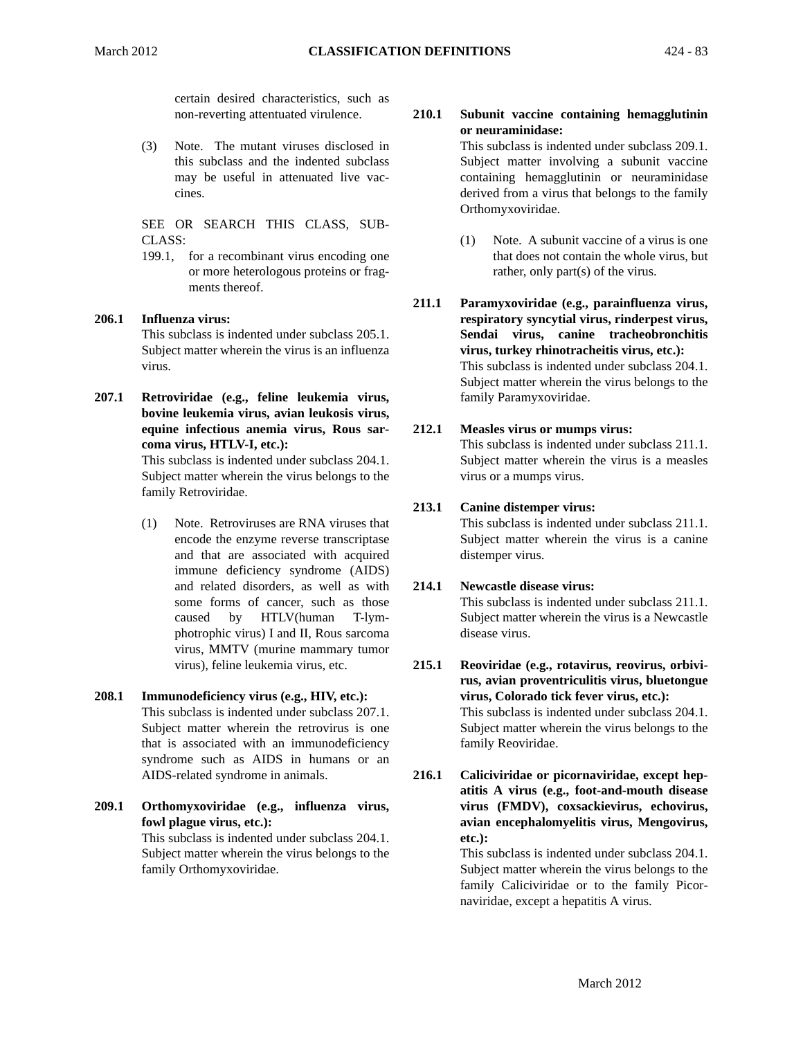certain desired characteristics, such as non-reverting attentuated virulence.

(3) Note. The mutant viruses disclosed in this subclass and the indented subclass may be useful in attenuated live vaccines.

SEE OR SEARCH THIS CLASS, SUB-CLASS:

199.1, for a recombinant virus encoding one or more heterologous proteins or fragments thereof.

#### **206.1 Influenza virus:**

This subclass is indented under subclass 205.1. Subject matter wherein the virus is an influenza virus.

**207.1 Retroviridae (e.g., feline leukemia virus, bovine leukemia virus, avian leukosis virus, equine infectious anemia virus, Rous sarcoma virus, HTLV-I, etc.):** 

> This subclass is indented under subclass 204.1. Subject matter wherein the virus belongs to the family Retroviridae.

> (1) Note. Retroviruses are RNA viruses that encode the enzyme reverse transcriptase and that are associated with acquired immune deficiency syndrome (AIDS) and related disorders, as well as with some forms of cancer, such as those caused by HTLV(human T-lymphotrophic virus) I and II, Rous sarcoma virus, MMTV (murine mammary tumor virus), feline leukemia virus, etc.

#### **208.1 Immunodeficiency virus (e.g., HIV, etc.):**

- This subclass is indented under subclass 207.1. Subject matter wherein the retrovirus is one that is associated with an immunodeficiency syndrome such as AIDS in humans or an AIDS-related syndrome in animals.
- **209.1 Orthomyxoviridae (e.g., influenza virus, fowl plague virus, etc.):**  This subclass is indented under subclass 204.1. Subject matter wherein the virus belongs to the

family Orthomyxoviridae.

**210.1 Subunit vaccine containing hemagglutinin or neuraminidase:** 

> This subclass is indented under subclass 209.1. Subject matter involving a subunit vaccine containing hemagglutinin or neuraminidase derived from a virus that belongs to the family Orthomyxoviridae.

- (1) Note. A subunit vaccine of a virus is one that does not contain the whole virus, but rather, only part(s) of the virus.
- **211.1 Paramyxoviridae (e.g., parainfluenza virus, respiratory syncytial virus, rinderpest virus, Sendai virus, canine tracheobronchitis virus, turkey rhinotracheitis virus, etc.):**  This subclass is indented under subclass 204.1. Subject matter wherein the virus belongs to the family Paramyxoviridae.

#### **212.1 Measles virus or mumps virus:**

This subclass is indented under subclass 211.1. Subject matter wherein the virus is a measles virus or a mumps virus.

#### **213.1 Canine distemper virus:**

This subclass is indented under subclass 211.1. Subject matter wherein the virus is a canine distemper virus.

# **214.1 Newcastle disease virus:**

This subclass is indented under subclass 211.1. Subject matter wherein the virus is a Newcastle disease virus.

- **215.1 Reoviridae (e.g., rotavirus, reovirus, orbivirus, avian proventriculitis virus, bluetongue virus, Colorado tick fever virus, etc.):**  This subclass is indented under subclass 204.1. Subject matter wherein the virus belongs to the family Reoviridae.
- **216.1 Caliciviridae or picornaviridae, except hepatitis A virus (e.g., foot-and-mouth disease virus (FMDV), coxsackievirus, echovirus, avian encephalomyelitis virus, Mengovirus, etc.):**

This subclass is indented under subclass 204.1. Subject matter wherein the virus belongs to the family Caliciviridae or to the family Picornaviridae, except a hepatitis A virus.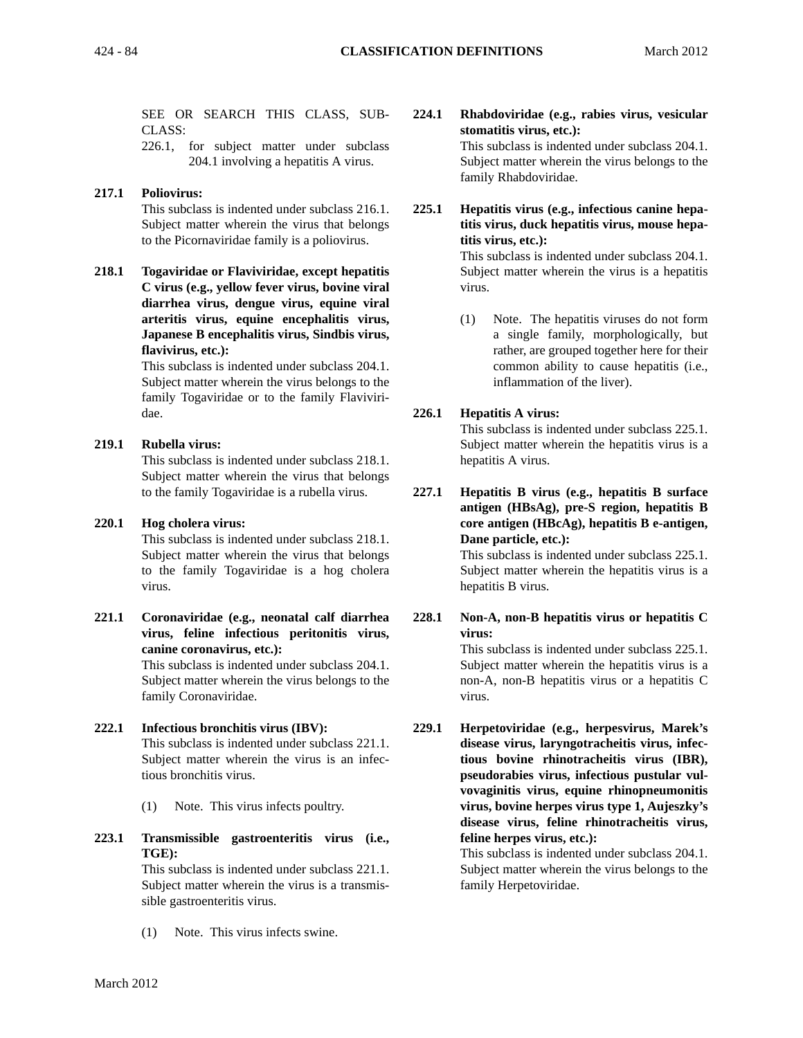SEE OR SEARCH THIS CLASS, SUB-CLASS:

226.1, for subject matter under subclass 204.1 involving a hepatitis A virus.

# **217.1 Poliovirus:**

This subclass is indented under subclass 216.1. Subject matter wherein the virus that belongs to the Picornaviridae family is a poliovirus.

**218.1 Togaviridae or Flaviviridae, except hepatitis C virus (e.g., yellow fever virus, bovine viral diarrhea virus, dengue virus, equine viral arteritis virus, equine encephalitis virus, Japanese B encephalitis virus, Sindbis virus, flavivirus, etc.):** 

This subclass is indented under subclass 204.1. Subject matter wherein the virus belongs to the family Togaviridae or to the family Flaviviridae.

#### **219.1 Rubella virus:**

This subclass is indented under subclass 218.1. Subject matter wherein the virus that belongs to the family Togaviridae is a rubella virus.

#### **220.1 Hog cholera virus:**

This subclass is indented under subclass 218.1. Subject matter wherein the virus that belongs to the family Togaviridae is a hog cholera virus.

**221.1 Coronaviridae (e.g., neonatal calf diarrhea virus, feline infectious peritonitis virus, canine coronavirus, etc.):** 

This subclass is indented under subclass 204.1. Subject matter wherein the virus belongs to the family Coronaviridae.

# **222.1 Infectious bronchitis virus (IBV):**

This subclass is indented under subclass 221.1. Subject matter wherein the virus is an infectious bronchitis virus.

- (1) Note. This virus infects poultry.
- **223.1 Transmissible gastroenteritis virus (i.e., TGE):**

This subclass is indented under subclass 221.1. Subject matter wherein the virus is a transmissible gastroenteritis virus.

(1) Note. This virus infects swine.

**224.1 Rhabdoviridae (e.g., rabies virus, vesicular stomatitis virus, etc.):** 

This subclass is indented under subclass 204.1. Subject matter wherein the virus belongs to the family Rhabdoviridae.

**225.1 Hepatitis virus (e.g., infectious canine hepatitis virus, duck hepatitis virus, mouse hepatitis virus, etc.):** 

> This subclass is indented under subclass 204.1. Subject matter wherein the virus is a hepatitis virus.

> (1) Note. The hepatitis viruses do not form a single family, morphologically, but rather, are grouped together here for their common ability to cause hepatitis (i.e., inflammation of the liver).

# **226.1 Hepatitis A virus:**

This subclass is indented under subclass 225.1. Subject matter wherein the hepatitis virus is a hepatitis A virus.

**227.1 Hepatitis B virus (e.g., hepatitis B surface antigen (HBsAg), pre-S region, hepatitis B core antigen (HBcAg), hepatitis B e-antigen, Dane particle, etc.):** 

> This subclass is indented under subclass 225.1. Subject matter wherein the hepatitis virus is a hepatitis B virus.

**228.1 Non-A, non-B hepatitis virus or hepatitis C virus:** 

> This subclass is indented under subclass 225.1. Subject matter wherein the hepatitis virus is a non-A, non-B hepatitis virus or a hepatitis C virus.

**229.1 Herpetoviridae (e.g., herpesvirus, Marek's disease virus, laryngotracheitis virus, infectious bovine rhinotracheitis virus (IBR), pseudorabies virus, infectious pustular vulvovaginitis virus, equine rhinopneumonitis virus, bovine herpes virus type 1, Aujeszky's disease virus, feline rhinotracheitis virus, feline herpes virus, etc.):** 

> This subclass is indented under subclass 204.1. Subject matter wherein the virus belongs to the family Herpetoviridae.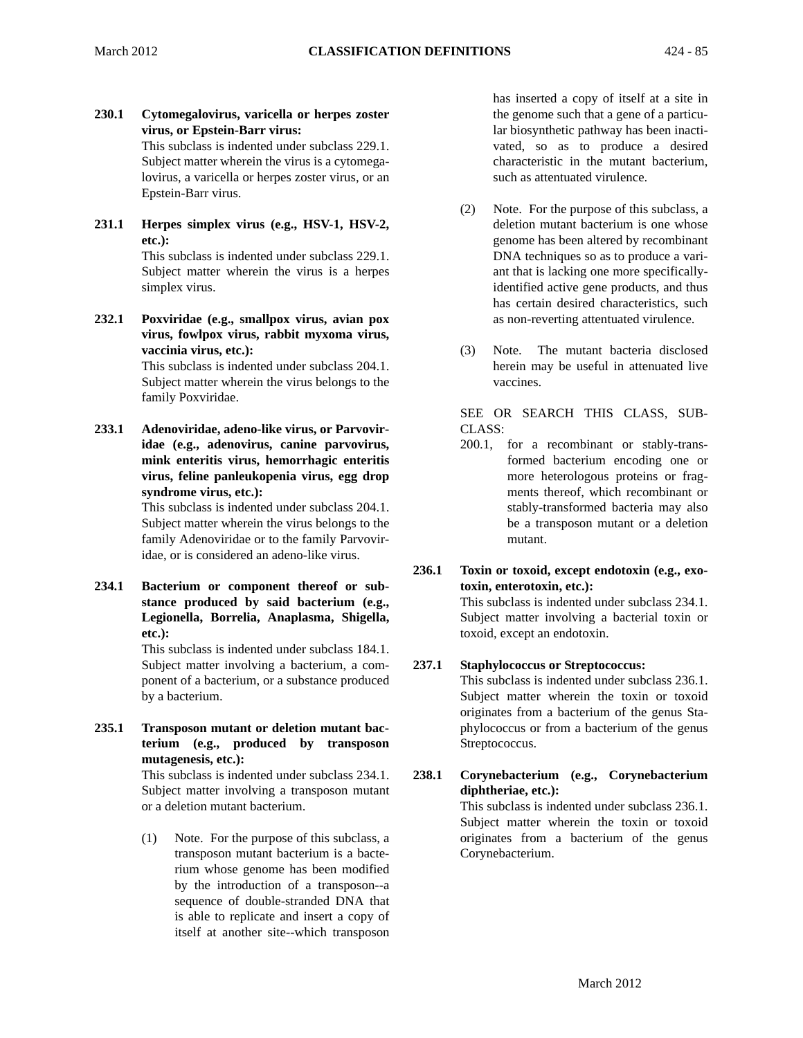**230.1 Cytomegalovirus, varicella or herpes zoster virus, or Epstein-Barr virus:** 

This subclass is indented under subclass 229.1. Subject matter wherein the virus is a cytomegalovirus, a varicella or herpes zoster virus, or an Epstein-Barr virus.

**231.1 Herpes simplex virus (e.g., HSV-1, HSV-2, etc.):**  This subclass is indented under subclass 229.1.

Subject matter wherein the virus is a herpes simplex virus.

**232.1 Poxviridae (e.g., smallpox virus, avian pox virus, fowlpox virus, rabbit myxoma virus, vaccinia virus, etc.):** 

This subclass is indented under subclass 204.1. Subject matter wherein the virus belongs to the family Poxviridae.

**233.1 Adenoviridae, adeno-like virus, or Parvoviridae (e.g., adenovirus, canine parvovirus, mink enteritis virus, hemorrhagic enteritis virus, feline panleukopenia virus, egg drop syndrome virus, etc.):** 

> This subclass is indented under subclass 204.1. Subject matter wherein the virus belongs to the family Adenoviridae or to the family Parvoviridae, or is considered an adeno-like virus.

**234.1 Bacterium or component thereof or substance produced by said bacterium (e.g., Legionella, Borrelia, Anaplasma, Shigella, etc.):** 

> This subclass is indented under subclass 184.1. Subject matter involving a bacterium, a component of a bacterium, or a substance produced by a bacterium.

**235.1 Transposon mutant or deletion mutant bacterium (e.g., produced by transposon mutagenesis, etc.):** 

> This subclass is indented under subclass 234.1. Subject matter involving a transposon mutant or a deletion mutant bacterium.

> (1) Note. For the purpose of this subclass, a transposon mutant bacterium is a bacterium whose genome has been modified by the introduction of a transposon--a sequence of double-stranded DNA that is able to replicate and insert a copy of itself at another site--which transposon

has inserted a copy of itself at a site in the genome such that a gene of a particular biosynthetic pathway has been inactivated, so as to produce a desired characteristic in the mutant bacterium, such as attentuated virulence.

- (2) Note. For the purpose of this subclass, a deletion mutant bacterium is one whose genome has been altered by recombinant DNA techniques so as to produce a variant that is lacking one more specificallyidentified active gene products, and thus has certain desired characteristics, such as non-reverting attentuated virulence.
- (3) Note. The mutant bacteria disclosed herein may be useful in attenuated live vaccines.

SEE OR SEARCH THIS CLASS, SUB-CLASS:

- 200.1, for a recombinant or stably-transformed bacterium encoding one or more heterologous proteins or fragments thereof, which recombinant or stably-transformed bacteria may also be a transposon mutant or a deletion mutant.
- **236.1 Toxin or toxoid, except endotoxin (e.g., exotoxin, enterotoxin, etc.):**

This subclass is indented under subclass 234.1. Subject matter involving a bacterial toxin or toxoid, except an endotoxin.

# **237.1 Staphylococcus or Streptococcus:**

Corynebacterium.

This subclass is indented under subclass 236.1. Subject matter wherein the toxin or toxoid originates from a bacterium of the genus Staphylococcus or from a bacterium of the genus Streptococcus.

# **238.1 Corynebacterium (e.g., Corynebacterium diphtheriae, etc.):**  This subclass is indented under subclass 236.1. Subject matter wherein the toxin or toxoid originates from a bacterium of the genus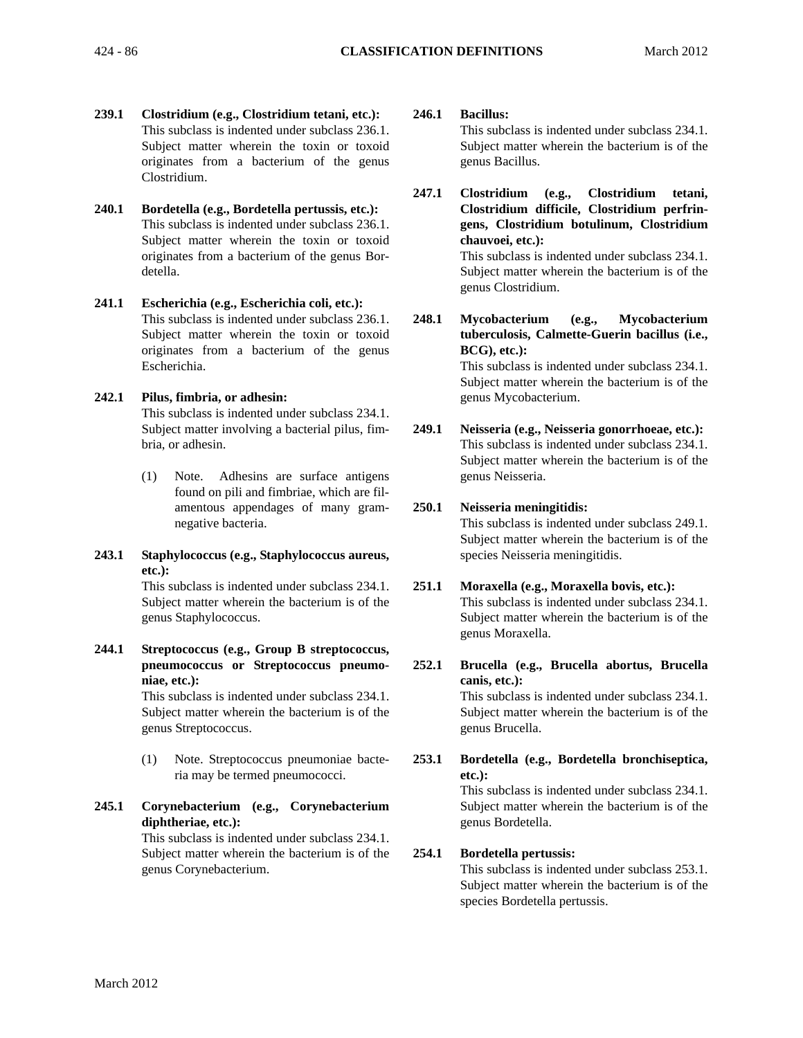- **239.1 Clostridium (e.g., Clostridium tetani, etc.):**  This subclass is indented under subclass 236.1. Subject matter wherein the toxin or toxoid originates from a bacterium of the genus Clostridium.
- **240.1 Bordetella (e.g., Bordetella pertussis, etc.):**  This subclass is indented under subclass 236.1. Subject matter wherein the toxin or toxoid originates from a bacterium of the genus Bordetella.
- **241.1 Escherichia (e.g., Escherichia coli, etc.):**  This subclass is indented under subclass 236.1. Subject matter wherein the toxin or toxoid originates from a bacterium of the genus Escherichia.

# **242.1 Pilus, fimbria, or adhesin:**

This subclass is indented under subclass 234.1. Subject matter involving a bacterial pilus, fimbria, or adhesin.

- (1) Note. Adhesins are surface antigens found on pili and fimbriae, which are filamentous appendages of many gramnegative bacteria.
- **243.1 Staphylococcus (e.g., Staphylococcus aureus, etc.):**

This subclass is indented under subclass 234.1. Subject matter wherein the bacterium is of the genus Staphylococcus.

**244.1 Streptococcus (e.g., Group B streptococcus, pneumococcus or Streptococcus pneumoniae, etc.):** 

This subclass is indented under subclass 234.1. Subject matter wherein the bacterium is of the genus Streptococcus.

- (1) Note. Streptococcus pneumoniae bacteria may be termed pneumococci.
- **245.1 Corynebacterium (e.g., Corynebacterium diphtheriae, etc.):**

This subclass is indented under subclass 234.1. Subject matter wherein the bacterium is of the genus Corynebacterium.

# **246.1 Bacillus:**

This subclass is indented under subclass 234.1. Subject matter wherein the bacterium is of the genus Bacillus.

- **247.1 Clostridium (e.g., Clostridium tetani, Clostridium difficile, Clostridium perfringens, Clostridium botulinum, Clostridium chauvoei, etc.):**  This subclass is indented under subclass 234.1. Subject matter wherein the bacterium is of the genus Clostridium.
- **248.1 Mycobacterium (e.g., Mycobacterium tuberculosis, Calmette-Guerin bacillus (i.e., BCG), etc.):**  This subclass is indented under subclass 234.1. Subject matter wherein the bacterium is of the genus Mycobacterium.
- **249.1 Neisseria (e.g., Neisseria gonorrhoeae, etc.):**  This subclass is indented under subclass 234.1. Subject matter wherein the bacterium is of the genus Neisseria.

# **250.1 Neisseria meningitidis:**

This subclass is indented under subclass 249.1. Subject matter wherein the bacterium is of the species Neisseria meningitidis.

- **251.1 Moraxella (e.g., Moraxella bovis, etc.):**  This subclass is indented under subclass 234.1. Subject matter wherein the bacterium is of the genus Moraxella.
- **252.1 Brucella (e.g., Brucella abortus, Brucella canis, etc.):**

This subclass is indented under subclass 234.1. Subject matter wherein the bacterium is of the genus Brucella.

**253.1 Bordetella (e.g., Bordetella bronchiseptica, etc.):** 

This subclass is indented under subclass 234.1. Subject matter wherein the bacterium is of the genus Bordetella.

# **254.1 Bordetella pertussis:**

This subclass is indented under subclass 253.1. Subject matter wherein the bacterium is of the species Bordetella pertussis.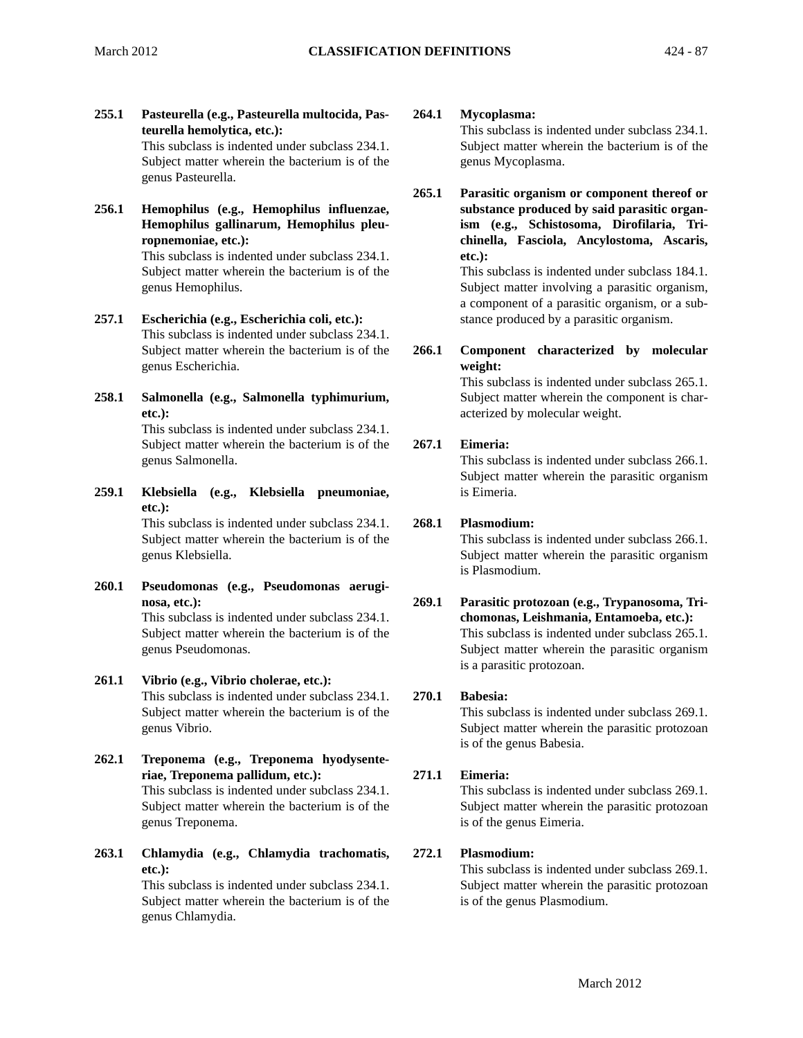**255.1 Pasteurella (e.g., Pasteurella multocida, Pasteurella hemolytica, etc.):** 

This subclass is indented under subclass 234.1. Subject matter wherein the bacterium is of the genus Pasteurella.

**256.1 Hemophilus (e.g., Hemophilus influenzae, Hemophilus gallinarum, Hemophilus pleuropnemoniae, etc.):** 

> This subclass is indented under subclass 234.1. Subject matter wherein the bacterium is of the genus Hemophilus.

- **257.1 Escherichia (e.g., Escherichia coli, etc.):**  This subclass is indented under subclass 234.1. Subject matter wherein the bacterium is of the genus Escherichia.
- **258.1 Salmonella (e.g., Salmonella typhimurium, etc.):**  This subclass is indented under subclass 234.1.

Subject matter wherein the bacterium is of the genus Salmonella.

**259.1 Klebsiella (e.g., Klebsiella pneumoniae, etc.):** 

This subclass is indented under subclass 234.1. Subject matter wherein the bacterium is of the genus Klebsiella.

**260.1 Pseudomonas (e.g., Pseudomonas aeruginosa, etc.):**  This subclass is indented under subclass 234.1. Subject matter wherein the bacterium is of the genus Pseudomonas.

# **261.1 Vibrio (e.g., Vibrio cholerae, etc.):**

- This subclass is indented under subclass 234.1. Subject matter wherein the bacterium is of the genus Vibrio.
- **262.1 Treponema (e.g., Treponema hyodysenteriae, Treponema pallidum, etc.):**  This subclass is indented under subclass 234.1. Subject matter wherein the bacterium is of the genus Treponema.
- **263.1 Chlamydia (e.g., Chlamydia trachomatis, etc.):**

This subclass is indented under subclass 234.1. Subject matter wherein the bacterium is of the genus Chlamydia.

# **264.1 Mycoplasma:**

This subclass is indented under subclass 234.1. Subject matter wherein the bacterium is of the genus Mycoplasma.

**265.1 Parasitic organism or component thereof or substance produced by said parasitic organism (e.g., Schistosoma, Dirofilaria, Trichinella, Fasciola, Ancylostoma, Ascaris, etc.):** 

> This subclass is indented under subclass 184.1. Subject matter involving a parasitic organism, a component of a parasitic organism, or a substance produced by a parasitic organism.

# **266.1 Component characterized by molecular weight:**

This subclass is indented under subclass 265.1. Subject matter wherein the component is characterized by molecular weight.

# **267.1 Eimeria:**

This subclass is indented under subclass 266.1. Subject matter wherein the parasitic organism is Eimeria.

# **268.1 Plasmodium:**

This subclass is indented under subclass 266.1. Subject matter wherein the parasitic organism is Plasmodium.

**269.1 Parasitic protozoan (e.g., Trypanosoma, Trichomonas, Leishmania, Entamoeba, etc.):**  This subclass is indented under subclass 265.1. Subject matter wherein the parasitic organism is a parasitic protozoan.

# **270.1 Babesia:**

This subclass is indented under subclass 269.1. Subject matter wherein the parasitic protozoan is of the genus Babesia.

# **271.1 Eimeria:**

This subclass is indented under subclass 269.1. Subject matter wherein the parasitic protozoan is of the genus Eimeria.

# **272.1 Plasmodium:**

This subclass is indented under subclass 269.1. Subject matter wherein the parasitic protozoan is of the genus Plasmodium.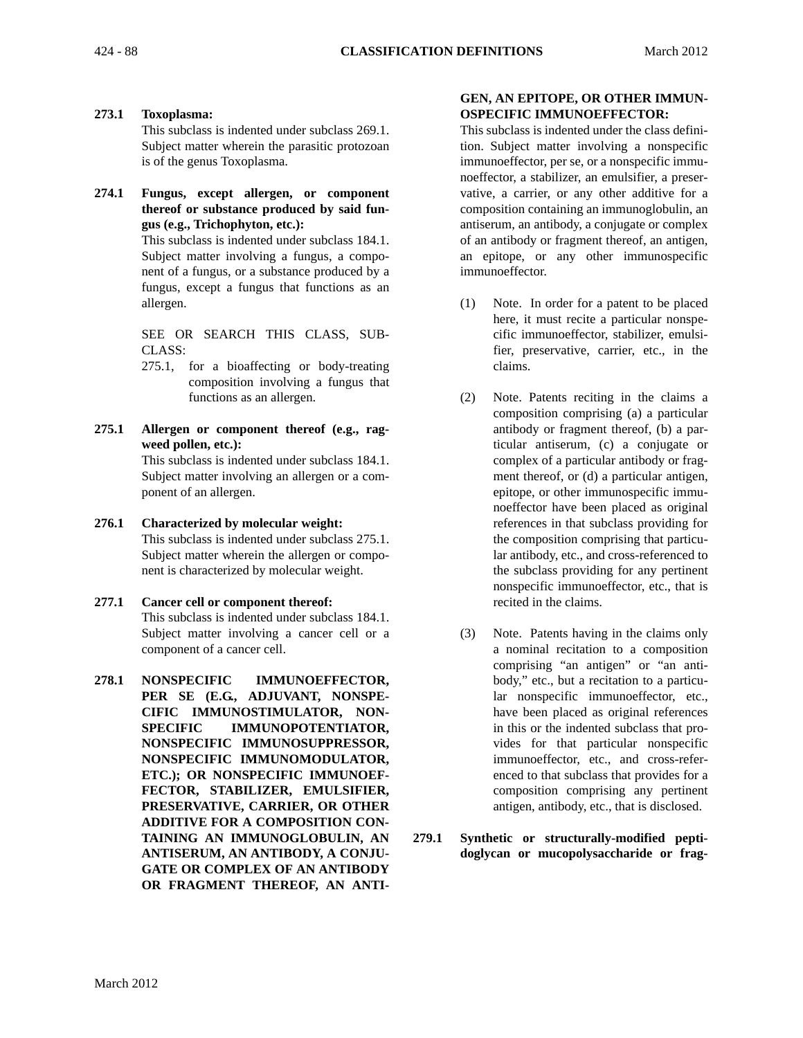# **273.1 Toxoplasma:**

This subclass is indented under subclass 269.1. Subject matter wherein the parasitic protozoan is of the genus Toxoplasma.

**274.1 Fungus, except allergen, or component thereof or substance produced by said fungus (e.g., Trichophyton, etc.):** 

> This subclass is indented under subclass 184.1. Subject matter involving a fungus, a component of a fungus, or a substance produced by a fungus, except a fungus that functions as an allergen.

> SEE OR SEARCH THIS CLASS, SUB-CLASS:

- 275.1, for a bioaffecting or body-treating composition involving a fungus that functions as an allergen.
- **275.1 Allergen or component thereof (e.g., ragweed pollen, etc.):**  This subclass is indented under subclass 184.1. Subject matter involving an allergen or a component of an allergen.
- **276.1 Characterized by molecular weight:**  This subclass is indented under subclass 275.1. Subject matter wherein the allergen or component is characterized by molecular weight.

# **277.1 Cancer cell or component thereof:**  This subclass is indented under subclass 184.1. Subject matter involving a cancer cell or a component of a cancer cell.

**278.1 NONSPECIFIC IMMUNOEFFECTOR, PER SE (E.G., ADJUVANT, NONSPE-CIFIC IMMUNOSTIMULATOR, NON-SPECIFIC IMMUNOPOTENTIATOR, NONSPECIFIC IMMUNOSUPPRESSOR, NONSPECIFIC IMMUNOMODULATOR, ETC.); OR NONSPECIFIC IMMUNOEF-FECTOR, STABILIZER, EMULSIFIER, PRESERVATIVE, CARRIER, OR OTHER ADDITIVE FOR A COMPOSITION CON-TAINING AN IMMUNOGLOBULIN, AN ANTISERUM, AN ANTIBODY, A CONJU-GATE OR COMPLEX OF AN ANTIBODY OR FRAGMENT THEREOF, AN ANTI-**

# **GEN, AN EPITOPE, OR OTHER IMMUN-OSPECIFIC IMMUNOEFFECTOR:**

This subclass is indented under the class definition. Subject matter involving a nonspecific immunoeffector, per se, or a nonspecific immunoeffector, a stabilizer, an emulsifier, a preservative, a carrier, or any other additive for a composition containing an immunoglobulin, an antiserum, an antibody, a conjugate or complex of an antibody or fragment thereof, an antigen, an epitope, or any other immunospecific immunoeffector.

- here, it must recite a particular nonspe-(1) Note. In order for a patent to be placed cific immunoeffector, stabilizer, emulsifier, preservative, carrier, etc., in the claims.
- (2) Note. Patents reciting in the claims a composition comprising (a) a particular antibody or fragment thereof, (b) a particular antiserum, (c) a conjugate or complex of a particular antibody or fragment thereof, or (d) a particular antigen, epitope, or other immunospecific immunoeffector have been placed as original references in that subclass providing for the composition comprising that particular antibody, etc., and cross-referenced to the subclass providing for any pertinent nonspecific immunoeffector, etc., that is recited in the claims.
- (3) Note. Patents having in the claims only a nominal recitation to a composition comprising "an antigen" or "an antibody," etc., but a recitation to a particular nonspecific immunoeffector, etc., have been placed as original references in this or the indented subclass that provides for that particular nonspecific immunoeffector, etc., and cross-referenced to that subclass that provides for a composition comprising any pertinent antigen, antibody, etc., that is disclosed.
- **279.1 Synthetic or structurally-modified peptidoglycan or mucopolysaccharide or frag-**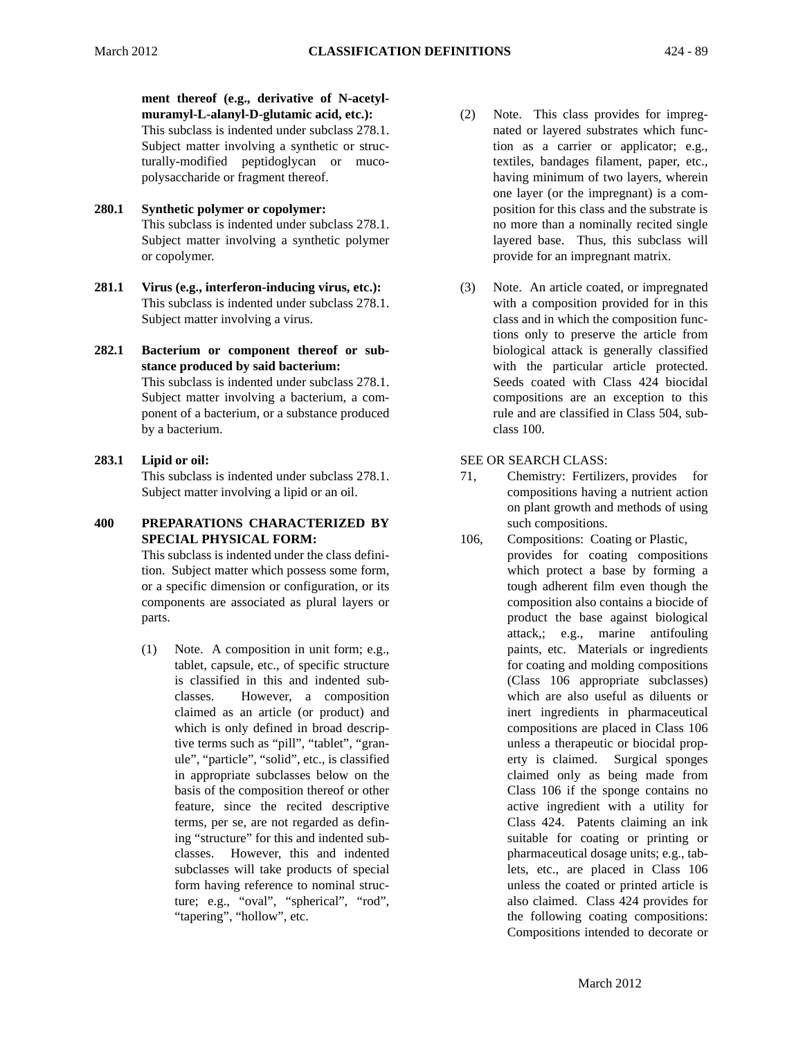**ment thereof (e.g., derivative of N-acetylmuramyl-L-alanyl-D-glutamic acid, etc.):** (2) Note. This class provides for impreg-

Subject matter involving a synthetic or struc-<br>tion as a carrier or applicator; e.g., turally-modified peptidoglycan or muco- textiles, bandages filament, paper, etc.,

- **280.1** Synthetic polymer or copolymer: **position** for this class and the substrate is or copolymer. provide for an impregnant matrix.
- **281.1 Virus (e.g., interferon-inducing virus, etc.):** (3) Note. An article coated, or impregnated This subclass is indented under subclass 278.1. with a composition provided for in this Subject matter involving a virus. The composition func-
- **282.1 Bacterium or component thereof or sub-** biological attack is generally classified **stance produced by said bacterium:**  $\qquad \qquad$  with the particular article protected. This subclass is indented under subclass 278.1. Seeds coated with Class 424 biocidal Subject matter involving a bacterium, a com- compositions are an exception to this ponent of a bacterium, or a substance produced rule and are classified in Class 504, subby a bacterium. class 100.
- **283.1 Lipid or oil: SEE OR SEARCH CLASS:**

# **400 PREPARATIONS CHARACTERIZED BY** such compositions. **SPECIAL PHYSICAL FORM:** 106, Compositions: Coating or Plastic,

tion. Subject matter which possess some form, which protect a base by forming a or a specific dimension or configuration, or its tough adherent film even though the components are associated as plural layers or composition also contains a biocide of parts.

classes. (1) Note. A composition in unit form; e.g., paints, etc. Materials or ingredients

- This subclass is indented under subclass 278.1. has nated or layered substrates which funcpolysaccharide or fragment thereof. having minimum of two layers, wherein one layer (or the impregnant) is a com-This subclass is indented under subclass 278.1. no more than a nominally recited single Subject matter involving a synthetic polymer layered base. Thus, this subclass will
	- tions only to preserve the article from

- This subclass is indented under subclass 278.1. 71, Chemistry: Fertilizers, provides for Subject matter involving a lipid or an oil. compositions having a nutrient action on plant growth and methods of using
- which is only defined in broad descrip-<br> **compositions** are placed in Class 106 form having reference to nominal struc- unless the coated or printed article is This subclass is indented under the class defini- provides for coating compositions attack,; e.g., marine antifouling tablet, capsule, etc., of specific structure for coating and molding compositions is classified in this and indented sub- (Class 106 appropriate subclasses) However, a composition which are also useful as diluents or claimed as an article (or product) and inert ingredients in pharmaceutical tive terms such as "pill", "tablet", "gran- unless a therapeutic or biocidal propule", "particle", "solid", etc., is classified erty is claimed. Surgical sponges in appropriate subclasses below on the claimed only as being made from basis of the composition thereof or other Class 106 if the sponge contains no feature, since the recited descriptive active ingredient with a utility for terms, per se, are not regarded as defin- Class 424. Patents claiming an ink ing "structure" for this and indented sub- suitable for coating or printing or classes. However, this and indented pharmaceutical dosage units; e.g., tabsubclasses will take products of special lets, etc., are placed in Class 106 ture; e.g., "oval", "spherical", "rod", also claimed. Class 424 provides for "tapering", "hollow", etc. the following coating compositions: Compositions intended to decorate or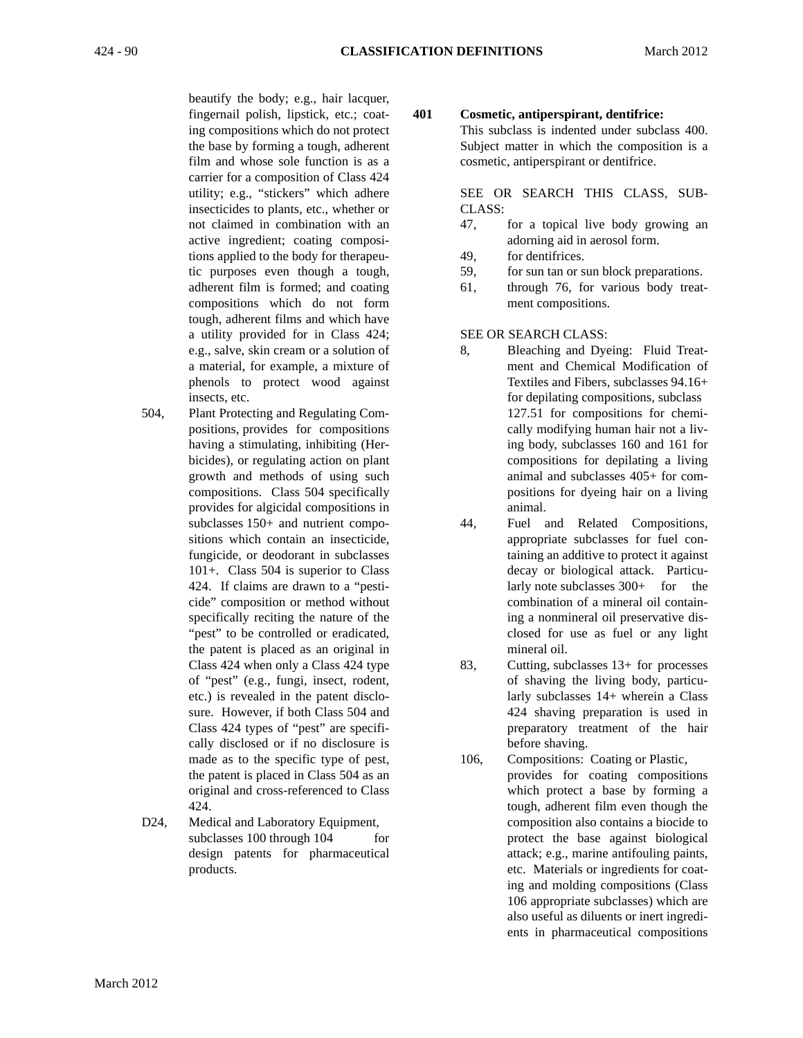beautify the body; e.g., hair lacquer, film and whose sole function is as a cosmetic, antiperspirant or dentifrice. carrier for a composition of Class 424 insecticides to plants, etc., whether or CLASS: active ingredient; coating composi- adorning aid in aerosol form. tions applied to the body for the rapeu- 49, for dentifrices. compositions which do not form ment compositions. tough, adherent films and which have a utility provided for in Class 424; SEE OR SEARCH CLASS:

 504, Plant Protecting and Regulating Com- 127.51 for compositions for chemiprovides for algicidal compositions in animal. the patent is placed as an original in mineral oil. of "pest" (e.g., fungi, insect, rodent, cally disclosed or if no disclosure is before shaving.

subclasses 100 through 104 D24, Medical and Laboratory Equipment, composition also contains a biocide to

# fingernail polish, lipstick, etc.; coat- **401 Cosmetic, antiperspirant, dentifrice:**

ing compositions which do not protect This subclass is indented under subclass 400. the base by forming a tough, adherent Subject matter in which the composition is a

utility; e.g., "stickers" which adhere SEE OR SEARCH THIS CLASS, SUB-

- not claimed in combination with an 47, for a topical live body growing an
	-
- tic purposes even though a tough, 59, for sun tan or sun block preparations.
- adherent film is formed; and coating 61, through 76, for various body treat-

- compositions. Class 504 specifically positions for dyeing hair on a living e.g., salve, skin cream or a solution of 8, Bleaching and Dyeing: Fluid Treata material, for example, a mixture of ment and Chemical Modification of phenols to protect wood against Textiles and Fibers, subclasses 94.16+ insects, etc. for depilating compositions, subclass positions, provides for compositions cally modifying human hair not a livhaving a stimulating, inhibiting (Her- ing body, subclasses 160 and 161 for bicides), or regulating action on plant compositions for depilating a living growth and methods of using such animal and subclasses 405+ for com-
- subclasses 150+ and nutrient compo-<br>44, Fuel and Related Compositions, sitions which contain an insecticide, appropriate subclasses for fuel confungicide, or deodorant in subclasses taining an additive to protect it against 101+. Class 504 is superior to Class decay or biological attack. Particu-424. If claims are drawn to a "pesti- larly note subclasses 300+ for the cide" composition or method without combination of a mineral oil containspecifically reciting the nature of the ing a nonmineral oil preservative dis-"pest" to be controlled or eradicated, closed for use as fuel or any light
- of shaving the living body, particu-Class 424 when only a Class 424 type 83, Cutting, subclasses 13+ for processes etc.) is revealed in the patent disclo- larly subclasses 14+ wherein a Class sure. However, if both Class 504 and 424 shaving preparation is used in Class 424 types of "pest" are specifi- preparatory treatment of the hair
- made as to the specific type of pest, 106, Compositions: Coating or Plastic, the patent is placed in Class 504 as an provides for coating compositions original and cross-referenced to Class which protect a base by forming a 424. tough, adherent film even though the for the base against biological design patents for pharmaceutical attack; e.g., marine antifouling paints, products. etc. Materials or ingredients for coating and molding compositions (Class 106 appropriate subclasses) which are also useful as diluents or inert ingredients in pharmaceutical compositions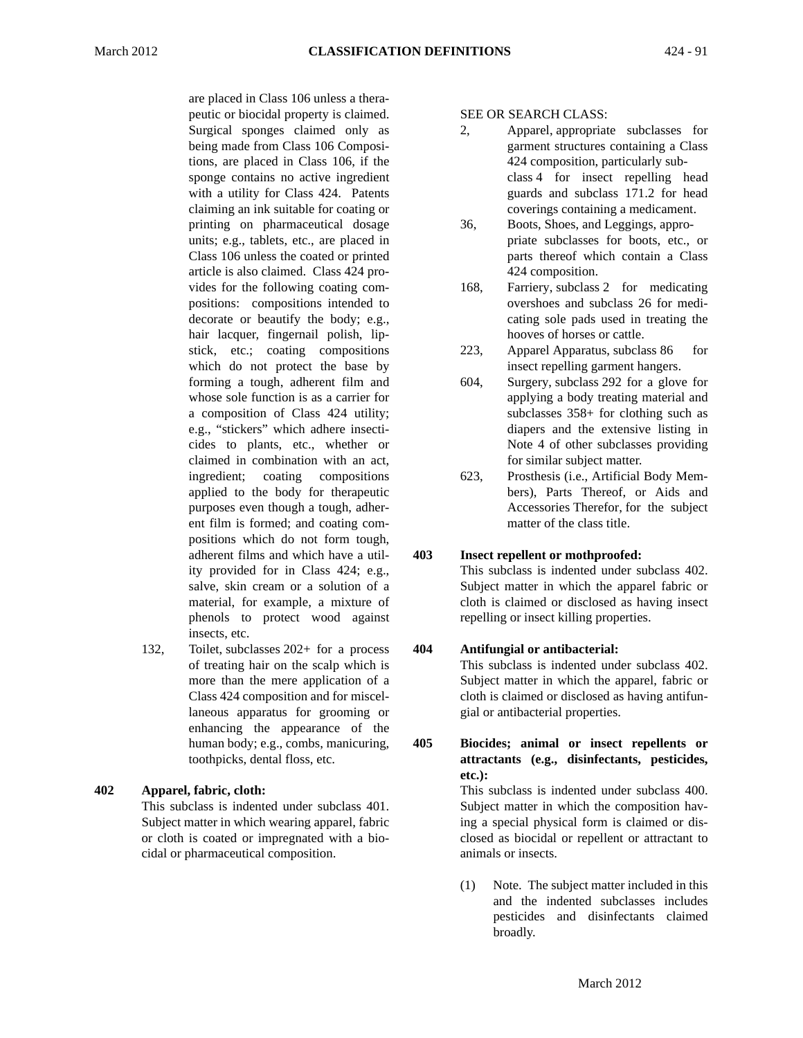peutic or biocidal property is claimed. adherent films and which have a util- **403**  are placed in Class 106 unless a thera-Surgical sponges claimed only as being made from Class 106 Compositions, are placed in Class 106, if the sponge contains no active ingredient with a utility for Class 424. Patents claiming an ink suitable for coating or printing on pharmaceutical dosage units; e.g., tablets, etc., are placed in Class 106 unless the coated or printed article is also claimed. Class 424 provides for the following coating compositions: compositions intended to decorate or beautify the body; e.g., hair lacquer, fingernail polish, lipstick, etc.; coating compositions which do not protect the base by forming a tough, adherent film and whose sole function is as a carrier for a composition of Class 424 utility; e.g., "stickers" which adhere insecticides to plants, etc., whether or claimed in combination with an act, ingredient; coating compositions applied to the body for therapeutic purposes even though a tough, adherent film is formed; and coating compositions which do not form tough, ity provided for in Class 424; e.g., salve, skin cream or a solution of a material, for example, a mixture of phenols to protect wood against insects, etc.

132, Toilet, subclasses 202+ for a process **404**  of treating hair on the scalp which is more than the mere application of a Class 424 composition and for miscellaneous apparatus for grooming or enhancing the appearance of the human body; e.g., combs, manicuring, **405**  toothpicks, dental floss, etc.

# **402 Apparel, fabric, cloth:**

This subclass is indented under subclass 401. Subject matter in which wearing apparel, fabric or cloth is coated or impregnated with a biocidal or pharmaceutical composition.

# SEE OR SEARCH CLASS:

- 2, Apparel, appropriate subclasses for garment structures containing a Class 424 composition, particularly subclass 4 for insect repelling head guards and subclass 171.2 for head coverings containing a medicament.
- 36, Boots, Shoes, and Leggings, appropriate subclasses for boots, etc., or parts thereof which contain a Class 424 composition.
- 168, Farriery, subclass 2 for medicating overshoes and subclass 26 for medicating sole pads used in treating the hooves of horses or cattle.
- 223, Apparel Apparatus, subclass 86 for insect repelling garment hangers.
- subclasses 358+ for clothing such as 604, Surgery, subclass 292 for a glove for applying a body treating material and diapers and the extensive listing in Note 4 of other subclasses providing for similar subject matter.
- 623, Prosthesis (i.e., Artificial Body Members), Parts Thereof, or Aids and Accessories Therefor, for the subject matter of the class title.

# **Insect repellent or mothproofed:**

This subclass is indented under subclass 402. Subject matter in which the apparel fabric or cloth is claimed or disclosed as having insect repelling or insect killing properties.

# **Antifungial or antibacterial:**

This subclass is indented under subclass 402. Subject matter in which the apparel, fabric or cloth is claimed or disclosed as having antifungial or antibacterial properties.

**Biocides; animal or insect repellents or attractants (e.g., disinfectants, pesticides, etc.):** 

This subclass is indented under subclass 400. Subject matter in which the composition having a special physical form is claimed or disclosed as biocidal or repellent or attractant to animals or insects.

(1) Note. The subject matter included in this and the indented subclasses includes pesticides and disinfectants claimed broadly.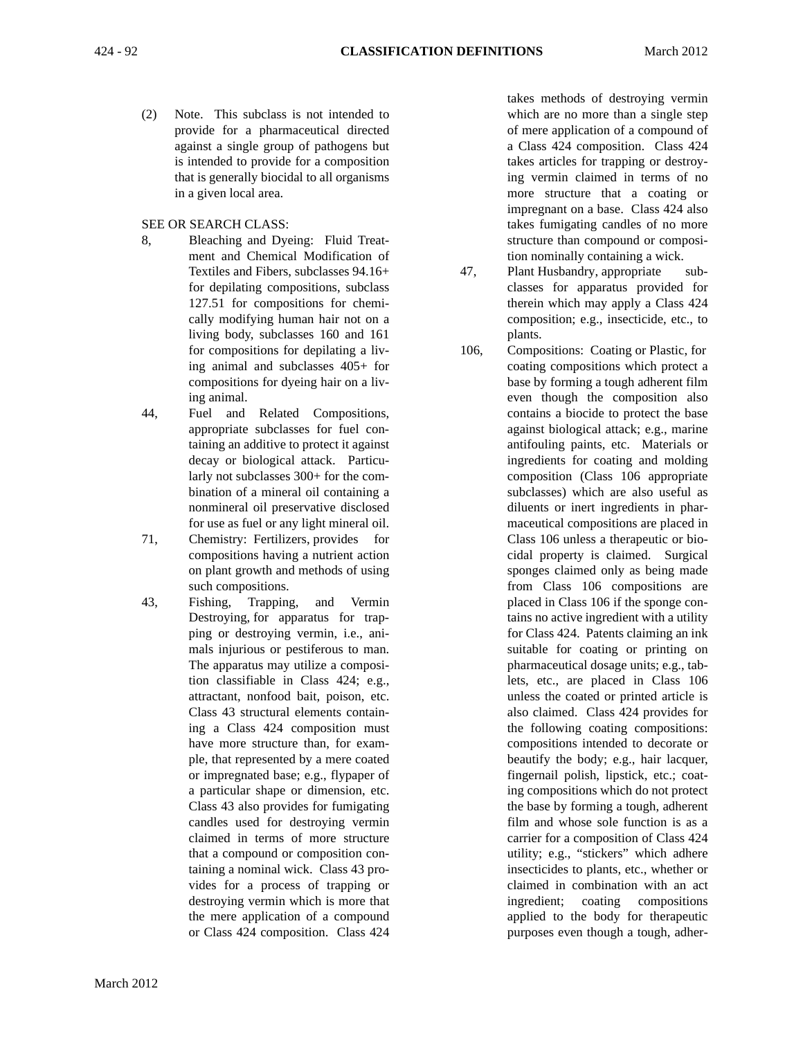Note. This subclass is not intended to (2) Note. This subclass is not intended to which are no more than a single step provide for a pharmaceutical directed of mere application of a compound of against a single group of pathogens but a Class 424 composition. Class 424 is intended to provide for a composition takes articles for trapping or destroythat is generally biocidal to all organisms ing vermin claimed in terms of no in a given local area. The more structure that a coating or

- 8, Bleaching and Dyeing: Fluid Treat- structure than compound or composiment and Chemical Modification of tion nominally containing a wick. living body, subclasses 160 and 161 plants.
- taining an additive to protect it against 44, Fuel and Related Compositions, contains a biocide to protect the base
- 71, Chemistry: Fertilizers, provides for Class 106 unless a therapeutic or bio-
- 43, Fishing, Trapping, and Vermin placed in Class 106 if the sponge con-

takes methods of destroying vermin impregnant on a base. Class 424 also SEE OR SEARCH CLASS: takes fumigating candles of no more

- Textiles and Fibers, subclasses 94.16+ 47, Plant Husbandry, appropriate subfor depilating compositions, subclass classes for apparatus provided for 127.51 for compositions for chemi- therein which may apply a Class 424 cally modifying human hair not on a composition; e.g., insecticide, etc., to
- for compositions for depilating a liv- 106, Compositions: Coating or Plastic, for ing animal and subclasses  $405+$  for coating compositions which protect a compositions for dyeing hair on a liv- base by forming a tough adherent film ing animal. even though the composition also appropriate subclasses for fuel con- against biological attack; e.g., marine antifouling paints, etc. Materials or decay or biological attack. Particu- ingredients for coating and molding larly not subclasses 300+ for the com- composition (Class 106 appropriate bination of a mineral oil containing a subclasses) which are also useful as nonmineral oil preservative disclosed diluents or inert ingredients in pharfor use as fuel or any light mineral oil. maceutical compositions are placed in compositions having a nutrient action cidal property is claimed. Surgical on plant growth and methods of using sponges claimed only as being made such compositions. from Class 106 compositions are Destroying, for apparatus for trap- tains no active ingredient with a utility ping or destroying vermin, i.e., ani-<br>
for Class 424. Patents claiming an ink mals injurious or pestiferous to man. Suitable for coating or printing on The apparatus may utilize a composi-<br>
pharmaceutical dosage units; e.g., tabtion classifiable in Class 424; e.g., lets, etc., are placed in Class 106 attractant, nonfood bait, poison, etc. unless the coated or printed article is Class 43 structural elements contain- also claimed. Class 424 provides for ing a Class 424 composition must the following coating compositions: have more structure than, for exam-<br> **EXECUTE:** compositions intended to decorate or ple, that represented by a mere coated beautify the body; e.g., hair lacquer, or impregnated base; e.g., flypaper of fingernail polish, lipstick, etc.; coata particular shape or dimension, etc. ing compositions which do not protect Class 43 also provides for fumigating the base by forming a tough, adherent candles used for destroying vermin film and whose sole function is as a claimed in terms of more structure carrier for a composition of Class 424 that a compound or composition con- utility; e.g., "stickers" which adhere taining a nominal wick. Class 43 pro- insecticides to plants, etc., whether or vides for a process of trapping or claimed in combination with an act destroying vermin which is more that ingredient; coating compositions the mere application of a compound applied to the body for therapeutic or Class 424 composition. Class 424 purposes even though a tough, adher-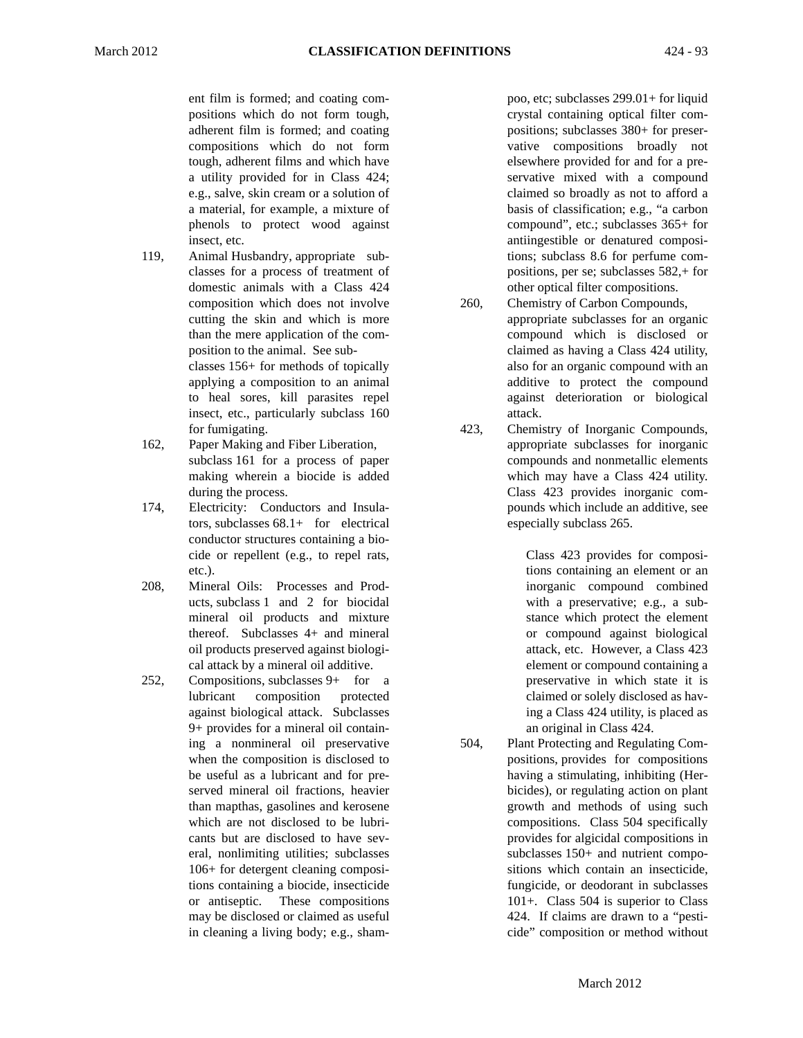ent film is formed; and coating com- poo, etc; subclasses 299.01+ for liquid positions which do not form tough, crystal containing optical filter comadherent film is formed; and coating positions; subclasses 380+ for presercompositions which do not form vative compositions broadly not tough, adherent films and which have elsewhere provided for and for a prea utility provided for in Class 424; servative mixed with a compound e.g., salve, skin cream or a solution of claimed so broadly as not to afford a a material, for example, a mixture of basis of classification; e.g., "a carbon phenols to protect wood against compound", etc.; subclasses 365+ for insect, etc. **antiingestible or denatured composi-**

- 119, Animal Husbandry, appropriate sub- tions; subclass 8.6 for perfume comclasses for a process of treatment of positions, per se; subclasses 582,+ for domestic animals with a Class 424 other optical filter compositions. composition which does not involve 260, Chemistry of Carbon Compounds, insect, etc., particularly subclass 160 attack.
- 162, Paper Making and Fiber Liberation, appropriate subclasses for inorganic
- 174, Electricity: Conductors and Insula- pounds which include an additive, see tors, subclasses 68.1+ for electrical especially subclass 265. conductor structures containing a biocide or repellent (e.g., to repel rats, Class 423 provides for composietc.). tions containing an element or an
- 208, Mineral Oils: Processes and Prod- inorganic compound combined ucts, subclass 1 and 2 for biocidal with a preservative; e.g., a submineral oil products and mixture stance which protect the element thereof. Subclasses 4+ and mineral or compound against biological oil products preserved against biologi- attack, etc. However, a Class 423 cal attack by a mineral oil additive. element or compound containing a
- 252, Compositions, subclasses 9+ for a preservative in which state it is lubricant composition protected claimed or solely disclosed as havagainst biological attack. Subclasses ing a Class 424 utility, is placed as 9+ provides for a mineral oil contain- an original in Class 424.

- cutting the skin and which is more appropriate subclasses for an organic than the mere application of the com- compound which is disclosed or position to the animal. See sub- claimed as having a Class 424 utility, classes 156+ for methods of topically also for an organic compound with an applying a composition to an animal additive to protect the compound to heal sores, kill parasites repel against deterioration or biological
- for fumigating. 423, Chemistry of Inorganic Compounds, subclass 161 for a process of paper compounds and nonmetallic elements making wherein a biocide is added which may have a Class 424 utility. during the process. Class 423 provides inorganic com-

ing a nonmineral oil preservative 504, Plant Protecting and Regulating Comwhen the composition is disclosed to positions, provides for compositions be useful as a lubricant and for pre- having a stimulating, inhibiting (Herserved mineral oil fractions, heavier bicides), or regulating action on plant than mapthas, gasolines and kerosene growth and methods of using such which are not disclosed to be lubri- compositions. Class 504 specifically cants but are disclosed to have sev- provides for algicidal compositions in eral, nonlimiting utilities; subclasses subclasses subclasses 150+ and nutrient compo-106+ for detergent cleaning composi- sitions which contain an insecticide, tions containing a biocide, insecticide fungicide, or deodorant in subclasses or antiseptic. These compositions 101+. Class 504 is superior to Class may be disclosed or claimed as useful 424. If claims are drawn to a "pestiin cleaning a living body; e.g., sham- cide" composition or method without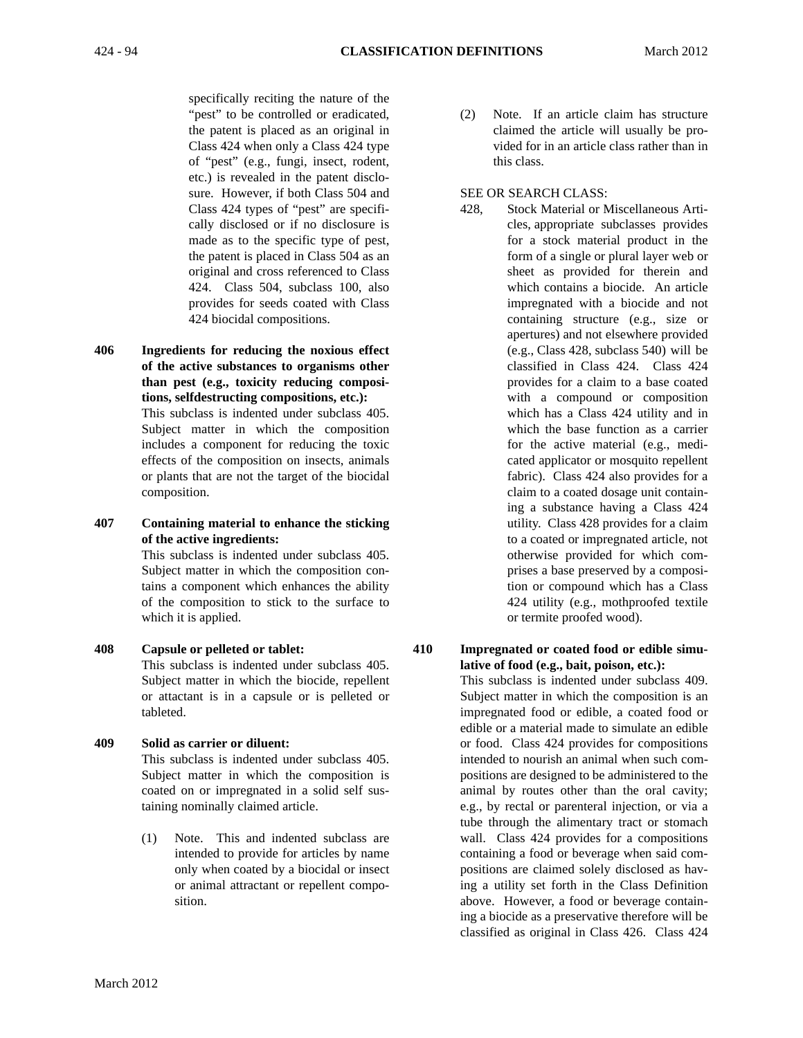specifically reciting the nature of the "pest" to be controlled or eradicated, the patent is placed as an original in Class 424 when only a Class 424 type of "pest" (e.g., fungi, insect, rodent, etc.) is revealed in the patent disclosure. However, if both Class 504 and Class 424 types of "pest" are specifically disclosed or if no disclosure is made as to the specific type of pest, the patent is placed in Class 504 as an original and cross referenced to Class 424. Class 504, subclass 100, also provides for seeds coated with Class 424 biocidal compositions.

**406 Ingredients for reducing the noxious effect of the active substances to organisms other than pest (e.g., toxicity reducing compositions, selfdestructing compositions, etc.):**  This subclass is indented under subclass 405. Subject matter in which the composition includes a component for reducing the toxic effects of the composition on insects, animals or plants that are not the target of the biocidal composition.

# **407 Containing material to enhance the sticking of the active ingredients:**

This subclass is indented under subclass 405. Subject matter in which the composition contains a component which enhances the ability of the composition to stick to the surface to which it is applied.

**408 Capsule or pelleted or tablet: 410**  This subclass is indented under subclass 405. Subject matter in which the biocide, repellent or attactant is in a capsule or is pelleted or tableted.

# **409 Solid as carrier or diluent:**  This subclass is indented under subclass 405. Subject matter in which the composition is coated on or impregnated in a solid self sustaining nominally claimed article.

(1) Note. This and indented subclass are intended to provide for articles by name only when coated by a biocidal or insect or animal attractant or repellent composition.

(2) Note. If an article claim has structure claimed the article will usually be provided for in an article class rather than in this class.

SEE OR SEARCH CLASS:

428, Stock Material or Miscellaneous Articles, appropriate subclasses provides for a stock material product in the form of a single or plural layer web or sheet as provided for therein and which contains a biocide. An article impregnated with a biocide and not containing structure (e.g., size or apertures) and not elsewhere provided (e.g., Class 428, subclass 540) will be classified in Class 424. Class 424 provides for a claim to a base coated with a compound or composition which has a Class 424 utility and in which the base function as a carrier for the active material (e.g., medicated applicator or mosquito repellent fabric). Class 424 also provides for a claim to a coated dosage unit containing a substance having a Class 424 utility. Class 428 provides for a claim to a coated or impregnated article, not otherwise provided for which comprises a base preserved by a composition or compound which has a Class 424 utility (e.g., mothproofed textile or termite proofed wood).

# **Impregnated or coated food or edible simulative of food (e.g., bait, poison, etc.):**

This subclass is indented under subclass 409. Subject matter in which the composition is an impregnated food or edible, a coated food or edible or a material made to simulate an edible or food. Class 424 provides for compositions intended to nourish an animal when such compositions are designed to be administered to the animal by routes other than the oral cavity; e.g., by rectal or parenteral injection, or via a tube through the alimentary tract or stomach wall. Class 424 provides for a compositions containing a food or beverage when said compositions are claimed solely disclosed as having a utility set forth in the Class Definition above. However, a food or beverage containing a biocide as a preservative therefore will be classified as original in Class 426. Class 424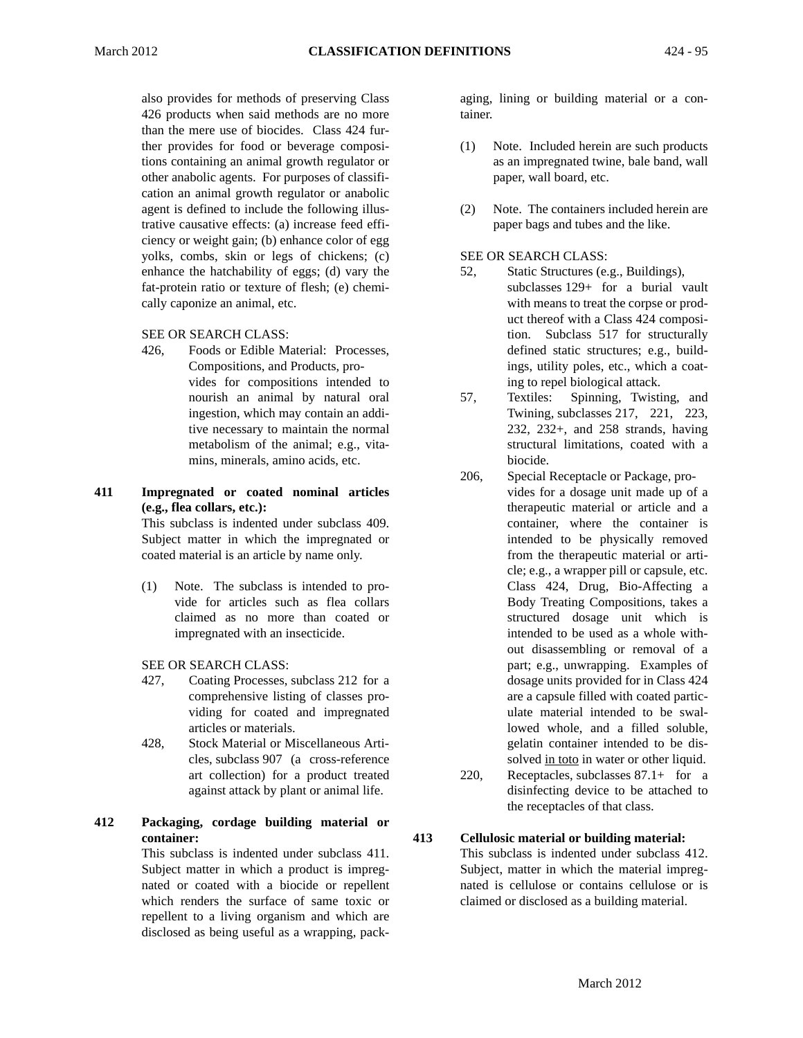also provides for methods of preserving Class 426 products when said methods are no more than the mere use of biocides. Class 424 further provides for food or beverage compositions containing an animal growth regulator or other anabolic agents. For purposes of classification an animal growth regulator or anabolic agent is defined to include the following illustrative causative effects: (a) increase feed efficiency or weight gain; (b) enhance color of egg yolks, combs, skin or legs of chickens; (c) enhance the hatchability of eggs; (d) vary the fat-protein ratio or texture of flesh; (e) chemically caponize an animal, etc.

SEE OR SEARCH CLASS:

- 426, Foods or Edible Material: Processes, Compositions, and Products, provides for compositions intended to nourish an animal by natural oral ingestion, which may contain an additive necessary to maintain the normal metabolism of the animal; e.g., vitamins, minerals, amino acids, etc.
- **411 Impregnated or coated nominal articles (e.g., flea collars, etc.):**

 coated material is an article by name only. This subclass is indented under subclass 409. Subject matter in which the impregnated or

(1) Note. The subclass is intended to provide for articles such as flea collars claimed as no more than coated or impregnated with an insecticide.

SEE OR SEARCH CLASS:

- 427, Coating Processes, subclass 212 for a comprehensive listing of classes providing for coated and impregnated articles or materials.
- 428, Stock Material or Miscellaneous Articles, subclass 907 (a cross-reference art collection) for a product treated against attack by plant or animal life.

# **412 Packaging, cordage building material or container: 413**

This subclass is indented under subclass 411. Subject matter in which a product is impregnated or coated with a biocide or repellent which renders the surface of same toxic or repellent to a living organism and which are disclosed as being useful as a wrapping, packaging, lining or building material or a container.

- (1) Note. Included herein are such products as an impregnated twine, bale band, wall paper, wall board, etc.
- (2) Note. The containers included herein are paper bags and tubes and the like.

SEE OR SEARCH CLASS:

- uct thereof with a Class 424 composi- ing to repel biological attack. 52, Static Structures (e.g., Buildings), subclasses 129+ for a burial vault with means to treat the corpse or prodtion. Subclass 517 for structurally defined static structures; e.g., buildings, utility poles, etc., which a coat-
- 57, Textiles: Spinning, Twisting, and Twining, subclasses 217, 221, 223, 232, 232+, and 258 strands, having structural limitations, coated with a biocide.
- dosage units provided for in Class 424 206, Special Receptacle or Package, provides for a dosage unit made up of a therapeutic material or article and a container, where the container is intended to be physically removed from the therapeutic material or article; e.g., a wrapper pill or capsule, etc. Class 424, Drug, Bio-Affecting a Body Treating Compositions, takes a structured dosage unit which is intended to be used as a whole without disassembling or removal of a part; e.g., unwrapping. Examples of are a capsule filled with coated particulate material intended to be swallowed whole, and a filled soluble, gelatin container intended to be dissolved in toto in water or other liquid.
- 220, Receptacles, subclasses  $87.1+$  for a disinfecting device to be attached to the receptacles of that class.

# **Cellulosic material or building material:**  This subclass is indented under subclass 412. Subject, matter in which the material impregnated is cellulose or contains cellulose or is claimed or disclosed as a building material.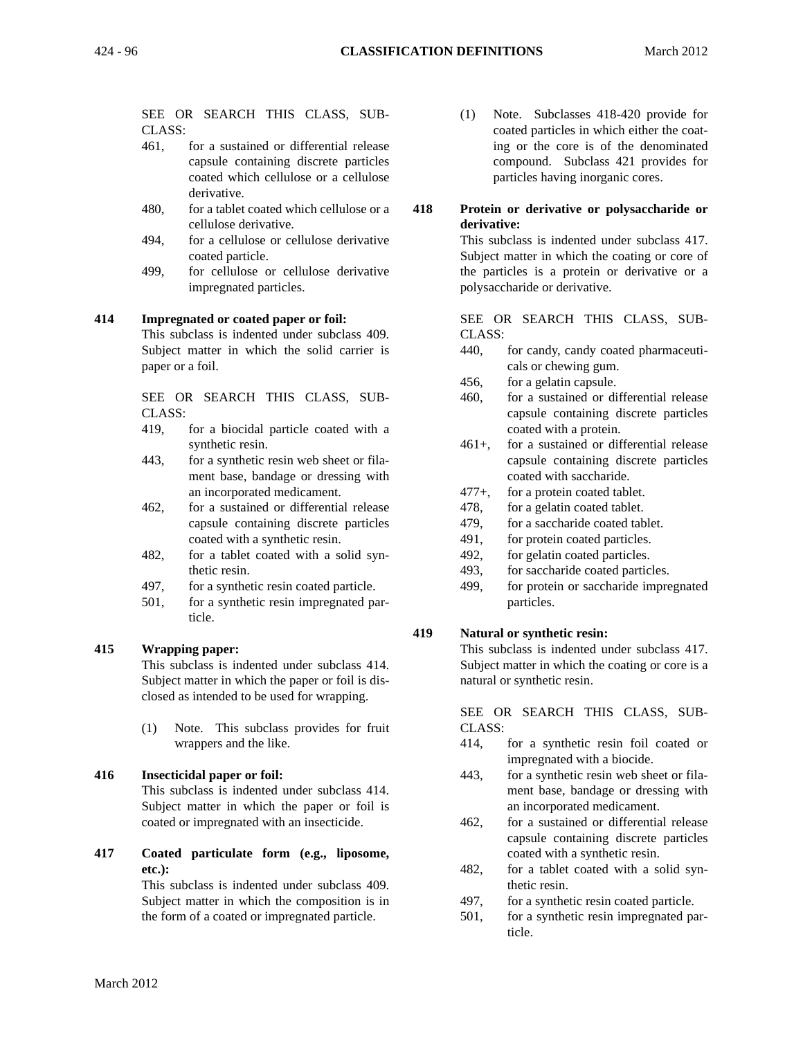#### SEE OR SEARCH THIS CLASS, SUB-CLASS:

- 461, for a sustained or differential release capsule containing discrete particles coated which cellulose or a cellulose derivative.
- 480, for a tablet coated which cellulose or a **418**  cellulose derivative.
- 494, for a cellulose or cellulose derivative coated particle.
- 499, for cellulose or cellulose derivative impregnated particles.

# **414 Impregnated or coated paper or foil:**

This subclass is indented under subclass 409. Subject matter in which the solid carrier is paper or a foil.

SEE OR SEARCH THIS CLASS, SUB-CLASS:

- 419, for a biocidal particle coated with a synthetic resin.
- 443, for a synthetic resin web sheet or filament base, bandage or dressing with an incorporated medicament.
- 462, for a sustained or differential release capsule containing discrete particles coated with a synthetic resin.
- 482, for a tablet coated with a solid synthetic resin.
- 497, for a synthetic resin coated particle.
- 501, for a synthetic resin impregnated particle.

# **415 Wrapping paper:**

 Subject matter in which the paper or foil is dis-This subclass is indented under subclass 414. closed as intended to be used for wrapping.

(1) Note. This subclass provides for fruit wrappers and the like.

# **416 Insecticidal paper or foil:**

This subclass is indented under subclass 414. Subject matter in which the paper or foil is coated or impregnated with an insecticide.

**417 Coated particulate form (e.g., liposome, etc.):** 

This subclass is indented under subclass 409. Subject matter in which the composition is in the form of a coated or impregnated particle.

- (1) Note. Subclasses 418-420 provide for coated particles in which either the coating or the core is of the denominated compound. Subclass 421 provides for particles having inorganic cores.
- **Protein or derivative or polysaccharide or derivative:**

This subclass is indented under subclass 417. Subject matter in which the coating or core of the particles is a protein or derivative or a polysaccharide or derivative.

SEE OR SEARCH THIS CLASS, SUB-CLASS:

- 440, for candy, candy coated pharmaceuticals or chewing gum.
- 456, for a gelatin capsule.
- 460, for a sustained or differential release capsule containing discrete particles coated with a protein.
- $461+$ , for a sustained or differential release capsule containing discrete particles coated with saccharide.
- 477+, for a protein coated tablet.
- 478, for a gelatin coated tablet.
- 479, for a saccharide coated tablet.
- 491, for protein coated particles.
- 492, for gelatin coated particles.
- 493, for saccharide coated particles.
- 499, for protein or saccharide impregnated particles.

#### **419 Natural or synthetic resin:**

This subclass is indented under subclass 417. Subject matter in which the coating or core is a natural or synthetic resin.

SEE OR SEARCH THIS CLASS, SUB-CLASS:

- 414, for a synthetic resin foil coated or impregnated with a biocide.
- 443, for a synthetic resin web sheet or filament base, bandage or dressing with an incorporated medicament.
- 462, for a sustained or differential release capsule containing discrete particles coated with a synthetic resin.
- 482, for a tablet coated with a solid synthetic resin.
- 497, for a synthetic resin coated particle.
- 501, for a synthetic resin impregnated particle.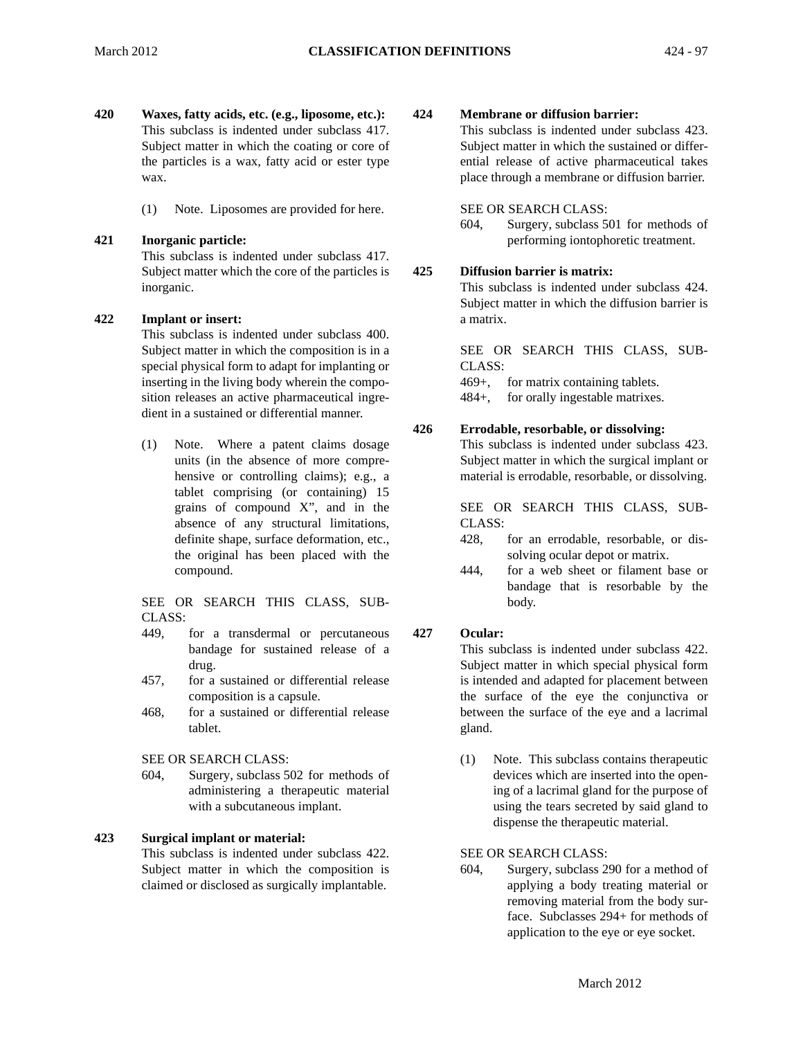- **420 Waxes, fatty acids, etc. (e.g., liposome, etc.): 424**  This subclass is indented under subclass 417. Subject matter in which the coating or core of the particles is a wax, fatty acid or ester type wax.
	- (1) Note. Liposomes are provided for here.

#### **421 Inorganic particle:**

This subclass is indented under subclass 417. Subject matter which the core of the particles is **425**  inorganic.

#### **422 Implant or insert:**

This subclass is indented under subclass 400. Subject matter in which the composition is in a special physical form to adapt for implanting or inserting in the living body wherein the composition releases an active pharmaceutical ingredient in a sustained or differential manner.

(1) Note. Where a patent claims dosage units (in the absence of more comprehensive or controlling claims); e.g., a tablet comprising (or containing) 15 grains of compound X", and in the absence of any structural limitations, definite shape, surface deformation, etc., the original has been placed with the compound.

SEE OR SEARCH THIS CLASS, SUB-CLASS:

- 449, for a transdermal or percutaneous **427**  bandage for sustained release of a drug.
- 457, for a sustained or differential release composition is a capsule.
- 468, for a sustained or differential release tablet.

SEE OR SEARCH CLASS:

604, Surgery, subclass 502 for methods of administering a therapeutic material with a subcutaneous implant.

# **423 Surgical implant or material:**

This subclass is indented under subclass 422. Subject matter in which the composition is claimed or disclosed as surgically implantable.

#### **Membrane or diffusion barrier:**

This subclass is indented under subclass 423. Subject matter in which the sustained or differential release of active pharmaceutical takes place through a membrane or diffusion barrier.

#### SEE OR SEARCH CLASS:

604, Surgery, subclass 501 for methods of performing iontophoretic treatment.

#### **Diffusion barrier is matrix:**

This subclass is indented under subclass 424. Subject matter in which the diffusion barrier is a matrix.

SEE OR SEARCH THIS CLASS, SUB-CLASS:

469+, for matrix containing tablets. 484+, for orally ingestable matrixes.

#### **426 Errodable, resorbable, or dissolving:**

This subclass is indented under subclass 423. Subject matter in which the surgical implant or material is errodable, resorbable, or dissolving.

SEE OR SEARCH THIS CLASS, SUB-CLASS:

- 428, for an errodable, resorbable, or dissolving ocular depot or matrix.
- 444, for a web sheet or filament base or bandage that is resorbable by the body.

# **Ocular:**

This subclass is indented under subclass 422. Subject matter in which special physical form is intended and adapted for placement between the surface of the eye the conjunctiva or between the surface of the eye and a lacrimal gland.

(1) Note. This subclass contains therapeutic devices which are inserted into the opening of a lacrimal gland for the purpose of using the tears secreted by said gland to dispense the therapeutic material.

SEE OR SEARCH CLASS:

604, Surgery, subclass 290 for a method of applying a body treating material or removing material from the body surface. Subclasses 294+ for methods of application to the eye or eye socket.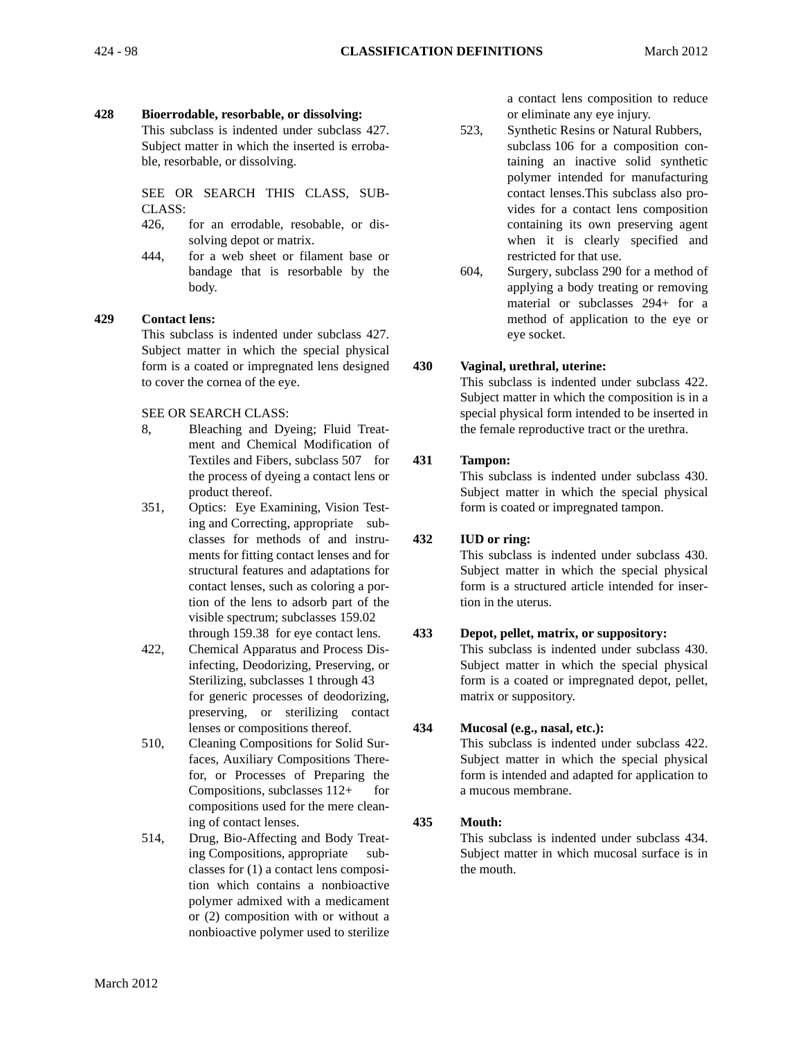# **428 Bioerrodable, resorbable, or dissolving:**

This subclass is indented under subclass 427. Subject matter in which the inserted is errobable, resorbable, or dissolving.

SEE OR SEARCH THIS CLASS, SUB-CLASS:

- 426, for an errodable, resobable, or dissolving depot or matrix.
- 444, for a web sheet or filament base or bandage that is resorbable by the body.

# **429 Contact lens:**

This subclass is indented under subclass 427. Subject matter in which the special physical form is a coated or impregnated lens designed **430**  to cover the cornea of the eye.

# SEE OR SEARCH CLASS:

- 8, Bleaching and Dyeing; Fluid Treatment and Chemical Modification of Textiles and Fibers, subclass 507 for **431**  the process of dyeing a contact lens or product thereof.
- 351, Optics: Eye Examining, Vision Testing and Correcting, appropriate subclasses for methods of and instru- **432**  ments for fitting contact lenses and for structural features and adaptations for contact lenses, such as coloring a portion of the lens to adsorb part of the visible spectrum; subclasses 159.02 through 159.38 for eye contact lens. **433**
- 422, Chemical Apparatus and Process Disinfecting, Deodorizing, Preserving, or Sterilizing, subclasses 1 through 43 for generic processes of deodorizing, preserving, or sterilizing contact lenses or compositions thereof. **434**
- 510, Cleaning Compositions for Solid Surfaces, Auxiliary Compositions Therefor, or Processes of Preparing the Compositions, subclasses 112+ for compositions used for the mere cleaning of contact lenses. **435**
- 514, Drug, Bio-Affecting and Body Treating Compositions, appropriate subclasses for (1) a contact lens composition which contains a nonbioactive polymer admixed with a medicament or (2) composition with or without a nonbioactive polymer used to sterilize

a contact lens composition to reduce or eliminate any eye injury.

- 523, Synthetic Resins or Natural Rubbers, subclass 106 for a composition containing an inactive solid synthetic polymer intended for manufacturing contact lenses.This subclass also provides for a contact lens composition containing its own preserving agent when it is clearly specified and restricted for that use.
- 604, Surgery, subclass 290 for a method of applying a body treating or removing material or subclasses 294+ for a method of application to the eye or eye socket.

# **Vaginal, urethral, uterine:**

This subclass is indented under subclass 422. Subject matter in which the composition is in a special physical form intended to be inserted in the female reproductive tract or the urethra.

# **Tampon:**

This subclass is indented under subclass 430. Subject matter in which the special physical form is coated or impregnated tampon.

# **IUD or ring:**

This subclass is indented under subclass 430. Subject matter in which the special physical form is a structured article intended for insertion in the uterus.

# **Depot, pellet, matrix, or suppository:**

This subclass is indented under subclass 430. Subject matter in which the special physical form is a coated or impregnated depot, pellet, matrix or suppository.

# **Mucosal (e.g., nasal, etc.):**

 form is intended and adapted for application to This subclass is indented under subclass 422. Subject matter in which the special physical a mucous membrane.

# **Mouth:**

This subclass is indented under subclass 434. Subject matter in which mucosal surface is in the mouth.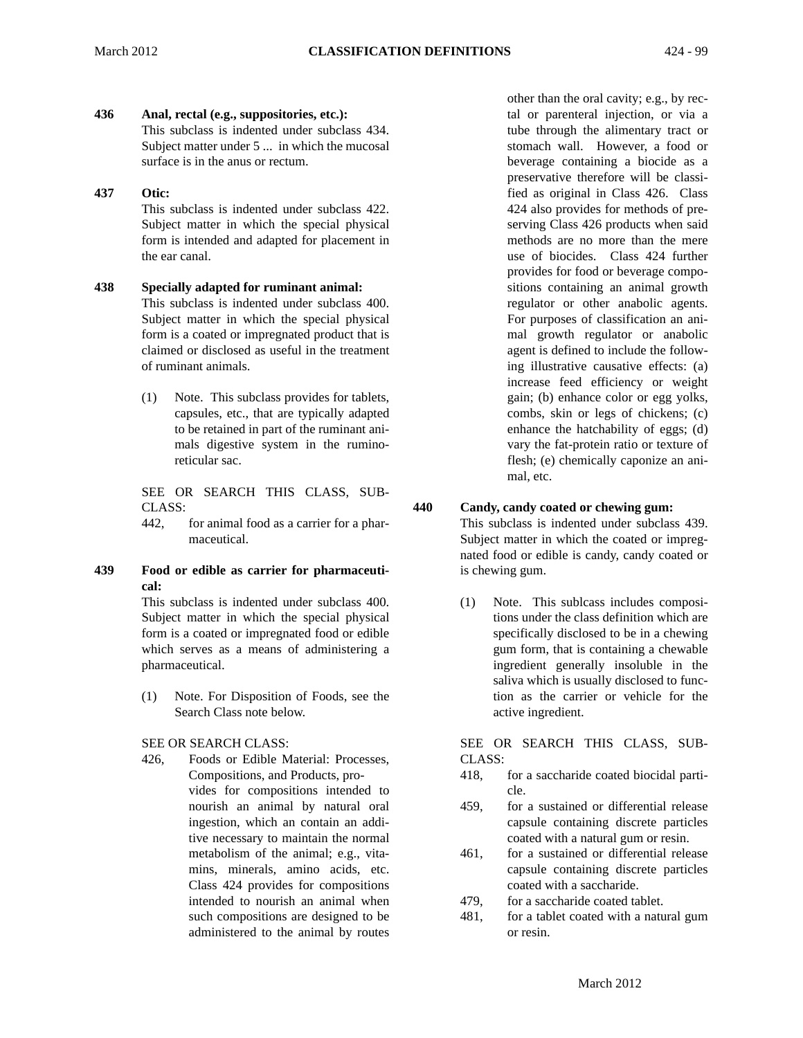#### **436 Anal, rectal (e.g., suppositories, etc.):**  This subclass is indented under subclass 434. Subject matter under 5 ... in which the mucosal surface is in the anus or rectum.

# **437 Otic:**

This subclass is indented under subclass 422. Subject matter in which the special physical form is intended and adapted for placement in the ear canal.

# **438 Specially adapted for ruminant animal:**  This subclass is indented under subclass 400. Subject matter in which the special physical form is a coated or impregnated product that is claimed or disclosed as useful in the treatment of ruminant animals.

 mals digestive system in the rumino-(1) Note. This subclass provides for tablets, capsules, etc., that are typically adapted to be retained in part of the ruminant anireticular sac.

SEE OR SEARCH THIS CLASS, SUB-CLASS: **440** 

442, for animal food as a carrier for a pharmaceutical.

**439 Food or edible as carrier for pharmaceutical:** 

This subclass is indented under subclass 400. Subject matter in which the special physical form is a coated or impregnated food or edible which serves as a means of administering a pharmaceutical.

(1) Note. For Disposition of Foods, see the Search Class note below.

# SEE OR SEARCH CLASS:

426. Foods or Edible Material: Processes, Compositions, and Products, provides for compositions intended to nourish an animal by natural oral ingestion, which an contain an additive necessary to maintain the normal metabolism of the animal; e.g., vitamins, minerals, amino acids, etc. Class 424 provides for compositions intended to nourish an animal when such compositions are designed to be administered to the animal by routes

 stomach wall. However, a food or other than the oral cavity; e.g., by rectal or parenteral injection, or via a tube through the alimentary tract or beverage containing a biocide as a preservative therefore will be classified as original in Class 426. Class 424 also provides for methods of preserving Class 426 products when said methods are no more than the mere use of biocides. Class 424 further provides for food or beverage compositions containing an animal growth regulator or other anabolic agents. For purposes of classification an animal growth regulator or anabolic agent is defined to include the following illustrative causative effects: (a) increase feed efficiency or weight gain; (b) enhance color or egg yolks, combs, skin or legs of chickens; (c) enhance the hatchability of eggs; (d) vary the fat-protein ratio or texture of flesh; (e) chemically caponize an animal, etc.

# **Candy, candy coated or chewing gum:**

This subclass is indented under subclass 439. Subject matter in which the coated or impregnated food or edible is candy, candy coated or is chewing gum.

(1) Note. This sublcass includes compositions under the class definition which are specifically disclosed to be in a chewing gum form, that is containing a chewable ingredient generally insoluble in the saliva which is usually disclosed to function as the carrier or vehicle for the active ingredient.

SEE OR SEARCH THIS CLASS, SUB-CLASS:

- 418, for a saccharide coated biocidal particle.
- 459, for a sustained or differential release capsule containing discrete particles coated with a natural gum or resin.
- 461, for a sustained or differential release capsule containing discrete particles coated with a saccharide.
- 479, for a saccharide coated tablet.
- 481, for a tablet coated with a natural gum or resin.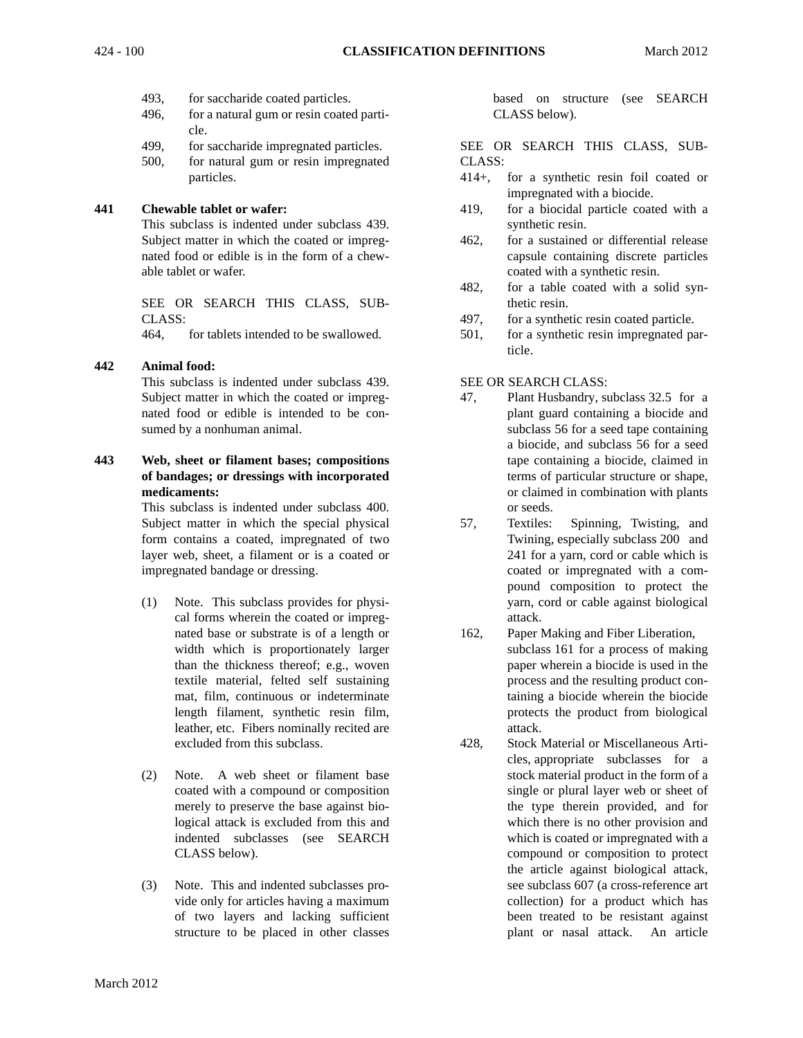- $424 100$ 
	- 493, for saccharide coated particles.
	- 496, for a natural gum or resin coated particle.
	- 499, for saccharide impregnated particles.
	- 500, for natural gum or resin impregnated particles.

# **441 Chewable tablet or wafer:**

This subclass is indented under subclass 439. Subject matter in which the coated or impregnated food or edible is in the form of a chewable tablet or wafer.

SEE OR SEARCH THIS CLASS, SUB-CLASS:

464, for tablets intended to be swallowed.

# **442 Animal food:**

This subclass is indented under subclass 439. Subject matter in which the coated or impregnated food or edible is intended to be consumed by a nonhuman animal.

**443 Web, sheet or filament bases; compositions of bandages; or dressings with incorporated medicaments:** 

> This subclass is indented under subclass 400. Subject matter in which the special physical form contains a coated, impregnated of two layer web, sheet, a filament or is a coated or impregnated bandage or dressing.

- (1) Note. This subclass provides for physical forms wherein the coated or impregnated base or substrate is of a length or width which is proportionately larger than the thickness thereof; e.g., woven textile material, felted self sustaining mat, film, continuous or indeterminate length filament, synthetic resin film, leather, etc. Fibers nominally recited are excluded from this subclass.
- (2) Note. A web sheet or filament base coated with a compound or composition merely to preserve the base against biological attack is excluded from this and indented subclasses (see SEARCH CLASS below).
- (3) Note. This and indented subclasses provide only for articles having a maximum of two layers and lacking sufficient structure to be placed in other classes

based on structure (see SEARCH CLASS below).

SEE OR SEARCH THIS CLASS, SUB-CLASS:

- 414+, for a synthetic resin foil coated or impregnated with a biocide.
- 419, for a biocidal particle coated with a synthetic resin.
- 462, for a sustained or differential release capsule containing discrete particles coated with a synthetic resin.
- 482, for a table coated with a solid synthetic resin.
- 497, for a synthetic resin coated particle.
- 501, for a synthetic resin impregnated particle.

# SEE OR SEARCH CLASS:

- 47, Plant Husbandry, subclass 32.5 for a plant guard containing a biocide and subclass 56 for a seed tape containing a biocide, and subclass 56 for a seed tape containing a biocide, claimed in terms of particular structure or shape, or claimed in combination with plants or seeds.
- 57, Textiles: Spinning, Twisting, and Twining, especially subclass 200 and 241 for a yarn, cord or cable which is coated or impregnated with a compound composition to protect the yarn, cord or cable against biological attack.
- 162, Paper Making and Fiber Liberation, subclass 161 for a process of making paper wherein a biocide is used in the process and the resulting product containing a biocide wherein the biocide protects the product from biological attack.
- 428, Stock Material or Miscellaneous Articles, appropriate subclasses for a stock material product in the form of a single or plural layer web or sheet of the type therein provided, and for which there is no other provision and which is coated or impregnated with a compound or composition to protect the article against biological attack, see subclass 607 (a cross-reference art collection) for a product which has been treated to be resistant against plant or nasal attack. An article